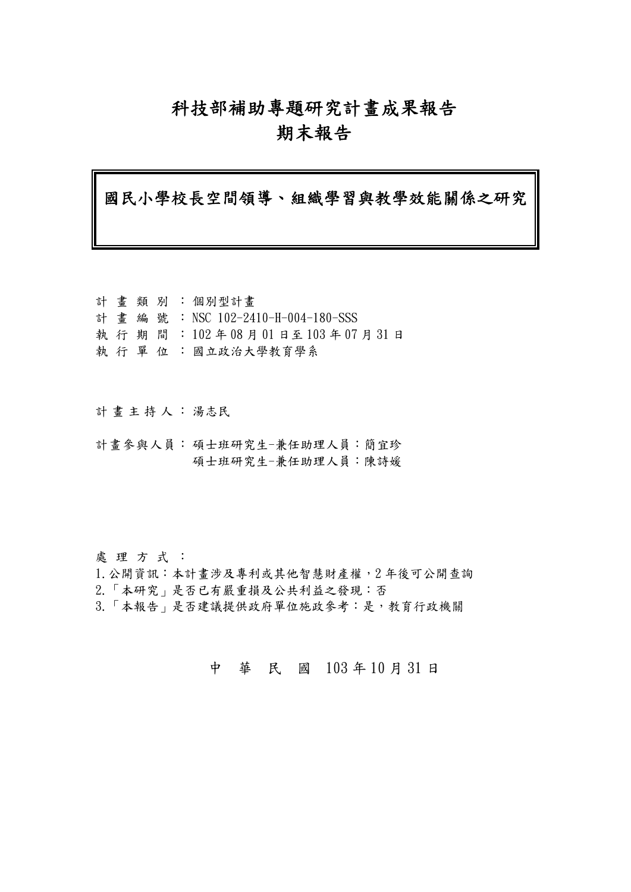## 科技部補助專題研究計畫成果報告

## 期末報告

國民小學校長空間領導、組織學習與教學效能關係之研究

|  |  | 計畫類別:個別型計畫                           |
|--|--|--------------------------------------|
|  |  | 計 畫 編 號 : NSC 102-2410-H-004-180-SSS |
|  |  | 執 行 期 間 :102年08月01日至103年07月31日       |
|  |  | 執 行 單 位 : 國立政治大學教育學系                 |

- 計畫主持人: 湯志民
- 計畫參與人員: 碩士班研究生-兼任助理人員:簡宜珍 碩士班研究生-兼任助理人員:陳詩媛

處 理 方 式 :

- 1.公開資訊:本計畫涉及專利或其他智慧財產權,2 年後可公開查詢
- 2.「本研究」是否已有嚴重損及公共利益之發現:否
- 3.「本報告」是否建議提供政府單位施政參考:是,教育行政機關

中 華 民 國 103 年 10 月 31 日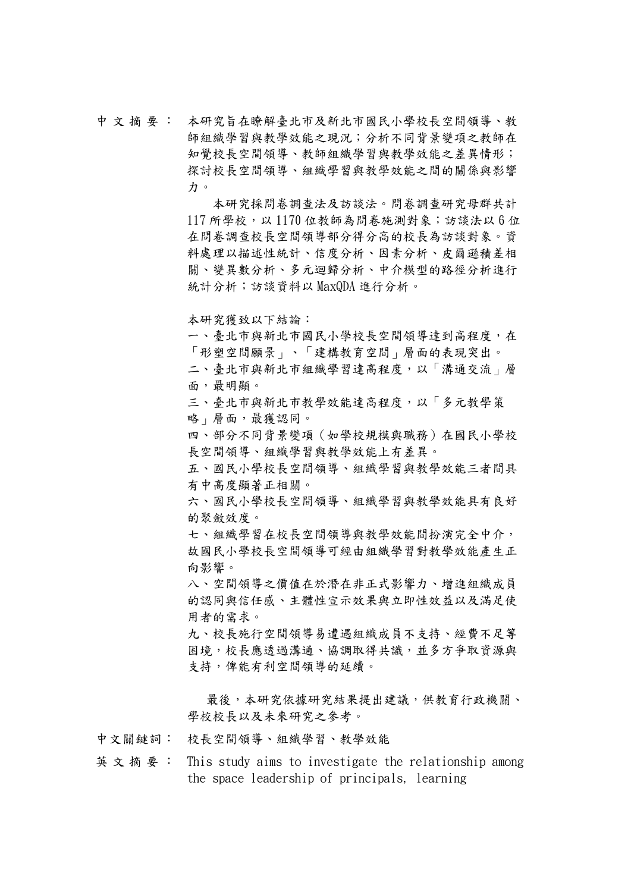中 文 摘 要 : 本研究旨在瞭解臺北市及新北市國民小學校長空間領導、教 師組織學習與教學效能之現況;分析不同背景變項之教師在 知覺校長空間領導、教師組織學習與教學效能之差異情形; 探討校長空間領導、組織學習與教學效能之間的關係與影響 力。

> 本研究採問卷調查法及訪談法。問卷調查研究母群共計  $117$  所學校,以 1170 位教師為問卷施測對象;訪談法以 6位 在問卷調查校長空間領導部分得分高的校長為訪談對象。資 料處理以描述性統計、信度分析、因素分析、皮爾遜積差相 關、變異數分析、多元迴歸分析、中介模型的路徑分析進行 統計分析;訪談資料以 MaxQDA 進行分析。

本研究獲致以下結論:

一、臺北市與新北市國民小學校長空間領導達到高程度,在 「形塑空間願景」、「建構教育空間」層面的表現突出。 二、臺北市與新北市組織學習達高程度,以「溝通交流」層

面,最明顯。

三、臺北市與新北市教學效能達高程度,以「多元教學策 略 | 層面,最獲認同。

四、部分不同背景變項(如學校規模與職務)在國民小學校 長空間領導、組織學習與教學效能上有差異。

五、國民小學校長空間領導、組織學習與教學效能三者間具 有中高度顯著正相關。

六、國民小學校長空間領導、組織學習與教學效能具有良好 的聚斂效度。

七、組織學習在校長空間領導與教學效能間扮演完全中介, 故國民小學校長空間領導可經由組織學習對教學效能產生正 向影響。

八、空間領導之價值在於潛在非正式影響力、增進組織成員 的認同與信任感、主體性宣示效果與立即性效益以及滿足使 用者的需求。

九、校長施行空間領導易遭遇組織成員不支持、經費不足等 困境,校長應透過溝通、協調取得共識,並多方爭取資源與 支持,俾能有利空間領導的延續。

最後,本研究依據研究結果提出建議,供教育行政機關、 學校校長以及未來研究之參考。

中文關鍵詞: 校長空間領導、組織學習、教學效能

英 文 摘 要 : This study aims to investigate the relationship among the space leadership of principals, learning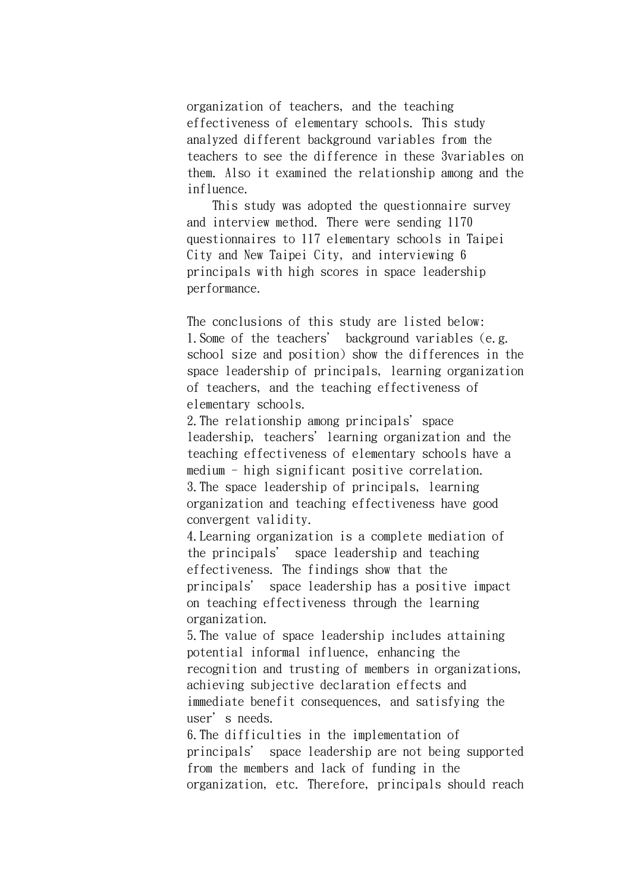organization of teachers, and the teaching effectiveness of elementary schools. This study analyzed different background variables from the teachers to see the difference in these 3variables on them. Also it examined the relationship among and the influence.

 This study was adopted the questionnaire survey and interview method. There were sending 1170 questionnaires to 117 elementary schools in Taipei City and New Taipei City, and interviewing 6 principals with high scores in space leadership performance.

The conclusions of this study are listed below: 1.Some of the teachers' background variables (e.g. school size and position) show the differences in the space leadership of principals, learning organization of teachers, and the teaching effectiveness of elementary schools.

2. The relationship among principals' space leadership, teachers' learning organization and the teaching effectiveness of elementary schools have a medium - high significant positive correlation. 3.The space leadership of principals, learning organization and teaching effectiveness have good convergent validity.

4.Learning organization is a complete mediation of the principals' space leadership and teaching effectiveness. The findings show that the principals' space leadership has a positive impact on teaching effectiveness through the learning organization.

5.The value of space leadership includes attaining potential informal influence, enhancing the recognition and trusting of members in organizations, achieving subjective declaration effects and immediate benefit consequences, and satisfying the user's needs.

6.The difficulties in the implementation of principals' space leadership are not being supported from the members and lack of funding in the organization, etc. Therefore, principals should reach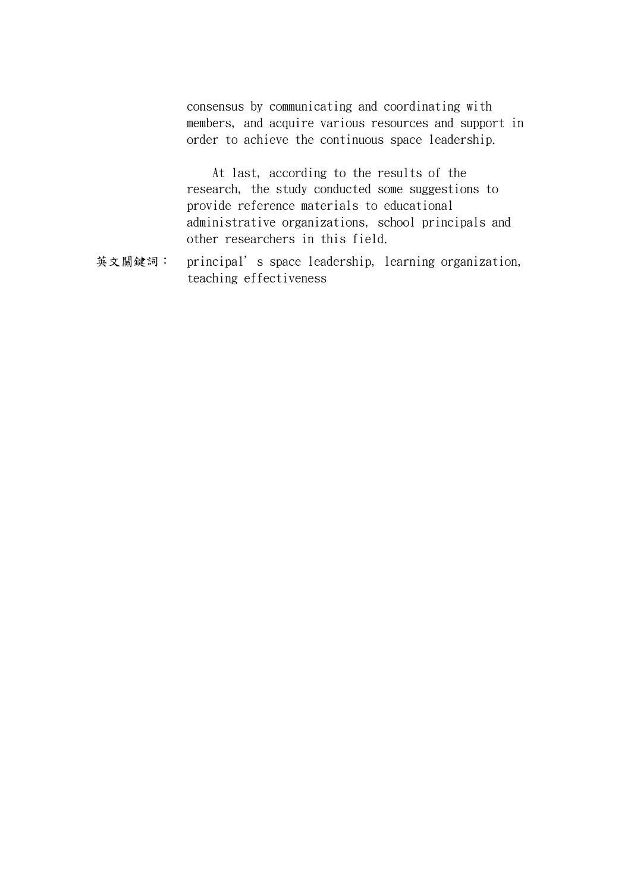consensus by communicating and coordinating with members, and acquire various resources and support in order to achieve the continuous space leadership.

 At last, according to the results of the research, the study conducted some suggestions to provide reference materials to educational administrative organizations, school principals and other researchers in this field.

英文關鍵詞: principal's space leadership, learning organization, teaching effectiveness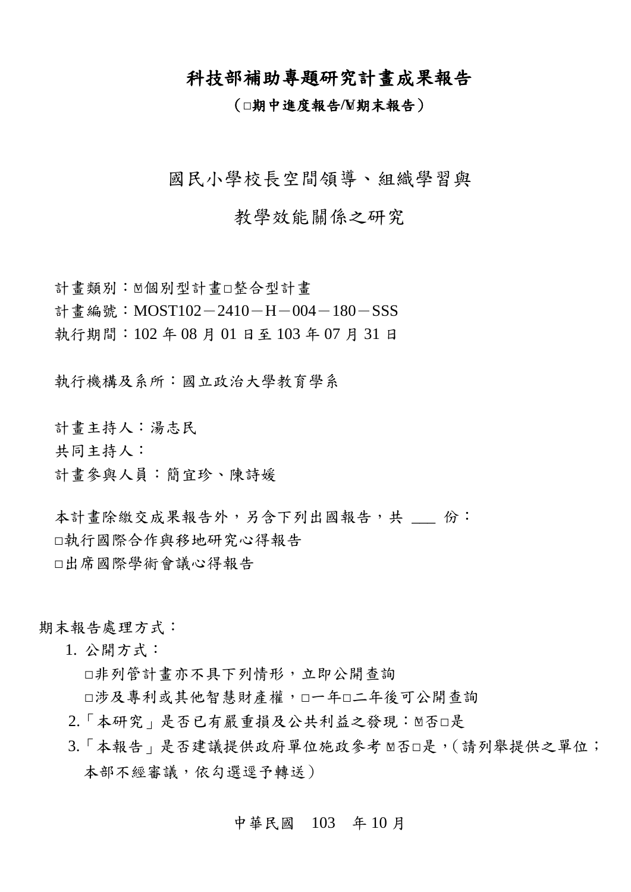## 科技部補助專題研究計畫成果報告

### (**□**期中進度報告**/V□**期末報告)

國民小學校長空間領導、組織學習與

## 教學效能關係之研究

計畫類別: □個別型計畫□整合型計畫 計書編號: MOST102-2410-H-004-180-SSS 執行期間:102 年 08 月 01 日至 103 年 07 月 31 日

執行機構及系所:國立政治大學教育學系

計畫主持人:湯志民

共同主持人:

計畫參與人員:簡宜珍、陳詩媛

本計書除繳交成果報告外,另含下列出國報告,共 份: □執行國際合作與移地研究心得報告 □出席國際學術會議心得報告

期末報告處理方式:

1. 公開方式:

□非列管計畫亦不具下列情形,立即公開查詢

□涉及專利或其他智慧財產權,□一年□二年後可公開查詢

- 2.「本研究」是否已有嚴重損及公共利益之發現: ∑否□是
- 3.「本報告」是否建議提供政府單位施政參考 ≥否□是,(請列舉提供之單位; 本部不經審議,依勾選逕予轉送)

#### 中華民國 103 年 10 月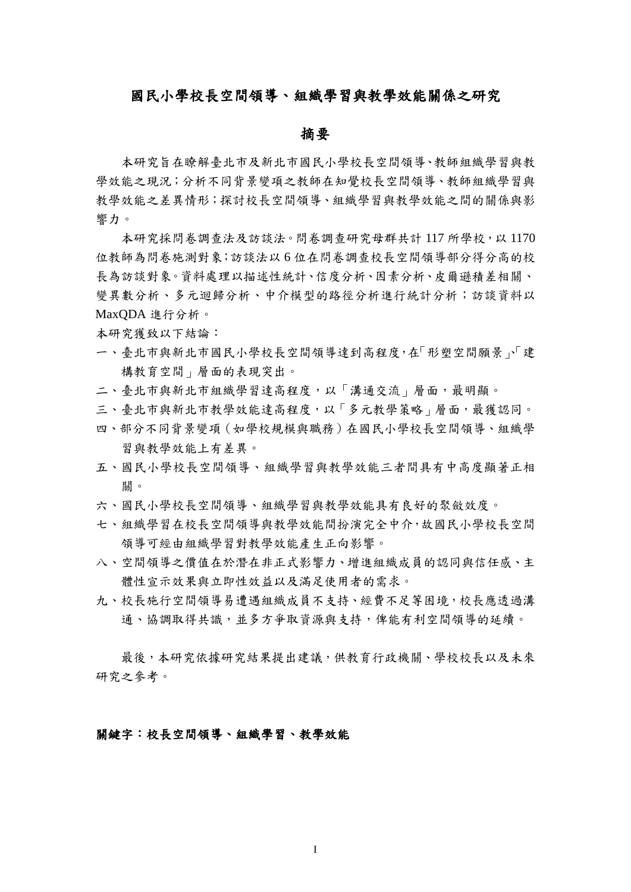#### 國民小學校長空間領導、組織學習與教學效能關係之研究

#### 摘要

本研究旨在瞭解臺北市及新北市國民小學校長空間領導、教師組織學習與教 學效能之現況;分析不同背景變項之教師在知覺校長空間領導、教師組織學習與 教學效能之差異情形;探討校長空間領導、組織學習與教學效能之間的關係與影 響力。

本研究採問卷調查法及訪談法。問卷調查研究母群共計 117 所學校,以 1170 位教師為問卷施測對象;訪談法以 6 位在問卷調查校長空間領導部分得分高的校 長為訪談對象。資料處理以描述性統計、信度分析、因素分析、皮爾遜積差相關、 變異數分析、多元迴歸分析、中介模型的路徑分析進行統計分析;訪談資料以 MaxQDA 進行分析。

本研究獲致以下結論:

- 一、臺北市與新北市國民小學校長空間領導達到高程度,在「形塑空間願景」「建 構教育空間」層面的表現突出。
- 二、臺北市與新北市組織學習達高程度,以「溝通交流」層面,最明顯。
- 三、臺北市與新北市教學效能達高程度,以「多元教學策略」層面,最獲認同。
- 四、部分不同背景變項(如學校規模與職務)在國民小學校長空間領導、組織學 習與教學效能上有差異。
- 五、國民小學校長空間領導、組織學習與教學效能三者間具有中高度顯著正相 關。
- 六、國民小學校長空間領導、組織學習與教學效能具有良好的聚斂效度。
- 七、組織學習在校長空間領導與教學效能間扮演完全中介,故國民小學校長空間 領導可經由組織學習對教學效能產生正向影響。
- 八、空間領導之價值在於潛在非正式影響力、增進組織成員的認同與信任感、主 體性宣示效果與立即性效益以及滿足使用者的需求。
- 九、校長施行空間領導易遭遇組織成員不支持、經費不足等困境,校長應透過溝 通、協調取得共識,並多方爭取資源與支持,俾能有利空間領導的延續。

最後,本研究依據研究結果提出建議,供教育行政機關、學校校長以及未來 研究之參考。

關鍵字:校長空間領導、組織學習、教學效能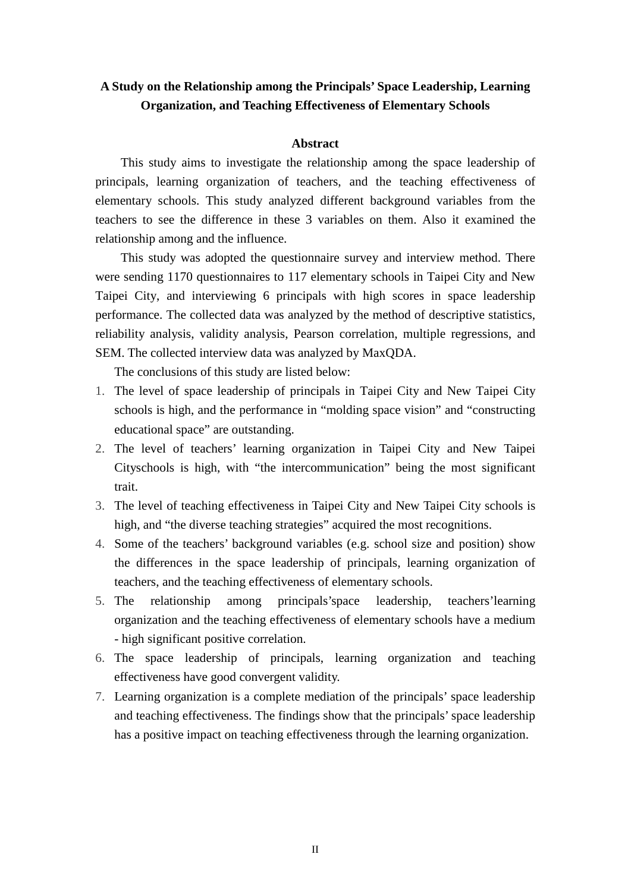### **A Study on the Relationship among the Principals' Space Leadership, Learning Organization, and Teaching Effectiveness of Elementary Schools**

#### **Abstract**

This study aims to investigate the relationship among the space leadership of principals, learning organization of teachers, and the teaching effectiveness of elementary schools. This study analyzed different background variables from the teachers to see the difference in these 3 variables on them. Also it examined the relationship among and the influence.

This study was adopted the questionnaire survey and interview method. There were sending 1170 questionnaires to 117 elementary schools in Taipei City and New Taipei City, and interviewing 6 principals with high scores in space leadership performance. The collected data was analyzed by the method of descriptive statistics, reliability analysis, validity analysis, Pearson correlation, multiple regressions, and SEM. The collected interview data was analyzed by MaxQDA.

The conclusions of this study are listed below:

- 1. The level of space leadership of principals in Taipei City and New Taipei City schools is high, and the performance in "molding space vision" and "constructing educational space" are outstanding.
- 2. The level of teachers' learning organization in Taipei City and New Taipei Cityschools is high, with "the intercommunication" being the most significant trait.
- 3. The level of teaching effectiveness in Taipei City and New Taipei City schools is high, and "the diverse teaching strategies" acquired the most recognitions.
- 4. Some of the teachers' background variables (e.g. school size and position) show the differences in the space leadership of principals, learning organization of teachers, and the teaching effectiveness of elementary schools.
- 5. The relationship among principals'space leadership, teachers'learning organization and the teaching effectiveness of elementary schools have a medium - high significant positive correlation.
- 6. The space leadership of principals, learning organization and teaching effectiveness have good convergent validity.
- 7. Learning organization is a complete mediation of the principals' space leadership and teaching effectiveness. The findings show that the principals' space leadership has a positive impact on teaching effectiveness through the learning organization.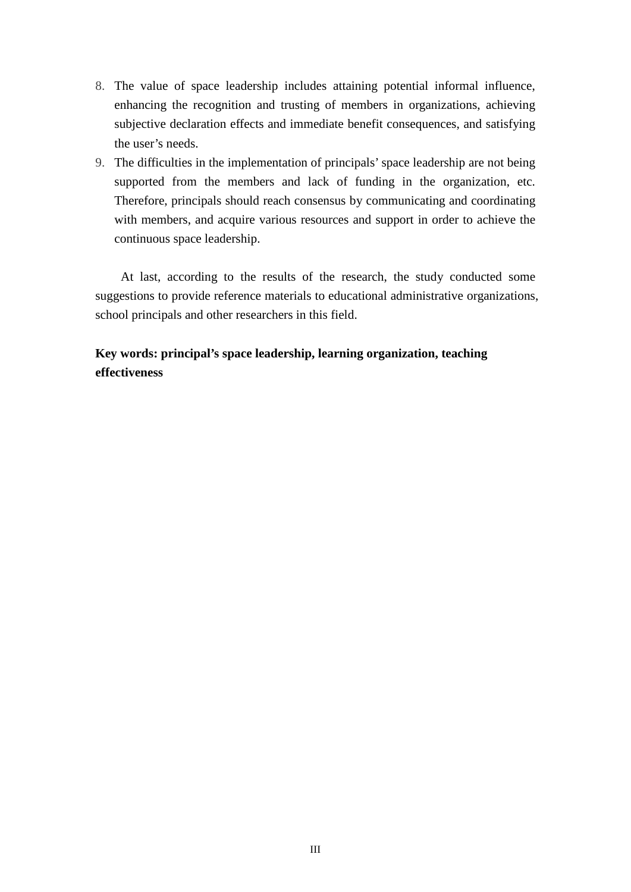- 8. The value of space leadership includes attaining potential informal influence, enhancing the recognition and trusting of members in organizations, achieving subjective declaration effects and immediate benefit consequences, and satisfying the user's needs.
- 9. The difficulties in the implementation of principals' space leadership are not being supported from the members and lack of funding in the organization, etc. Therefore, principals should reach consensus by communicating and coordinating with members, and acquire various resources and support in order to achieve the continuous space leadership.

At last, according to the results of the research, the study conducted some suggestions to provide reference materials to educational administrative organizations, school principals and other researchers in this field.

## **Key words: principal's space leadership, learning organization, teaching effectiveness**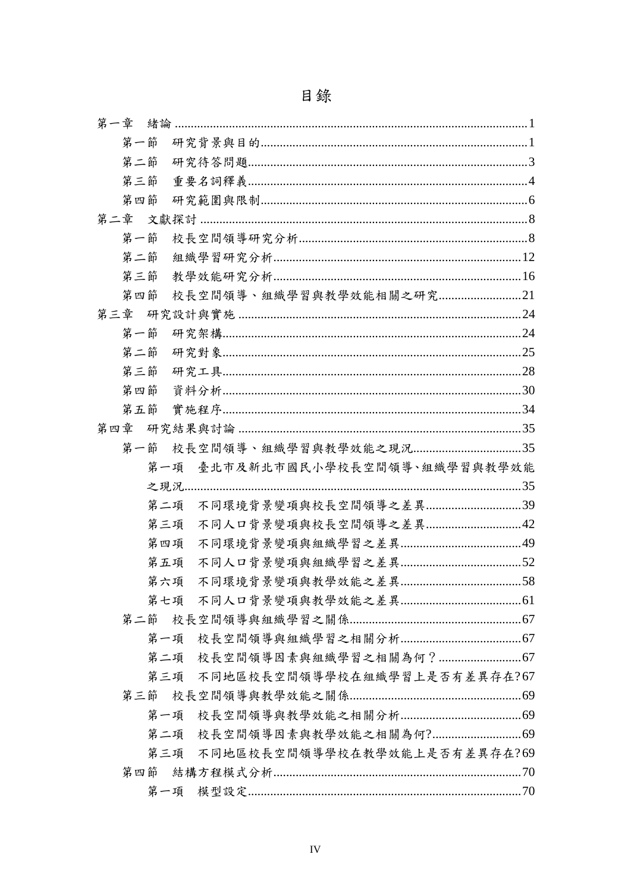| 第一章 |     |     |  |  |  |  |  |  |  |  |  |                                  |  |
|-----|-----|-----|--|--|--|--|--|--|--|--|--|----------------------------------|--|
|     | 第一節 |     |  |  |  |  |  |  |  |  |  |                                  |  |
|     | 第二節 |     |  |  |  |  |  |  |  |  |  |                                  |  |
|     | 第三節 |     |  |  |  |  |  |  |  |  |  |                                  |  |
|     | 第四節 |     |  |  |  |  |  |  |  |  |  |                                  |  |
|     |     |     |  |  |  |  |  |  |  |  |  |                                  |  |
|     | 第一節 |     |  |  |  |  |  |  |  |  |  |                                  |  |
|     | 第二節 |     |  |  |  |  |  |  |  |  |  |                                  |  |
|     | 第三節 |     |  |  |  |  |  |  |  |  |  |                                  |  |
|     | 第四節 |     |  |  |  |  |  |  |  |  |  | 校長空間領導、組織學習與教學效能相關之研究21          |  |
| 第三章 |     |     |  |  |  |  |  |  |  |  |  |                                  |  |
|     | 第一節 |     |  |  |  |  |  |  |  |  |  |                                  |  |
|     | 第二節 |     |  |  |  |  |  |  |  |  |  |                                  |  |
|     | 第三節 |     |  |  |  |  |  |  |  |  |  |                                  |  |
|     | 第四節 |     |  |  |  |  |  |  |  |  |  |                                  |  |
|     | 第五節 |     |  |  |  |  |  |  |  |  |  |                                  |  |
| 第四章 |     |     |  |  |  |  |  |  |  |  |  |                                  |  |
|     | 第一節 |     |  |  |  |  |  |  |  |  |  |                                  |  |
|     |     |     |  |  |  |  |  |  |  |  |  | 第一項 臺北市及新北市國民小學校長空間領導、組織學習與教學效能  |  |
|     |     |     |  |  |  |  |  |  |  |  |  |                                  |  |
|     |     | 第二項 |  |  |  |  |  |  |  |  |  |                                  |  |
|     |     | 第三項 |  |  |  |  |  |  |  |  |  | 不同人口背景變項與校長空間領導之差異42             |  |
|     |     | 第四項 |  |  |  |  |  |  |  |  |  |                                  |  |
|     |     | 第五項 |  |  |  |  |  |  |  |  |  |                                  |  |
|     |     | 第六項 |  |  |  |  |  |  |  |  |  |                                  |  |
|     |     |     |  |  |  |  |  |  |  |  |  |                                  |  |
|     |     |     |  |  |  |  |  |  |  |  |  |                                  |  |
|     |     |     |  |  |  |  |  |  |  |  |  |                                  |  |
|     |     |     |  |  |  |  |  |  |  |  |  |                                  |  |
|     |     |     |  |  |  |  |  |  |  |  |  | 第三項 不同地區校長空間領導學校在組織學習上是否有差異存在?67 |  |
|     |     |     |  |  |  |  |  |  |  |  |  |                                  |  |
|     |     | 第一項 |  |  |  |  |  |  |  |  |  |                                  |  |
|     |     | 第二項 |  |  |  |  |  |  |  |  |  |                                  |  |
|     |     |     |  |  |  |  |  |  |  |  |  | 第三項 不同地區校長空間領導學校在教學效能上是否有差異存在?69 |  |
|     | 第四節 |     |  |  |  |  |  |  |  |  |  |                                  |  |
|     |     |     |  |  |  |  |  |  |  |  |  |                                  |  |

# 目錄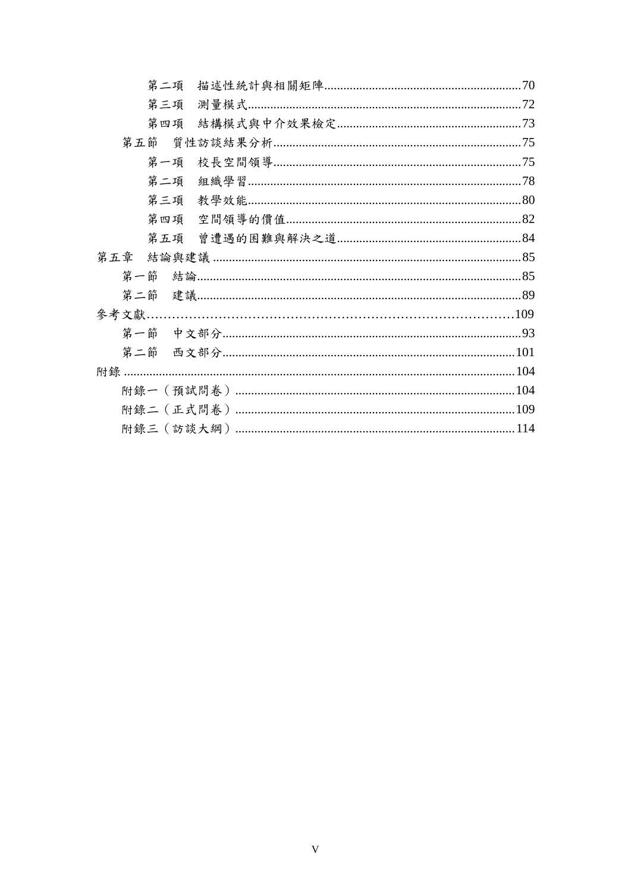|     | 第二項 |  |
|-----|-----|--|
|     | 第三項 |  |
|     | 第四項 |  |
| 第五節 |     |  |
|     | 第一項 |  |
|     | 第二項 |  |
|     | 第三項 |  |
|     |     |  |
|     |     |  |
| 第五章 |     |  |
| 第一節 |     |  |
|     |     |  |
|     |     |  |
|     |     |  |
| 第二節 |     |  |
|     |     |  |
|     |     |  |
|     |     |  |
|     |     |  |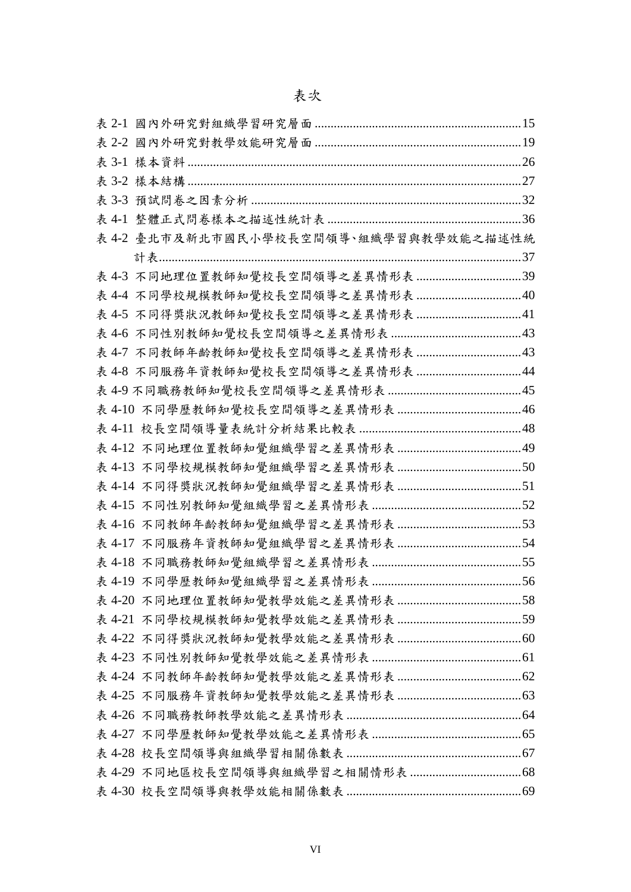| 表 3-2 樣本結構 ……………………………………………………………………………………………27 |  |
|--------------------------------------------------|--|
|                                                  |  |
| 表 4-1                                            |  |
| 表 4-2 臺北市及新北市國民小學校長空間領導、組織學習與教學效能之描述性統           |  |
|                                                  |  |
|                                                  |  |
|                                                  |  |
|                                                  |  |
|                                                  |  |
|                                                  |  |
|                                                  |  |
|                                                  |  |
|                                                  |  |
|                                                  |  |
|                                                  |  |
|                                                  |  |
|                                                  |  |
|                                                  |  |
|                                                  |  |
|                                                  |  |
|                                                  |  |
|                                                  |  |
|                                                  |  |
|                                                  |  |
|                                                  |  |
|                                                  |  |
|                                                  |  |
|                                                  |  |
|                                                  |  |
|                                                  |  |
|                                                  |  |
|                                                  |  |
|                                                  |  |
|                                                  |  |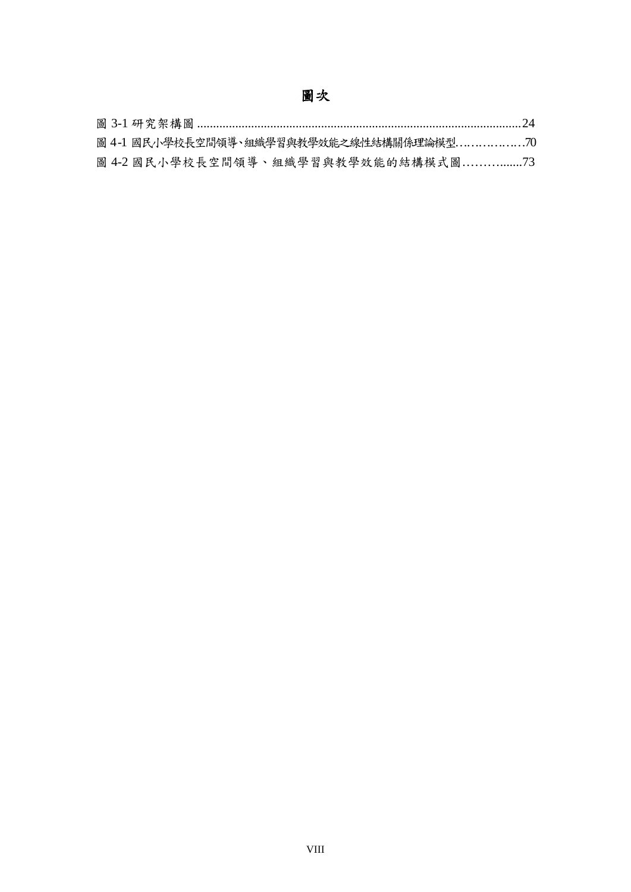# 圖次

|  | 圖 4-1 國民小學校長空間領導、組織學習與教學效能之線性結構關係理論模型70 |  |
|--|-----------------------------------------|--|
|  | 圖 4-2 國民小學校長空間領導、組織學習與教學效能的結構模式圖73      |  |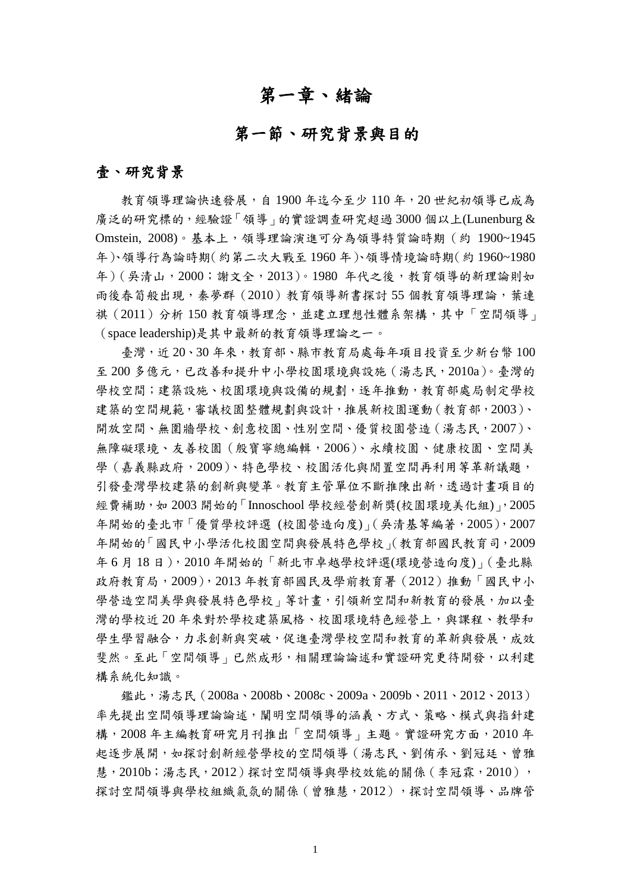## 第一章、緒論

## 第一節、研究背景與目的

#### <span id="page-13-1"></span><span id="page-13-0"></span>壹、研究背景

教育領導理論快速發展,自 1900 年迄今至少 110 年,20 世紀初領導已成為 廣泛的研究標的,經驗證「領導」的實證調查研究超過 3000 個以上(Lunenburg & Omstein, 2008)。基本上,領導理論演進可分為領導特質論時期(約 1900~1945 年)、領導行為論時期(約第二次大戰至 1960 年)、領導情境論時期(約 1960~1980 年)(吳清山,2000;謝文全,2013)。1980 年代之後,教育領導的新理論則如 雨後春筍般出現,秦夢群(2010)教育領導新書探討 55 個教育領導理論,葉連 祺(2011)分析 150 教育領導理念,並建立理想性體系架構,其中「空間領導」 (space leadership)是其中最新的教育領導理論之一。

臺灣,近 20、30年來,教育部、縣市教育局處每年項目投資至少新台幣100 至 200 多億元,已改善和提升中小學校園環境與設施(湯志民,2010a)。臺灣的 學校空間;建築設施、校園環境與設備的規劃,逐年推動,教育部處局制定學校 建築的空間規範,審議校園整體規劃與設計,推展新校園運動(教育部,2003)、 開放空間、無圍牆學校、創意校園、性別空間、優質校園營造(湯志民,2007)、 無障礙環境、友善校園(殷寶寧總編輯,2006)、永續校園、健康校園、空間美 學 (嘉義縣政府, 2009)、特色學校、校園活化與閒置空間再利用等革新議題, 引發臺灣學校建築的創新與變革。教育主管單位不斷推陳出新,透過計畫項目的 經費補助,如 2003 開始的「Innoschool 學校經營創新獎(校園環境美化組), 2005 年開始的臺北市「優質學校評選 (校園營造向度)」(吳清基等編著,2005),2007 年開始的「國民中小學活化校園空間與發展特色學校」(教育部國民教育司,2009 年 6 月 18 日),2010 年開始的「新北市卓越學校評選(環境營造向度)」(臺北縣 政府教育局, 2009), 2013年教育部國民及學前教育署 (2012)推動「國民中小 學營造空間美學與發展特色學校」等計書,引領新空間和新教育的發展,加以臺 灣的學校近20年來對於學校建築風格、校園環境特色經營上,與課程、教學和 學生學習融合,力求創新與突破,促進臺灣學校空間和教育的革新與發展,成效 斐然。至此「空間領導」已然成形,相關理論論述和實證研究更待開發,以利建 構系統化知識。

鑑此,湯志民(2008a、2008b、2008c、2009a、2009b、2011、2012、2013) 率先提出空間領導理論論述,闡明空間領導的涵義、方式、策略、模式與指針建 構,2008 年主編教育研究月刊推出「空間領導」主題。實證研究方面,2010 年 起逐步展開,如探討創新經營學校的空間領導(湯志民、劉侑承、劉冠廷、曾雅 慧,2010b;湯志民,2012)探討空間領導與學校效能的關係(李冠霖,2010), 探討空間領導與學校組織氣氛的關係 (曾雅慧, 2012), 探討空間領導、品牌管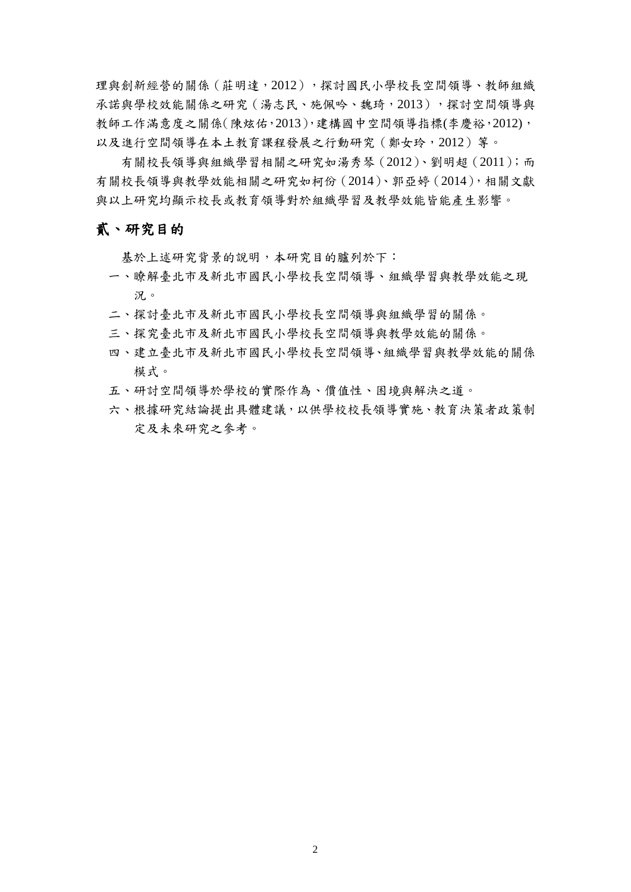理與創新經營的關係 (莊明達,2012),探討國民小學校長空間領導、教師組織 承諾與學校效能關係之研究 (湯志民、施佩吟、魏琦, 2013), 探討空間領導與 教師工作滿意度之關係(陳炫佑,2013),建構國中空間領導指標(李慶裕,2012), 以及進行空間領導在本土教育課程發展之行動研究(鄭女玲,2012)等。

有關校長領導與組織學習相關之研究如湯秀琴(2012)、劉明超(2011);而 有關校長領導與教學效能相關之研究如柯份(2014)、郭亞婷(2014),相關文獻 與以上研究均顯示校長或教育領導對於組織學習及教學效能皆能產生影響。

#### 貳、研究目的

基於上述研究背景的說明,本研究目的臚列於下:

- 一、瞭解臺北市及新北市國民小學校長空間領導、組織學習與教學效能之現 況。
- 二、探討臺北市及新北市國民小學校長空間領導與組織學習的關係。
- 三、探究臺北市及新北市國民小學校長空間領導與教學效能的關係。
- 四、建立臺北市及新北市國民小學校長空間領導、組織學習與教學效能的關係 模式。
- 五、研討空間領導於學校的實際作為、價值性、困境與解決之道。
- 六、根據研究結論提出具體建議,以供學校校長領導實施、教育決策者政策制 定及未來研究之參考。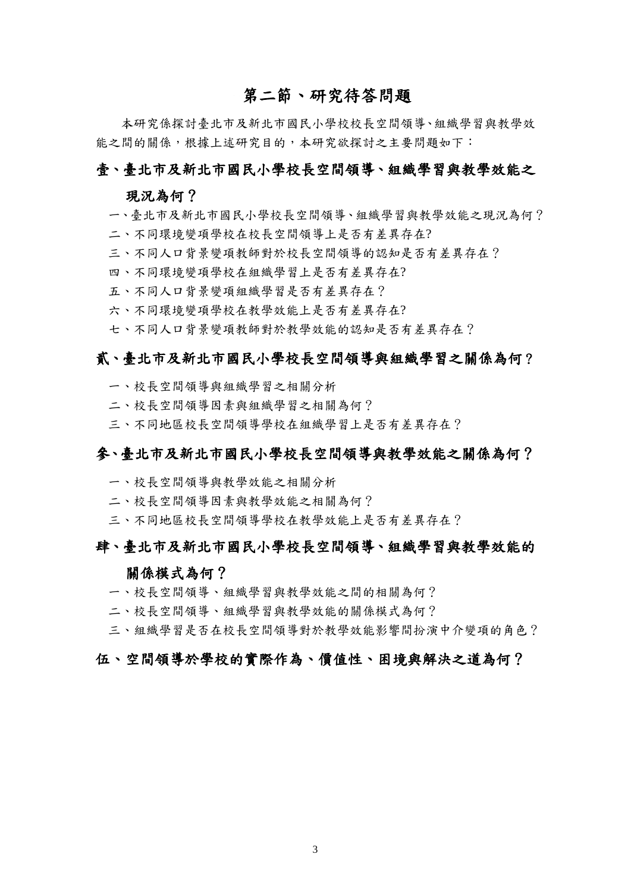## 第二節、研究待答問題

<span id="page-15-0"></span>本研究係探討臺北市及新北市國民小學校校長空間領導、組織學習與教學效 能之間的關係,根據上述研究目的,本研究欲探討之主要問題如下:

#### 壹、臺北市及新北市國民小學校長空間領導、組織學習與教學效能之

#### 現況為何?

- 一、臺北市及新北市國民小學校長空間領導、組織學習與教學效能之現況為何?
- 二、不同環境變項學校在校長空間領導上是否有差異存在?
- 三、不同人口背景變項教師對於校長空間領導的認知是否有差異存在?
- 四、不同環境變項學校在組織學習上是否有差異存在?
- 五、不同人口背景變項組織學習是否有差異存在?
- 六、不同環境變項學校在教學效能上是否有差異存在?
- 七、不同人口背景變項教師對於教學效能的認知是否有差異存在?

#### 貳、臺北市及新北市國民小學校長空間領導與組織學習之關係為何?

- 一、校長空間領導與組織學習之相關分析
- 二、校長空間領導因素與組織學習之相關為何?
- 三、不同地區校長空間領導學校在組織學習上是否有差異存在?

#### 參、臺北市及新北市國民小學校長空間領導與教學效能之關係為何?

- 一、校長空間領導與教學效能之相關分析
- 二、校長空間領導因素與教學效能之相關為何?
- 三、不同地區校長空間領導學校在教學效能上是否有差異存在?

### 肆、臺北市及新北市國民小學校長空間領導、組織學習與教學效能的

#### 關係模式為何?

- 一、校長空間領導、組織學習與教學效能之間的相關為何?
- 二、校長空間領導、組織學習與教學效能的關係模式為何?

三、組織學習是否在校長空間領導對於教學效能影響間扮演中介變項的角色?

#### 伍、空間領導於學校的實際作為、價值性、困境與解決之道為何?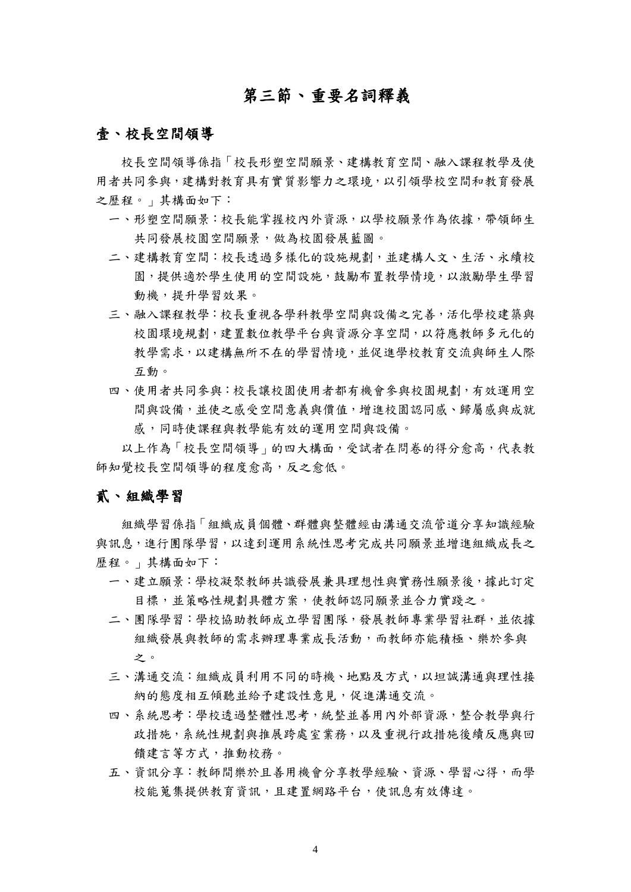## 第三節、重要名詞釋義

#### <span id="page-16-0"></span>壹、校長空間領導

校長空間領導係指「校長形塑空間願景、建構教育空間、融入課程教學及使 用者共同參與,建構對教育具有實質影響力之環境,以引領學校空間和教育發展 之歷程。」其構面如下:

- 一、形塑空間願景:校長能掌握校內外資源,以學校願景作為依據,帶領師生 共同發展校園空間願景,做為校園發展藍圖。
- 二、建構教育空間:校長透過多樣化的設施規劃,並建構人文、生活、永續校 園,提供適於學生使用的空間設施,鼓勵布置教學情境,以激勵學生學習 動機,提升學習效果。
- 三、融入課程教學:校長重視各學科教學空間與設備之完善,活化學校建築與 校園環境規劃,建置數位教學平台與資源分享空間,以符應教師多元化的 教學需求,以建構無所不在的學習情境,並促進學校教育交流與師生人際 互動。
- 四、使用者共同參與:校長讓校園使用者都有機會參與校園規劃,有效運用空 間與設備,並使之感受空間意義與價值,增進校園認同感、歸屬感與成就 感,同時使課程與教學能有效的運用空間與設備。

以上作為「校長空間領導」的四大構面,受試者在問卷的得分愈高,代表教 師知覺校長空間領導的程度愈高,反之愈低。

#### 貳、組織學習

組織學習係指「組織成員個體、群體與整體經由溝通交流管道分享知識經驗 與訊息,進行團隊學習,以達到運用系統性思考完成共同願景並增進組織成長之 歷程。」其構面如下:

- 一、建立願景:學校凝聚教師共識發展兼具理想性與實務性願景後,據此訂定 目標,並策略性規劃具體方案,使教師認同願景並合力實踐之。
- 二、團隊學習:學校協助教師成立學習團隊,發展教師專業學習社群,並依據 組織發展與教師的需求辦理專業成長活動,而教師亦能積極、樂於參與 之。
- 三、溝通交流:組織成員利用不同的時機、地點及方式,以坦誠溝通與理性接 納的態度相互傾聽並給予建設性意見,促進溝通交流。
- 四、系統思考:學校透過整體性思考,統整並善用內外部資源,整合教學與行 政措施,系統性規劃與推展跨處室業務,以及重視行政措施後續反應與回 饋建言等方式,推動校務。
- 五、資訊分享:教師間樂於且善用機會分享教學經驗、資源、學習心得,而學 校能蒐集提供教育資訊,且建置網路平台,使訊息有效傳達。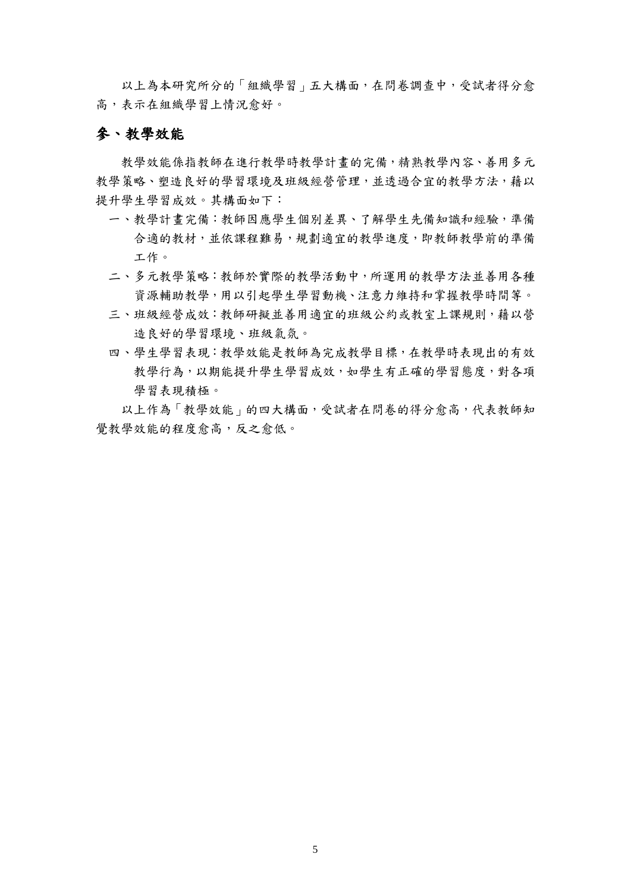以上為本研究所分的「組織學習」五大構面,在問卷調查中,受試者得分愈 高,表示在組織學習上情況愈好。

#### 參、教學效能

教學效能係指教師在進行教學時教學計畫的完備,精熟教學內容、善用多元 教學策略、塑造良好的學習環境及班級經營管理,並透過合宜的教學方法,藉以 提升學生學習成效。其構面如下:

- 一、教學計畫完備:教師因應學生個別差異、了解學生先備知識和經驗,準備 合適的教材,並依課程難易,規劃適宜的教學進度,即教師教學前的準備 工作。
- 二、多元教學策略:教師於實際的教學活動中,所運用的教學方法並善用各種 資源輔助教學,用以引起學生學習動機、注意力維持和掌握教學時間等。
- 三、班級經營成效:教師研擬並善用適宜的班級公約或教室上課規則,藉以營 造良好的學習環境、班級氣氛。
- 四、學生學習表現:教學效能是教師為完成教學目標,在教學時表現出的有效 教學行為,以期能提升學生學習成效,如學生有正確的學習態度,對各項 學習表現積極。

以上作為「教學效能」的四大構面,受試者在問卷的得分愈高,代表教師知 覺教學效能的程度愈高,反之愈低。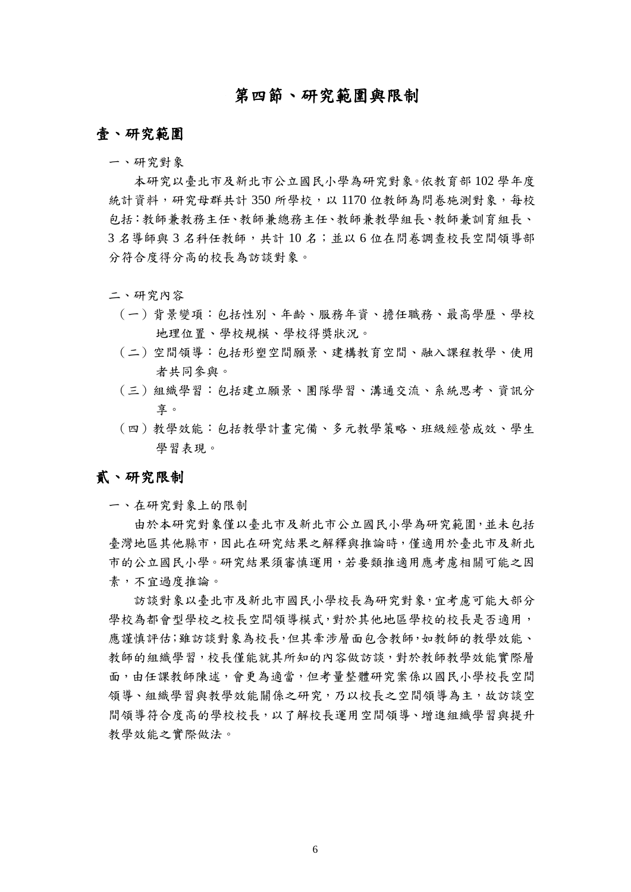## 第四節、研究範圍與限制

#### <span id="page-18-0"></span>壹、研究範圍

一、研究對象

本研究以臺北市及新北市公立國民小學為研究對象。依教育部 102 學年度 統計資料,研究母群共計 350 所學校,以 1170 位教師為問卷施測對象,每校 包括:教師兼教務主任、教師兼總務主任、教師兼教學組長、教師兼訓育組長、 3 名導師與 3 名科任教師,共計 10 名;並以 6 位在問卷調查校長空間領導部 分符合度得分高的校長為訪談對象。

#### 二、研究內容

- (一)背景變項:包括性別、年齡、服務年資、擔任職務、最高學歷、學校 地理位置、學校規模、學校得獎狀況。
- (二)空間領導:包括形塑空間願景、建構教育空間、融入課程教學、使用 者共同參與。
- (三)組織學習:包括建立願景、團隊學習、溝通交流、系統思考、資訊分 享。
- (四)教學效能:包括教學計畫完備、多元教學策略、班級經營成效、學生 學習表現。

#### 貳、研究限制

一、在研究對象上的限制

由於本研究對象僅以臺北市及新北市公立國民小學為研究範圍,並未包括 臺灣地區其他縣市,因此在研究結果之解釋與推論時,僅適用於臺北市及新北 市的公立國民小學。研究結果須審慎運用,若要類推適用應考慮相關可能之因 素,不宜過度推論。

訪談對象以臺北市及新北市國民小學校長為研究對象,宜考慮可能大部分 學校為都會型學校之校長空間領導模式,對於其他地區學校的校長是否適用, 應謹慎評估;雖訪談對象為校長,但其牽涉層面包含教師,如教師的教學效能、 教師的組織學習,校長僅能就其所知的內容做訪談,對於教師教學效能實際層 面,由任課教師陳述,會更為適當,但考量整體研究案係以國民小學校長空間 領導、組織學習與教學效能關係之研究,乃以校長之空間領導為主,故訪談空 間領導符合度高的學校校長,以了解校長運用空間領導、增進組織學習與提升 教學效能之實際做法。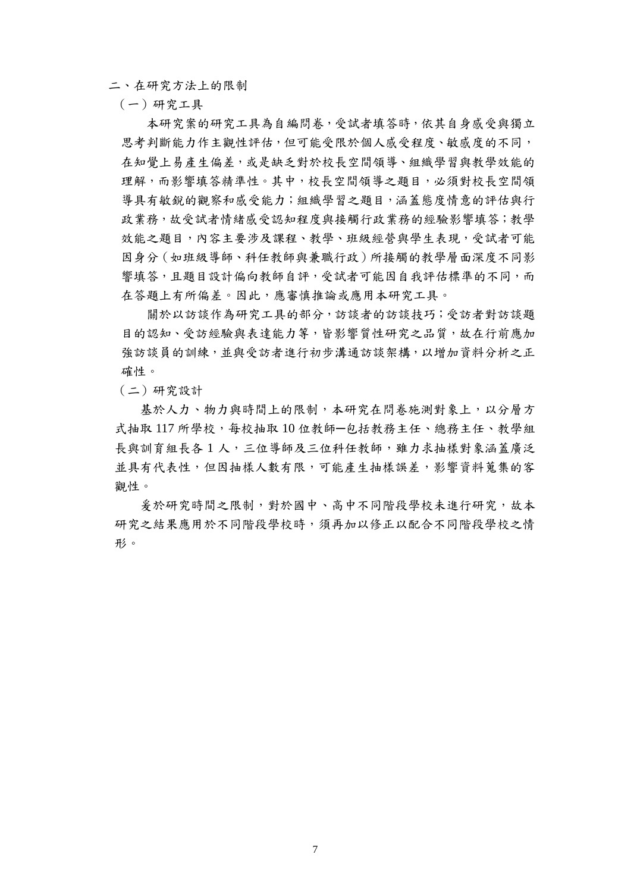二、在研究方法上的限制

(一)研究工具

本研究案的研究工具為自編問卷,受試者填答時,依其自身感受與獨立 思考判斷能力作主觀性評估,但可能受限於個人感受程度、敏感度的不同, 在知覺上易產生偏差,或是缺乏對於校長空間領導、組織學習與教學效能的 理解,而影響填答精準性。其中,校長空間領導之題目,必須對校長空間領 導具有敏銳的觀察和感受能力;組織學習之題目,涵蓋態度情意的評估與行 政業務,故受試者情緒感受認知程度與接觸行政業務的經驗影響填答;教學 效能之題目,內容主要涉及課程、教學、班級經營與學生表現,受試者可能 因身分(如班級導師、科任教師與兼職行政)所接觸的教學層面深度不同影 響填答,且題目設計偏向教師自評,受試者可能因自我評估標準的不同,而 在答題上有所偏差。因此,應審慎推論或應用本研究工具。

關於以訪談作為研究工具的部分,訪談者的訪談技巧;受訪者對訪談題 目的認知、受訪經驗與表達能力等,皆影響質性研究之品質,故在行前應加 強訪談員的訓練,並與受訪者進行初步溝通訪談架構,以增加資料分析之正 確性。

(二)研究設計

基於人力、物力與時間上的限制,本研究在問卷施測對象上,以分層方 式抽取 117 所學校,每校抽取 10 位教師一包括教務主任、總務主任、教學組 長與訓育組長各1人,三位導師及三位科任教師,雖力求抽樣對象涵蓋廣泛 並具有代表性,但因抽樣人數有限,可能產生抽樣誤差,影響資料蒐集的客 觀性。

爰於研究時間之限制,對於國中、高中不同階段學校未進行研究,故本 研究之結果應用於不同階段學校時,須再加以修正以配合不同階段學校之情 形。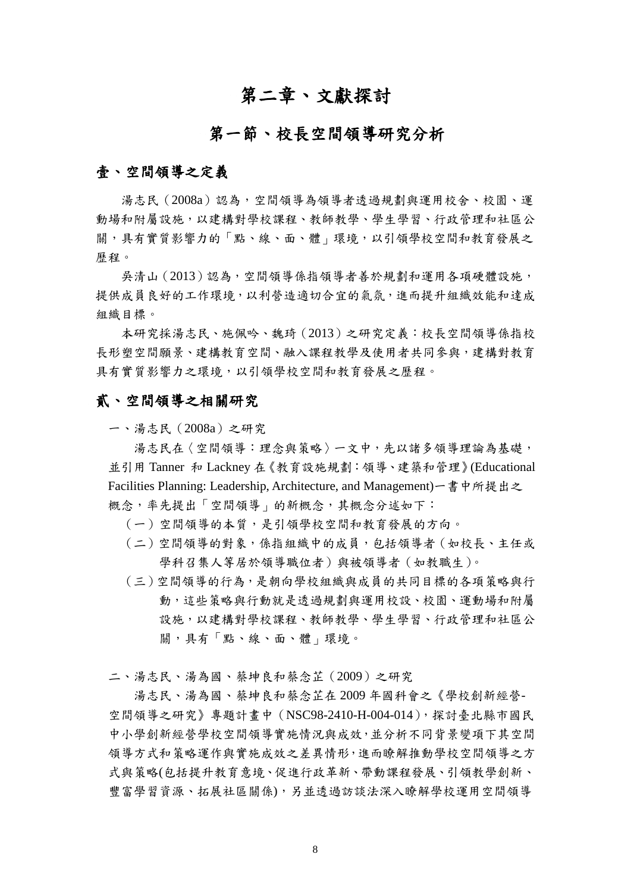## 第二章、文獻探討

### 第一節、校長空間領導研究分析

#### <span id="page-20-1"></span><span id="page-20-0"></span>壹、空間領導之定義

湯志民(2008a)認為,空間領導為領導者透過規劃與運用校舍、校園、運 動場和附屬設施,以建構對學校課程、教師教學、學生學習、行政管理和社區公 關,具有實質影響力的「點、線、面、體」環境,以引領學校空間和教育發展之 歷程。

吳清山(2013)認為,空間領導係指領導者善於規劃和運用各項硬體設施, 提供成員良好的工作環境,以利營造適切合宜的氣氛,進而提升組織效能和達成 組織目標。

本研究採湯志民、施佩吟、魏琦(2013)之研究定義:校長空間領導係指校 長形塑空間願景、建構教育空間、融入課程教學及使用者共同參與,建構對教育 具有實質影響力之環境,以引領學校空間和教育發展之歷程。

#### 貳、空間領導之相關研究

一、湯志民(2008a)之研究

湯志民在〈空間領導︰理念與策略〉一文中,先以諸多領導理論為基礎, 並引用 Tanner 和 Lackney 在《教育設施規劃:領導、建築和管理》(Educational Facilities Planning: Leadership, Architecture, and Management)一書中所提出之 概念,率先提出「空間領導」的新概念,其概念分述如下:

- (一)空間領導的本質,是引領學校空間和教育發展的方向。
- (二)空間領導的對象,係指組織中的成員,包括領導者(如校長、主任或 學科召集人等居於領導職位者)與被領導者 (如教職生)。
- (三)空間領導的行為,是朝向學校組織與成員的共同目標的各項策略與行 動,這些策略與行動就是透過規劃與運用校設、校園、運動場和附屬 設施,以建構對學校課程、教師教學、學生學習、行政管理和社區公 關,具有「點、線、面、體」環境。

二、湯志民、湯為國、蔡坤良和蔡念芷(2009)之研究

湯志民、湯為國、蔡坤良和蔡念芷在 2009 年國科會之《學校創新經營-空間領導之研究》專題計畫中(NSC98-2410-H-004-014),探討臺北縣市國民 中小學創新經營學校空間領導實施情況與成效,並分析不同背景變項下其空間 領導方式和策略運作與實施成效之差異情形,進而瞭解推動學校空間領導之方 式與策略(包括提升教育意境、促進行政革新、帶動課程發展、引領教學創新、 豐富學習資源、拓展社區關係),另並透過訪談法深入瞭解學校運用空間領導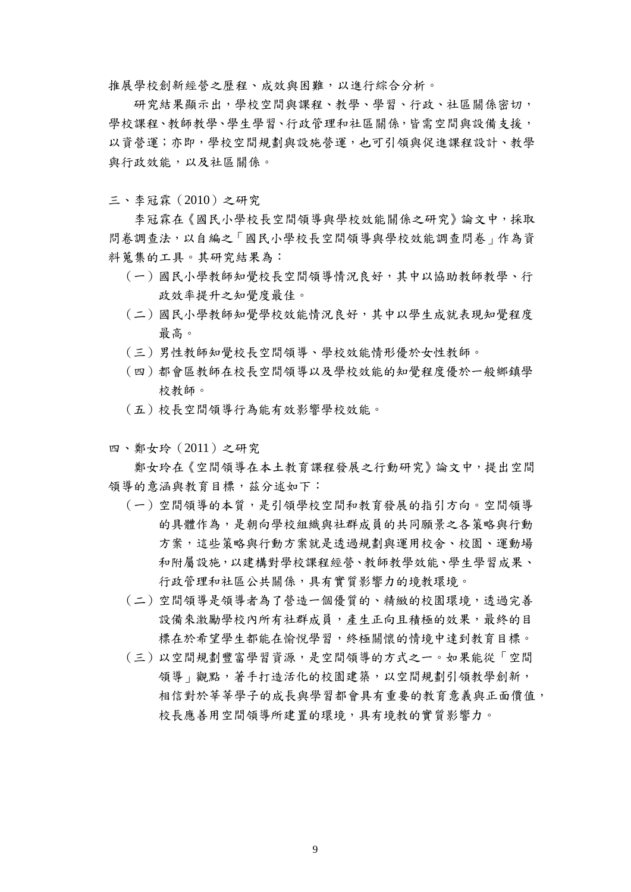推展學校創新經營之歷程、成效與困難,以進行綜合分析。

研究結果顯示出,學校空間與課程、教學、學習、行政、社區關係密切, 學校課程、教師教學、學生學習、行政管理和社區關係,皆需空間與設備支援, 以資營運;亦即,學校空間規劃與設施營運,也可引領與促進課程設計、教學 與行政效能,以及社區關係。

三、李冠霖(2010)之研究

李冠霖在《國民小學校長空間領導與學校效能關係之研究》論文中,採取 問卷調查法,以自編之「國民小學校長空間領導與學校效能調查問卷」作為資 料蒐集的工具。其研究結果為:

- (一)國民小學教師知覺校長空間領導情況良好,其中以協助教師教學、行 政效率提升之知覺度最佳。
- (二)國民小學教師知覺學校效能情況良好,其中以學生成就表現知覺程度 最高。
- (三)男性教師知覺校長空間領導、學校效能情形優於女性教師。
- (四)都會區教師在校長空間領導以及學校效能的知覺程度優於一般鄉鎮學 校教師。
- (五)校長空間領導行為能有效影響學校效能。
- 四、鄭女玲(2011)之研究

鄭女玲在《空間領導在本土教育課程發展之行動研究》論文中,提出空間 領導的意涵與教育目標,茲分述如下:

- (一)空間領導的本質,是引領學校空間和教育發展的指引方向。空間領導 的具體作為,是朝向學校組織與社群成員的共同願景之各策略與行動 方案,這些策略與行動方案就是透過規劃與運用校舍、校園、運動場 和附屬設施,以建構對學校課程經營、教師教學效能、學生學習成果、 行政管理和社區公共關係,具有實質影響力的境教環境。
- (二)空間領導是領導者為了營造一個優質的、精緻的校園環境,透過完善 設備來激勵學校內所有社群成員,產生正向且積極的效果,最終的目 標在於希望學生都能在愉悅學習,終極關懷的情境中達到教育目標。
- (三)以空間規劃豐富學習資源,是空間領導的方式之一。如果能從「空間 領導 | 觀點,著手打造活化的校園建築, 以空間規劃引領教學創新, 相信對於莘莘學子的成長與學習都會具有重要的教育意義與正面價值, 校長應善用空間領導所建置的環境,具有境教的實質影響力。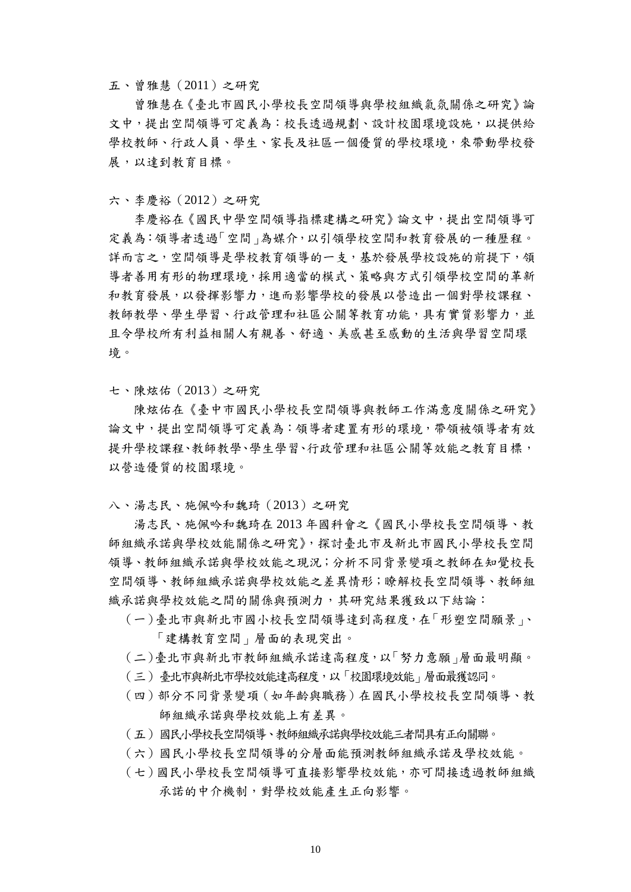五、曾雅慧(2011)之研究

曾雅慧在《臺北市國民小學校長空間領導與學校組織氣氛關係之研究》論 文中,提出空間領導可定義為:校長透過規劃、設計校園環境設施,以提供給 學校教師、行政人員、學生、家長及社區一個優質的學校環境,來帶動學校發 展,以達到教育目標。

六、李慶裕(2012)之研究

李慶裕在《國民中學空間領導指標建構之研究》論文中,提出空間領導可 定義為:領導者透過「空間」為媒介,以引領學校空間和教育發展的一種歷程。 詳而言之,空間領導是學校教育領導的一支,基於發展學校設施的前提下,領 導者善用有形的物理環境,採用適當的模式、策略與方式引領學校空間的革新 和教育發展,以發揮影響力,進而影響學校的發展以營造出一個對學校課程、 教師教學、學生學習、行政管理和社區公關等教育功能,具有實質影響力,並 且令學校所有利益相關人有親善、舒適、美感甚至感動的生活與學習空間環 境。

七、陳炫佑(2013)之研究

陳炫佑在《臺中市國民小學校長空間領導與教師工作滿意度關係之研究》 論文中,提出空間領導可定義為:領導者建置有形的環境,帶領被領導者有效 提升學校課程、教師教學、學生學習、行政管理和社區公關等效能之教育目標, 以營造優質的校園環境。

八、湯志民、施佩吟和魏琦(2013)之研究

湯志民、施佩吟和魏琦在 2013 年國科會之《國民小學校長空間領導、教 師組織承諾與學校效能關係之研究》,探討臺北市及新北市國民小學校長空間 領導、教師組織承諾與學校效能之現況;分析不同背景變項之教師在知覺校長 空間領導、教師組織承諾與學校效能之差異情形;瞭解校長空間領導、教師組 織承諾與學校效能之間的關係與預測力,其研究結果獲致以下結論:

- (一)臺北市與新北市國小校長空間領導達到高程度,在「形塑空間願景」、 「建構教育空間」層面的表現突出。
- (二)臺北市與新北市教師組織承諾達高程度,以「努力意願」層面最明顯。
- (三)臺北市與新北市學校效能達高程度,以「校園環境效能」層面最獲認同。
- (四)部分不同背景變項(如年齡與職務)在國民小學校校長空間領導、教 師組織承諾與學校效能上有差異。
- (五)國民小學校長空間領導、教師組織承諾與學校效能三者間具有正向關聯。
- (六)國民小學校長空間領導的分層面能預測教師組織承諾及學校效能。
- (七)國民小學校長空間領導可直接影響學校效能,亦可間接透過教師組織 承諾的中介機制,對學校效能產生正向影響。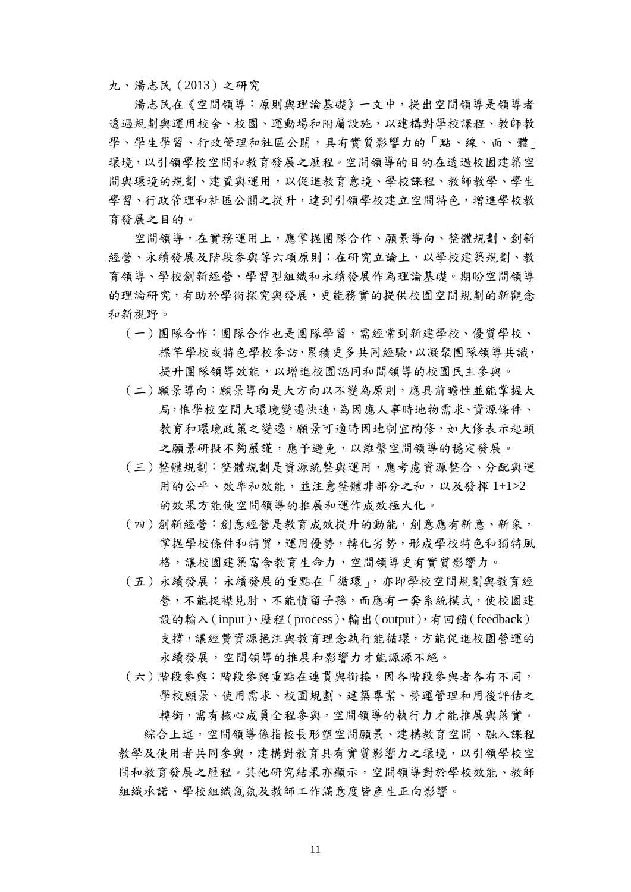九、湯志民(2013)之研究

湯志民在《空間領導:原則與理論基礎》一文中,提出空間領導是領導者 透過規劃與運用校舍、校園、運動場和附屬設施,以建構對學校課程、教師教 學、學生學習、行政管理和社區公關,具有實質影響力的「點、線、面、體」 環境,以引領學校空間和教育發展之歷程。空間領導的目的在透過校園建築空 間與環境的規劃、建置與運用,以促進教育意境、學校課程、教師教學、學生 學習、行政管理和社區公關之提升,達到引領學校建立空間特色,增進學校教 育發展之目的。

空間領導,在實務運用上,應掌握團隊合作、願景導向、整體規劃、創新 經營、永續發展及階段參與等六項原則;在研究立論上,以學校建築規劃、教 育領導、學校創新經營、學習型組織和永續發展作為理論基礎。期盼空間領導 的理論研究,有助於學術探究與發展,更能務實的提供校園空間規劃的新觀念 和新視野。

- (一)團隊合作:團隊合作也是團隊學習,需經常到新建學校、優質學校、 標竿學校或特色學校參訪,累積更多共同經驗,以凝聚團隊領導共識, 提升團隊領導效能,以增進校園認同和間領導的校園民主參與。
- (二)願景導向:願景導向是大方向以不變為原則,應具前瞻性並能掌握大 局,惟學校空間大環境變遷快速,為因應人事時地物需求、資源條件、 教育和環境政策之變遷,願景可適時因地制宜酌修,如大修表示起頭 之願景研擬不夠嚴謹,應予避免,以維繫空間領導的穩定發展。
- (三)整體規劃:整體規劃是資源統整與運用,應考慮資源整合、分配與運 用的公平、效率和效能,並注意整體非部分之和,以及發揮 1+1>2 的效果方能使空間領導的推展和運作成效極大化。
- (四)創新經營:創意經營是教育成效提升的動能,創意應有新意、新象, 掌握學校條件和特質,運用優勢,轉化劣勢,形成學校特色和獨特風 格,讓校園建築富含教育生命力,空間領導更有實質影響力。
- (五)永續發展:永續發展的重點在「循環」,亦即學校空間規劃與教育經 誉,不能捉襟見肘、不能債留子孫,而應有一套系統模式,使校園建 設的輸入(input)、歷程(process)、輸出(output),有回饋(feedback) 支撐,讓經費資源挹注與教育理念執行能循環,方能促進校園營運的 永續發展,空間領導的推展和影響力才能源源不絕。
- (六)階段參與:階段參與重點在連貫與銜接,因各階段參與者各有不同, 學校願景、使用需求、校園規劃、建築專業、營運管理和用後評估之 轉銜,需有核心成員全程參與,空間領導的執行力才能推展與落實。

綜合上述,空間領導係指校長形塑空間願景、建構教育空間、融入課程 教學及使用者共同參與,建構對教育具有實質影響力之環境,以引領學校空 間和教育發展之歷程。其他研究結果亦顯示,空間領導對於學校效能、教師 組織承諾、學校組織氣氛及教師工作滿意度皆產生正向影響。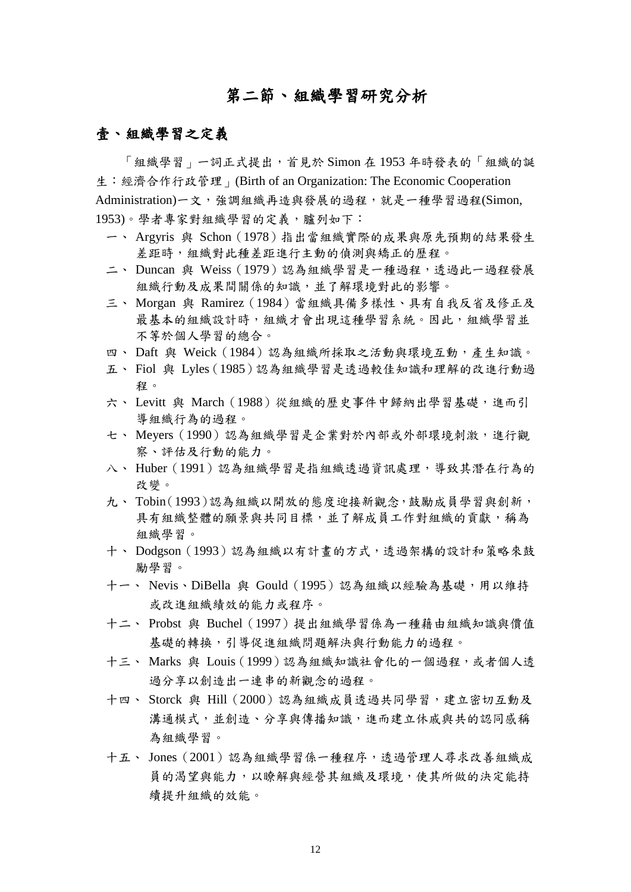## 第二節、組織學習研究分析

#### <span id="page-24-0"></span>壹、組織學習之定義

「組織學習」一詞正式提出,首見於 Simon 在 1953 年時發表的「組織的誕 生:經濟合作行政管理」(Birth of an Organization: The Economic Cooperation Administration)一文,強調組織再造與發展的過程,就是一種學習過程(Simon, 1953)。學者專家對組織學習的定義,臚列如下:

- 一、 Argyris 與 Schon(1978)指出當組織實際的成果與原先預期的結果發生 差距時,組織對此種差距進行主動的偵測與矯正的歷程。
- 二、 Duncan 與 Weiss (1979)認為組織學習是一種過程,透過此一過程發展 組織行動及成果間關係的知識,並了解環境對此的影響。
- 三、 Morgan 與 Ramirez (1984)當組織具備多樣性、具有自我反省及修正及 最基本的組織設計時,組織才會出現這種學習系統。因此,組織學習並 不等於個人學習的總合。
- 四、 Daft 與 Weick(1984)認為組織所採取之活動與環境互動,產生知識。
- 五、 Fiol 與 Lyles(1985)認為組織學習是透過較佳知識和理解的改進行動過 程。
- 六、 Levitt 與 March (1988)從組織的歷史事件中歸納出學習基礎,進而引 導組織行為的過程。
- 七、 Meyers (1990)認為組織學習是企業對於內部或外部環境刺激,進行觀 察、評估及行動的能力。
- 八、 Huber (1991)認為組織學習是指組織透過資訊處理,導致其潛在行為的 改變。
- 九、 Tobin(1993)認為組織以開放的態度迎接新觀念,鼓勵成員學習與創新, 具有組織整體的願景與共同目標,並了解成員工作對組織的貢獻,稱為 組織學習。
- 十、 Dodgson (1993)認為組織以有計書的方式,透過架構的設計和策略來鼓 勵學習。
- 十一、 Nevis、DiBella 與 Gould (1995) 認為組織以經驗為基礎,用以維持 或改進組織績效的能力或程序。
- 十二、 Probst 與 Buchel(1997)提出組織學習係為一種藉由組織知識與價值 基礎的轉換,引導促進組織問題解決與行動能力的過程。
- 十三、 Marks 與 Louis (1999)認為組織知識社會化的一個過程,或者個人透 過分享以創造出一連串的新觀念的過程。
- 十四、 Storck 與 Hill(2000)認為組織成員透過共同學習,建立密切互動及 溝通模式,並創造、分享與傳播知識,進而建立休戚與共的認同感稱 為組織學習。
- 十五、 Jones (2001)認為組織學習係一種程序,透過管理人尋求改善組織成 員的渴望與能力,以瞭解與經營其組織及環境,使其所做的決定能持 續提升組織的效能。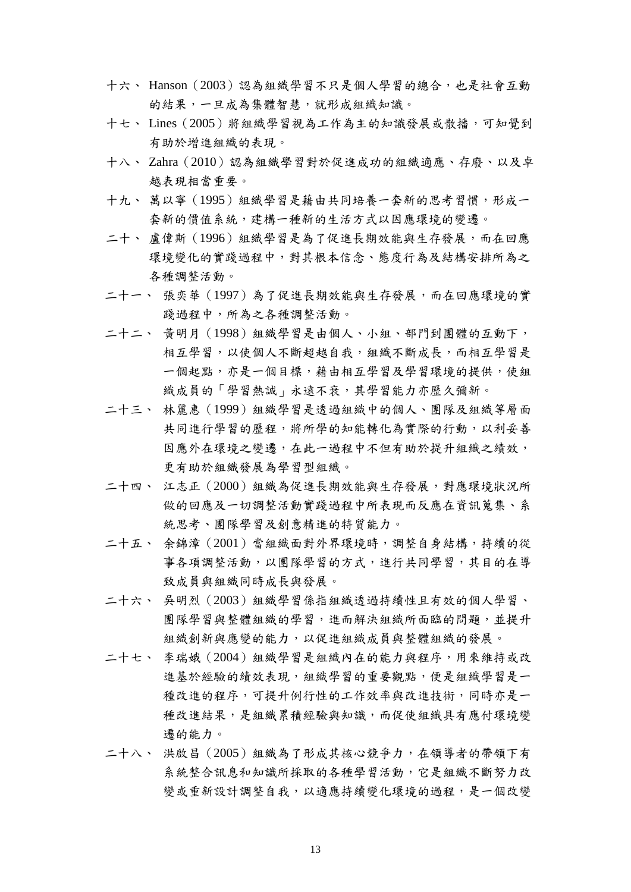- 十六、 Hanson(2003)認為組織學習不只是個人學習的總合,也是社會互動 的結果,一旦成為集體智慧,就形成組織知識。
- 十七、 Lines(2005)將組織學習視為工作為主的知識發展或散播,可知覺到 有助於增進組織的表現。
- 十八、 Zahra (2010)認為組織學習對於促進成功的組織適應、存廢、以及卓 越表現相當重要。
- 十九、萬以寧(1995)組織學習是藉由共同培養一套新的思考習慣,形成一 套新的價值系統,建構一種新的生活方式以因應環境的變遷。
- 二十、 盧偉斯(1996) 組織學習是為了促進長期效能與生存發展,而在回應 環境變化的實踐過程中,對其根本信念、態度行為及結構安排所為之 各種調整活動。
- 二十一、 張奕華(1997)為了促進長期效能與生存發展,而在回應環境的實 踐過程中,所為之各種調整活動。
- 二十二、 黃明月(1998)組織學習是由個人、小組、部門到團體的互動下, 相互學習,以使個人不斷超越自我,組織不斷成長,而相互學習是 一個起點,亦是一個目標,藉由相互學習及學習環境的提供,使組 織成員的「學習熱誠」永遠不衰,其學習能力亦歷久彌新。
- 二十三、 林麗惠(1999)組織學習是透過組織中的個人、團隊及組織等層面 共同進行學習的歷程,將所學的知能轉化為實際的行動,以利妥善 因應外在環境之變遷,在此一過程中不但有助於提升組織之績效, 更有助於組織發展為學習型組織。
- 二十四、 江志正(2000)組織為促進長期效能與生存發展,對應環境狀況所 做的回應及一切調整活動實踐過程中所表現而反應在資訊蒐集、系 統思考、團隊學習及創意精進的特質能力。
- 二十五、 余錦漳(2001)當組織面對外界環境時,調整自身結構,持續的從 事各項調整活動,以團隊學習的方式,進行共同學習,其目的在導 致成員與組織同時成長與發展。
- 二十六、 吳明烈(2003)組織學習係指組織透過持續性且有效的個人學習、 團隊學習與整體組織的學習,進而解決組織所面臨的問題,並提升 組織創新與應變的能力,以促進組織成員與整體組織的發展。
- 二十七、 李瑞娥(2004)組織學習是組織內在的能力與程序,用來維持或改 進基於經驗的績效表現,組織學習的重要觀點,便是組織學習是一 種改進的程序,可提升例行性的工作效率與改進技術,同時亦是一 種改進結果,是組織累積經驗與知識,而促使組織具有應付環境變 遷的能力。
- 二十八、 洪啟昌(2005)組織為了形成其核心競爭力,在領導者的帶領下有 系統整合訊息和知識所採取的各種學習活動,它是組織不斷努力改 變或重新設計調整自我,以適應持續變化環境的過程,是一個改變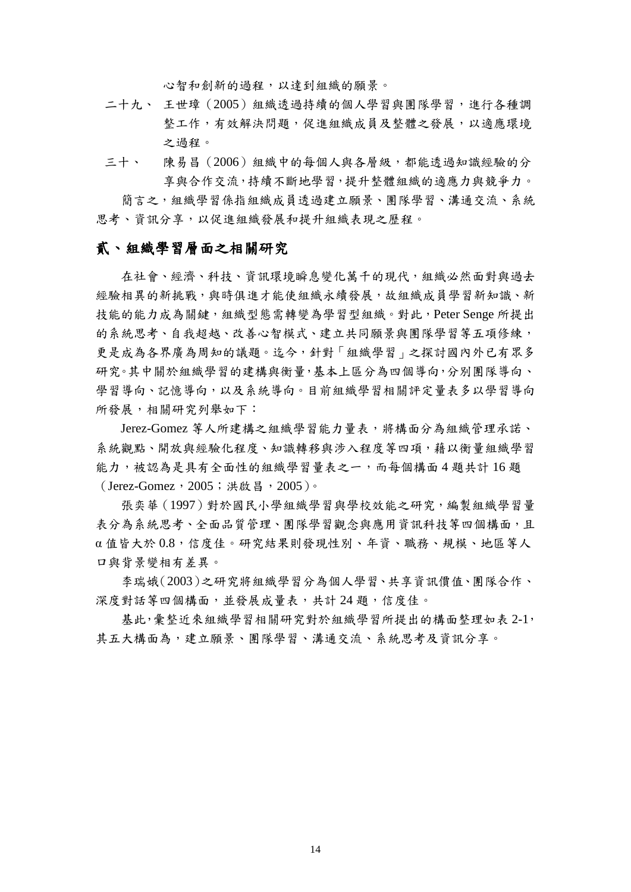心智和創新的過程,以達到組織的願景。

- 二十九、 王世璋(2005)組織透過持續的個人學習與團隊學習,進行各種調 整工作,有效解決問題,促進組織成員及整體之發展,以適應環境 之過程。
- 三十、 陳易昌(2006)組織中的每個人與各層級,都能透過知識經驗的分 享與合作交流,持續不斷地學習,提升整體組織的適應力與競爭力。

簡言之,組織學習係指組織成員透過建立願景、團隊學習、溝通交流、系統 思考、資訊分享,以促進組織發展和提升組織表現之歷程。

#### 貳、組織學習層面之相關研究

在社會、經濟、科技、資訊環境瞬息變化萬千的現代,組織必然面對與過去 經驗相異的新挑戰,與時俱進才能使組織永續發展,故組織成員學習新知識、新 技能的能力成為關鍵,組織型態需轉變為學習型組織。對此,Peter Senge 所提出 的系統思考、自我超越、改善心智模式、建立共同願景與團隊學習等五項修練, 更是成為各界廣為周知的議題。迄今,針對「組織學習」之探討國內外已有眾多 研究。其中關於組織學習的建構與衡量,基本上區分為四個導向,分別團隊導向、 學習導向、記憶導向,以及系統導向。目前組織學習相關評定量表多以學習導向 所發展,相關研究列舉如下:

Jerez-Gomez 等人所建構之組織學習能力量表,將構面分為組織管理承諾、 系統觀點、開放與經驗化程度、知識轉移與涉入程度等四項,藉以衡量組織學習 能力,被認為是具有全面性的組織學習量表之一,而每個構面4題共計16題 (Jerez-Gomez,2005;洪啟昌,2005)。

張奕華(1997)對於國民小學組織學習與學校效能之研究,編製組織學習量 表分為系統思考、全面品質管理、團隊學習觀念與應用資訊科技等四個構面,且 α 值皆大於 0.8,信度佳。研究結果則發現性別、年資、職務、規模、地區等人 口與背景變相有差異。

李瑞娥(2003)之研究將組織學習分為個人學習、共享資訊價值、團隊合作、 深度對話等四個構面,並發展成量表,共計 24 題,信度佳。

基此,彙整近來組織學習相關研究對於組織學習所提出的構面整理如表 2-1, 其五大構面為,建立願景、團隊學習、溝通交流、系統思考及資訊分享。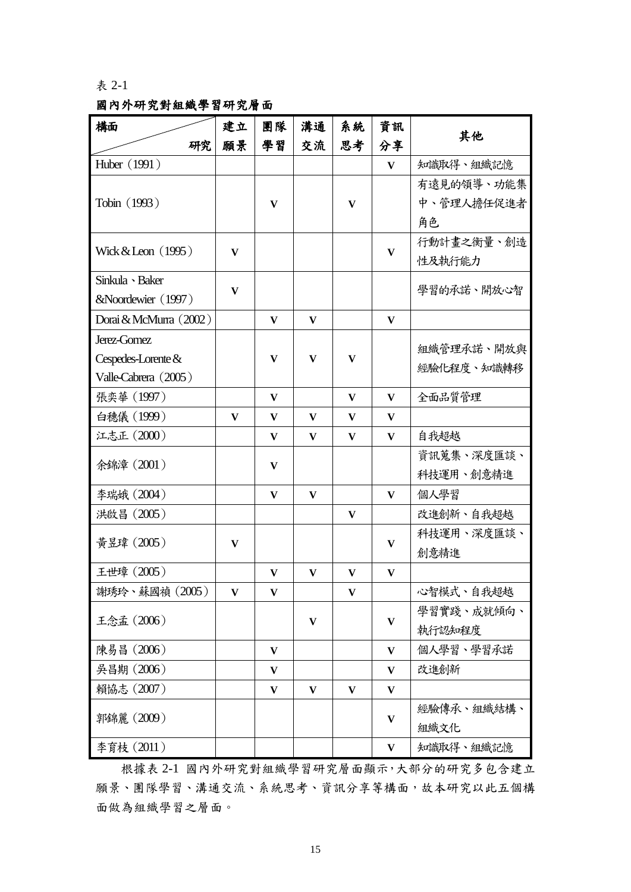#### <span id="page-27-0"></span>表 2-1

### 國內外研究對組織學習研究層面

| 構面                     | 建立           | 團隊           | 溝通 | 系統       | 資訊           |            |
|------------------------|--------------|--------------|----|----------|--------------|------------|
| 研究                     | 願景           | 學習           | 交流 | 思考       | 分享           | 其他         |
| Huber (1991)           |              |              |    |          | $\mathbf{V}$ | 知識取得、組織記憶  |
|                        |              |              |    |          |              | 有遠見的領導、功能集 |
| Tobin (1993)           |              | V            |    | V        |              | 中、管理人擔任促進者 |
|                        |              |              |    |          |              | 角色         |
|                        |              |              |    |          |              | 行動計畫之衡量、創造 |
| Wick $&$ Leon $(1995)$ | $\bf{V}$     |              |    |          | $\mathbf{V}$ | 性及執行能力     |
| Sinkula > Baker        |              |              |    |          |              |            |
| &Noordewier (1997)     | $\mathbf{V}$ |              |    |          |              | 學習的承諾、開放心智 |
| Dorai & McMurra (2002) |              | V            | V  |          | V            |            |
| Jerez-Gomez            |              |              |    |          |              | 組織管理承諾、開放與 |
| Cespedes-Lorente &     |              | V            | V  | $\bf{V}$ |              | 經驗化程度、知識轉移 |
| Valle-Cabrera (2005)   |              |              |    |          |              |            |
| 張奕華 (1997)             |              | V            |    | V        | V            | 全面品質管理     |
| 白穗儀 (1999)             | V            | V            | V  | V        | V            |            |
| 江志正 (2000)             |              | V            | V  | V        | V            | 自我超越       |
|                        |              |              |    |          |              | 資訊蒐集、深度匯談、 |
| 余錦漳 (2001)             |              | V            |    |          |              | 科技運用、創意精進  |
| 李瑞娥 (2004)             |              | $\mathbf{V}$ | V  |          | V            | 個人學習       |
| 洪啟昌 (2005)             |              |              |    | V        |              | 改進創新、自我超越  |
|                        |              |              |    |          |              | 科技運用、深度匯談、 |
| 黃昱瑋 (2005)             | V            |              |    |          | $\mathbf{V}$ | 創意精進       |
| 王世璋 (2005)             |              | V            | V  | V        | V            |            |
| 謝琇玲、蘇國禎 (2005)         | V            |              |    | v        |              | 心智模式、自我超越  |
|                        |              |              |    |          |              | 學習實踐、成就傾向、 |
| 王念孟 (2006)             |              |              | V  |          | V            | 執行認知程度     |
| 陳易昌 (2006)             |              | V            |    |          | $\mathbf{V}$ | 個人學習、學習承諾  |
| 吳昌期 (2006)             |              | V            |    |          | V            | 改進創新       |
| 賴協志 (2007)             |              | $\mathbf{V}$ | V  | V        | V            |            |
|                        |              |              |    |          |              | 經驗傳承、組織結構、 |
| 郭錦麗 (2009)             |              |              |    |          | V            | 組織文化       |
| 李育枝 (2011)             |              |              |    |          | $\mathbf{V}$ | 知識取得、組織記憶  |

根據表 2-1 國內外研究對組織學習研究層面顯示,大部分的研究多包含建立 願景、團隊學習、溝通交流、系統思考、資訊分享等構面,故本研究以此五個構 面做為組織學習之層面。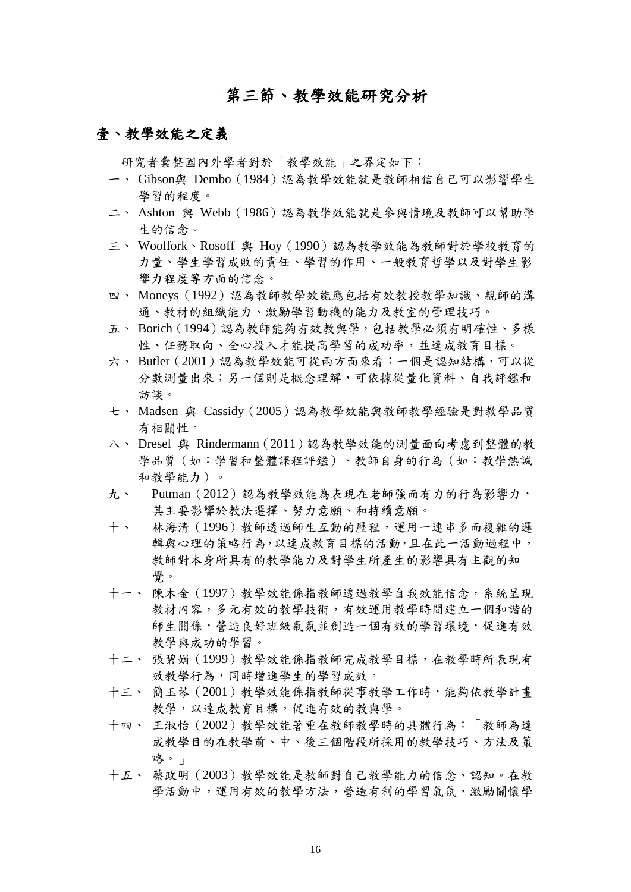## 第三節、教學效能研究分析

#### <span id="page-28-0"></span>壹、教學效能之定義

研究者彙整國內外學者對於「教學效能」之界定如下:

- 一、 Gibson與 Dembo(1984)認為教學效能就是教師相信自己可以影響學生 學習的程度。
- 二、 Ashton 與 Webb(1986)認為教學效能就是參與情境及教師可以幫助學 生的信念。
- 三、 Woolfork、Rosoff 與 Hoy(1990)認為教學效能為教師對於學校教育的 力量、學生學習成敗的責任、學習的作用、一般教育哲學以及對學生影 響力程度等方面的信念。
- 四、 Moneys(1992)認為教師教學效能應包括有效教授教學知識、親師的溝 通、教材的組織能力、激勵學習動機的能力及教室的管理技巧。
- 五、 Borich(1994)認為教師能夠有效教與學,包括教學必須有明確性、多樣 性、任務取向、全心投入才能提高學習的成功率,並達成教育目標。
- 六、 Butler (2001)認為教學效能可從兩方面來看:一個是認知結構,可以從 分數測量出來;另一個則是概念理解,可依據從量化資料、自我評鑑和 訪談。
- 七、 Madsen 與 Cassidy(2005)認為教學效能與教師教學經驗是對教學品質 有相關性。
- 八、 Dresel 與 Rindermann(2011)認為教學效能的測量面向考慮到整體的教 學品質(如:學習和整體課程評鑑)、教師自身的行為(如:教學熱誠 和教學能力)。
- 九、 Putman (2012)認為教學效能為表現在老師強而有力的行為影響力, 其主要影響於教法選擇、努力意願、和持續意願。
- 十、 林海清(1996)教師透過師生互動的歷程,運用一連串多而複雜的邏 輯與心理的策略行為,以達成教育目標的活動,且在此一活動過程中, 教師對本身所具有的教學能力及對學生所產生的影響具有主觀的知 覺。
- 十一、 陳木金(1997)教學效能係指教師透過教學自我效能信念,系統呈現 教材內容,多元有效的教學技術,有效運用教學時間建立一個和諧的 師生關係,營造良好班級氣氛並創造一個有效的學習環境,促進有效 教學與成功的學習。
- 十二、 張碧娟(1999)教學效能係指教師完成教學目標,在教學時所表現有 效教學行為,同時增進學生的學習成效。
- 十三、 簡玉琴(2001)教學效能係指教師從事教學工作時,能夠依教學計畫 教學,以達成教育目標,促進有效的教與學。
- 十四、 王淑怡(2002)教學效能著重在教師教學時的具體行為:「教師為達 成教學目的在教學前、中、後三個階段所採用的教學技巧、方法及策 略。」
- 十五、 蔡政明(2003)教學效能是教師對自己教學能力的信念、認知。在教 學活動中,運用有效的教學方法,營造有利的學習氣氛,激勵關懷學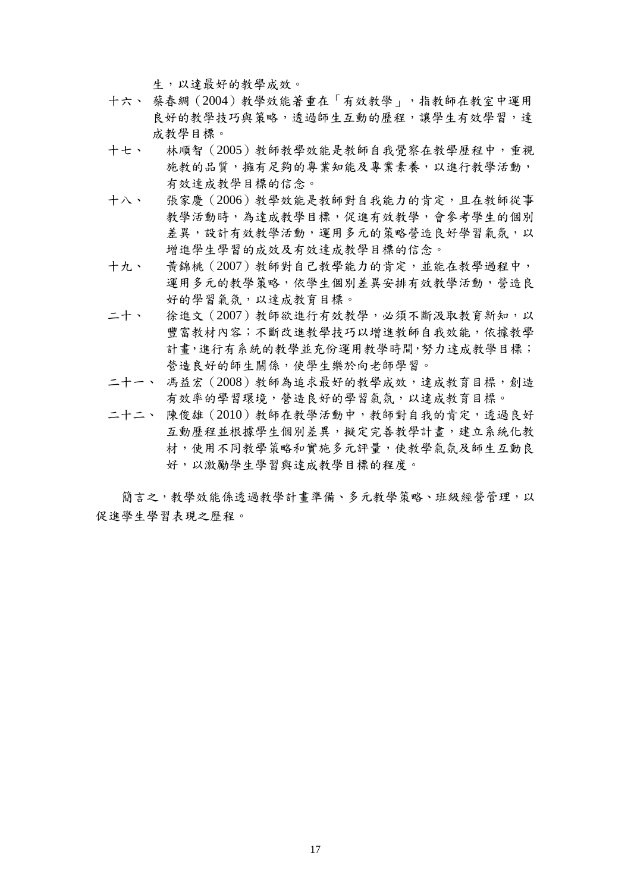生,以達最好的教學成效。

- 十六、 蔡春綢(2004)教學效能著重在「有效教學」,指教師在教室中運用 良好的教學技巧與策略,透過師生互動的歷程,讓學生有效學習,達 成教學目標。
- 十七、 林順智(2005)教師教學效能是教師自我覺察在教學歷程中,重視 施教的品質,擁有足夠的專業知能及專業素養,以進行教學活動, 有效達成教學目標的信念。
- 十八、 張家慶(2006)教學效能是教師對自我能力的肯定,且在教師從事 教學活動時,為達成教學目標,促進有效教學,會參考學生的個別 差異,設計有效教學活動,運用多元的策略營造良好學習氣氛,以 增進學生學習的成效及有效達成教學目標的信念。
- 十九、 黃錦桃(2007)教師對自己教學能力的肯定,並能在教學過程中, 運用多元的教學策略,依學生個別差異安排有效教學活動,營造良 好的學習氣氛,以達成教育目標。
- 二十、 徐進文 (2007) 教師欲進行有效教學,必須不斷汲取教育新知,以 豐富教材內容;不斷改進教學技巧以增進教師自我效能,依據教學 計畫,進行有系統的教學並充份運用教學時間,努力達成教學目標; 營造良好的師生關係,使學生樂於向老師學習。
- 二十一、 馮益宏(2008)教師為追求最好的教學成效,達成教育目標,創造 有效率的學習環境,營造良好的學習氣氛,以達成教育目標。
- 二十二、 陳俊雄(2010)教師在教學活動中,教師對自我的肯定,透過良好 互動歷程並根據學生個別差異,擬定完善教學計書,建立系統化教 材,使用不同教學策略和實施多元評量,使教學氣氛及師生互動良 好,以激勵學生學習與達成教學目標的程度。

簡言之,教學效能係透過教學計畫準備、多元教學策略、班級經營管理,以 促進學生學習表現之歷程。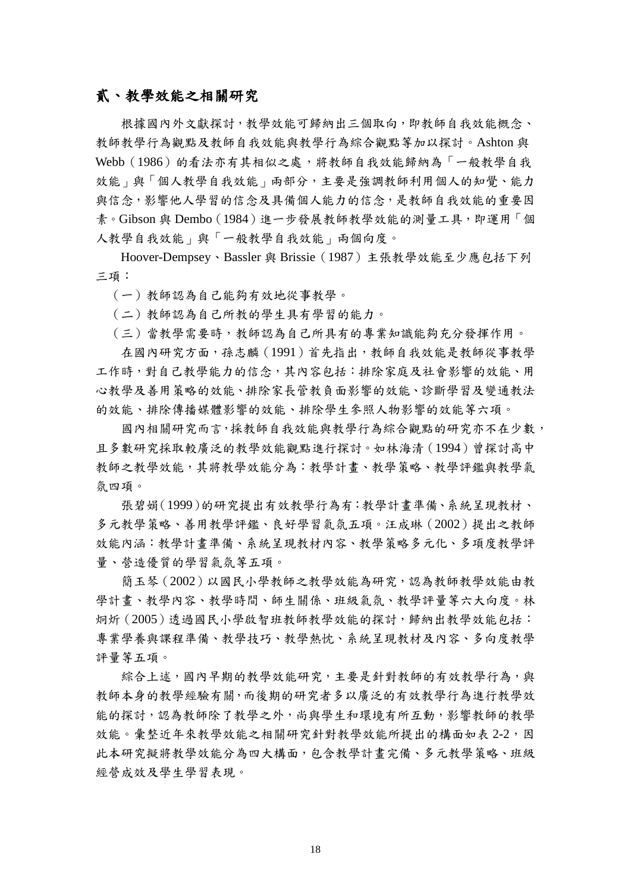#### 貳、教學效能之相關研究

根據國內外文獻探討,教學效能可歸納出三個取向,即教師自我效能概念、 教師教學行為觀點及教師自我效能與教學行為綜合觀點等加以探討。Ashton 與 Webb (1986) 的看法亦有其相似之處,將教師自我效能歸納為「一般教學自我 效能」與「個人教學自我效能」兩部分,主要是強調教師利用個人的知覺、能力 與信念,影響他人學習的信念及具備個人能力的信念,是教師自我效能的重要因 素。Gibson 與 Dembo (1984)進一步發展教師教學效能的測量工具,即運用「個 人教學自我效能」與「一般教學自我效能」兩個向度。

Hoover-Dempsey、Bassler 與 Brissie(1987)主張教學效能至少應包括下列 三項:

(一)教師認為自己能夠有效地從事教學。

(二)教師認為自己所教的學生具有學習的能力。

(三)當教學需要時,教師認為自己所具有的專業知識能夠充分發揮作用。

在國內研究方面,孫志麟(1991)首先指出,教師自我效能是教師從事教學 工作時,對自己教學能力的信念,其內容包括:排除家庭及社會影響的效能、用 心教學及善用策略的效能、排除家長管教負面影響的效能、診斷學習及變通教法 的效能、排除傳播媒體影響的效能、排除學生參照人物影響的效能等六項。

國內相關研究而言,採教師自我效能與教學行為綜合觀點的研究亦不在少數, 且多數研究採取較廣泛的教學效能觀點進行探討。如林海清(1994)曾探討高中 教師之教學效能,其將教學效能分為:教學計畫、教學策略、教學評鑑與教學氣 氛四項。

張碧娟(1999)的研究提出有效教學行為有:教學計畫準備、系統呈現教材、 多元教學策略、善用教學評鑑、良好學習氣氛五項。汪成琳(2002)提出之教師 效能內涵:教學計畫準備、系統呈現教材內容、教學策略多元化、多項度教學評 量、營造優質的學習氣氛等五項。

簡玉琴(2002)以國民小學教師之教學效能為研究,認為教師教學效能由教 學計畫、教學內容、教學時間、師生關係、班級氣氛、教學評量等六大向度。林 炯炘(2005)透過國民小學啟智班教師教學效能的探討,歸納出教學效能包括: 專業學養與課程準備、教學技巧、教學熱忱、系統呈現教材及內容、多向度教學 評量等五項。

綜合上述,國內早期的教學效能研究,主要是針對教師的有效教學行為,與 教師本身的教學經驗有關,而後期的研究者多以廣泛的有效教學行為進行教學效 能的探討,認為教師除了教學之外,尚與學生和環境有所互動,影響教師的教學 效能。彙整近年來教學效能之相關研究針對教學效能所提出的構面如表 2-2,因 此本研究擬將教學效能分為四大構面,包含教學計畫完備、多元教學策略、班級 經營成效及學生學習表現。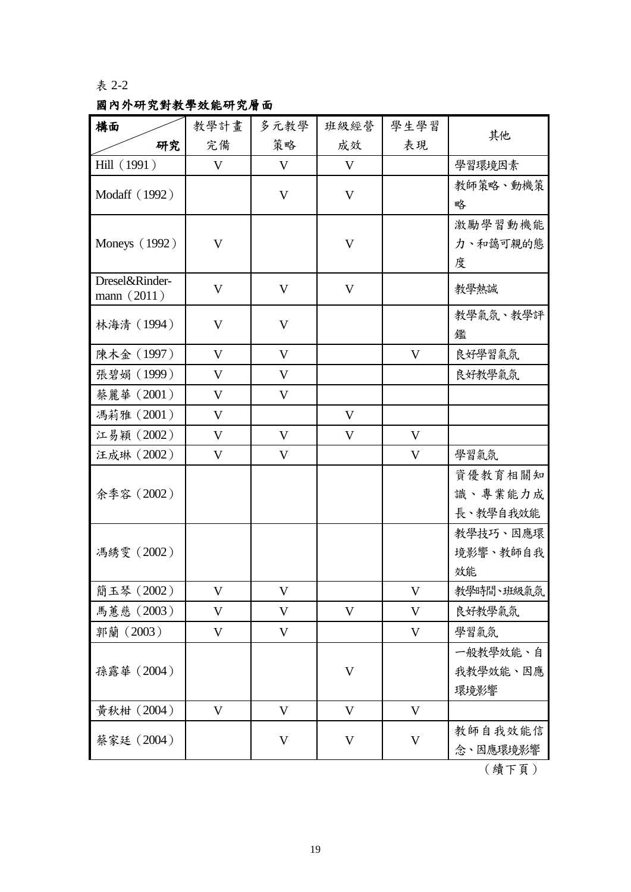### <span id="page-31-0"></span>表 2-2

## 國內外研究對教學效能研究層面

| 構面                              | 教學計畫         | 多元教學        | 班級經營         | 學生學習        |           |
|---------------------------------|--------------|-------------|--------------|-------------|-----------|
| 研究                              | 完備           | 策略          | 成效           | 表現          | 其他        |
| Hill (1991)                     | V            | V           | V            |             | 學習環境因素    |
| Modaff (1992)                   |              | $\mathbf V$ | V            |             | 教師策略、動機策  |
|                                 |              |             |              |             | 略         |
|                                 |              |             |              |             | 激勵學習動機能   |
| Moneys (1992)                   | $\mathbf{V}$ |             | V            |             | 力、和藹可親的態  |
|                                 |              |             |              |             | 度         |
| Dresel&Rinder-<br>mann $(2011)$ | V            | V           | V            |             | 教學熱誠      |
| 林海清 (1994)                      | V            | V           |              |             | 教學氣氛、教學評  |
|                                 |              |             |              |             | 鑑         |
| 陳木金 (1997)                      | $\mathbf V$  | V           |              | V           | 良好學習氣氛    |
| 張碧娟 (1999)                      | V            | V           |              |             | 良好教學氣氛    |
| 蔡麗華 (2001)                      | V            | V           |              |             |           |
| 馮莉雅 (2001)                      | V            |             | V            |             |           |
| 江易穎 (2002)                      | V            | V           | V            | V           |           |
| 汪成琳 (2002)                      | V            | V           |              | V           | 學習氣氛      |
|                                 |              |             |              |             | 資優教育相關知   |
| 余季容 (2002)                      |              |             |              |             | 識、專業能力成   |
|                                 |              |             |              |             | 長、教學自我效能  |
|                                 |              |             |              |             | 教學技巧、因應環  |
| 馮綉雯 (2002)                      |              |             |              |             | 境影響、教師自我  |
|                                 |              |             |              |             | 效能        |
| 簡玉琴 (2002)                      | V            | $\mathbf V$ |              | V           | 教學時間、班級氣氛 |
| 馬蕙慈 (2003)                      | V            | V           | V            | V           | 良好教學氣氛    |
| 郭蘭 (2003)                       | V            | V           |              | V           | 學習氣氛      |
|                                 |              |             |              |             | 一般教學效能、自  |
| 孫露華 (2004)                      |              |             | $\mathbf V$  |             | 我教學效能、因應  |
|                                 |              |             |              |             | 環境影響      |
| 黃秋柑 (2004)                      | $\mathbf V$  | $\mathbf V$ | $\mathbf{V}$ | $\mathbf V$ |           |
| 蔡家廷 (2004)                      |              | V           | V            | V           | 教師自我效能信   |
|                                 |              |             |              |             | 念、因應環境影響  |

(續下頁)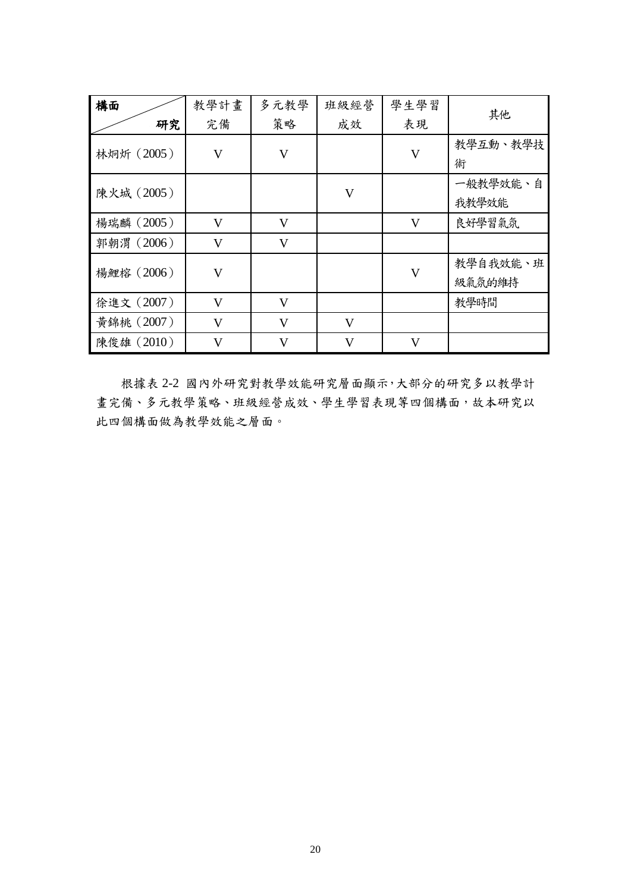| 構面 |            | 教學計畫                    | 多元教學         | 班級經營                    | 學生學習                    | 其他       |
|----|------------|-------------------------|--------------|-------------------------|-------------------------|----------|
|    | 研究         | 完備                      | 策略           | 成效                      | 表現                      |          |
|    | 林炯炘 (2005) | $\mathbf{V}$            | $\mathbf{V}$ |                         | $\mathbf{V}$            | 教學互動、教學技 |
|    |            |                         |              |                         |                         | 術        |
|    | 陳火城 (2005) |                         |              | $\overline{\mathsf{V}}$ |                         | 一般教學效能、自 |
|    |            |                         |              |                         |                         | 我教學效能    |
|    | 楊瑞麟 (2005) | $\mathbf{V}$            | V            |                         | $\mathbf{V}$            | 良好學習氣氛   |
|    | 郭朝渭 (2006) | $\mathbf{V}$            | $\mathbf{V}$ |                         |                         |          |
|    | 楊鯉榕 (2006) | $\overline{\mathsf{V}}$ |              |                         | $\overline{\mathsf{V}}$ | 教學自我效能、班 |
|    |            |                         |              |                         |                         | 級氣氛的維持   |
|    | 徐進文 (2007) | $\overline{\mathsf{V}}$ | $\mathbf{V}$ |                         |                         | 教學時間     |
|    | 黃錦桃 (2007) | $\mathbf{V}$            | $\mathbf{V}$ | $\mathbf{V}$            |                         |          |
|    | 陳俊雄 (2010) | V                       | V            | V                       | V                       |          |

根據表 2-2 國內外研究對教學效能研究層面顯示,大部分的研究多以教學計 畫完備、多元教學策略、班級經營成效、學生學習表現等四個構面,故本研究以 此四個構面做為教學效能之層面。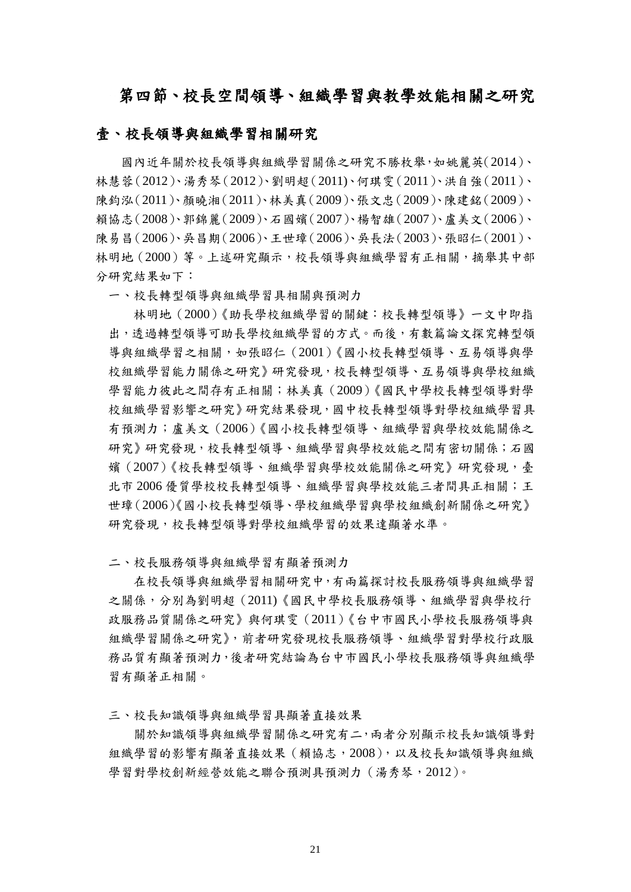## <span id="page-33-0"></span>第四節、校長空間領導、組織學習與教學效能相關之研究

#### 壹、校長領導與組織學習相關研究

國內近年關於校長領導與組織學習關係之研究不勝枚舉,如姚麗英(2014)、 林慧蓉(2012)、湯秀琴(2012)[、劉明超\(](http://ndltd.ncl.edu.tw/cgi-bin/gs32/gsweb.cgi/ccd=umFpZi/search?q=auc=%22%E5%8A%89%E6%98%8E%E8%B6%85%22.&searchmode=basic)2011)、何琪雯(2011)、洪自強(2011)、 陳鈞泓(2011)、顏曉湘(2011)、林美真(2009)、張文忠(2009)、陳建銘(2009)、 賴協志(2008)、郭錦麗(2009)、石國嬪(2007)、楊智雄(2007)、盧美文(2006)、 陳易昌(2006)、吳昌期(2006)、王世璋(2006)、吳長法(2003)、張昭仁(2001)、 林明地(2000)等。上述研究顯示,校長領導與組織學習有正相關,摘舉其中部 分研究結果如下:

一、校長轉型領導與組織學習具相關與預測力

林明地(2000)《助長學校組織學習的關鍵:校長轉型領導》一文中即指 出,透過轉型領導可助長學校組織學習的方式。而後,有數篇論文探究轉型領 導與組織學習之相關, 如張昭仁 (2001)《國小校長轉型領導、互易領導與學 校組織學習能力關係之研究》研究發現,校長轉型領導、互易領導與學校組織 學習能力彼此之間存有正相關;林美真(2009)《國民中學校長轉型領導對學 校組織學習影響之研究》研究結果發現,國中校長轉型領導對學校組織學習具 有預測力;盧美文(2006)《國小校長轉型領導、組織學習與學校效能關係之 研究》研究發現,校長轉型領導、組織學習與學校效能之間有密切關係;石國 嬪(2007)《校長轉型領導、組織學習與學校效能關係之研究》研究發現,臺 北市 2006 優質學校校長轉型領導、組織學習與學校效能三者間具正相關;王 世璋(2006)《國小校長轉型領導、學校組織學習與學校組織創新關係之研究》 研究發現,校長轉型領導對學校組織學習的效果達顯著水準。

二、校長服務領導與組織學習有顯著預測力

在校長領導與組織學習相關研究中,有兩篇探討校長服務領導與組織學習 之關係,分別[為劉明超\(](http://ndltd.ncl.edu.tw/cgi-bin/gs32/gsweb.cgi/ccd=umFpZi/search?q=auc=%22%E5%8A%89%E6%98%8E%E8%B6%85%22.&searchmode=basic)2011)《國民中學校長服務領導、組織學習與學校行 政服務品質關係之研究》與何琪雯(2011)《台中市國民小學校長服務領導與 組織學習關係之研究》,前者研究發現校長服務領導、組織學習對學校行政服 務品質有顯著預測力,後者研究結論為台中市國民小學校長服務領導與組織學 習有顯著正相關。

三、校長知識領導與組織學習具顯著直接效果

關於知識領導與組織學習關係之研究有二,兩者分別顯示校長知識領導對 組織學習的影響有顯著直接效果(賴協志,2008),以及校長知識領導與組織 學習對學校創新經營效能之聯合預測具預測力(湯秀琴,2012)。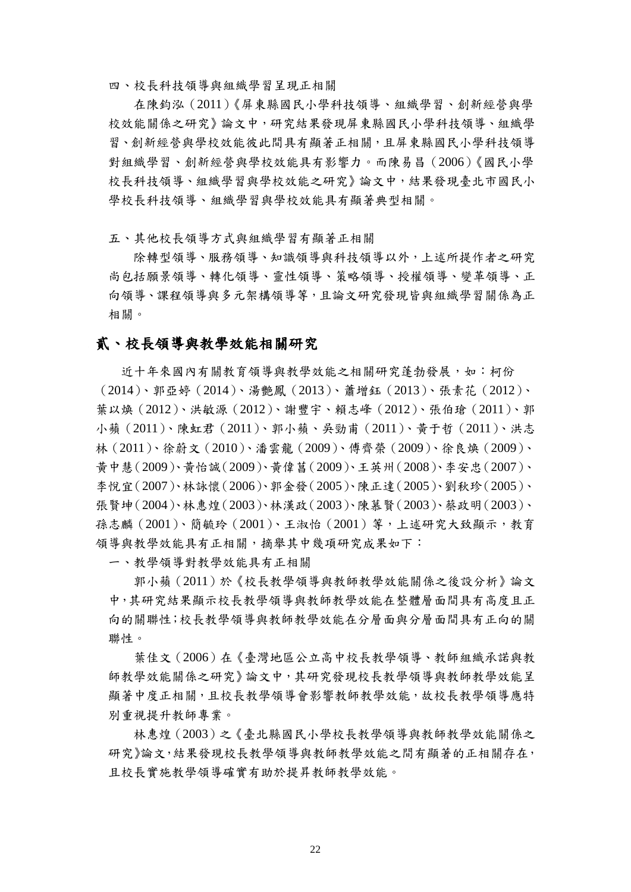四、校長科技領導與組織學習呈現正相關

在陳鈞泓(2011)《屏東縣國民小學科技領導、組織學習、創新經營與學 校效能關係之研究》論文中,研究結果發現屏東縣國民小學科技領導、組織學 習、創新經營與學校效能彼此間具有顯著正相關,且屏東縣國民小學科技領導 對組織學習、創新經營與學校效能具有影響力。而陳易昌(2006)《國民小學 校長科技領導、組織學習與學校效能之研究》論文中,結果發現臺北市國民小 學校長科技領導、組織學習與學校效能具有顯著典型相關。

五、其他校長領導方式與組織學習有顯著正相關

除轉型領導、服務領導、知識領導與科技領導以外,上述所提作者之研究 尚包括願景領導、轉化領導、靈性領導、策略領導、授權領導、變革領導、正 向領導、課程領導與多元架構領導等,且論文研究發現皆與組織學習關係為正 相關。

#### 貳、校長領導與教學效能相關研究

近十年來國內有關教育領導與教學效能之相關研究蓬勃發展,如:柯份 (2014)、郭亞婷(2014)、湯艷鳳(2013)、蕭增鈺(2013)、張素花(2012)、 葉以煥(2012)、洪敏源(2012)、謝豐宇、賴志峰(2012)、張伯瑲(2011)、郭 小蘋(2011)、陳虹君(2011)、郭小蘋、吳勁甫(2011)、黃于哲(2011)、洪志 林(2011)、徐蔚文(2010)、潘雲龍(2009)、傅齊榮(2009)、徐良煥(2009)、 黃中慧(2009)、黃怡誠(2009)、黃偉菖(2009)、王英州(2008)、李安忠(2007)、 李悅宜(2007)、林詠懷(2006)、郭金發(2005)、陳正達(2005)、劉秋珍(2005)、 張賢坤(2004)、林惠煌(2003)、林漢政(2003)、陳慕賢(2003)、蔡政明(2003)、 孫志麟(2001)、簡毓玲(2001)、王淑怡(2001)等,上述研究大致顯示,教育 領導與教學效能具有正相關,摘舉其中幾項研究成果如下:

一、教學領導對教學效能具有正相關

郭小蘋(2011)於《校長教學領導與教師教學效能關係之後設分析》論文 中,其研究結果顯示校長教學領導與教師教學效能在整體層面間具有高度且正 向的關聯性;校長教學領導與教師教學效能在分層面與分層面間具有正向的關 聯性。

葉佳文(2006)在《臺灣地區公立高中校長教學領導、教師組織承諾與教 師教學效能關係之研究》論文中,其研究發現校長教學領導與教師教學效能呈 顯著中度正相關,且校長教學領導會影響教師教學效能,故校長教學領導應特 別重視提升教師專業。

林惠煌(2003)之《臺北縣國民小學校長教學領導與教師教學效能關係之 研究》論文,結果發現校長教學領導與教師教學效能之間有顯著的正相關存在, 且校長實施教學領導確實有助於提昇教師教學效能。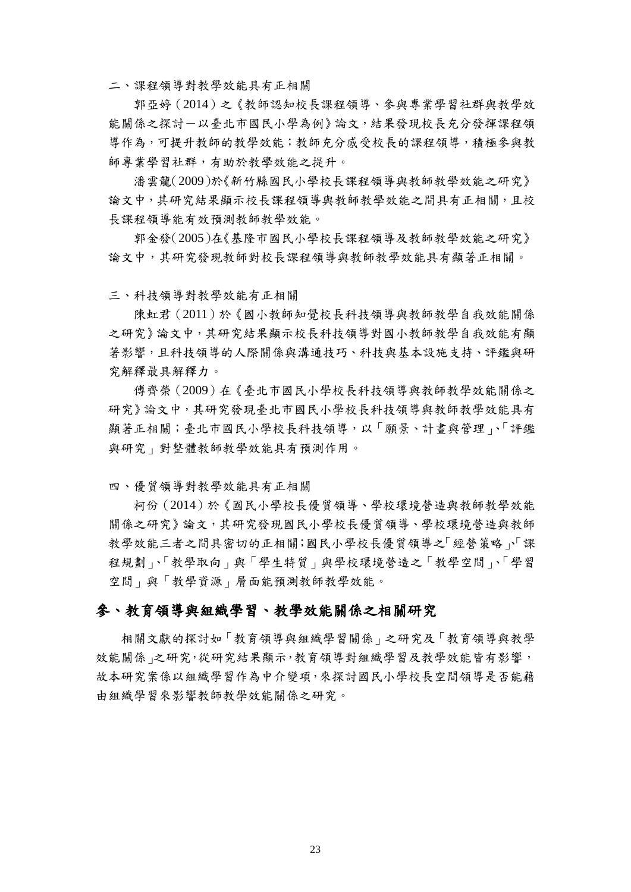二、課程領導對教學效能具有正相關

郭亞婷(2014)之《教師認知校長課程領導、參與專業學習社群與教學效 能關係之探討-以臺北市國民小學為例》論文,結果發現校長充分發揮課程領 導作為,可提升教師的教學效能;教師充分感受校長的課程領導,積極參與教 師專業學習社群,有助於教學效能之提升。

潘雲龍(2009)於《新竹縣國民小學校長課程領導與教師教學效能之研究》 論文中,其研究結果顯示校長課程領導與教師教學效能之間具有正相關,且校 長課程領導能有效預測教師教學效能。

郭金發(2005)在《基隆市國民小學校長課程領導及教師教學效能之研究》 論文中,其研究發現教師對校長課程領導與教師教學效能具有顯著正相關。

三、科技領導對教學效能有正相關

陳虹君(2011)於《國小教師知覺校長科技領導與教師教學自我效能關係 之研究》論文中,其研究結果顯示校長科技領導對國小教師教學自我效能有顯 著影響,且科技領導的人際關係與溝通技巧、科技與基本設施支持、評鑑與研 究解釋最具解釋力。

傅齊榮(2009)在《臺北市國民小學校長科技領導與教師教學效能關係之 研究》論文中,其研究發現臺北市國民小學校長科技領導與教師教學效能具有 顯著正相關;臺北市國民小學校長科技領導,以「願景、計畫與管理」、「評鑑 與研究」對整體教師教學效能具有預測作用。

四、優質領導對教學效能具有正相關

柯份(2014)於《國民小學校長優質領導、學校環境營造與教師教學效能 關係之研究》論文,其研究發現國民小學校長優質領導、學校環境營造與教師 教學效能三者之間具密切的正相關;國民小學校長優質領導之「經營策略」「課 程規劃」、「教學取向」與「學生特質」與學校環境營造之「教學空間」、「學習 空間」與「教學資源」層面能預測教師教學效能。

#### 參、教育領導與組織學習、教學效能關係之相關研究

相關文獻的探討如「教育領導與組織學習關係」之研究及「教育領導與教學 效能關係」之研究,從研究結果顯示,教育領導對組織學習及教學效能皆有影響, 故本研究案係以組織學習作為中介變項,來探討國民小學校長空間領導是否能藉 由組織學習來影響教師教學效能關係之研究。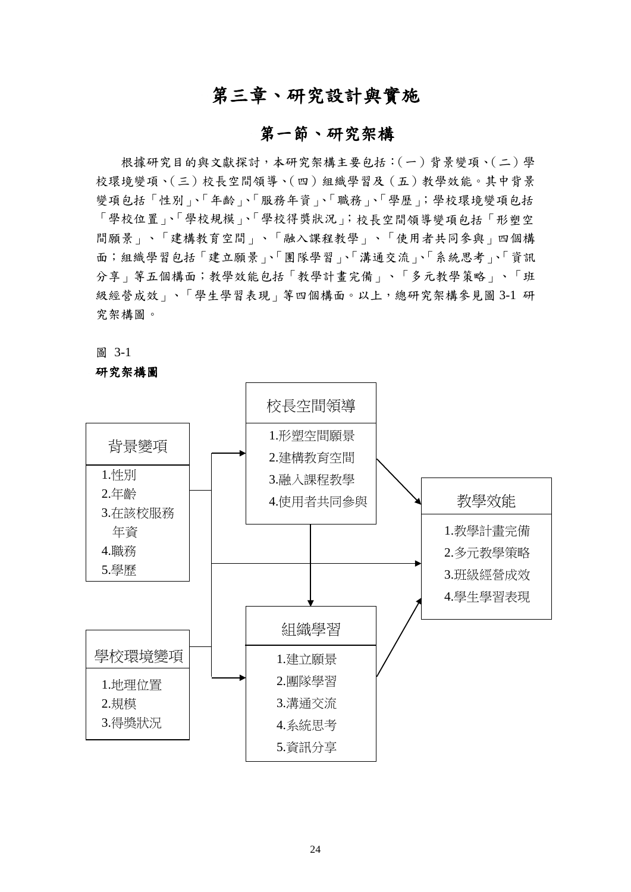# 第三章、研究設計與實施

## 第一節、研究架構

根據研究目的與文獻探討,本研究架構主要包括:(一)背景變項、(二)學 校環境變項、(三)校長空間領導、(四)組織學習及(五)教學效能。其中背景 變項包括「性別」、「年齡」、「服務年資」、「職務」、「學歷」;學校環境變項包括 「學校位置」、「學校得獎狀況」;校長空間領導變項包括「形塑空 間願景」、「建構教育空間」、「融入課程教學」、「使用者共同參與」四個構 面;組織學習包括「建立願景」、「團隊學習」、「溝通交流」、「系統思考」、「資訊 分享」等五個構面;教學效能包括「教學計畫完備」、「多元教學策略」、「班 級經營成效」、「學生學習表現」等四個構面。以上,總研究架構參見圖 3-1 研 究架構圖。

#### 圖 3-1

#### 研究架構圖

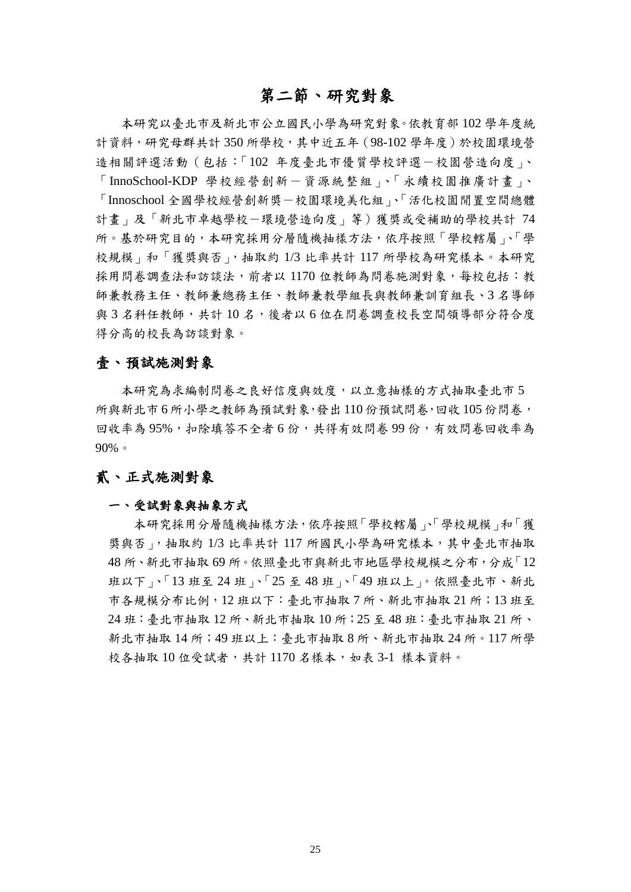# 第二節、研究對象

本研究以臺北市及新北市公立國民小學為研究對象。依教育部 102 學年度統 計資料,研究母群共計 350 所學校,其中近五年(98-102 學年度)於校園環境營 造相關評選活動(包括:「102 年度臺北市優質學校評選-校園營造向度」、 「InnoSchool-KDP 學校經營創新一資源統整組」、「永續校園推廣計畫」、 「Innoschool 全國學校經營創新獎-校園環境美化組」、「活化校園閒置空間總體 計畫」及「新北市卓越學校-環境營造向度」等)獲獎或受補助的學校共計 74 所。基於研究目的,本研究採用分層隨機抽樣方法,依序按照「學校轄屬」、「學 校規模」和「獲獎與否」,抽取約 1/3 比率共計 117 所學校為研究樣本。本研究 採用問卷調查法和訪談法,前者以 1170 位教師為問卷施測對象,每校包括:教 師兼教務主任、教師兼總務主任、教師兼教學組長與教師兼訓育組長、3 名導師 與3名科任教師,共計10名,後者以6位在問卷調查校長空間領導部分符合度 得分高的校長為訪談對象。

### 壹、預試施測對象

本研究為求編制問卷之良好信度與效度,以立意抽樣的方式抽取臺北市 5 所與新北市 6 所小學之教師為預試對象,發出 110 份預試問卷,回收 105 份問卷, 回收率為 95%, 扣除填答不全者 6 份, 共得有效問卷 99 份, 有效問卷回收率為 90%。

## 貳、正式施測對象

### 一、受試對象與抽象方式

本研究採用分層隨機抽樣方法,依序按照「學校轄屬」、「學校規模」和「獲 獎與否」,抽取約 1/3 比率共計 117 所國民小學為研究樣本,其中臺北市抽取 48 所、新北市抽取 69 所。依照臺北市與新北市地區學校規模之分布,分成「12 班以下」、「13 班至 24 班」、「25 至 48 班」、「49 班以上」。依照臺北市、新北 市各規模分布比例,12 班以下:臺北市抽取 7 所、新北市抽取 21 所;13 班至 24 班:臺北市抽取 12 所、新北市抽取 10 所;25 至 48 班:臺北市抽取 21 所、 新北市抽取 14 所;49 班以上:臺北市抽取 8 所、新北市抽取 24 所。117 所學 校各抽取10位受試者,共計1170名樣本,如表 3-1 樣本資料。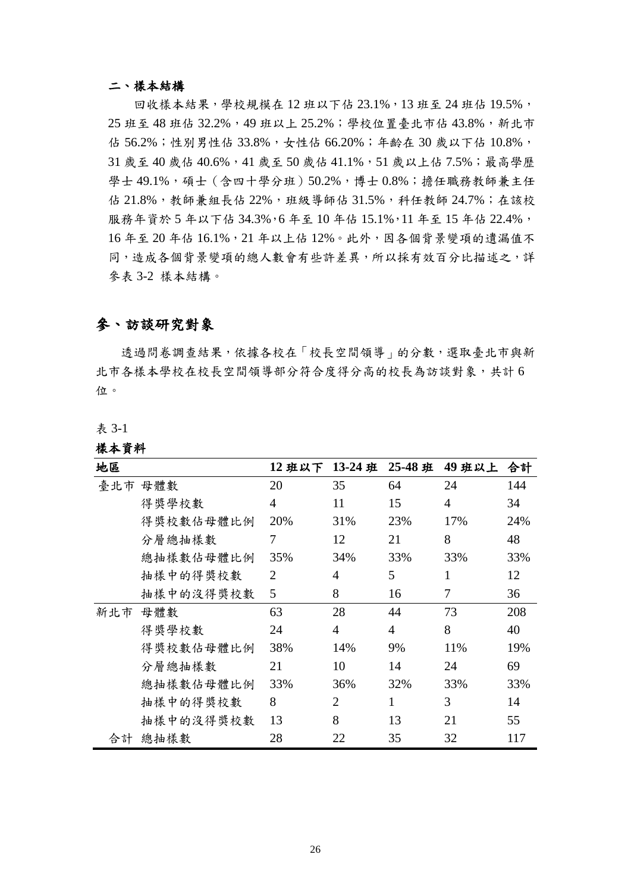#### 二、樣本結構

回收樣本結果,學校規模在12班以下佔 23.1%,13班至 24班佔 19.5%, 25 班至 48 班佔 32.2%,49 班以上 25.2%;學校位置臺北市佔 43.8%,新北市 佔 56.2%;性別男性佔 33.8%,女性佔 66.20%;年齡在 30 歲以下佔 10.8%, 31 歲至 40 歲佔 40.6%,41 歲至 50 歲佔 41.1%,51 歲以上佔 7.5%;最高學歷 學士 49.1%,碩士(含四十學分班)50.2%,博士 0.8%;擔任職務教師兼主任 佔 21.8%,教師兼組長佔 22%,班級導師佔 31.5%,科任教師 24.7%;在該校 服務年資於 5年以下佔 34.3%,6年至10年佔 15.1%,11年至 15年佔 22.4%, 16 年至 20 年佔 16.1%,21 年以上佔 12%。此外,因各個背景變項的遺漏值不 同,造成各個背景變項的總人數會有些許差異,所以採有效百分比描述之,詳 參表 3-2 樣本結構。

### 參、訪談研究對象

透過問卷調查結果,依據各校在「校長空間領導」的分數,選取臺北市與新 北市各樣本學校在校長空間領導部分符合度得分高的校長為訪談對象,共計 6 位。

表 3-1

#### 樣本資料

| 地區  |           | 12班以下 13-24班   |                | 25-48 班        | 49 班以上         | 合計  |
|-----|-----------|----------------|----------------|----------------|----------------|-----|
| 臺北市 | 母體數       | 20             | 35             | 64             | 24             | 144 |
|     | 得獎學校數     | $\overline{4}$ | 11             | 15             | $\overline{4}$ | 34  |
|     | 得獎校數佔母體比例 | 20%            | 31%            | 23%            | 17%            | 24% |
|     | 分層總抽樣數    | 7              | 12             | 21             | 8              | 48  |
|     | 總抽樣數佔母體比例 | 35%            | 34%            | 33%            | 33%            | 33% |
|     | 抽樣中的得獎校數  | $\overline{2}$ | 4              | 5              | 1              | 12  |
|     | 抽樣中的沒得獎校數 | 5              | 8              | 16             | 7              | 36  |
| 新北市 | 母體數       | 63             | 28             | 44             | 73             | 208 |
|     | 得獎學校數     | 24             | $\overline{4}$ | $\overline{4}$ | 8              | 40  |
|     | 得獎校數佔母體比例 | 38%            | 14%            | 9%             | 11%            | 19% |
|     | 分層總抽樣數    | 21             | 10             | 14             | 24             | 69  |
|     | 總抽樣數佔母體比例 | 33%            | 36%            | 32%            | 33%            | 33% |
|     | 抽樣中的得獎校數  | 8              | 2              | 1              | 3              | 14  |
|     | 抽樣中的沒得獎校數 | 13             | 8              | 13             | 21             | 55  |
| 合計  | 總抽樣數      | 28             | 22             | 35             | 32             | 117 |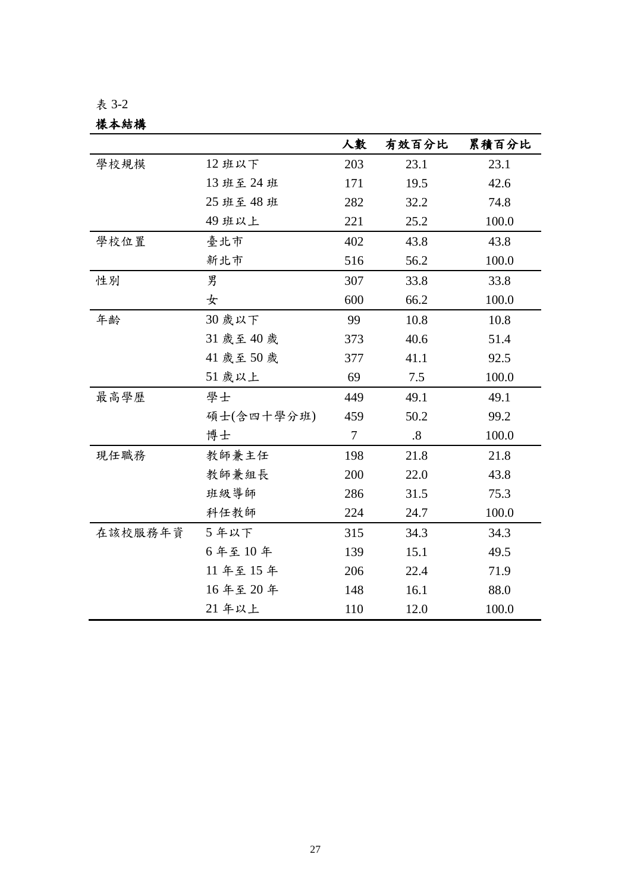樣本結構

|         |            | 人數     | 有效百分比             | 累積百分比 |
|---------|------------|--------|-------------------|-------|
| 學校規模    | 12班以下      | 203    | 23.1              | 23.1  |
|         | 13班至24班    | 171    | 19.5              | 42.6  |
|         | 25 班至 48 班 | 282    | 32.2              | 74.8  |
|         | 49 班以上     | 221    | 25.2              | 100.0 |
| 學校位置    | 臺北市        | 402    | 43.8              | 43.8  |
|         | 新北市        | 516    | 56.2              | 100.0 |
| 性別      | 男          | 307    | 33.8              | 33.8  |
|         | 女          | 600    | 66.2              | 100.0 |
| 年齢      | 30 歲以下     | 99     | 10.8              | 10.8  |
|         | 31 歲至 40 歲 | 373    | 40.6              | 51.4  |
|         | 41 歲至50 歲  | 377    | 41.1              | 92.5  |
|         | 51 歲以上     | 69     | 7.5               | 100.0 |
| 最高學歷    | 學士         | 449    | 49.1              | 49.1  |
|         | 碩士(含四十學分班) | 459    | 50.2              | 99.2  |
|         | 博士         | $\tau$ | $\boldsymbol{.8}$ | 100.0 |
| 現任職務    | 教師兼主任      | 198    | 21.8              | 21.8  |
|         | 教師兼組長      | 200    | 22.0              | 43.8  |
|         | 班級導師       | 286    | 31.5              | 75.3  |
|         | 科任教師       | 224    | 24.7              | 100.0 |
| 在該校服務年資 | 5年以下       | 315    | 34.3              | 34.3  |
|         | 6年至10年     | 139    | 15.1              | 49.5  |
|         | 11年至15年    | 206    | 22.4              | 71.9  |
|         | 16年至20年    | 148    | 16.1              | 88.0  |
|         | 21 年以上     | 110    | 12.0              | 100.0 |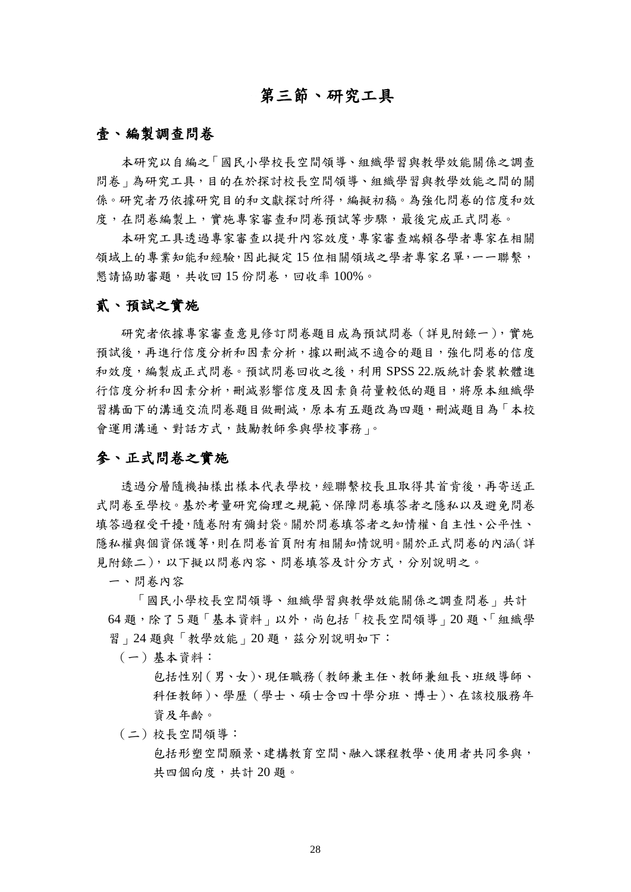# 第三節、研究工具

### 壹、編製調查問卷

本研究以自編之「國民小學校長空間領導、組織學習與教學效能關係之調查 問卷」為研究工具,目的在於探討校長空間領導、組織學習與教學效能之間的關 係。研究者乃依據研究目的和文獻探討所得,編擬初稿。為強化問卷的信度和效 度,在問卷編製上,實施專家審查和問卷預試等步驟,最後完成正式問卷。

本研究工具透過專家審查以提升內容效度,專家審查端賴各學者專家在相關 領域上的專業知能和經驗,因此擬定15位相關領域之學者專家名單,一一聯繫, 懇請協助審題,共收回15份問卷,回收率100%。

## 貳、預試之實施

研究者依據專家審查意見修訂問卷題目成為預試問卷(詳見附錄一),實施 預試後,再進行信度分析和因素分析,據以刪減不適合的題目,強化問卷的信度 和效度,編製成正式問卷。預試問卷回收之後,利用 SPSS 22.版統計套裝軟體進 行信度分析和因素分析,刪減影響信度及因素負荷量較低的題目,將原本組織學 習構面下的溝通交流問卷題目做刪減,原本有五題改為四題,刪減題目為「本校 會運用溝通、對話方式,鼓勵教師參與學校事務」。

### 參、正式問卷之實施

透過分層隨機抽樣出樣本代表學校,經聯繫校長且取得其首肯後,再寄送正 式問卷至學校。基於考量研究倫理之規範、保障問卷填答者之隱私以及避免問卷 填答過程受干擾,隨卷附有彌封袋。關於問卷填答者之知情權、自主性、公平性、 隱私權與個資保護等,則在問卷首頁附有相關知情說明。關於正式問卷的內涵(詳 見附錄二),以下擬以問卷內容、問卷填答及計分方式,分別說明之。

一、問卷內容

「國民小學校長空間領導、組織學習與教學效能關係之調查問卷」共計 64 題,除了 5 題「基本資料」以外,尚包括「校長空間領導」20 題、「組織學 習」24 題與「教學效能」20題,茲分別說明如下:

(一)基本資料:

包括性別(男、女)、現任職務(教師兼主任、教師兼組長、班級導師、 科任教師)、學歷(學士、碩士含四十學分班、博士)、在該校服務年 資及年齡。

(二)校長空間領導:

包括形塑空間願景、建構教育空間、融入課程教學、使用者共同參與, 共四個向度,共計 20 題。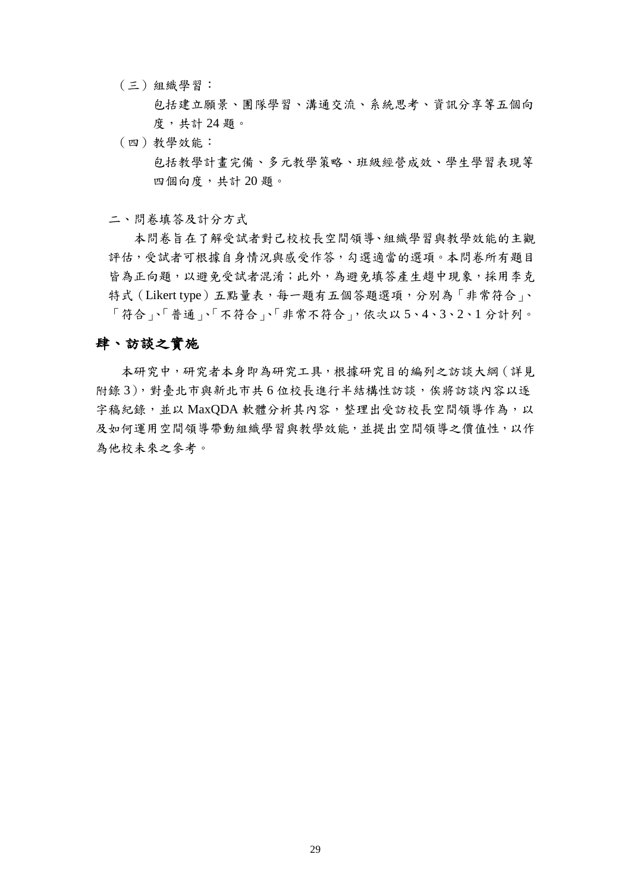(三)組織學習:

包括建立願景、團隊學習、溝通交流、系統思考、資訊分享等五個向 度,共計 24 題。

(四)教學效能:

包括教學計畫完備、多元教學策略、班級經營成效、學生學習表現等 四個向度,共計 20 題。

二、問卷填答及計分方式

本問卷旨在了解受試者對己校校長空間領導、組織學習與教學效能的主觀 評估,受試者可根據自身情況與感受作答,勾選適當的選項。本問卷所有題目 皆為正向題,以避免受試者混淆;此外,為避免填答產生趨中現象,採用李克 特式 (Likert type) 五點量表, 每一題有五個答題選項, 分別為「非常符合」、 「符合」、「普通」、「不符合」、「非常不符合」,依次以 5、4、3、2、1 分計列。

### 肆、訪談之實施

本研究中,研究者本身即為研究工具,根據研究目的編列之訪談大綱(詳見 附錄 3),對臺北市與新北市共 6 位校長進行半結構性訪談,俟將訪談內容以逐 字稿紀錄,並以 MaxQDA 軟體分析其內容,整理出受訪校長空間領導作為,以 及如何運用空間領導帶動組織學習與教學效能,並提出空間領導之價值性,以作 為他校未來之參考。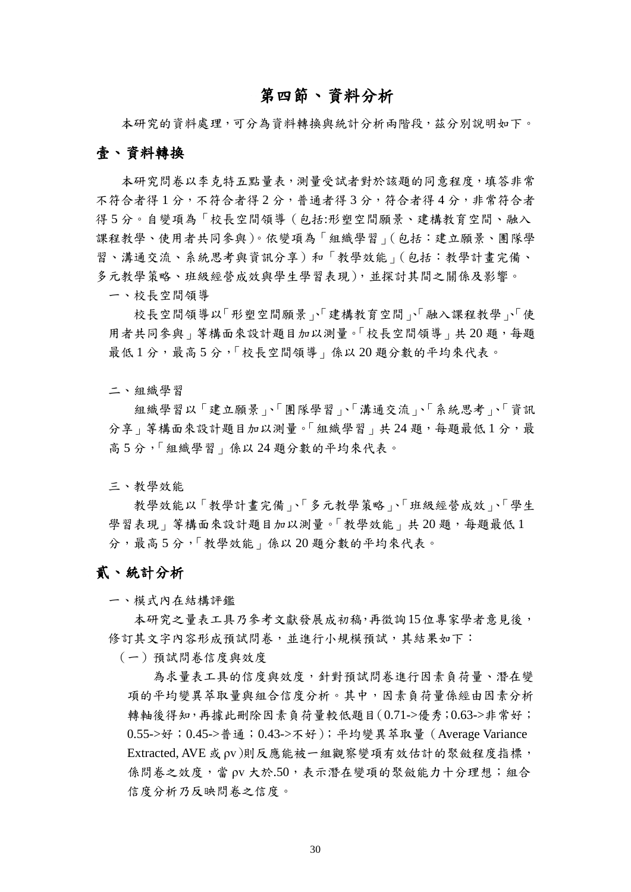# 第四節、資料分析

本研究的資料處理,可分為資料轉換與統計分析兩階段,茲分別說明如下。

### 壹、資料轉換

本研究問卷以李克特五點量表,測量受試者對於該題的同意程度,填答非常 不符合者得 2分, 普通者得 3分, 符合者得 4分, 非常符合者 得 5 分。自變項為「校長空間領導(包括:形塑空間願景、建構教育空間、融入 課程教學、使用者共同參與)。依變項為「組織學習」(包括:建立願景、團隊學 習、溝通交流、系統思考與資訊分享)和「教學效能」(包括:教學計畫完備、 多元教學策略、班級經營成效與學生學習表現),並探討其間之關係及影響。

一、校長空間領導

校長空間領導以「形塑空間願景」、「建構教育空間」、「融入課程教學」、「使 用者共同參與」等構面來設計題目加以測量。「校長空間領導」共20題,每題 最低1分,最高5分,「校長空間領導」係以20題分數的平均來代表。

二、組織學習

組織學習以「建立願景」、「團隊學習」、「溝通交流」、「系統思考」、「資訊 分享 | 等構面來設計題目加以測量。「組織學習 | 共24題, 每題最低1分, 最 高 5 分,「組織學習」係以 24 題分數的平均來代表。

三、教學效能

教學效能以「教學計畫完備」、「多元教學策略」、「班級經營成效」、「學生 學習表現 | 等構面來設計題目加以測量。「教學效能 | 共20題,每題最低1 分,最高 5 分,「教學效能」係以 20 題分數的平均來代表。

### 貳、統計分析

一、模式內在結構評鑑

本研究之量表工具乃參考文獻發展成初稿,再徵詢15位專家學者意見後, 修訂其文字內容形成預試問卷,並進行小規模預試,其結果如下:

(一)預試問卷信度與效度

為求量表工具的信度與效度,針對預試問卷進行因素負荷量、潛在變 項的平均變異萃取量與組合信度分析。其中,因素負荷量係經由因素分析 轉軸後得知,再據此刪除因素負荷量較低題目(0.71->優秀;0.63->非常好; 0.55->好;0.45->普通;0.43->不好);平均變異萃取量(Average Variance Extracted, AVE 或 ρv)則反應能被一組觀察變項有效估計的聚斂程度指標, 係問卷之效度,當 ov 大於.50,表示潛在變項的聚斂能力十分理想;組合 信度分析乃反映問卷之信度。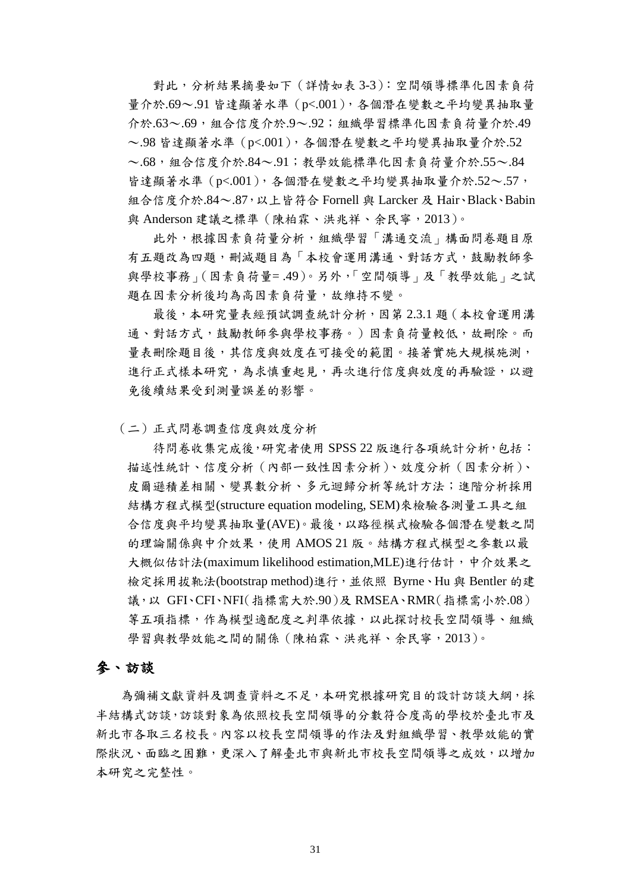對此,分析結果摘要如下(詳情如表 3-3):空間領導標準化因素負荷 量介於.69~.91 皆達顯著水準 (p<.001), 各個潛在變數之平均變異抽取量 介於.63~.69,組合信度介於.9~.92;組織學習標準化因素負荷量介於.49 ~.98 皆達顯著水準(p<.001),各個潛在變數之平均變異抽取量介於.52 ~.68,組合信度介於.84~.91;教學效能標準化因素負荷量介於.55~.84 皆達顯著水準 (p<.001), 各個潛在變數之平均變異抽取量介於.52~.57, 組合信度介於.84~.87,以上皆符合 Fornell 與 Larcker 及 Hair、Black、Babin 與 Anderson 建議之標準(陳柏霖、洪兆祥、余民寧,2013)。

此外,根據因素負荷量分析,組織學習「溝通交流」構面問卷題目原 有五題改為四題,刪減題目為「本校會運用溝通、對話方式,鼓勵教師參 與學校事務」(因素負荷量= .49)。另外,「空間領導」及「教學效能」之試 題在因素分析後均為高因素負荷量,故維持不變。

最後,本研究量表經預試調查統計分析,因第 2.3.1 題(本校會運用溝 通、對話方式,鼓勵教師參與學校事務。)因素負荷量較低,故刪除。而 量表刪除題目後,其信度與效度在可接受的範圍。接著實施大規模施測, 進行正式樣本研究,為求慎重起見,再次進行信度與效度的再驗證,以避 免後續結果受到測量誤差的影響。

(二)正式問卷調查信度與效度分析

待問卷收集完成後,研究者使用 SPSS 22 版進行各項統計分析,包括: 描述性統計、信度分析(內部一致性因素分析)、效度分析(因素分析)、 皮爾遜積差相關、變異數分析、多元迴歸分析等統計方法;進階分析採用 結構方程式模型(structure equation modeling, SEM)來檢驗各測量工具之組 合信度與平均變異抽取量(AVE)。最後,以路徑模式檢驗各個潛在變數之間 的理論關係與中介效果,使用 AMOS 21 版。結構方程式模型之參數以最 大概似估計法(maximum likelihood estimation,MLE)進行估計,中介效果之 檢定採用拔靴法(bootstrap method)進行,並依照 Byrne、Hu 與 Bentler 的建 議,以 GFI、CFI、NFI(指標需大於.90)及 RMSEA、RMR(指標需小於.08) 等五項指標,作為模型適配度之判準依據,以此探討校長空間領導、組織 學習與教學效能之間的關係 (陳柏霖、洪兆祥、余民寧, 2013)。

### 參、訪談

為彌補文獻資料及調查資料之不足,本研究根據研究目的設計訪談大綱,採 半結構式訪談,訪談對象為依照校長空間領導的分數符合度高的學校於臺北市及 新北市各取三名校長。內容以校長空間領導的作法及對組織學習、教學效能的實 際狀況、面臨之困難,更深入了解臺北市與新北市校長空間領導之成效,以增加 本研究之完整性。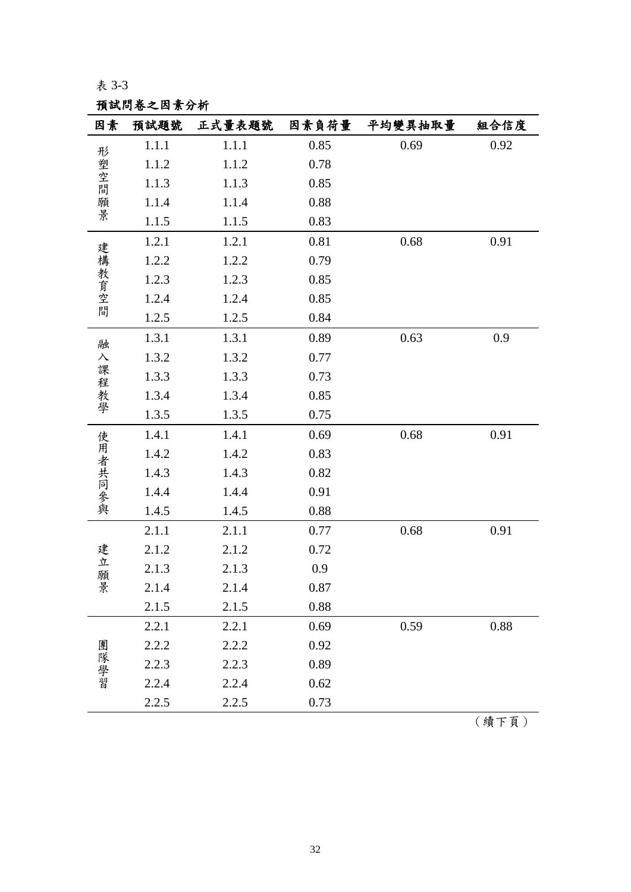預試問卷之因素分析

| 因素        | 預試題號  | 正式量表題號 | 因素負荷量 | 平均變異抽取量 | 組合信度 |
|-----------|-------|--------|-------|---------|------|
|           | 1.1.1 | 1.1.1  | 0.85  | 0.69    | 0.92 |
|           | 1.1.2 | 1.1.2  | 0.78  |         |      |
| 形塑空間      | 1.1.3 | 1.1.3  | 0.85  |         |      |
| 願景        | 1.1.4 | 1.1.4  | 0.88  |         |      |
|           | 1.1.5 | 1.1.5  | 0.83  |         |      |
|           | 1.2.1 | 1.2.1  | 0.81  | 0.68    | 0.91 |
| 建構教育空間    | 1.2.2 | 1.2.2  | 0.79  |         |      |
|           | 1.2.3 | 1.2.3  | 0.85  |         |      |
|           | 1.2.4 | 1.2.4  | 0.85  |         |      |
|           | 1.2.5 | 1.2.5  | 0.84  |         |      |
| 融         | 1.3.1 | 1.3.1  | 0.89  | 0.63    | 0.9  |
| $\lambda$ | 1.3.2 | 1.3.2  | 0.77  |         |      |
|           | 1.3.3 | 1.3.3  | 0.73  |         |      |
| 課程教學      | 1.3.4 | 1.3.4  | 0.85  |         |      |
|           | 1.3.5 | 1.3.5  | 0.75  |         |      |
|           | 1.4.1 | 1.4.1  | 0.69  | 0.68    | 0.91 |
| 使用者共同參與   | 1.4.2 | 1.4.2  | 0.83  |         |      |
|           | 1.4.3 | 1.4.3  | 0.82  |         |      |
|           | 1.4.4 | 1.4.4  | 0.91  |         |      |
|           | 1.4.5 | 1.4.5  | 0.88  |         |      |
|           | 2.1.1 | 2.1.1  | 0.77  | 0.68    | 0.91 |
| 建         | 2.1.2 | 2.1.2  | 0.72  |         |      |
| 立<br>願    | 2.1.3 | 2.1.3  | 0.9   |         |      |
| 景         | 2.1.4 | 2.1.4  | 0.87  |         |      |
|           | 2.1.5 | 2.1.5  | 0.88  |         |      |
|           | 2.2.1 | 2.2.1  | 0.69  | 0.59    | 0.88 |
|           | 2.2.2 | 2.2.2  | 0.92  |         |      |
| 團隊學習      | 2.2.3 | 2.2.3  | 0.89  |         |      |
|           | 2.2.4 | 2.2.4  | 0.62  |         |      |
|           | 2.2.5 | 2.2.5  | 0.73  |         |      |

(續下頁)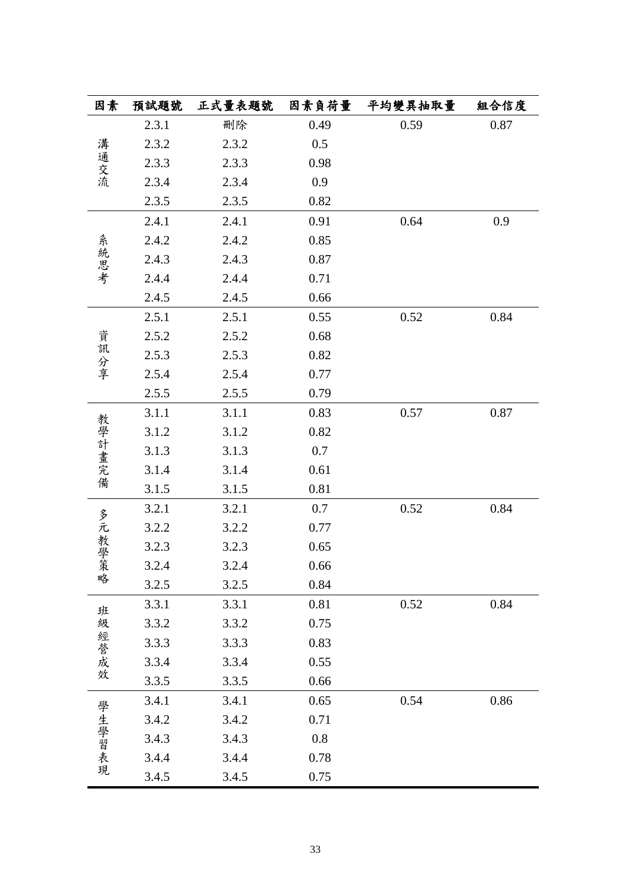| 因素     | 預試題號  | 正式量表題號 | 因素負荷量 | 平均變異抽取量 | 組合信度 |
|--------|-------|--------|-------|---------|------|
|        | 2.3.1 | 刪除     | 0.49  | 0.59    | 0.87 |
|        | 2.3.2 | 2.3.2  | 0.5   |         |      |
| 溝通交流   | 2.3.3 | 2.3.3  | 0.98  |         |      |
|        | 2.3.4 | 2.3.4  | 0.9   |         |      |
|        | 2.3.5 | 2.3.5  | 0.82  |         |      |
|        | 2.4.1 | 2.4.1  | 0.91  | 0.64    | 0.9  |
|        | 2.4.2 | 2.4.2  | 0.85  |         |      |
| 系統思考   | 2.4.3 | 2.4.3  | 0.87  |         |      |
|        | 2.4.4 | 2.4.4  | 0.71  |         |      |
|        | 2.4.5 | 2.4.5  | 0.66  |         |      |
|        | 2.5.1 | 2.5.1  | 0.55  | 0.52    | 0.84 |
|        | 2.5.2 | 2.5.2  | 0.68  |         |      |
| 資訊分享   | 2.5.3 | 2.5.3  | 0.82  |         |      |
|        | 2.5.4 | 2.5.4  | 0.77  |         |      |
|        | 2.5.5 | 2.5.5  | 0.79  |         |      |
|        | 3.1.1 | 3.1.1  | 0.83  | 0.57    | 0.87 |
| 教學計畫完備 | 3.1.2 | 3.1.2  | 0.82  |         |      |
|        | 3.1.3 | 3.1.3  | 0.7   |         |      |
|        | 3.1.4 | 3.1.4  | 0.61  |         |      |
|        | 3.1.5 | 3.1.5  | 0.81  |         |      |
|        | 3.2.1 | 3.2.1  | 0.7   | 0.52    | 0.84 |
|        | 3.2.2 | 3.2.2  | 0.77  |         |      |
| 多元教學策  | 3.2.3 | 3.2.3  | 0.65  |         |      |
|        | 3.2.4 | 3.2.4  | 0.66  |         |      |
| 略      | 3.2.5 | 3.2.5  | 0.84  |         |      |
| 班      | 3.3.1 | 3.3.1  | 0.81  | 0.52    | 0.84 |
|        | 3.3.2 | 3.3.2  | 0.75  |         |      |
|        | 3.3.3 | 3.3.3  | 0.83  |         |      |
| 級經營成效  | 3.3.4 | 3.3.4  | 0.55  |         |      |
|        | 3.3.5 | 3.3.5  | 0.66  |         |      |
|        | 3.4.1 | 3.4.1  | 0.65  | 0.54    | 0.86 |
|        | 3.4.2 | 3.4.2  | 0.71  |         |      |
|        | 3.4.3 | 3.4.3  | 0.8   |         |      |
| 學生學習表現 | 3.4.4 | 3.4.4  | 0.78  |         |      |
|        | 3.4.5 | 3.4.5  | 0.75  |         |      |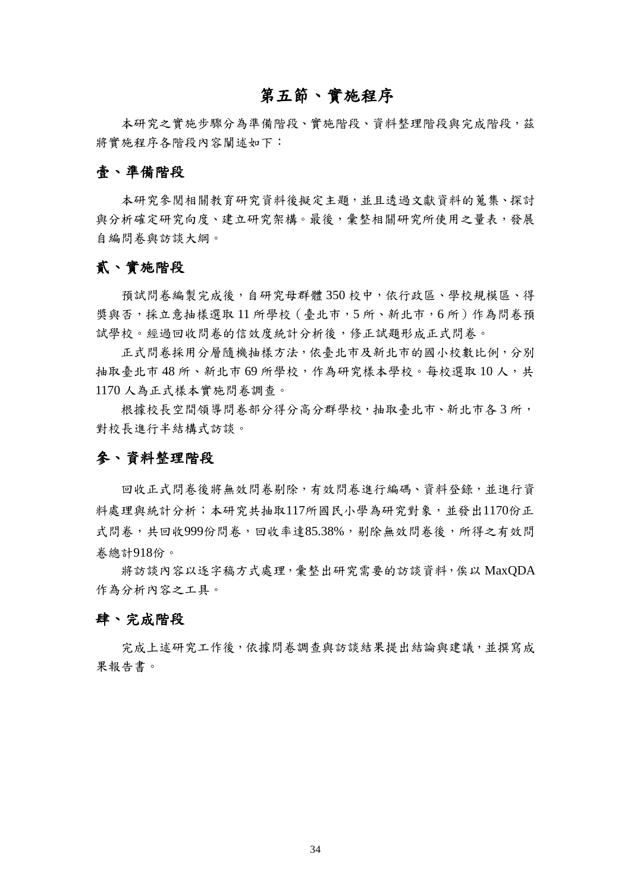# 第五節、實施程序

本研究之實施步驟分為準備階段、實施階段、資料整理階段與完成階段,茲 將實施程序各階段內容闡述如下:

### 壹、準備階段

本研究參閱相關教育研究資料後擬定主題,並且透過文獻資料的蒐集、探討 與分析確定研究向度、建立研究架構。最後,彙整相關研究所使用之量表,發展 自編問卷與訪談大綱。

### 貳、實施階段

預試問卷編製完成後,自研究母群體 350 校中,依行政區、學校規模區、得 獎與否,採立意抽樣選取11 所學校 (臺北市,5 所、新北市,6 所)作為問卷預 試學校。經過回收問卷的信效度統計分析後,修正試題形成正式問卷。

正式問卷採用分層隨機抽樣方法,依臺北市及新北市的國小校數比例,分別 抽取臺北市 48 所、新北市 69 所學校,作為研究樣本學校。每校選取10人,共 1170 人為正式樣本實施問卷調查。

根據校長空間領導問卷部分得分高分群學校,抽取臺北市、新北市各3所, 對校長進行半結構式訪談。

### 參、資料整理階段

回收正式問卷後將無效問卷剔除,有效問卷進行編碼、資料登錄,並進行資 料處理與統計分析;本研究共抽取117所國民小學為研究對象,並發出1170份正 式問卷,共回收999份問卷,回收率達85.38%,剔除無效問卷後,所得之有效問 卷總計918份。

將訪談內容以逐字稿方式處理,彙整出研究需要的訪談資料,俟以 MaxQDA 作為分析內容之工具。

### 肆、完成階段

完成上述研究工作後,依據問卷調查與訪談結果提出結論與建議,並撰寫成 果報告書。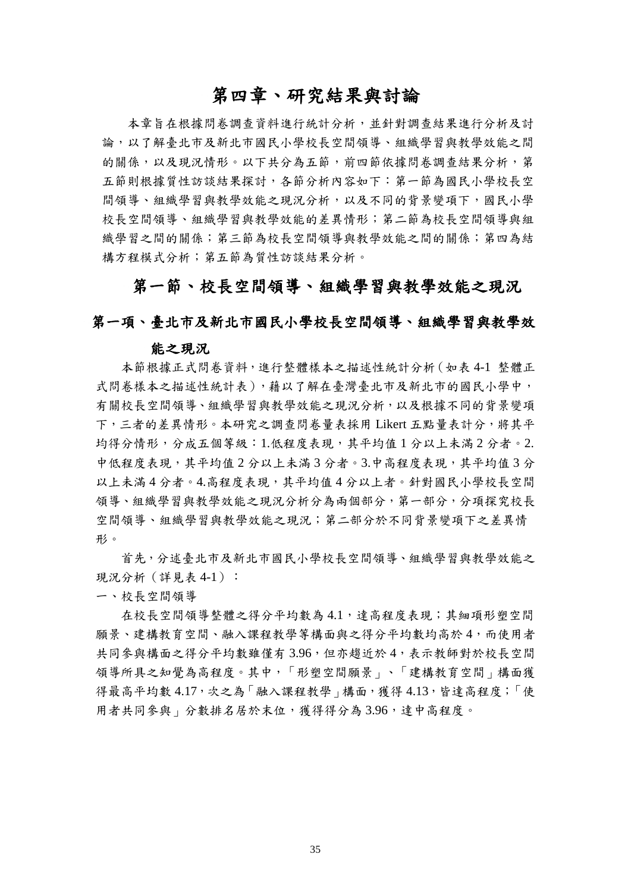# 第四章、研究結果與討論

本章旨在根據問卷調查資料進行統計分析,並針對調查結果進行分析及討 論,以了解臺北市及新北市國民小學校長空間領導、組織學習與教學效能之間 的關係,以及現況情形。以下共分為五節,前四節依據問卷調查結果分析,第 五節則根據質性訪談結果探討,各節分析內容如下:第一節為國民小學校長空 問領導、組織學習與教學效能之現況分析,以及不同的背景變項下,國民小學 校長空間領導、組織學習與教學效能的差異情形;第二節為校長空間領導與組 織學習之間的關係;第三節為校長空間領導與教學效能之間的關係;第四為結 構方程模式分析;第五節為質性訪談結果分析。

# 第一節、校長空間領導、組織學習與教學效能之現況

### 第一項、臺北市及新北市國民小學校長空間領導、組織學習與教學效

### 能之現況

本節根據正式問卷資料,進行整體樣本之描述性統計分析(如表 4-1 整體正 式問卷樣本之描述性統計表),藉以了解在臺灣臺北市及新北市的國民小學中, 有關校長空間領導、組織學習與教學效能之現況分析,以及根據不同的背景變項 下,三者的差異情形。本研究之調查問卷量表採用 Likert 五點量表計分,將其平 均得分情形,分成五個等級:1.低程度表現,其平均值 1 分以上未滿 2 分者。2. 中低程度表現,其平均值 2 分以上未滿 3 分者。3.中高程度表現,其平均值 3 分 以上未滿 4 分者。4.高程度表現,其平均值 4 分以上者。針對國民小學校長空間 領導、組織學習與教學效能之現況分析分為兩個部分,第一部分,分項探究校長 空間領導、組織學習與教學效能之現況;第二部分於不同背景變項下之差異情 形。

首先,分述臺北市及新北市國民小學校長空間領導、組織學習與教學效能之 現況分析(詳見表 4-1):

一、校長空間領導

在校長空間領導整體之得分平均數為 4.1,達高程度表現;其細項形塑空間 願景、建構教育空間、融入課程教學等構面與之得分平均數均高於4,而使用者 共同參與構面之得分平均數雖僅有 3.96,但亦趨近於 4,表示教師對於校長空間 領導所具之知覺為高程度。其中,「形塑空間願景」、「建構教育空間」構面獲 得最高平均數 4.17,次之為「融入課程教學」構面,獲得 4.13,皆達高程度;「使 用者共同參與」分數排名居於末位,獲得得分為 3.96,達中高程度。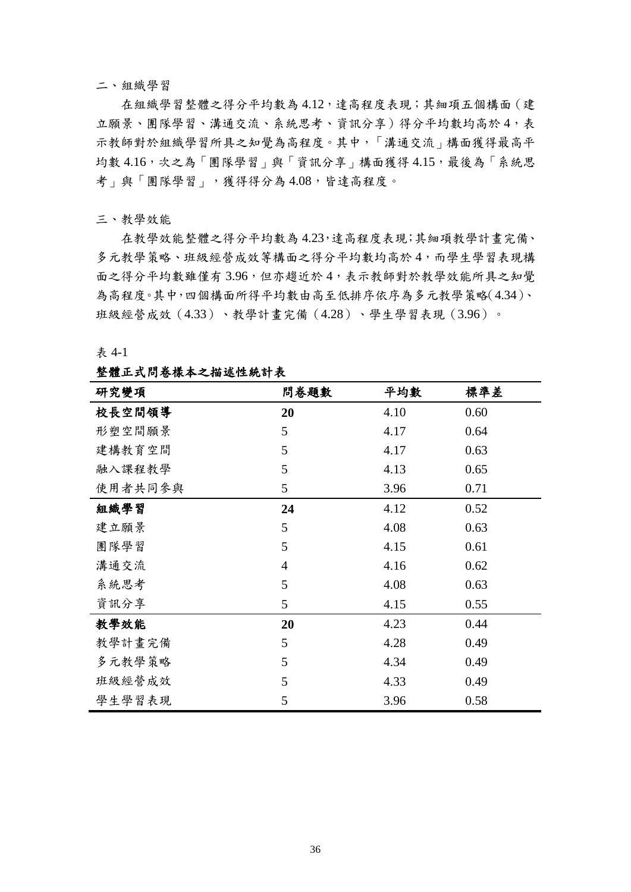#### 二、組織學習

在組織學習整體之得分平均數為 4.12,達高程度表現;其細項五個構面(建 立願景、團隊學習、溝通交流、系統思考、資訊分享)得分平均數均高於4,表 示教師對於組織學習所具之知覺為高程度。其中,「溝通交流」構面獲得最高平 均數 4.16,次之為「團隊學習」與「資訊分享」構面獲得 4.15,最後為「系統思 考」與「團隊學習」,獲得得分為 4.08,皆達高程度。

#### 三、教學效能

在教學效能整體之得分平均數為 4.23,達高程度表現;其細項教學計畫完備、 多元教學策略、班級經營成效等構面之得分平均數均高於 4,而學生學習表現構 面之得分平均數雖僅有 3.96,但亦趨近於 4,表示教師對於教學效能所具之知覺 為高程度。其中,四個構面所得平均數由高至低排序依序為多元教學策略(4.34)、 班級經營成效(4.33)、教學計畫完備(4.28)、學生學習表現(3.96)。

#### 表 4-1

#### 整體正式問卷樣本之描述性統計表

| 研究變項    | 問卷題數           | 平均數  | 標準差  |
|---------|----------------|------|------|
| 校長空間領導  | 20             | 4.10 | 0.60 |
| 形塑空間願景  | 5              | 4.17 | 0.64 |
| 建構教育空間  | 5              | 4.17 | 0.63 |
| 融入課程教學  | 5              | 4.13 | 0.65 |
| 使用者共同参與 | 5              | 3.96 | 0.71 |
| 組織學習    | 24             | 4.12 | 0.52 |
| 建立願景    | 5              | 4.08 | 0.63 |
| 團隊學習    | 5              | 4.15 | 0.61 |
| 溝通交流    | $\overline{4}$ | 4.16 | 0.62 |
| 系統思考    | 5              | 4.08 | 0.63 |
| 資訊分享    | 5              | 4.15 | 0.55 |
| 教學效能    | 20             | 4.23 | 0.44 |
| 教學計畫完備  | 5              | 4.28 | 0.49 |
| 多元教學策略  | 5              | 4.34 | 0.49 |
| 班級經營成效  | 5              | 4.33 | 0.49 |
| 學生學習表現  | 5              | 3.96 | 0.58 |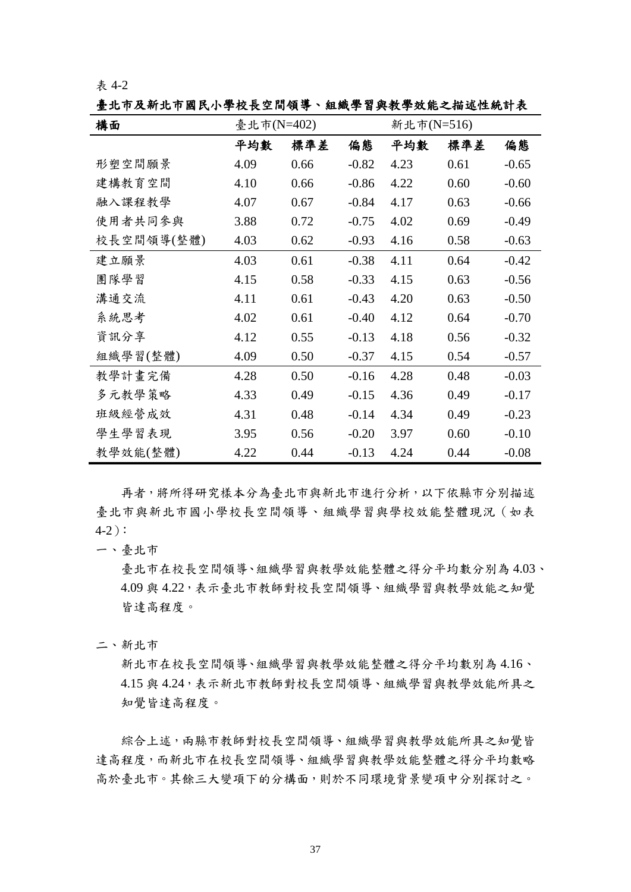臺北市及新北市國民小學校長空間領導、組織學習與教學效能之描述性統計表

| 構面         | 臺北市(N=402) |      | 新北市(N=516) |      |      |         |
|------------|------------|------|------------|------|------|---------|
|            | 平均數        | 標準差  | 偏態         | 平均數  | 標準差  | 偏態      |
| 形塑空間願景     | 4.09       | 0.66 | $-0.82$    | 4.23 | 0.61 | $-0.65$ |
| 建構教育空間     | 4.10       | 0.66 | $-0.86$    | 4.22 | 0.60 | $-0.60$ |
| 融入課程教學     | 4.07       | 0.67 | $-0.84$    | 4.17 | 0.63 | $-0.66$ |
| 使用者共同参與    | 3.88       | 0.72 | $-0.75$    | 4.02 | 0.69 | $-0.49$ |
| 校長空間領導(整體) | 4.03       | 0.62 | $-0.93$    | 4.16 | 0.58 | $-0.63$ |
| 建立願景       | 4.03       | 0.61 | $-0.38$    | 4.11 | 0.64 | $-0.42$ |
| 團隊學習       | 4.15       | 0.58 | $-0.33$    | 4.15 | 0.63 | $-0.56$ |
| 溝通交流       | 4.11       | 0.61 | $-0.43$    | 4.20 | 0.63 | $-0.50$ |
| 系統思考       | 4.02       | 0.61 | $-0.40$    | 4.12 | 0.64 | $-0.70$ |
| 資訊分享       | 4.12       | 0.55 | $-0.13$    | 4.18 | 0.56 | $-0.32$ |
| 組織學習(整體)   | 4.09       | 0.50 | $-0.37$    | 4.15 | 0.54 | $-0.57$ |
| 教學計畫完備     | 4.28       | 0.50 | $-0.16$    | 4.28 | 0.48 | $-0.03$ |
| 多元教學策略     | 4.33       | 0.49 | $-0.15$    | 4.36 | 0.49 | $-0.17$ |
| 班級經營成效     | 4.31       | 0.48 | $-0.14$    | 4.34 | 0.49 | $-0.23$ |
| 學生學習表現     | 3.95       | 0.56 | $-0.20$    | 3.97 | 0.60 | $-0.10$ |
| 教學效能(整體)   | 4.22       | 0.44 | $-0.13$    | 4.24 | 0.44 | $-0.08$ |

再者,將所得研究樣本分為臺北市與新北市進行分析,以下依縣市分別描述 臺北市與新北市國小學校長空間領導、組織學習與學校效能整體現況(如表 4-2):

一、臺北市

臺北市在校長空間領導、組織學習與教學效能整體之得分平均數分別為 4.03、 4.09 與 4.22,表示臺北市教師對校長空間領導、組織學習與教學效能之知覺 皆達高程度。

二、新北市

新北市在校長空間領導、組織學習與教學效能整體之得分平均數別為 4.16、 4.15 與 4.24,表示新北市教師對校長空間領導、組織學習與教學效能所具之 知覺皆達高程度。

綜合上述,兩縣市教師對校長空間領導、組織學習與教學效能所具之知覺皆 達高程度,而新北市在校長空間領導、組織學習與教學效能整體之得分平均數略 高於臺北市。其餘三大變項下的分構面,則於不同環境背景變項中分別探討之。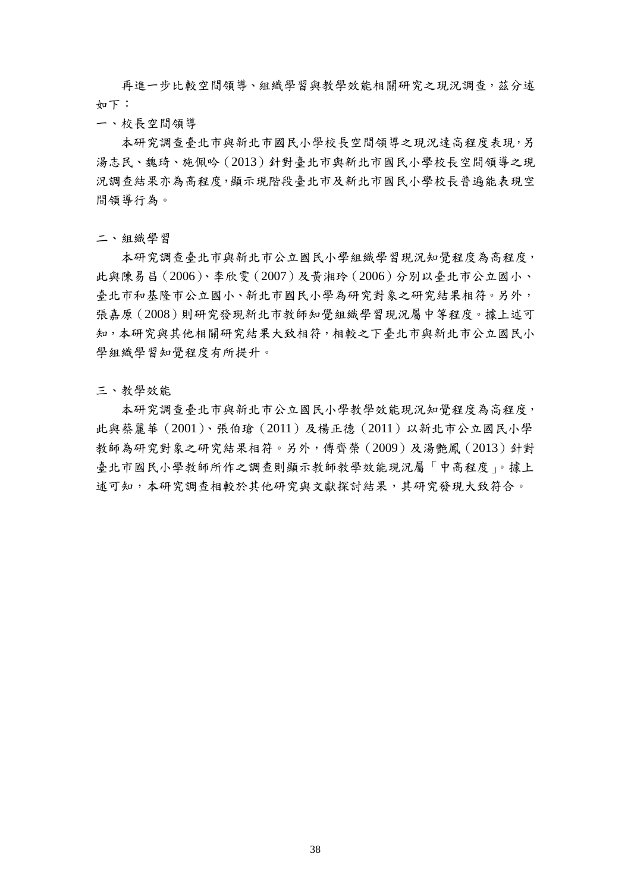再進一步比較空間領導、組織學習與教學效能相關研究之現況調查,茲分述 如下:

一、校長空間領導

本研究調查臺北市與新北市國民小學校長空間領導之現況達高程度表現,另 湯志民、魏琦、施佩吟(2013)針對臺北市與新北市國民小學校長空間領導之現 況調查結果亦為高程度,顯示現階段臺北市及新北市國民小學校長普遍能表現空 間領導行為。

二、組織學習

本研究調查臺北市與新北市公立國民小學組織學習現況知覺程度為高程度, 此與陳易昌(2006)、李欣雯(2007)及黃湘玲(2006)分別以臺北市公立國小、 臺北市和基隆市公立國小、新北市國民小學為研究對象之研究結果相符。另外, 張嘉原(2008)則研究發現新北市教師知覺組織學習現況屬中等程度。據上述可 知,本研究與其他相關研究結果大致相符,相較之下臺北市與新北市公立國民小 學組織學習知覺程度有所提升。

三、教學效能

本研究調查臺北市與新北市公立國民小學教學效能現況知覺程度為高程度, 此與蔡麗華(2001)、張伯瑲(2011)及楊正德(2011)以新北市公立國民小學 教師為研究對象之研究結果相符。另外,傅齊榮(2009)及湯艷鳳(2013)針對 臺北市國民小學教師所作之調查則顯示教師教學效能現況屬「中高程度」。據上 述可知,本研究調查相較於其他研究與文獻探討結果,其研究發現大致符合。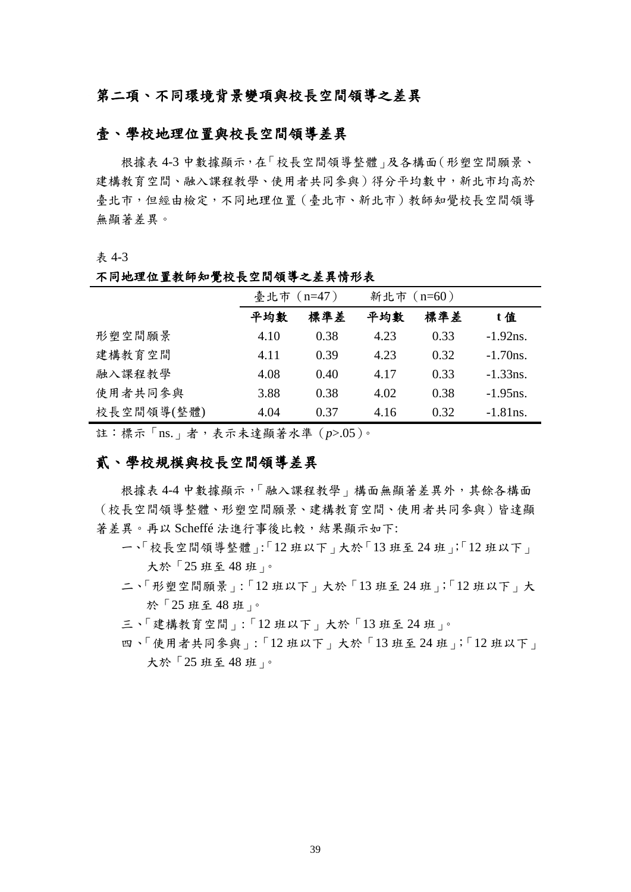## 第二項、不同環境背景變項與校長空間領導之差異

### 壹、學校地理位置與校長空間領導差異

根據表 4-3 中數據顯示,在「校長空間領導整體」及各構面(形塑空間願景、 建構教育空間、融入課程教學、使用者共同參與)得分平均數中,新北市均高於 臺北市,但經由檢定,不同地理位置(臺北市、新北市)教師知覺校長空間領導 無顯著差異。

#### 表 4-3

#### 不同地理位置教師知覺校長空間領導之差異情形表

|            | 臺北市 (n=47) |      | 新北市 (n=60) |      |             |
|------------|------------|------|------------|------|-------------|
|            | 平均數        | 標準差  | 平均數        | 標準差  | t值          |
| 形塑空間願景     | 4.10       | 0.38 | 4.23       | 0.33 | $-1.92$ ns. |
| 建構教育空間     | 4.11       | 0.39 | 4.23       | 0.32 | $-1.70$ ns. |
| 融入課程教學     | 4.08       | 0.40 | 4.17       | 0.33 | $-1.33$ ns. |
| 使用者共同参與    | 3.88       | 0.38 | 4.02       | 0.38 | $-1.95$ ns. |
| 校長空間領導(整體) | 4.04       | 0.37 | 4.16       | 0.32 | $-1.81$ ns. |

註:標示「ns.」者,表示未達顯著水準(*p*>.05)。

## 貳、學校規模與校長空間領導差異

根據表 4-4 中數據顯示,「融入課程教學」構面無顯著差異外,其餘各構面 (校長空間領導整體、形塑空間願景、建構教育空間、使用者共同參與)皆達顯 著差異。再以 Scheffé 法進行事後比較,結果顯示如下:

- 一、「校長空間領導整體」:「12 班以下」大於「13 班至 24 班」;「12 班以下」 大於「25 班至 48 班」。
- 二、「形塑空間願景」:「12 班以下」大於「13 班至 24 班」;「12 班以下」大 於「25 班至 48 班」。
- 三、「建構教育空間」:「12 班以下」大於「13 班至 24 班」。
- 四、「使用者共同參與」:「12 班以下」大於「13 班至 24 班」;「12 班以下」 大於「25 班至 48 班」。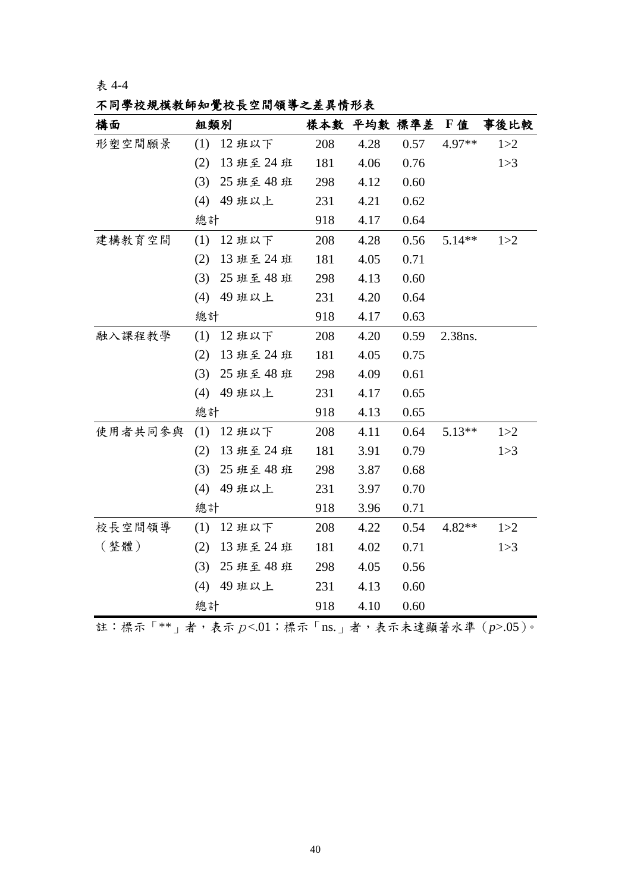不同學校規模教師知覺校長空間領導之差異情形表

| 構面      | 組類別 |            |     | 樣本數 平均數 標準差 F值 |      |          | 事後比較  |
|---------|-----|------------|-----|----------------|------|----------|-------|
| 形塑空間願景  | (1) | 12班以下      | 208 | 4.28           | 0.57 | $4.97**$ | 1 > 2 |
|         | (2) | 13班至24班    | 181 | 4.06           | 0.76 |          | 1 > 3 |
|         | (3) | 25 班至 48 班 | 298 | 4.12           | 0.60 |          |       |
|         | (4) | 49 班以上     | 231 | 4.21           | 0.62 |          |       |
|         | 總計  |            | 918 | 4.17           | 0.64 |          |       |
| 建構教育空間  | (1) | 12班以下      | 208 | 4.28           | 0.56 | $5.14**$ | 1 > 2 |
|         | (2) | 13 班至 24 班 | 181 | 4.05           | 0.71 |          |       |
|         | (3) | 25 班至 48 班 | 298 | 4.13           | 0.60 |          |       |
|         | (4) | 49 班以上     | 231 | 4.20           | 0.64 |          |       |
|         | 總計  |            | 918 | 4.17           | 0.63 |          |       |
| 融入課程教學  | (1) | 12班以下      | 208 | 4.20           | 0.59 | 2.38ns.  |       |
|         | (2) | 13 班至 24 班 | 181 | 4.05           | 0.75 |          |       |
|         | (3) | 25 班至 48 班 | 298 | 4.09           | 0.61 |          |       |
|         | (4) | 49 班以上     | 231 | 4.17           | 0.65 |          |       |
|         | 總計  |            | 918 | 4.13           | 0.65 |          |       |
| 使用者共同参與 | (1) | 12班以下      | 208 | 4.11           | 0.64 | $5.13**$ | 1 > 2 |
|         | (2) | 13 班至 24 班 | 181 | 3.91           | 0.79 |          | 1 > 3 |
|         | (3) | 25 班至 48 班 | 298 | 3.87           | 0.68 |          |       |
|         | (4) | 49 班以上     | 231 | 3.97           | 0.70 |          |       |
|         | 總計  |            | 918 | 3.96           | 0.71 |          |       |
| 校長空間領導  | (1) | 12班以下      | 208 | 4.22           | 0.54 | $4.82**$ | 1 > 2 |
| (整體)    | (2) | 13 班至 24 班 | 181 | 4.02           | 0.71 |          | 1 > 3 |
|         | (3) | 25 班至 48 班 | 298 | 4.05           | 0.56 |          |       |
|         | (4) | 49 班以上     | 231 | 4.13           | 0.60 |          |       |
|         | 總計  |            | 918 | 4.10           | 0.60 |          |       |

註:標示「\*\*」者,表示p<.01;標示「ns.」者,表示未達顯著水準(*p*>.05)。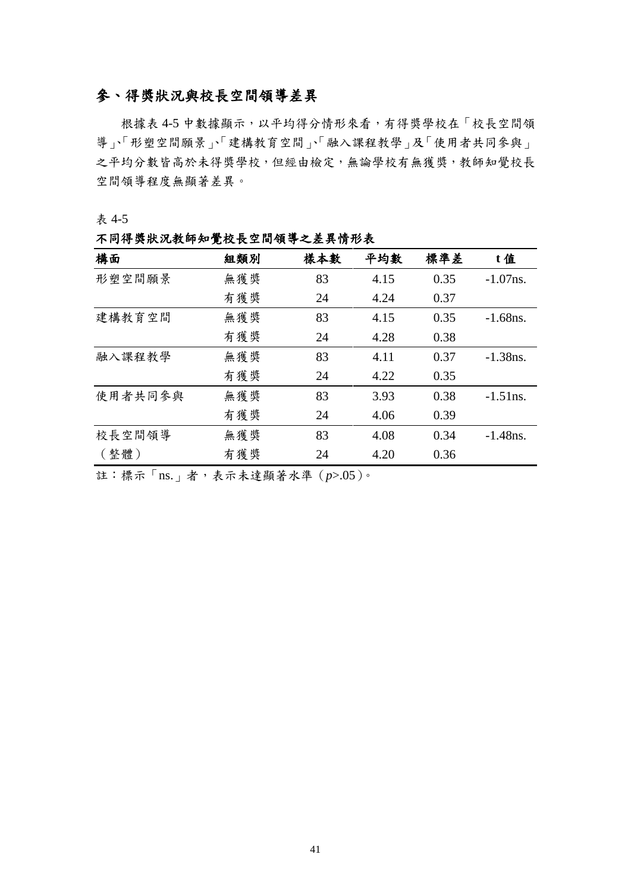## 參、得獎狀況與校長空間領導差異

根據表 4-5 中數據顯示,以平均得分情形來看,有得獎學校在「校長空間領 導」、「形塑空間願景」、「建構教育空間」、「融入課程教學」及「使用者共同參與」 之平均分數皆高於未得獎學校,但經由檢定,無論學校有無獲獎,教師知覺校長 空間領導程度無顯著差異。

表 4-5

### 不同得獎狀況教師知覺校長空間領導之差異情形表

| 構面      | 組類別 | 樣本數 | 平均數  | 標準差  | t值          |
|---------|-----|-----|------|------|-------------|
| 形塑空間願景  | 無獲獎 | 83  | 4.15 | 0.35 | $-1.07$ ns. |
|         | 有獲獎 | 24  | 4.24 | 0.37 |             |
| 建構教育空間  | 無獲獎 | 83  | 4.15 | 0.35 | $-1.68$ ns. |
|         | 有獲獎 | 24  | 4.28 | 0.38 |             |
| 融入課程教學  | 無獲獎 | 83  | 4.11 | 0.37 | $-1.38$ ns. |
|         | 有獲獎 | 24  | 4.22 | 0.35 |             |
| 使用者共同参與 | 無獲獎 | 83  | 3.93 | 0.38 | $-1.51$ ns. |
|         | 有獲獎 | 24  | 4.06 | 0.39 |             |
| 校長空間領導  | 無獲獎 | 83  | 4.08 | 0.34 | $-1.48$ ns. |
| (整體)    | 有獲獎 | 24  | 4.20 | 0.36 |             |

註:標示「ns.」者,表示未達顯著水準(*p*>.05)。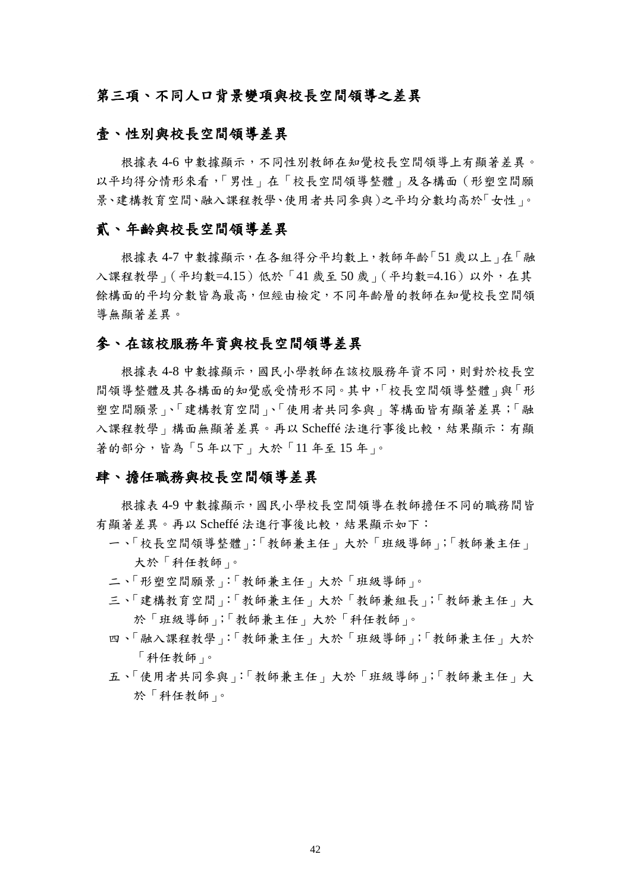### 第三項、不同人口背景變項與校長空間領導之差異

### 壹、性別與校長空間領導差異

根據表 4-6 中數據顯示,不同性別教師在知覺校長空間領導上有顯著差異。 以平均得分情形來看,「男性」在「校長空間領導整體」及各構面(形塑空間願 景、建構教育空間、融入課程教學、使用者共同參與)之平均分數均高於「女性」。

### 貳、年齡與校長空間領導差異

根據表 4-7 中數據顯示,在各組得分平均數上,教師年齡「51 歲以上」在「融 入課程教學」(平均數=4.15)低於「41歲至50歲」(平均數=4.16)以外,在其 餘構面的平均分數皆為最高,但經由檢定,不同年齡層的教師在知覺校長空間領 導無顯著差異。

### 參、在該校服務年資與校長空間領導差異

根據表 4-8 中數據顯示,國民小學教師在該校服務年資不同,則對於校長空 間領導整體及其各構面的知覺感受情形不同。其中,「校長空間領導整體」與「形 塑空間願景」、「建構教育空間」、「使用者共同參與」等構面皆有顯著差異;「融 入課程教學 | 構面無顯著差異。再以 Scheffé 法進行事後比較,結果顯示:有顯 著的部分,皆為「5年以下」大於「11年至15年」。

### 肆、擔任職務與校長空間領導差異

根據表 4-9 中數據顯示,國民小學校長空間領導在教師擔任不同的職務間皆 有顯著差異。再以 Scheffé 法進行事後比較,結果顯示如下:

- 一、「校長空間領導整體」:「教師兼主任」大於「班級導師」;「教師兼主任」 大於「科任教師」。
- 二、「形塑空間願景」:「教師兼主任」大於「班級導師」。
- 三、「建構教育空間」:「教師兼主任」大於「教師兼組長」;「教師兼主任」大 於「班級導師」;「教師兼主任」大於「科任教師」。
- 四、「融入課程教學」:「教師兼主任」大於「班級導師」;「教師兼主任」大於 「科任教師」。
- 五、「使用者共同參與」:「教師兼主任」大於「班級導師」;「教師兼主任」大 於「科任教師」。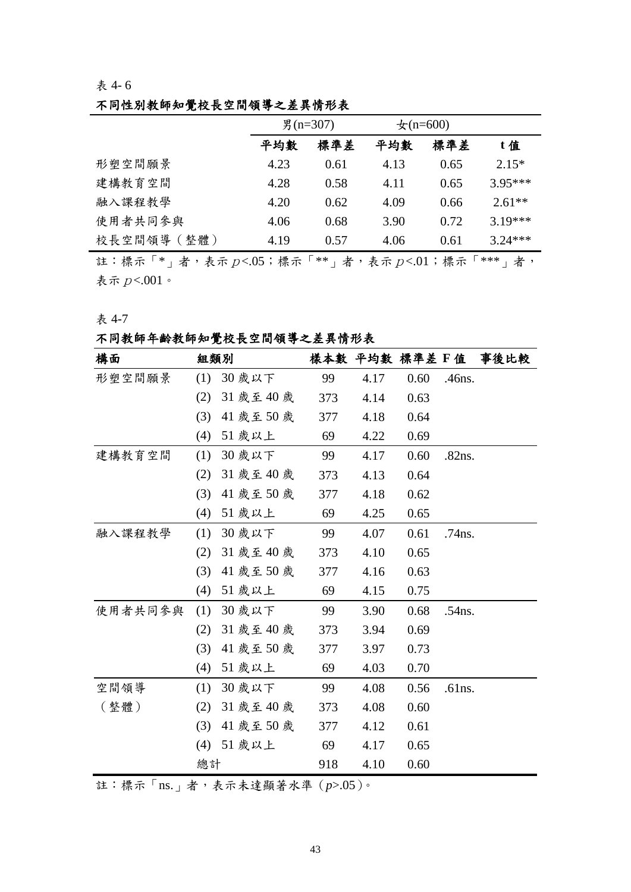## 不同性別教師知覺校長空間領導之差異情形表

|             | 男 (n=307) |      | $\pm$ (n=600) |      |           |
|-------------|-----------|------|---------------|------|-----------|
|             | 平均數       | 標準差  | 平均數           | 標準差  | t值        |
| 形塑空間願景      | 4.23      | 0.61 | 4.13          | 0.65 | $2.15*$   |
| 建構教育空間      | 4.28      | 0.58 | 4.11          | 0.65 | $3.95***$ |
| 融入課程教學      | 4.20      | 0.62 | 4.09          | 0.66 | $2.61**$  |
| 使用者共同参與     | 4.06      | 0.68 | 3.90          | 0.72 | $3.19***$ |
| 校長空間領導 (整體) | 4.19      | 0.57 | 4.06          | 0.61 | $3.24***$ |

註:標示「\*」者,表示 $p$ <.05;標示「\*\*」者,表示 $p$ <.01;標示「\*\*\*」者, 表示  $p<.001$ 。

### 表 4-7

## 不同教師年齡教師知覺校長空間領導之差異情形表

| 構面      | 組類別 |            |     | 樣本數 平均數 標準差 F 值 |      |           | 事後比較 |
|---------|-----|------------|-----|-----------------|------|-----------|------|
| 形塑空間願景  | (1) | 30 歲以下     | 99  | 4.17            | 0.60 | .46ns.    |      |
|         | (2) | 31 歲至 40 歲 | 373 | 4.14            | 0.63 |           |      |
|         | (3) | 41 歲至 50 歲 | 377 | 4.18            | 0.64 |           |      |
|         | (4) | 51 歲以上     | 69  | 4.22            | 0.69 |           |      |
| 建構教育空間  | (1) | 30 歲以下     | 99  | 4.17            | 0.60 | .82ns.    |      |
|         | (2) | 31 歲至 40 歲 | 373 | 4.13            | 0.64 |           |      |
|         | (3) | 41 歲至 50 歲 | 377 | 4.18            | 0.62 |           |      |
|         | (4) | 51 歲以上     | 69  | 4.25            | 0.65 |           |      |
| 融入課程教學  | (1) | 30 歲以下     | 99  | 4.07            | 0.61 | $.74$ ns. |      |
|         | (2) | 31 歲至 40 歲 | 373 | 4.10            | 0.65 |           |      |
|         | (3) | 41 歲至 50 歲 | 377 | 4.16            | 0.63 |           |      |
|         | (4) | 51 歲以上     | 69  | 4.15            | 0.75 |           |      |
| 使用者共同参與 | (1) | 30 歲以下     | 99  | 3.90            | 0.68 | .54ns.    |      |
|         | (2) | 31 歲至 40 歲 | 373 | 3.94            | 0.69 |           |      |
|         | (3) | 41 歲至 50 歲 | 377 | 3.97            | 0.73 |           |      |
|         | (4) | 51 歲以上     | 69  | 4.03            | 0.70 |           |      |
| 空間領導    | (1) | 30 歲以下     | 99  | 4.08            | 0.56 | .61ns.    |      |
| (整體)    | (2) | 31 歲至 40 歲 | 373 | 4.08            | 0.60 |           |      |
|         | (3) | 41 歲至 50 歲 | 377 | 4.12            | 0.61 |           |      |
|         | (4) | 51 歲以上     | 69  | 4.17            | 0.65 |           |      |
|         | 總計  |            | 918 | 4.10            | 0.60 |           |      |

註:標示「ns.」者,表示未達顯著水準(*p*>.05)。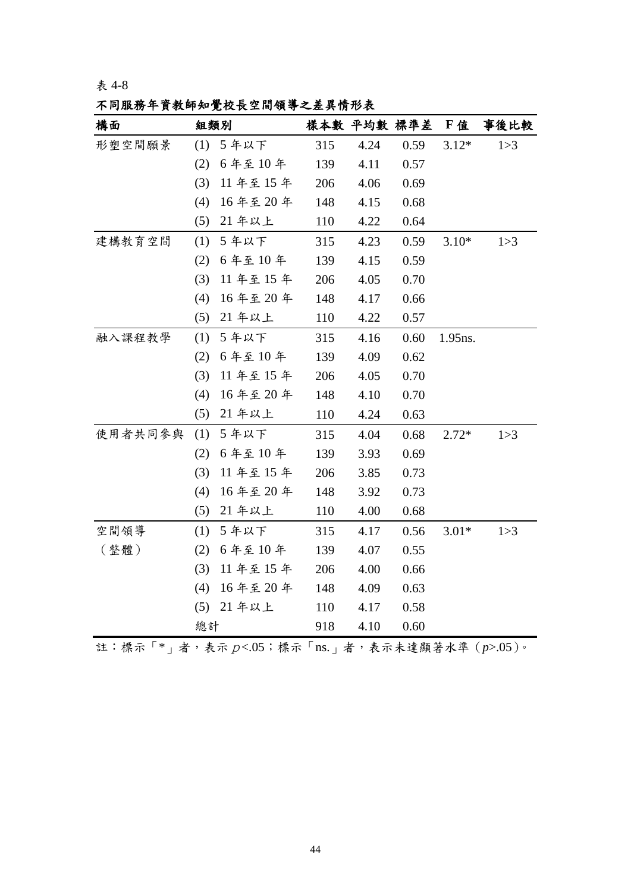不同服務年資教師知覺校長空間領導之差異情形表

| 構面      | 組類別 |         |     |      | 樣本數 平均數 標準差 下值 |         | 事後比較  |
|---------|-----|---------|-----|------|----------------|---------|-------|
| 形塑空間願景  | (1) | 5年以下    | 315 | 4.24 | 0.59           | $3.12*$ | 1 > 3 |
|         | (2) | 6年至10年  | 139 | 4.11 | 0.57           |         |       |
|         | (3) | 11年至15年 | 206 | 4.06 | 0.69           |         |       |
|         | (4) | 16年至20年 | 148 | 4.15 | 0.68           |         |       |
|         | (5) | 21 年以上  | 110 | 4.22 | 0.64           |         |       |
| 建構教育空間  | (1) | 5年以下    | 315 | 4.23 | 0.59           | $3.10*$ | 1 > 3 |
|         | (2) | 6年至10年  | 139 | 4.15 | 0.59           |         |       |
|         | (3) | 11年至15年 | 206 | 4.05 | 0.70           |         |       |
|         | (4) | 16年至20年 | 148 | 4.17 | 0.66           |         |       |
|         | (5) | 21 年以上  | 110 | 4.22 | 0.57           |         |       |
| 融入課程教學  | (1) | 5年以下    | 315 | 4.16 | 0.60           | 1.95ns. |       |
|         | (2) | 6年至10年  | 139 | 4.09 | 0.62           |         |       |
|         | (3) | 11年至15年 | 206 | 4.05 | 0.70           |         |       |
|         | (4) | 16年至20年 | 148 | 4.10 | 0.70           |         |       |
|         | (5) | 21 年以上  | 110 | 4.24 | 0.63           |         |       |
| 使用者共同参與 | (1) | 5年以下    | 315 | 4.04 | 0.68           | $2.72*$ | 1 > 3 |
|         | (2) | 6年至10年  | 139 | 3.93 | 0.69           |         |       |
|         | (3) | 11年至15年 | 206 | 3.85 | 0.73           |         |       |
|         | (4) | 16年至20年 | 148 | 3.92 | 0.73           |         |       |
|         | (5) | 21 年以上  | 110 | 4.00 | 0.68           |         |       |
| 空間領導    | (1) | 5年以下    | 315 | 4.17 | 0.56           | $3.01*$ | 1 > 3 |
| (整體)    | (2) | 6年至10年  | 139 | 4.07 | 0.55           |         |       |
|         | (3) | 11年至15年 | 206 | 4.00 | 0.66           |         |       |
|         | (4) | 16年至20年 | 148 | 4.09 | 0.63           |         |       |
|         | (5) | 21 年以上  | 110 | 4.17 | 0.58           |         |       |
|         | 總計  |         | 918 | 4.10 | 0.60           |         |       |

註:標示「\*」者,表示p<.05;標示「ns.」者,表示未達顯著水準(*p*>.05)。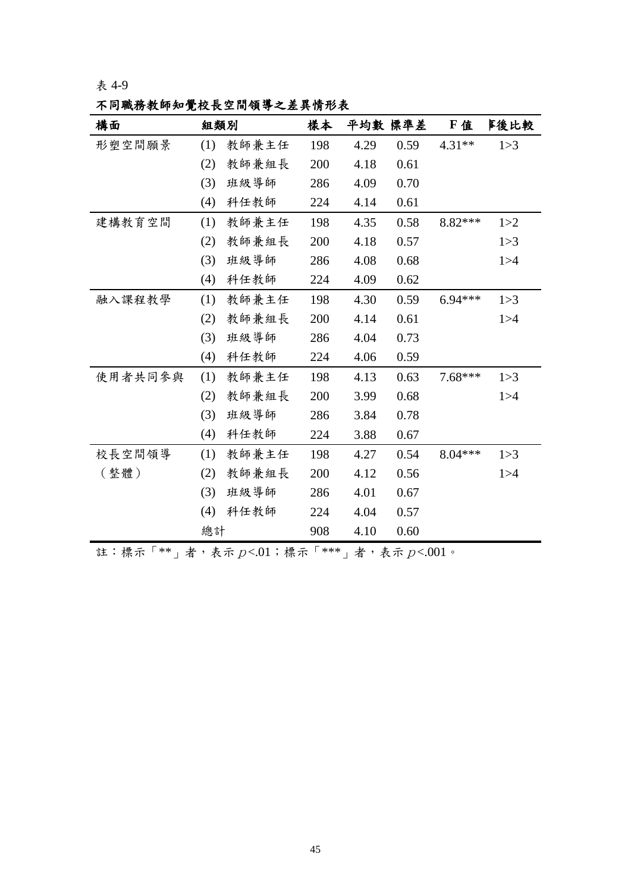不同職務教師知覺校長空間領導之差異情形表

| 構面      | 組類別 |       | 樣本  |      | 平均數 標準差 | F值        | <b>旱後比較</b> |
|---------|-----|-------|-----|------|---------|-----------|-------------|
| 形塑空間願景  | (1) | 教師兼主任 | 198 | 4.29 | 0.59    | 4.31**    | 1 > 3       |
|         | (2) | 教師兼組長 | 200 | 4.18 | 0.61    |           |             |
|         | (3) | 班級導師  | 286 | 4.09 | 0.70    |           |             |
|         | (4) | 科任教師  | 224 | 4.14 | 0.61    |           |             |
| 建構教育空間  | (1) | 教師兼主任 | 198 | 4.35 | 0.58    | 8.82***   | 1 > 2       |
|         | (2) | 教師兼組長 | 200 | 4.18 | 0.57    |           | 1 > 3       |
|         | (3) | 班級導師  | 286 | 4.08 | 0.68    |           | 1 > 4       |
|         | (4) | 科任教師  | 224 | 4.09 | 0.62    |           |             |
| 融入課程教學  | (1) | 教師兼主任 | 198 | 4.30 | 0.59    | $6.94***$ | 1 > 3       |
|         | (2) | 教師兼組長 | 200 | 4.14 | 0.61    |           | 1 > 4       |
|         | (3) | 班級導師  | 286 | 4.04 | 0.73    |           |             |
|         | (4) | 科任教師  | 224 | 4.06 | 0.59    |           |             |
| 使用者共同参與 | (1) | 教師兼主任 | 198 | 4.13 | 0.63    | $7.68***$ | 1 > 3       |
|         | (2) | 教師兼組長 | 200 | 3.99 | 0.68    |           | 1 > 4       |
|         | (3) | 班級導師  | 286 | 3.84 | 0.78    |           |             |
|         | (4) | 科任教師  | 224 | 3.88 | 0.67    |           |             |
| 校長空間領導  | (1) | 教師兼主任 | 198 | 4.27 | 0.54    | $8.04***$ | 1 > 3       |
| (整體)    | (2) | 教師兼組長 | 200 | 4.12 | 0.56    |           | 1 > 4       |
|         | (3) | 班級導師  | 286 | 4.01 | 0.67    |           |             |
|         | (4) | 科任教師  | 224 | 4.04 | 0.57    |           |             |
|         | 總計  |       | 908 | 4.10 | 0.60    |           |             |

註:標示「\*\*」者,表示 $p<.01$ ;標示「\*\*\*」者,表示 $p<.001$ 。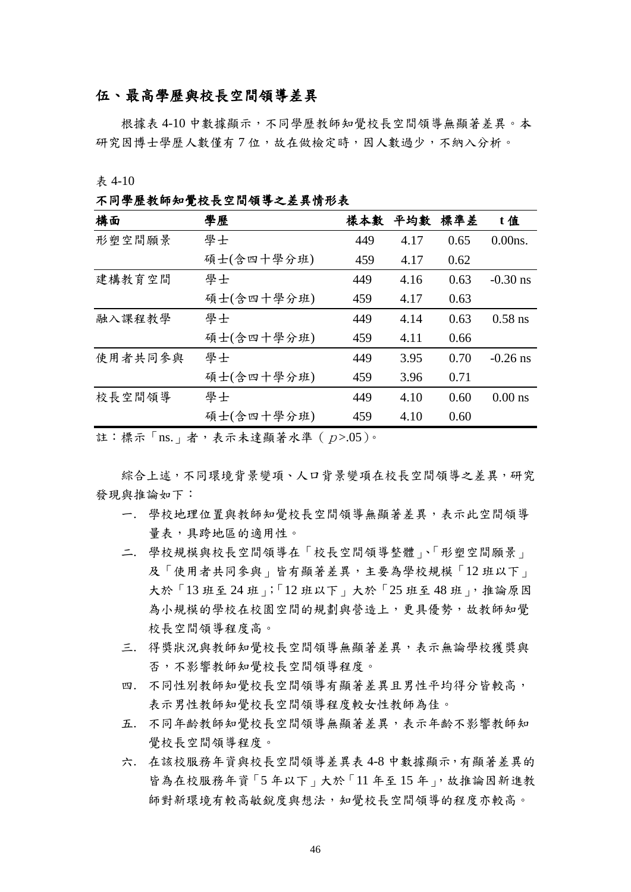### 伍、最高學歷與校長空間領導差異

根據表 4-10 中數據顯示,不同學歷教師知覺校長空間領導無顯著差異。本 研究因博士學歷人數僅有7位,故在做檢定時,因人數過少,不納入分析。

表 4-10

不同學歷教師知覺校長空間領導之差異情形表

| 構面      | 學歷         | 樣本數 | 平均數  | 標準差  | t值         |
|---------|------------|-----|------|------|------------|
| 形塑空間願景  | 學士         | 449 | 4.17 | 0.65 | $0.00ns$ . |
|         | 碩士(含四十學分班) | 459 | 4.17 | 0.62 |            |
| 建構教育空間  | 學士         | 449 | 4.16 | 0.63 | $-0.30$ ns |
|         | 碩士(含四十學分班) | 459 | 4.17 | 0.63 |            |
| 融入課程教學  | 學士         | 449 | 4.14 | 0.63 | $0.58$ ns  |
|         | 碩士(含四十學分班) | 459 | 4.11 | 0.66 |            |
| 使用者共同参與 | 學士         | 449 | 3.95 | 0.70 | $-0.26$ ns |
|         | 碩士(含四十學分班) | 459 | 3.96 | 0.71 |            |
| 校長空間領導  | 學士         | 449 | 4.10 | 0.60 | $0.00$ ns  |
|         | 碩士(含四十學分班) | 459 | 4.10 | 0.60 |            |

註:標示「ns.」者,表示未達顯著水準 ( $p$ >.05)。

綜合上述,不同環境背景變項、人口背景變項在校長空間領導之差異,研究 發現與推論如下:

- 一. 學校地理位置與教師知覺校長空間領導無顯著差異,表示此空間領導 量表,具跨地區的適用性。
- 二. 學校規模與校長空間領導在「校長空間領導整體」、「形塑空間願景」 及「使用者共同參與」皆有顯著差異,主要為學校規模「12 班以下」 大於「13班至 24班」;「12班以下」大於「25班至48班」,推論原因 為小規模的學校在校園空間的規劃與營造上,更具優勢,故教師知覺 校長空間領導程度高。
- 三. 得獎狀況與教師知覺校長空間領導無顯著差異,表示無論學校獲獎與 否,不影響教師知覺校長空間領導程度。
- 四. 不同性別教師知覺校長空間領導有顯著差異且男性平均得分皆較高, 表示男性教師知覺校長空間領導程度較女性教師為佳。
- 五. 不同年齡教師知覺校長空間領導無顯著差異,表示年齡不影響教師知 覺校長空間領導程度。
- 六. 在該校服務年資與校長空間領導差異表 4-8 中數據顯示,有顯著差異的 皆為在校服務年資「5 年以下」大於「11 年至 15 年」,故推論因新進教 師對新環境有較高敏銳度與想法,知覺校長空間領導的程度亦較高。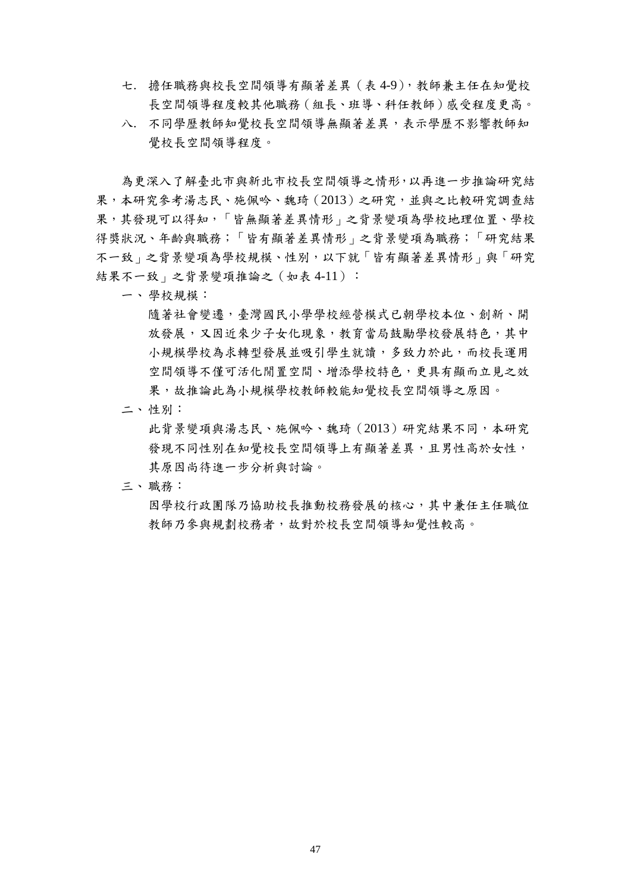- 七. 擔任職務與校長空間領導有顯著差異(表 4-9),教師兼主任在知覺校 長空間領導程度較其他職務(組長、班導、科任教師)感受程度更高。
- 八. 不同學歷教師知覺校長空間領導無顯著差異,表示學歷不影響教師知 覺校長空間領導程度。

為更深入了解臺北市與新北市校長空間領導之情形,以再進一步推論研究結 果,本研究參考湯志民、施佩吟、魏琦(2013)之研究,並與之比較研究調查結 果,其發現可以得知,「皆無顯著差異情形」之背景變項為學校地理位置、學校 得獎狀況、年齡與職務;「皆有顯著差異情形」之背景變項為職務;「研究結果 不一致」之背景變項為學校規模、性別,以下就「皆有顯著差異情形」與「研究 結果不一致」之背景變項推論之(如表 4-11):

一、學校規模:

隨著社會變遷,臺灣國民小學學校經營模式已朝學校本位、創新、開 放發展,又因近來少子女化現象,教育當局鼓勵學校發展特色,其中 小規模學校為求轉型發展並吸引學生就讀,多致力於此,而校長運用 空間領導不僅可活化閒置空間、增添學校特色,更具有顯而立見之效 果,故推論此為小規模學校教師較能知覺校長空間領導之原因。

二、性別:

此背景變項與湯志民、施佩吟、魏琦(2013)研究結果不同,本研究 發現不同性別在知覺校長空間領導上有顯著差異,且男性高於女性, 其原因尚待進一步分析與討論。

三、職務:

因學校行政團隊乃協助校長推動校務發展的核心,其中兼任主任職位 教師乃參與規劃校務者,故對於校長空間領導知覺性較高。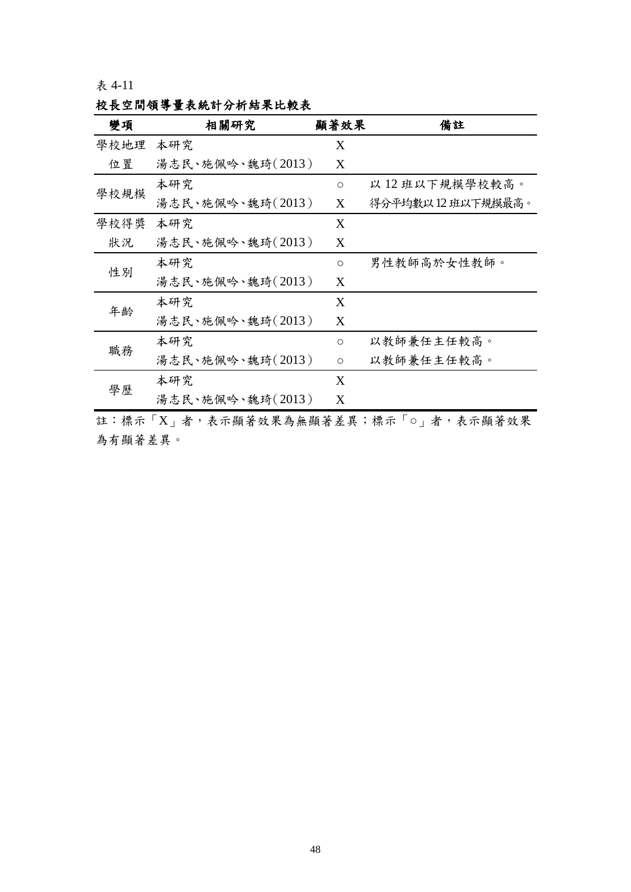| 變項   | 相關研究             | 顯著效果    | 備註               |
|------|------------------|---------|------------------|
| 學校地理 | 本研究              | X       |                  |
| 位置   | 湯志民、施佩吟、魏琦(2013) | X       |                  |
|      | 本研究              | $\circ$ | 以12班以下規模學校較高。    |
| 學校規模 | 湯志民、施佩吟、魏琦(2013) | X       | 得分平均數以12班以下規模最高。 |
| 學校得獎 | 本研究              | X       |                  |
| 狀況   | 湯志民、施佩吟、魏琦(2013) | X       |                  |
|      | 本研究              | $\circ$ | 男性教師高於女性教師。      |
| 性別   | 湯志民、施佩吟、魏琦(2013) | X       |                  |
| 年齢   | 本研究              | X       |                  |
|      | 湯志民、施佩吟、魏琦(2013) | X       |                  |
|      | 本研究              | $\circ$ | 以教師兼任主任較高。       |
| 職務   | 湯志民、施佩吟、魏琦(2013) | $\circ$ | 以教師兼任主任較高。       |
| 學歷   | 本研究              | X       |                  |
|      | 湯志民、施佩吟、魏琦(2013) | X       |                  |

校長空間領導量表統計分析結果比較表

註:標示「X」者,表示顯著效果為無顯著差異;標示「○」者,表示顯著效果 為有顯著差異。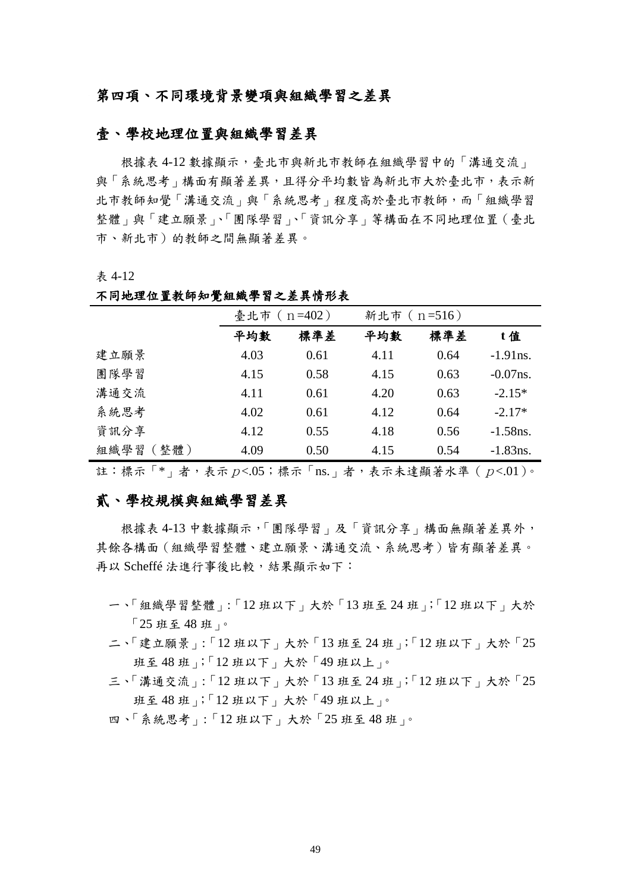### 第四項、不同環境背景變項與組織學習之差異

### 壹、學校地理位置與組織學習差異

根據表 4-12 數據顯示,臺北市與新北市教師在組織學習中的「溝通交流」 與「系統思考」構面有顯著差異,且得分平均數皆為新北市大於臺北市,表示新 北市教師知覺「溝通交流」與「系統思考」程度高於臺北市教師,而「組織學習 整體」與「建立願景」、「團隊學習」、「資訊分享」等構面在不同地理位置(臺北 市、新北市)的教師之間無顯著差異。

表 4-12

| 小门心在严且认听 "兄姐俩于目 ~ 左六月 1/1 个 |                   |      |             |      |             |  |  |
|-----------------------------|-------------------|------|-------------|------|-------------|--|--|
|                             | 臺北市 ( $n = 402$ ) |      | 新北市 (n=516) |      |             |  |  |
|                             | 平均數               | 標準差  | 平均數         | 標準差  | t值          |  |  |
| 建立願景                        | 4.03              | 0.61 | 4.11        | 0.64 | $-1.91$ ns. |  |  |
| 團隊學習                        | 4.15              | 0.58 | 4.15        | 0.63 | $-0.07$ ns. |  |  |
| 溝通交流                        | 4.11              | 0.61 | 4.20        | 0.63 | $-2.15*$    |  |  |
| 系統思考                        | 4.02              | 0.61 | 4.12        | 0.64 | $-2.17*$    |  |  |
| 資訊分享                        | 4.12              | 0.55 | 4.18        | 0.56 | $-1.58$ ns. |  |  |
| 組織學習 (整體)                   | 4.09              | 0.50 | 4.15        | 0.54 | $-1.83$ ns. |  |  |

不同地理位置教師知覺組織學習之差異情形表

註:標示「\*」者,表示 $p$ <.05;標示「ns.」者,表示未達顯著水準 ( $p$ <.01)。

## 貳、學校規模與組織學習差異

根據表 4-13 中數據顯示,「團隊學習」及「資訊分享」構面無顯著差異外, 其餘各構面(組織學習整體、建立願景、溝通交流、系統思考)皆有顯著差異。 再以 Scheffé 法進行事後比較,結果顯示如下:

- 一、「組織學習整體」:「12 班以下」大於「13 班至 24 班」;「12 班以下」大於 「25 班至 48 班」。
- 二、「建立願景」:「12 班以下」大於「13 班至 24 班」;「12 班以下」大於「25 班至 48 班」;「12 班以下」大於「49 班以上」。
- 三、「溝通交流」:「12 班以下」大於「13 班至 24 班」;「12 班以下」大於「25 班至 48 班」;「12 班以下」大於「49 班以上」。
- 四、「系統思考」:「12 班以下」大於「25 班至 48 班」。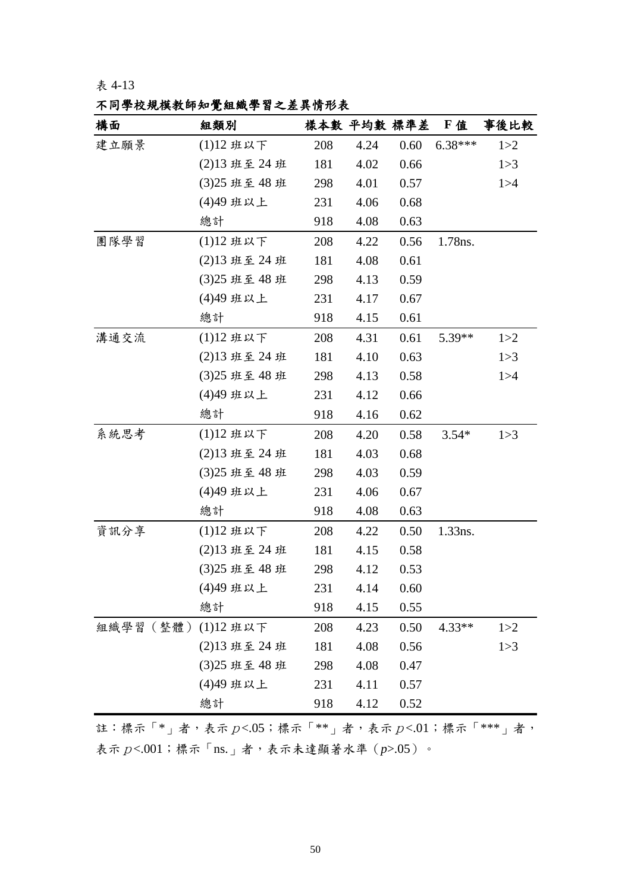# 不同學校規模教師知覺組織學習之差異情形表

| 構面       | 組類別           |     |      | 樣本數 平均數 標準差 F值 |           | 事後比較  |
|----------|---------------|-----|------|----------------|-----------|-------|
| 建立願景     | (1)12班以下      | 208 | 4.24 | 0.60           | $6.38***$ | 1 > 2 |
|          | (2)13 班至 24 班 | 181 | 4.02 | 0.66           |           | 1 > 3 |
|          | (3)25 班至 48 班 | 298 | 4.01 | 0.57           |           | 1 > 4 |
|          | (4)49 班以上     | 231 | 4.06 | 0.68           |           |       |
|          | 總計            | 918 | 4.08 | 0.63           |           |       |
| 團隊學習     | (1)12班以下      | 208 | 4.22 | 0.56           | 1.78ns.   |       |
|          | (2)13 班至 24 班 | 181 | 4.08 | 0.61           |           |       |
|          | (3)25 班至 48 班 | 298 | 4.13 | 0.59           |           |       |
|          | (4)49 班以上     | 231 | 4.17 | 0.67           |           |       |
|          | 總計            | 918 | 4.15 | 0.61           |           |       |
| 溝通交流     | (1)12班以下      | 208 | 4.31 | 0.61           | 5.39**    | 1 > 2 |
|          | (2)13 班至 24 班 | 181 | 4.10 | 0.63           |           | 1 > 3 |
|          | (3)25 班至 48 班 | 298 | 4.13 | 0.58           |           | 1 > 4 |
|          | (4)49 班以上     | 231 | 4.12 | 0.66           |           |       |
|          | 總計            | 918 | 4.16 | 0.62           |           |       |
| 系統思考     | (1)12班以下      | 208 | 4.20 | 0.58           | $3.54*$   | 1 > 3 |
|          | (2)13 班至 24 班 | 181 | 4.03 | 0.68           |           |       |
|          | (3)25 班至 48 班 | 298 | 4.03 | 0.59           |           |       |
|          | (4)49 班以上     | 231 | 4.06 | 0.67           |           |       |
|          | 總計            | 918 | 4.08 | 0.63           |           |       |
| 資訊分享     | (1)12班以下      | 208 | 4.22 | 0.50           | 1.33ns.   |       |
|          | (2)13 班至 24 班 | 181 | 4.15 | 0.58           |           |       |
|          | (3)25 班至 48 班 | 298 | 4.12 | 0.53           |           |       |
|          | (4)49 班以上     | 231 | 4.14 | 0.60           |           |       |
|          | 總計            | 918 | 4.15 | 0.55           |           |       |
| 組織學習(整體) | (1)12 班以下     | 208 | 4.23 | 0.50           | $4.33**$  | 1 > 2 |
|          | (2)13 班至 24 班 | 181 | 4.08 | 0.56           |           | 1 > 3 |
|          | (3)25 班至 48 班 | 298 | 4.08 | 0.47           |           |       |
|          | (4)49 班以上     | 231 | 4.11 | 0.57           |           |       |
|          | 總計            | 918 | 4.12 | 0.52           |           |       |

註:標示「 $*$ 」者,表示p<.05;標示「 $*$ \*」者,表示p<.01;標示「 $*$ \*\*」者, 表示p<.001;標示「ns.」者,表示未達顯著水準(*p*>.05)。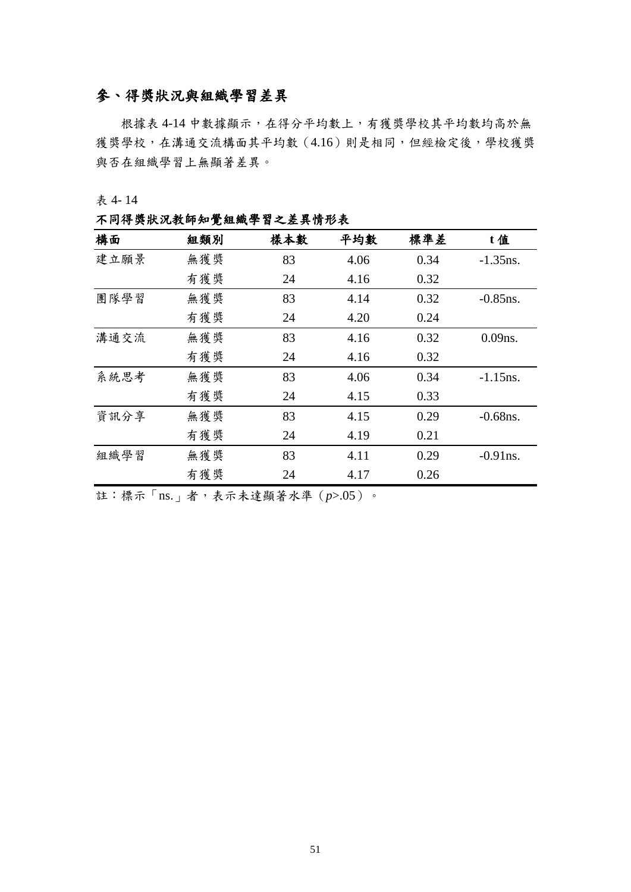# 參、得獎狀況與組織學習差異

根據表 4-14 中數據顯示,在得分平均數上,有獲獎學校其平均數均高於無 獲獎學校,在溝通交流構面其平均數(4.16)則是相同,但經檢定後,學校獲獎 與否在組織學習上無顯著差異。

表 4- 14

不同得獎狀況教師知覺組織學習之差異情形表

| 構面   | 組類別 | 樣本數 | 平均數  | 標準差  | t值          |
|------|-----|-----|------|------|-------------|
| 建立願景 | 無獲獎 | 83  | 4.06 | 0.34 | $-1.35$ ns. |
|      | 有獲獎 | 24  | 4.16 | 0.32 |             |
| 團隊學習 | 無獲獎 | 83  | 4.14 | 0.32 | $-0.85$ ns. |
|      | 有獲獎 | 24  | 4.20 | 0.24 |             |
| 溝通交流 | 無獲獎 | 83  | 4.16 | 0.32 | $0.09$ ns.  |
|      | 有獲獎 | 24  | 4.16 | 0.32 |             |
| 系統思考 | 無獲獎 | 83  | 4.06 | 0.34 | $-1.15$ ns. |
|      | 有獲獎 | 24  | 4.15 | 0.33 |             |
| 資訊分享 | 無獲獎 | 83  | 4.15 | 0.29 | $-0.68$ ns. |
|      | 有獲獎 | 24  | 4.19 | 0.21 |             |
| 組織學習 | 無獲獎 | 83  | 4.11 | 0.29 | $-0.91$ ns. |
|      | 有獲獎 | 24  | 4.17 | 0.26 |             |

註:標示「ns.」者,表示未達顯著水準(*p*>.05)。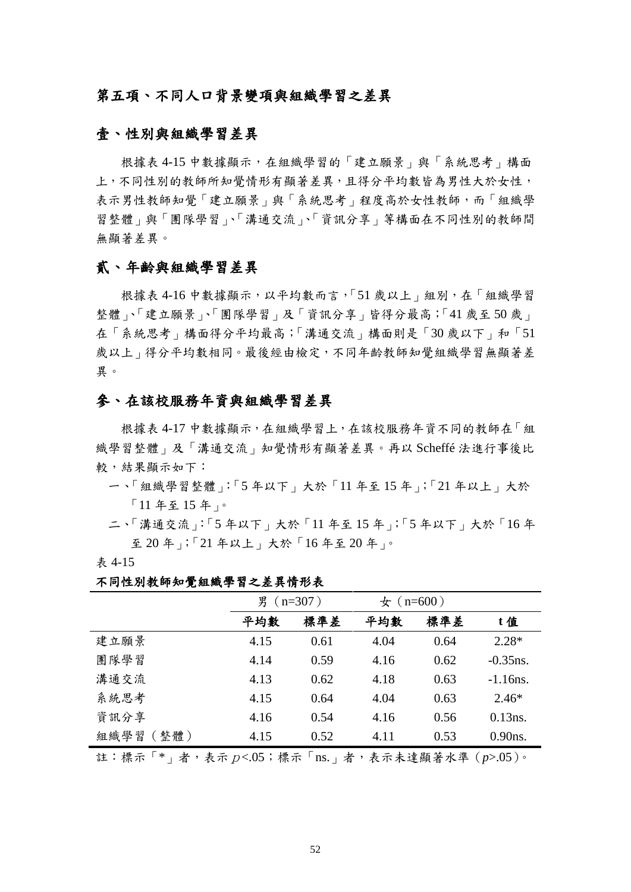### 第五項、不同人口背景變項與組織學習之差異

### 壹、性別與組織學習差異

根據表 4-15 中數據顯示,在組織學習的「建立願景」與「系統思考」構面 上,不同性別的教師所知覺情形有顯著差異,且得分平均數皆為男性大於女性, 表示男性教師知覺「建立願景」與「系統思考」程度高於女性教師,而「組織學 習整體」與「團隊學習」、「溝通交流」、「資訊分享」等構面在不同性別的教師間 無顯著差異。

### 貳、年齡與組織學習差異

根據表 4-16 中數據顯示,以平均數而言,「51 歲以上」組別,在「組織學習 整體」、「建立願景」、「團隊學習」及「資訊分享」皆得分最高;「41 歲至50 歲」 在「系統思考」構面得分平均最高;「溝通交流」構面則是「30 歲以下」和「51 歲以上 | 得分平均數相同。最後經由檢定,不同年齡教師知覺組織學習無顯著差 異。

### 參、在該校服務年資與組織學習差異

根據表 4-17 中數據顯示,在組織學習上,在該校服務年資不同的教師在「組 織學習整體」及「溝通交流」知覺情形有顯著差異。再以 Scheffé 法進行事後比 較,結果顯示如下:

- 一、「組織學習整體」:「5 年以下」大於「11 年至 15 年」;「21 年以上」大於 「11 年至 15 年」。
- 二、「溝通交流」:「5 年以下」大於「11 年至 15 年」;「5 年以下」大於「16 年 至 20 年」;「21 年以上」大於「16 年至 20 年」。
- 表 4-15

不同性別教師知覺組織學習之差異情形表

|              | 男 ( $n=307$ ) |      | $\pm$ (n=600) |      |             |
|--------------|---------------|------|---------------|------|-------------|
|              | 平均數           | 標準差  | 平均數           | 標準差  | t值          |
| 建立願景         | 4.15          | 0.61 | 4.04          | 0.64 | $2.28*$     |
| 團隊學習         | 4.14          | 0.59 | 4.16          | 0.62 | $-0.35$ ns. |
| 溝通交流         | 4.13          | 0.62 | 4.18          | 0.63 | $-1.16$ ns. |
| 系統思考         | 4.15          | 0.64 | 4.04          | 0.63 | $2.46*$     |
| 資訊分享         | 4.16          | 0.54 | 4.16          | 0.56 | $0.13$ ns.  |
| (整體)<br>組織學習 | 4.15          | 0.52 | 4.11          | 0.53 | $0.90$ ns.  |

註:標示「\*」者,表示p<.05;標示「ns.」者,表示未達顯著水準(*p*>.05)。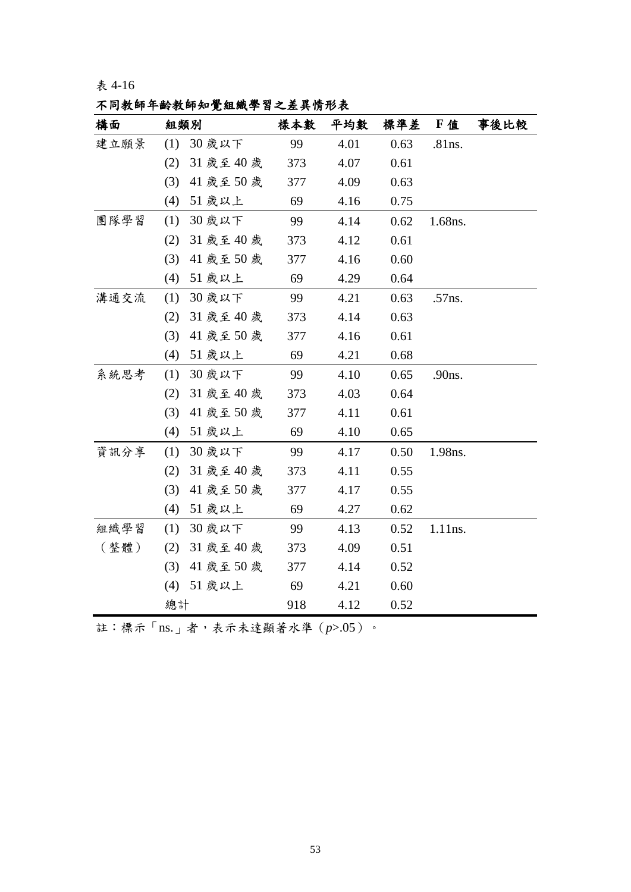表 4-16

| 不同教師年齡教師知覺組織學習之差異情形表 |  |  |
|----------------------|--|--|
|----------------------|--|--|

| 構面   | 組類別               | 樣本數 | 平均數  | 標準差  | F值      | 事後比較 |
|------|-------------------|-----|------|------|---------|------|
| 建立願景 | (1) 30 歲以下        | 99  | 4.01 | 0.63 | .81ns.  |      |
|      | 31 歲至 40 歲<br>(2) | 373 | 4.07 | 0.61 |         |      |
|      | (3)<br>41 歲至 50 歲 | 377 | 4.09 | 0.63 |         |      |
|      | (4)<br>51 歲以上     | 69  | 4.16 | 0.75 |         |      |
| 團隊學習 | (1)<br>30 歲以下     | 99  | 4.14 | 0.62 | 1.68ns. |      |
|      | (2)<br>31 歲至 40 歲 | 373 | 4.12 | 0.61 |         |      |
|      | (3)<br>41 歲至 50 歲 | 377 | 4.16 | 0.60 |         |      |
|      | (4)<br>51 歲以上     | 69  | 4.29 | 0.64 |         |      |
| 溝通交流 | 30 歲以下<br>(1)     | 99  | 4.21 | 0.63 | .57ns.  |      |
|      | 31 歲至 40 歲<br>(2) | 373 | 4.14 | 0.63 |         |      |
|      | (3)<br>41 歲至 50 歲 | 377 | 4.16 | 0.61 |         |      |
|      | (4)<br>51 歲以上     | 69  | 4.21 | 0.68 |         |      |
| 系統思考 | (1)<br>30 歲以下     | 99  | 4.10 | 0.65 | .90ns.  |      |
|      | (2)<br>31 歲至 40 歲 | 373 | 4.03 | 0.64 |         |      |
|      | (3)<br>41 歲至50 歲  | 377 | 4.11 | 0.61 |         |      |
|      | 51 歲以上<br>(4)     | 69  | 4.10 | 0.65 |         |      |
| 資訊分享 | (1)<br>30 歲以下     | 99  | 4.17 | 0.50 | 1.98ns. |      |
|      | (2)<br>31 歲至 40 歲 | 373 | 4.11 | 0.55 |         |      |
|      | (3)<br>41 歲至 50 歲 | 377 | 4.17 | 0.55 |         |      |
|      | (4)<br>51 歲以上     | 69  | 4.27 | 0.62 |         |      |
| 組織學習 | (1)<br>30 歲以下     | 99  | 4.13 | 0.52 | 1.11ns. |      |
| (整體) | (2)<br>31 歲至 40 歲 | 373 | 4.09 | 0.51 |         |      |
|      | (3)<br>41 歲至 50 歲 | 377 | 4.14 | 0.52 |         |      |
|      | 51 歲以上<br>(4)     | 69  | 4.21 | 0.60 |         |      |
|      | 總計                | 918 | 4.12 | 0.52 |         |      |

註:標示「ns.」者,表示未達顯著水準(*p*>.05)。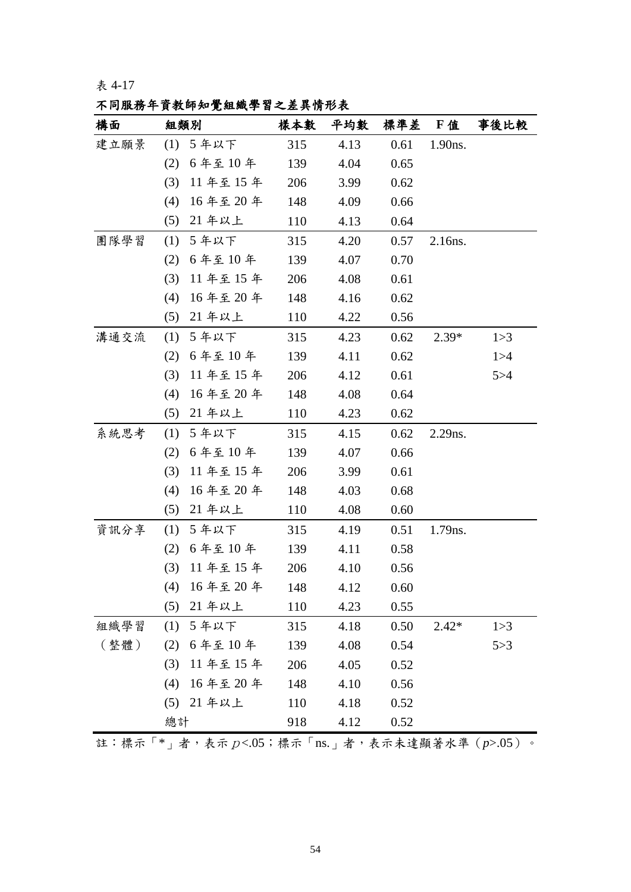表 4-17

|  |  | 不同服務年資教師知覺組織學習之差異情形表 |  |  |  |  |  |  |  |  |  |  |  |  |  |  |  |
|--|--|----------------------|--|--|--|--|--|--|--|--|--|--|--|--|--|--|--|
|--|--|----------------------|--|--|--|--|--|--|--|--|--|--|--|--|--|--|--|

| 構面   |     | 組類別         | 樣本數 | 平均數  |      | 標準差 F值  | 事後比較  |
|------|-----|-------------|-----|------|------|---------|-------|
| 建立願景 |     | (1) 5年以下    | 315 | 4.13 | 0.61 | 1.90ns. |       |
|      | (2) | 6年至10年      | 139 | 4.04 | 0.65 |         |       |
|      | (3) | 11年至15年     | 206 | 3.99 | 0.62 |         |       |
|      | (4) | 16年至20年     | 148 | 4.09 | 0.66 |         |       |
|      | (5) | 21 年以上      | 110 | 4.13 | 0.64 |         |       |
| 團隊學習 | (1) | 5年以下        | 315 | 4.20 | 0.57 | 2.16ns. |       |
|      | (2) | 6年至10年      | 139 | 4.07 | 0.70 |         |       |
|      | (3) | 11年至15年     | 206 | 4.08 | 0.61 |         |       |
|      | (4) | 16年至20年     | 148 | 4.16 | 0.62 |         |       |
|      | (5) | 21 年以上      | 110 | 4.22 | 0.56 |         |       |
| 溝通交流 | (1) | 5年以下        | 315 | 4.23 | 0.62 | $2.39*$ | 1 > 3 |
|      | (2) | 6年至10年      | 139 | 4.11 | 0.62 |         | 1 > 4 |
|      | (3) | 11年至15年     | 206 | 4.12 | 0.61 |         | 5 > 4 |
|      | (4) | 16年至20年     | 148 | 4.08 | 0.64 |         |       |
|      | (5) | 21 年以上      | 110 | 4.23 | 0.62 |         |       |
| 系統思考 | (1) | 5年以下        | 315 | 4.15 | 0.62 | 2.29ns. |       |
|      | (2) | 6年至10年      | 139 | 4.07 | 0.66 |         |       |
|      | (3) | 11年至15年     | 206 | 3.99 | 0.61 |         |       |
|      | (4) | 16年至20年     | 148 | 4.03 | 0.68 |         |       |
|      | (5) | 21 年以上      | 110 | 4.08 | 0.60 |         |       |
| 資訊分享 |     | (1) 5年以下    | 315 | 4.19 | 0.51 | 1.79ns. |       |
|      | (2) | 6年至10年      | 139 | 4.11 | 0.58 |         |       |
|      | (3) | 11年至15年     | 206 | 4.10 | 0.56 |         |       |
|      |     | (4) 16年至20年 | 148 | 4.12 | 0.60 |         |       |
|      | (5) | 21年以上       | 110 | 4.23 | 0.55 |         |       |
| 組織學習 | (1) | 5年以下        | 315 | 4.18 | 0.50 | $2.42*$ | 1 > 3 |
| (整體) | (2) | 6年至10年      | 139 | 4.08 | 0.54 |         | 5 > 3 |
|      | (3) | 11年至15年     | 206 | 4.05 | 0.52 |         |       |
|      | (4) | 16年至20年     | 148 | 4.10 | 0.56 |         |       |
|      | (5) | 21 年以上      | 110 | 4.18 | 0.52 |         |       |
|      | 總計  |             | 918 | 4.12 | 0.52 |         |       |

註:標示「\*」者,表示p<.05;標示「ns.」者,表示未達顯著水準(*p*>.05)。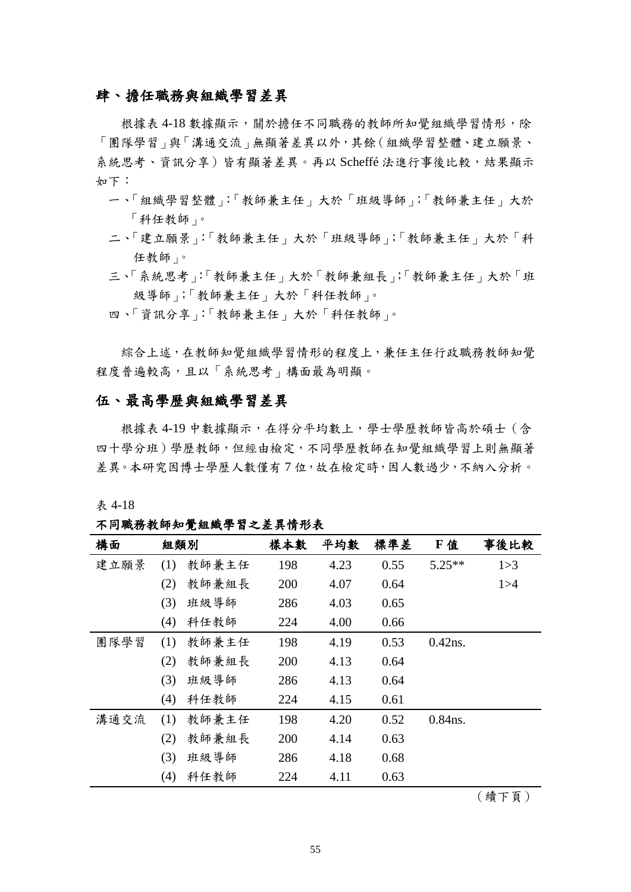### 肆、擔任職務與組織學習差異

根據表 4-18 數據顯示,關於擔任不同職務的教師所知覺組織學習情形,除 「團隊學習」與「溝通交流」無顯著差異以外,其餘(組織學習整體、建立願景、 系統思考、資訊分享)皆有顯著差異。再以 Scheffé 法進行事後比較,結果顯示 如下:

- 一、「組織學習整體」:「教師兼主任」大於「班級導師」;「教師兼主任」大於 「科任教師」。
- 二、「建立願景」:「教師兼主任」大於「班級導師」;「教師兼主任」大於「科 任教師」。
- 三、「系統思考」:「教師兼主任」大於「教師兼組長」;「教師兼主任」大於「班 級導師」;「教師兼主任」大於「科任教師」。
- 四、「資訊分享」:「教師兼主任」大於「科任教師」。

綜合上述,在教師知覺組織學習情形的程度上,兼任主任行政職務教師知覺 程度普遍較高,且以「系統思考」構面最為明顯。

### 伍、最高學歷與組織學習差異

根據表 4-19 中數據顯示,在得分平均數上,學士學歷教師皆高於碩士(含 四十學分班)學歷教師,但經由檢定,不同學歷教師在知覺組織學習上則無顯著 差異。本研究因博士學歷人數僅有7位,故在檢定時,因人數過少,不納入分析。

表 4-18

不同職務教師知覺組織學習之差異情形表

| 構面   | 組類別 |       | 樣本數 | 平均數  | 標準差  | F值         | 事後比較  |
|------|-----|-------|-----|------|------|------------|-------|
| 建立願景 | (1) | 教師兼主任 | 198 | 4.23 | 0.55 | $5.25**$   | 1 > 3 |
|      | (2) | 教師兼組長 | 200 | 4.07 | 0.64 |            | 1 > 4 |
|      | (3) | 班級導師  | 286 | 4.03 | 0.65 |            |       |
|      | (4) | 科任教師  | 224 | 4.00 | 0.66 |            |       |
| 團隊學習 | (1) | 教師兼主任 | 198 | 4.19 | 0.53 | $0.42$ ns. |       |
|      | (2) | 教師兼組長 | 200 | 4.13 | 0.64 |            |       |
|      | (3) | 班級導師  | 286 | 4.13 | 0.64 |            |       |
|      | (4) | 科任教師  | 224 | 4.15 | 0.61 |            |       |
| 溝通交流 | (1) | 教師兼主任 | 198 | 4.20 | 0.52 | $0.84$ ns. |       |
|      | (2) | 教師兼組長 | 200 | 4.14 | 0.63 |            |       |
|      | (3) | 班級導師  | 286 | 4.18 | 0.68 |            |       |
|      | (4) | 科任教師  | 224 | 4.11 | 0.63 |            |       |

(續下頁)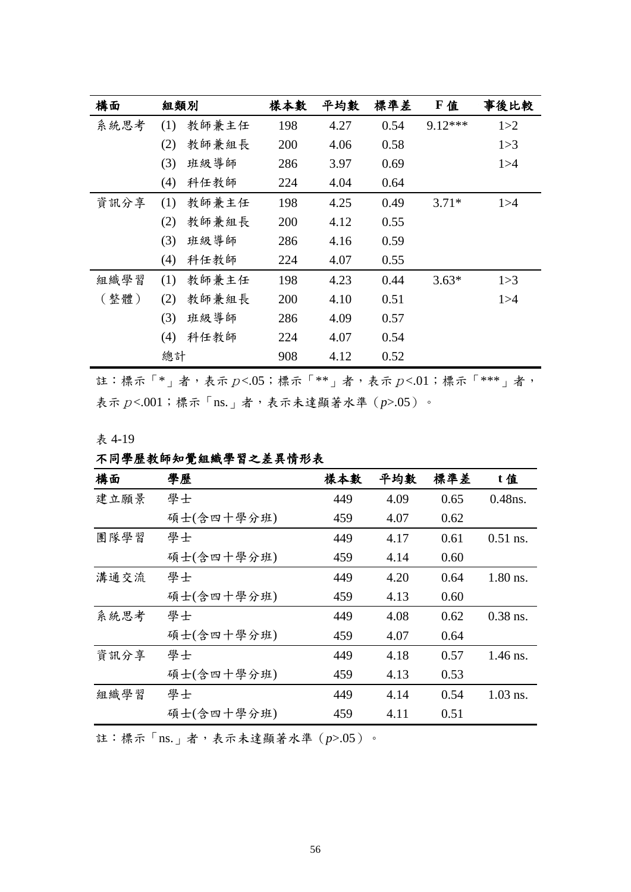| 構面   | 組類別 |       | 樣本數 | 平均數  | 標準差  | F 值       | 事後比較  |
|------|-----|-------|-----|------|------|-----------|-------|
| 系統思考 | (1) | 教師兼主任 | 198 | 4.27 | 0.54 | $9.12***$ | 1 > 2 |
|      | (2) | 教師兼組長 | 200 | 4.06 | 0.58 |           | 1 > 3 |
|      | (3) | 班級導師  | 286 | 3.97 | 0.69 |           | 1 > 4 |
|      | (4) | 科任教師  | 224 | 4.04 | 0.64 |           |       |
| 資訊分享 | (1) | 教師兼主任 | 198 | 4.25 | 0.49 | $3.71*$   | 1 > 4 |
|      | (2) | 教師兼組長 | 200 | 4.12 | 0.55 |           |       |
|      | (3) | 班級導師  | 286 | 4.16 | 0.59 |           |       |
|      | (4) | 科任教師  | 224 | 4.07 | 0.55 |           |       |
| 組織學習 | (1) | 教師兼主任 | 198 | 4.23 | 0.44 | $3.63*$   | 1 > 3 |
| (整體) | (2) | 教師兼組長 | 200 | 4.10 | 0.51 |           | 1 > 4 |
|      | (3) | 班級導師  | 286 | 4.09 | 0.57 |           |       |
|      | (4) | 科任教師  | 224 | 4.07 | 0.54 |           |       |
|      | 總計  |       | 908 | 4.12 | 0.52 |           |       |

註:標示「\*」者,表示p<.05;標示「\*\*」者,表示p<.01;標示「\*\*\*」者, 表示  $p$ <.001;標示「ns.」者,表示未達顯著水準 (p>.05)。

表 4-19

| $\pi$ + $\pi$ |  |  |  |  |  |  |  |                    |  |
|---------------|--|--|--|--|--|--|--|--------------------|--|
|               |  |  |  |  |  |  |  | 不同學歷教師知覺組織學習之差異情形表 |  |

| 構面   | 學歷         | 樣本數 | 平均數  | 標準差  | t值         |
|------|------------|-----|------|------|------------|
| 建立願景 | 學士         | 449 | 4.09 | 0.65 | $0.48$ ns. |
|      | 碩士(含四十學分班) | 459 | 4.07 | 0.62 |            |
| 團隊學習 | 學士         | 449 | 4.17 | 0.61 | $0.51$ ns. |
|      | 碩士(含四十學分班) | 459 | 4.14 | 0.60 |            |
| 溝通交流 | 學士         | 449 | 4.20 | 0.64 | $1.80$ ns. |
|      | 碩士(含四十學分班) | 459 | 4.13 | 0.60 |            |
| 系統思考 | 學士         | 449 | 4.08 | 0.62 | $0.38$ ns. |
|      | 碩士(含四十學分班) | 459 | 4.07 | 0.64 |            |
| 資訊分享 | 學士         | 449 | 4.18 | 0.57 | $1.46$ ns. |
|      | 碩士(含四十學分班) | 459 | 4.13 | 0.53 |            |
| 組織學習 | 學士         | 449 | 4.14 | 0.54 | $1.03$ ns. |
|      | 碩士(含四十學分班) | 459 | 4.11 | 0.51 |            |
|      |            |     |      |      |            |

註:標示「ns.」者,表示未達顯著水準(p>.05)。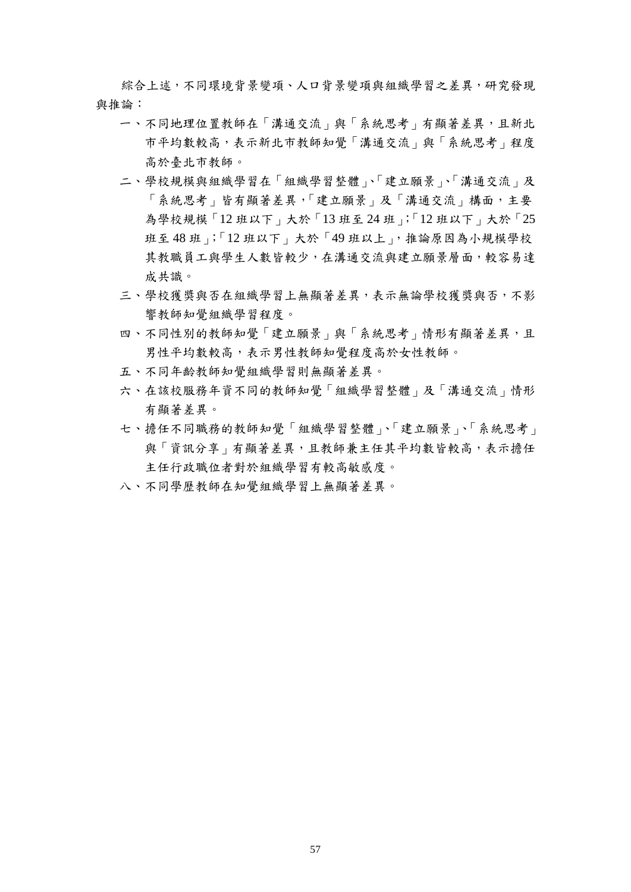綜合上述,不同環境背景變項、人口背景變項與組織學習之差異,研究發現 與推論:

- 一、不同地理位置教師在「溝通交流」與「系統思考」有顯著差異,且新北 市平均數較高,表示新北市教師知覺「溝通交流」與「系統思考」程度 高於臺北市教師。
- 二、學校規模與組織學習在「組織學習整體」、「建立願景」、「溝通交流」及 「系統思考」皆有顯著差異,「建立願景」及「溝通交流」構面,主要 為學校規模「12 班以下」大於「13 班至 24 班」;「12 班以下」大於「25 班至 48 班」;「12 班以下」大於「49 班以上」,推論原因為小規模學校 其教職員工與學生人數皆較少,在溝通交流與建立願景層面,較容易達 成共識。
- 三、學校獲獎與否在組織學習上無顯著差異,表示無論學校獲獎與否,不影 響教師知覺組織學習程度。
- 四、不同性別的教師知覺「建立願景」與「系統思考」情形有顯著差異,且 男性平均數較高,表示男性教師知覺程度高於女性教師。
- 五、不同年齡教師知覺組織學習則無顯著差異。
- 六、在該校服務年資不同的教師知覺「組織學習整體」及「溝通交流」情形 有顯著差異。
- 七、擔任不同職務的教師知覺「組織學習整體」、「建立願景」、「系統思考」 與「資訊分享」有顯著差異,且教師兼主任其平均數皆較高,表示擔任 主任行政職位者對於組織學習有較高敏感度。
- 八、不同學歷教師在知覺組織學習上無顯著差異。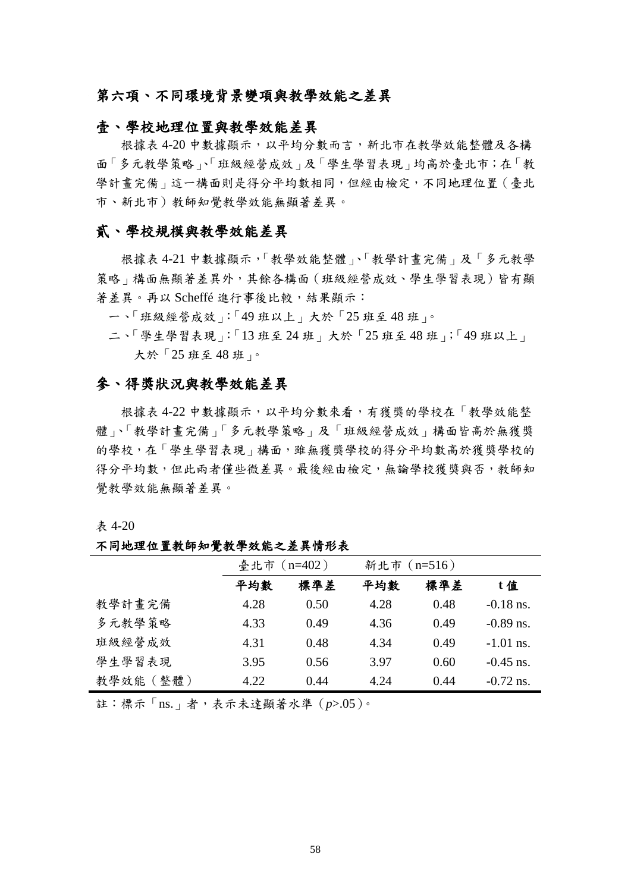### 第六項、不同環境背景變項與教學效能之差異

#### 壹、學校地理位置與教學效能差異

根據表 4-20 中數據顯示, 以平均分數而言, 新北市在教學效能整體及各構 面「多元教學策略」、「班級經營成效」及「學生學習表現」均高於臺北市;在「教 學計書完備」這一構面則是得分平均數相同,但經由檢定,不同地理位置(臺北 市、新北市)教師知覺教學效能無顯著差異。

### 貳、學校規模與教學效能差異

根據表 4-21 中數據顯示,「教學效能整體」、「教學計畫完備」及「多元教學 策略」構面無顯著差異外,其餘各構面(班級經營成效、學生學習表現)皆有顯 著差異。再以 Scheffé 進行事後比較,結果顯示:

一、「班級經營成效」:「49 班以上」大於「25 班至 48 班」。

二、「學生學習表現」:「13 班至 24 班」大於「25 班至 48 班」;「49 班以上」 大於「25 班至 48 班」。

### 參、得獎狀況與教學效能差異

根據表 4-22 中數據顯示,以平均分數來看,有獲獎的學校在「教學效能整 體」、「教學計畫完備」「多元教學策略」及「班級經營成效」構面皆高於無獲獎 的學校,在「學生學習表現」構面,雖無獲獎學校的得分平均數高於獲獎學校的 得分平均數,但此兩者僅些微差異。最後經由檢定,無論學校獲獎與否,教師知 覺教學效能無顯著差異。

表 4-20

#### 不同地理位置教師知覺教學效能之差異情形表

|           | 臺北市 (n=402) |      | 新北市 (n=516) |      |             |
|-----------|-------------|------|-------------|------|-------------|
|           | 平均數         | 標準差  | 平均數         | 標準差  | t值          |
| 教學計畫完備    | 4.28        | 0.50 | 4.28        | 0.48 | $-0.18$ ns. |
| 多元教學策略    | 4.33        | 0.49 | 4.36        | 0.49 | $-0.89$ ns. |
| 班級經營成效    | 4.31        | 0.48 | 4.34        | 0.49 | $-1.01$ ns. |
| 學生學習表現    | 3.95        | 0.56 | 3.97        | 0.60 | $-0.45$ ns. |
| 教學效能 (整體) | 4.22        | 0.44 | 4.24        | 0.44 | $-0.72$ ns. |

註:標示「ns.」者,表示未達顯著水準(*p*>.05)。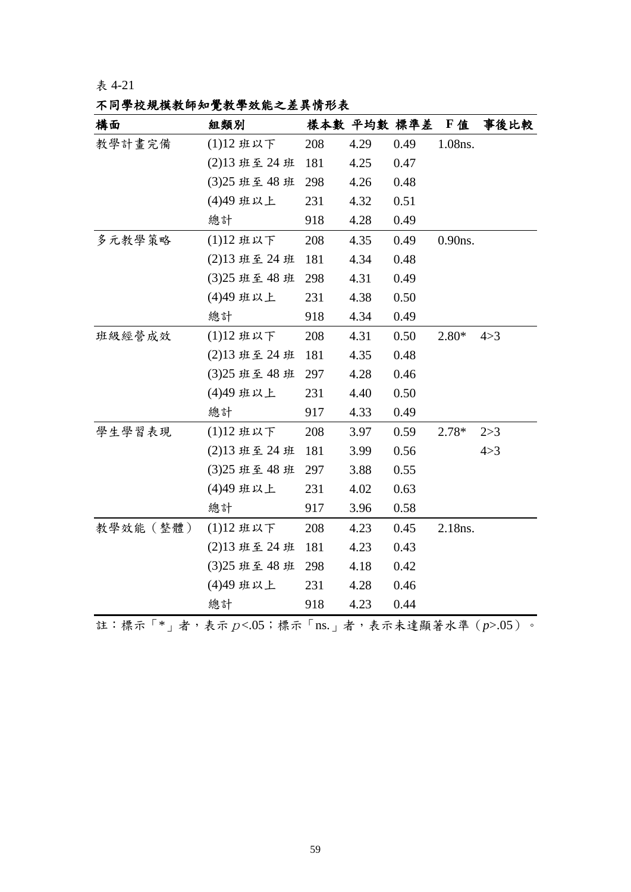# 不同學校規模教師知覺教學效能之差異情形表

| 構面               | 組類別           |     | 樣本數 平均數 標準差 |      | <b>F 值</b> | 事後比較  |
|------------------|---------------|-----|-------------|------|------------|-------|
| 教學計畫完備           | (1)12班以下      | 208 | 4.29        | 0.49 | 1.08ns.    |       |
|                  | (2)13 班至 24 班 | 181 | 4.25        | 0.47 |            |       |
|                  | (3)25 班至 48 班 | 298 | 4.26        | 0.48 |            |       |
|                  | (4)49 班以上     | 231 | 4.32        | 0.51 |            |       |
|                  | 總計            | 918 | 4.28        | 0.49 |            |       |
| 多元教學策略           | (1)12班以下      | 208 | 4.35        | 0.49 | $0.90$ ns. |       |
|                  | (2)13 班至 24 班 | 181 | 4.34        | 0.48 |            |       |
|                  | (3)25 班至 48 班 | 298 | 4.31        | 0.49 |            |       |
|                  | (4)49 班以上     | 231 | 4.38        | 0.50 |            |       |
|                  | 總計            | 918 | 4.34        | 0.49 |            |       |
| 班級經營成效           | (1)12班以下      | 208 | 4.31        | 0.50 | $2.80*$    | 4 > 3 |
|                  | (2)13 班至 24 班 | 181 | 4.35        | 0.48 |            |       |
|                  | (3)25 班至 48 班 | 297 | 4.28        | 0.46 |            |       |
|                  | (4)49 班以上     | 231 | 4.40        | 0.50 |            |       |
|                  | 總計            | 917 | 4.33        | 0.49 |            |       |
| 學生學習表現           | (1)12班以下      | 208 | 3.97        | 0.59 | $2.78*$    | 2 > 3 |
|                  | (2)13 班至 24 班 | 181 | 3.99        | 0.56 |            | 4 > 3 |
|                  | (3)25 班至 48 班 | 297 | 3.88        | 0.55 |            |       |
|                  | (4)49 班以上     | 231 | 4.02        | 0.63 |            |       |
|                  | 總計            | 917 | 3.96        | 0.58 |            |       |
| 教學效能(整體)         | (1)12班以下      | 208 | 4.23        | 0.45 | 2.18ns.    |       |
|                  | (2)13 班至 24 班 | 181 | 4.23        | 0.43 |            |       |
|                  | (3)25 班至 48 班 | 298 | 4.18        | 0.42 |            |       |
|                  | (4)49 班以上     | 231 | 4.28        | 0.46 |            |       |
|                  | 總計            | 918 | 4.23        | 0.44 |            |       |
| $\overline{r}$ . |               |     |             |      |            |       |

註:標示「\*」者,表示p<.05;標示「ns.」者,表示未達顯著水準(*p*>.05)。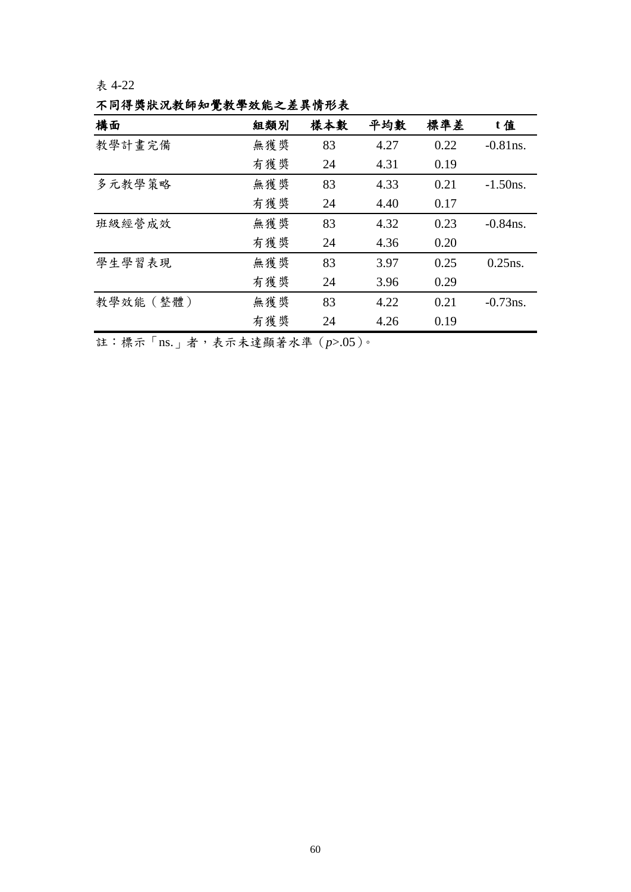表 4-22

不同得獎狀況教師知覺教學效能之差異情形表

| 構面        | 組類別 | 樣本數 | 平均數  | 標準差  | t值          |  |  |  |  |  |
|-----------|-----|-----|------|------|-------------|--|--|--|--|--|
| 教學計畫完備    | 無獲獎 | 83  | 4.27 | 0.22 | $-0.81$ ns. |  |  |  |  |  |
|           | 有獲獎 | 24  | 4.31 | 0.19 |             |  |  |  |  |  |
| 多元教學策略    | 無獲獎 | 83  | 4.33 | 0.21 | $-1.50$ ns. |  |  |  |  |  |
|           | 有獲獎 | 24  | 4.40 | 0.17 |             |  |  |  |  |  |
| 班級經營成效    | 無獲獎 | 83  | 4.32 | 0.23 | $-0.84$ ns. |  |  |  |  |  |
|           | 有獲獎 | 24  | 4.36 | 0.20 |             |  |  |  |  |  |
| 學生學習表現    | 無獲獎 | 83  | 3.97 | 0.25 | $0.25$ ns.  |  |  |  |  |  |
|           | 有獲獎 | 24  | 3.96 | 0.29 |             |  |  |  |  |  |
| 教學效能 (整體) | 無獲獎 | 83  | 4.22 | 0.21 | $-0.73$ ns. |  |  |  |  |  |
|           | 有獲獎 | 24  | 4.26 | 0.19 |             |  |  |  |  |  |
|           |     |     |      |      |             |  |  |  |  |  |

註:標示「ns.」者,表示未達顯著水準(*p*>.05)。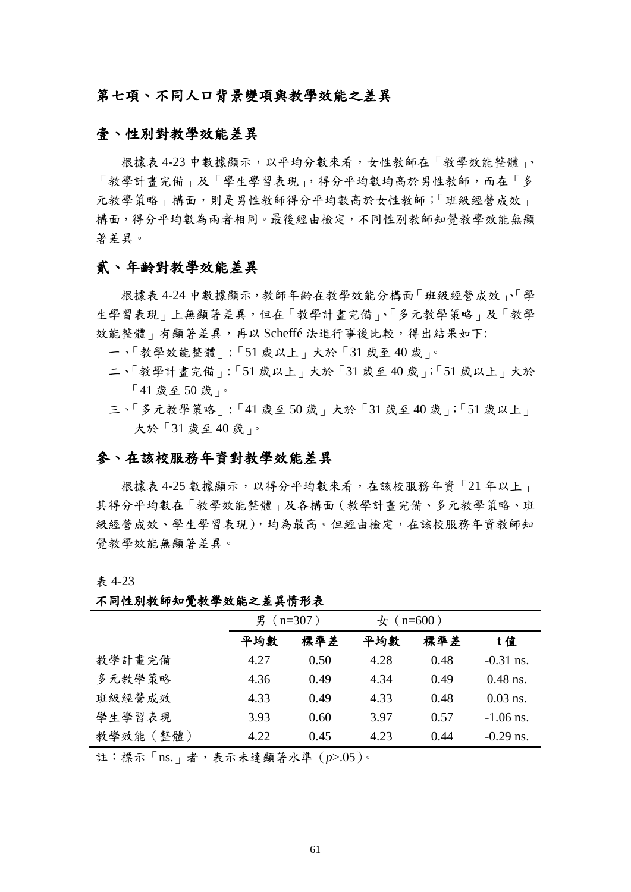## 第七項、不同人口背景變項與教學效能之差異

### 壹、性別對教學效能差異

根據表 4-23 中數據顯示,以平均分數來看,女性教師在「教學效能整體」、 「教學計畫完備」及「學生學習表現」,得分平均數均高於男性教師,而在「多 元教學策略」構面,則是男性教師得分平均數高於女性教師;「班級經營成效」 構面,得分平均數為兩者相同。最後經由檢定,不同性別教師知覺教學效能無顯 著差異。

## 貳、年齡對教學效能差異

根據表 4-24 中數據顯示,教師年齡在教學效能分構面「班級經營成效」、「學 生學習表現」上無顯著差異,但在「教學計書完備」、「多元教學策略」及「教學 效能整體」有顯著差異,再以 Scheffé 法進行事後比較,得出結果如下:

- 一、「教學效能整體」:「51 歲以上」大於「31 歲至 40 歲」。
- 二、「教學計畫完備」:「51 歲以上」大於「31 歲至 40 歲」;「51 歲以上」大於 「41 歲至 50 歲」。
- 三、「多元教學策略」:「41 歲至 50 歲」大於「31 歲至 40 歲」;「51 歲以上」 大於「31 歲至 40 歲」。

## 參、在該校服務年資對教學效能差異

根據表 4-25 數據顯示,以得分平均數來看,在該校服務年資「21年以上」 其得分平均數在「教學效能整體」及各構面(教學計畫完備、多元教學策略、班 級經營成效、學生學習表現),均為最高。但經由檢定,在該校服務年資教師知 覺教學效能無顯著差異。

表 4-23

|           | 男 (n=307)<br>標準差<br>平均數 |      | $\pm$ (n=600) |      |             |
|-----------|-------------------------|------|---------------|------|-------------|
|           |                         |      | 平均數           | 標準差  | t值          |
| 教學計畫完備    | 4.27                    | 0.50 | 4.28          | 0.48 | $-0.31$ ns. |
| 多元教學策略    | 4.36                    | 0.49 | 4.34          | 0.49 | $0.48$ ns.  |
| 班級經營成效    | 4.33                    | 0.49 | 4.33          | 0.48 | $0.03$ ns.  |
| 學生學習表現    | 3.93                    | 0.60 | 3.97          | 0.57 | $-1.06$ ns. |
| 教學效能 (整體) | 4.22                    | 0.45 | 4.23          | 0.44 | $-0.29$ ns. |

不同性別教師知覺教學效能之差異情形表

註:標示「ns.」者,表示未達顯著水準(*p*>.05)。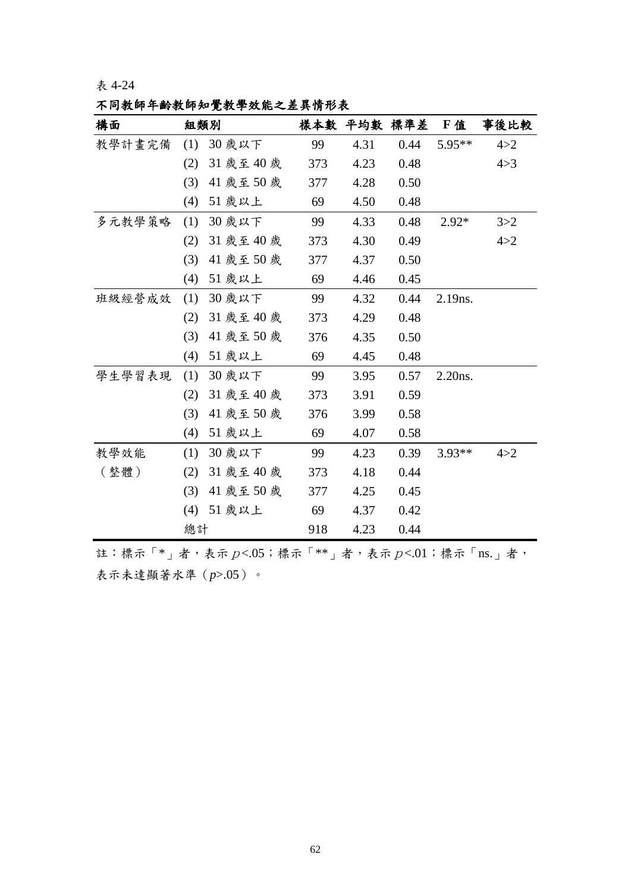表 4-24

不同教師年齡教師知覺教學效能之差異情形表

| 構面     | 組類別 |                                                    |     | 樣本數 平均數 標準差 |      | F值       | 事後比較  |
|--------|-----|----------------------------------------------------|-----|-------------|------|----------|-------|
| 教學計畫完備 | (1) | 30 歲以下                                             | 99  | 4.31        | 0.44 | 5.95**   | 4 > 2 |
|        | (2) | 31 歲至 40 歲                                         | 373 | 4.23        | 0.48 |          | 4 > 3 |
|        | (3) | 41 歲至 50 歲                                         | 377 | 4.28        | 0.50 |          |       |
|        | (4) | 51 歲以上                                             | 69  | 4.50        | 0.48 |          |       |
| 多元教學策略 | (1) | 30 歲以下                                             | 99  | 4.33        | 0.48 | $2.92*$  | 3 > 2 |
|        | (2) | 31 歲至 40 歲                                         | 373 | 4.30        | 0.49 |          | 4 > 2 |
|        | (3) | 41 歲至 50 歲                                         | 377 | 4.37        | 0.50 |          |       |
|        | (4) | 51 歲以上                                             | 69  | 4.46        | 0.45 |          |       |
| 班級經營成效 | (1) | 30 歲以下                                             | 99  | 4.32        | 0.44 | 2.19ns.  |       |
|        | (2) | 31 歲至 40 歲                                         | 373 | 4.29        | 0.48 |          |       |
|        | (3) | 41 歲至50 歲                                          | 376 | 4.35        | 0.50 |          |       |
|        | (4) | 51 歲以上                                             | 69  | 4.45        | 0.48 |          |       |
| 學生學習表現 | (1) | 30 歲以下                                             | 99  | 3.95        | 0.57 | 2.20ns.  |       |
|        | (2) | 31 歲至 40 歲                                         | 373 | 3.91        | 0.59 |          |       |
|        | (3) | 41 歲至50 歲                                          | 376 | 3.99        | 0.58 |          |       |
|        | (4) | 51 歲以上                                             | 69  | 4.07        | 0.58 |          |       |
| 教學效能   | (1) | 30 歲以下                                             | 99  | 4.23        | 0.39 | $3.93**$ | 4 > 2 |
| (整體)   | (2) | 31 歲至 40 歲                                         | 373 | 4.18        | 0.44 |          |       |
|        | (3) | 41 歲至50 歲                                          | 377 | 4.25        | 0.45 |          |       |
|        | (4) | 51 歲以上                                             | 69  | 4.37        | 0.42 |          |       |
|        | 總計  |                                                    | 918 | 4.23        | 0.44 |          |       |
|        |     | 註:標示「*」者,表示 $p$ <.05;標示「**」者,表示 $p$ <.01;標示「ns.」者, |     |             |      |          |       |

表示未達顯著水準(*p*>.05)。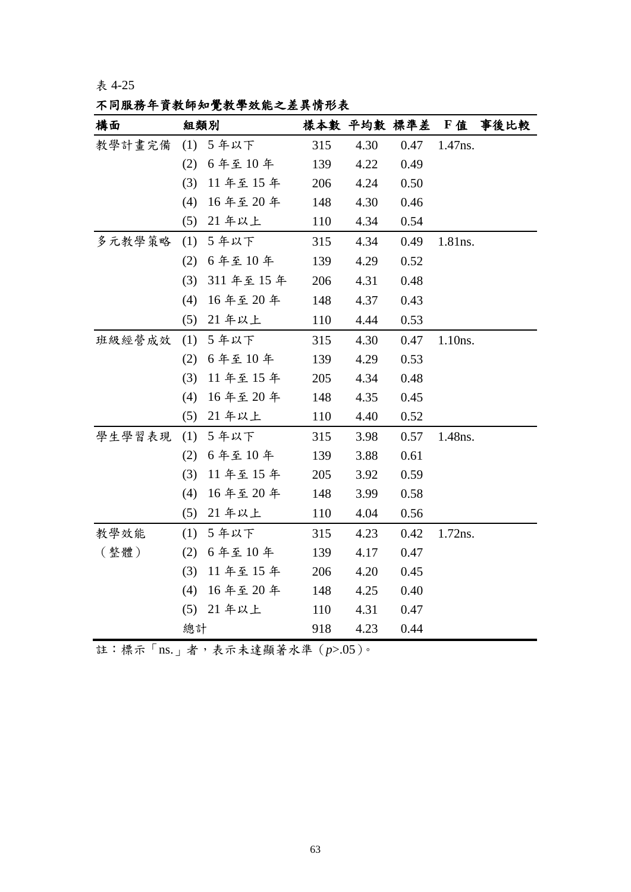表 4-25

不同服務年資教師知覺教學效能之差異情形表

| 構面     | 組類別 |             |     | 樣本數 平均數 標準差 |      | F值      | 事後比較 |
|--------|-----|-------------|-----|-------------|------|---------|------|
| 教學計畫完備 | (1) | 5年以下        | 315 | 4.30        | 0.47 | 1.47ns. |      |
|        | (2) | 6年至10年      | 139 | 4.22        | 0.49 |         |      |
|        | (3) | 11年至15年     | 206 | 4.24        | 0.50 |         |      |
|        | (4) | 16年至20年     | 148 | 4.30        | 0.46 |         |      |
|        |     | (5) 21 年以上  | 110 | 4.34        | 0.54 |         |      |
| 多元教學策略 | (1) | 5年以下        | 315 | 4.34        | 0.49 | 1.81ns. |      |
|        |     | (2) 6年至10年  | 139 | 4.29        | 0.52 |         |      |
|        | (3) | 311 年至 15 年 | 206 | 4.31        | 0.48 |         |      |
|        | (4) | 16年至20年     | 148 | 4.37        | 0.43 |         |      |
|        | (5) | 21 年以上      | 110 | 4.44        | 0.53 |         |      |
| 班級經營成效 | (1) | 5年以下        | 315 | 4.30        | 0.47 | 1.10ns. |      |
|        | (2) | 6年至10年      | 139 | 4.29        | 0.53 |         |      |
|        | (3) | 11年至15年     | 205 | 4.34        | 0.48 |         |      |
|        | (4) | 16年至20年     | 148 | 4.35        | 0.45 |         |      |
|        | (5) | 21 年以上      | 110 | 4.40        | 0.52 |         |      |
| 學生學習表現 | (1) | 5年以下        | 315 | 3.98        | 0.57 | 1.48ns. |      |
|        |     | (2) 6年至10年  | 139 | 3.88        | 0.61 |         |      |
|        | (3) | 11年至15年     | 205 | 3.92        | 0.59 |         |      |
|        | (4) | 16年至20年     | 148 | 3.99        | 0.58 |         |      |
|        |     | (5) 21 年以上  | 110 | 4.04        | 0.56 |         |      |
| 教學效能   |     | (1) 5年以下    | 315 | 4.23        | 0.42 | 1.72ns. |      |
| (整體)   |     | (2) 6年至10年  | 139 | 4.17        | 0.47 |         |      |
|        | (3) | 11年至15年     | 206 | 4.20        | 0.45 |         |      |
|        | (4) | 16年至20年     | 148 | 4.25        | 0.40 |         |      |
|        | (5) | 21 年以上      | 110 | 4.31        | 0.47 |         |      |
|        | 總計  |             | 918 | 4.23        | 0.44 |         |      |

註:標示「ns.」者,表示未達顯著水準(*p*>.05)。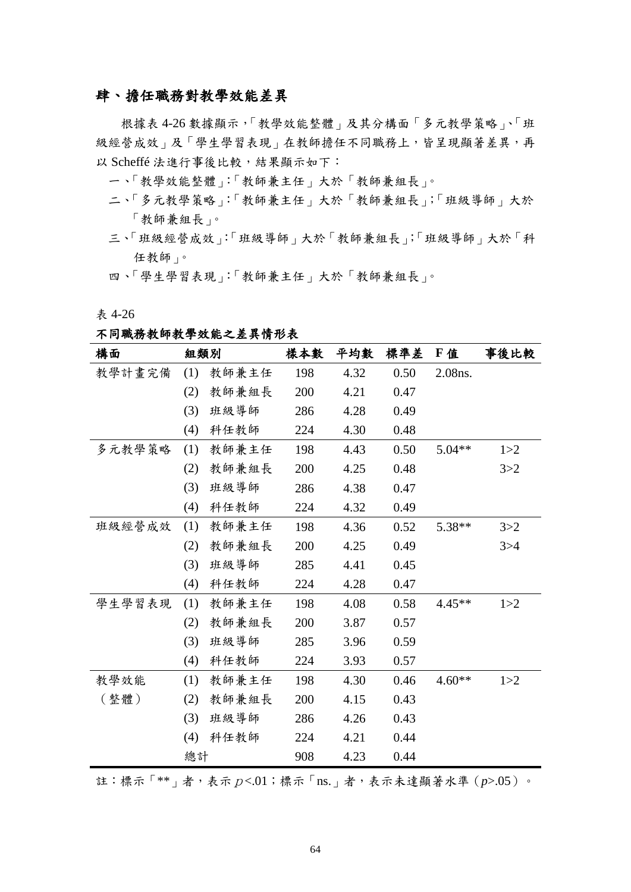## 肆、擔任職務對教學效能差異

根據表 4-26 數據顯示,「教學效能整體」及其分構面「多元教學策略」、「班 級經營成效」及「學生學習表現」在教師擔任不同職務上,皆呈現顯著差異,再 以 Scheffé 法進行事後比較,結果顯示如下:

一、「教學效能整體」:「教師兼主任」大於「教師兼組長」。

- 二、「多元教學策略」:「教師兼主任」大於「教師兼組長」;「班級導師」大於 「教師兼組長」。
- 三、「班級經營成效」:「班級導師」大於「教師兼組長」;「班級導師」大於「科 任教師」。
- 四、「學生學習表現」:「教師兼主任」大於「教師兼組長」。

表 4-26

不同職務教師教學效能之差異情形表

| 構面     |     | 組類別   | 樣本數 | 平均數  | 標準差  | F 值      | 事後比較  |
|--------|-----|-------|-----|------|------|----------|-------|
| 教學計畫完備 | (1) | 教師兼主任 | 198 | 4.32 | 0.50 | 2.08ns.  |       |
|        | (2) | 教師兼組長 | 200 | 4.21 | 0.47 |          |       |
|        | (3) | 班級導師  | 286 | 4.28 | 0.49 |          |       |
|        | (4) | 科任教師  | 224 | 4.30 | 0.48 |          |       |
| 多元教學策略 | (1) | 教師兼主任 | 198 | 4.43 | 0.50 | $5.04**$ | 1 > 2 |
|        | (2) | 教師兼組長 | 200 | 4.25 | 0.48 |          | 3 > 2 |
|        | (3) | 班級導師  | 286 | 4.38 | 0.47 |          |       |
|        | (4) | 科任教師  | 224 | 4.32 | 0.49 |          |       |
| 班級經營成效 | (1) | 教師兼主任 | 198 | 4.36 | 0.52 | $5.38**$ | 3 > 2 |
|        | (2) | 教師兼組長 | 200 | 4.25 | 0.49 |          | 3 > 4 |
|        | (3) | 班級導師  | 285 | 4.41 | 0.45 |          |       |
|        | (4) | 科任教師  | 224 | 4.28 | 0.47 |          |       |
| 學生學習表現 | (1) | 教師兼主任 | 198 | 4.08 | 0.58 | $4.45**$ | 1 > 2 |
|        | (2) | 教師兼組長 | 200 | 3.87 | 0.57 |          |       |
|        | (3) | 班級導師  | 285 | 3.96 | 0.59 |          |       |
|        | (4) | 科任教師  | 224 | 3.93 | 0.57 |          |       |
| 教學效能   | (1) | 教師兼主任 | 198 | 4.30 | 0.46 | $4.60**$ | 1 > 2 |
| (整體)   | (2) | 教師兼組長 | 200 | 4.15 | 0.43 |          |       |
|        | (3) | 班級導師  | 286 | 4.26 | 0.43 |          |       |
|        | (4) | 科任教師  | 224 | 4.21 | 0.44 |          |       |
|        | 總計  |       | 908 | 4.23 | 0.44 |          |       |

註:標示「\*\*」者,表示p<.01;標示「ns.」者,表示未達顯著水準(*p*>.05)。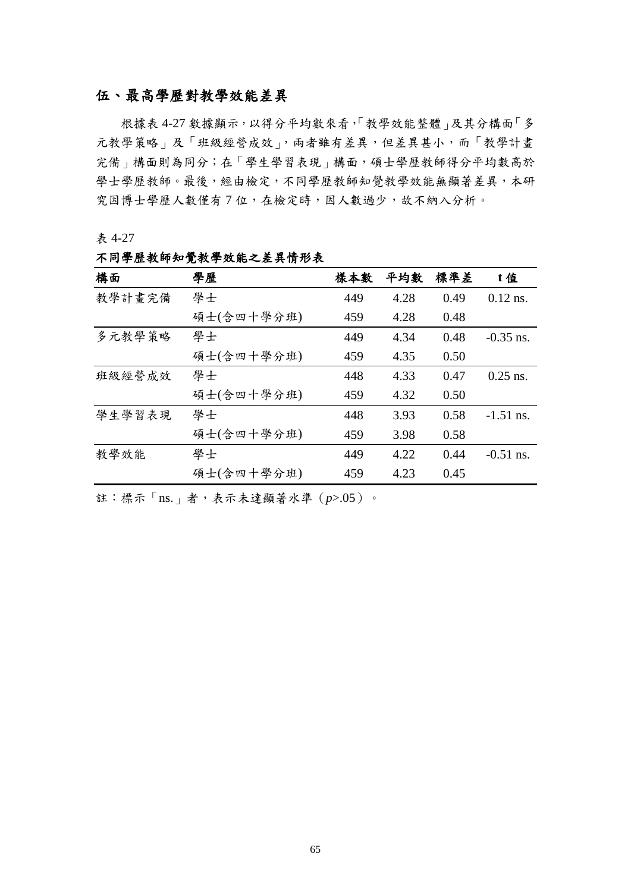## 伍、最高學歷對教學效能差異

根據表 4-27 數據顯示,以得分平均數來看,「教學效能整體」及其分構面「多 元教學策略」及「班級經營成效」,兩者雖有差異,但差異甚小,而「教學計畫 完備 | 構面則為同分;在「學生學習表現 | 構面,碩士學歷教師得分平均數高於 學士學歷教師。最後,經由檢定,不同學歷教師知覺教學效能無顯著差異,本研 究因博士學歷人數僅有7位,在檢定時,因人數過少,故不納入分析。

表 4-27

| 構面     | 學歷         | 樣本數 | 平均數  | 標準差  | t值          |
|--------|------------|-----|------|------|-------------|
| 教學計畫完備 | 學士         | 449 | 4.28 | 0.49 | $0.12$ ns.  |
|        | 碩士(含四十學分班) | 459 | 4.28 | 0.48 |             |
| 多元教學策略 | 學士         | 449 | 4.34 | 0.48 | $-0.35$ ns. |
|        | 碩士(含四十學分班) | 459 | 4.35 | 0.50 |             |
| 班級經營成效 | 學士         | 448 | 4.33 | 0.47 | $0.25$ ns.  |
|        | 碩士(含四十學分班) | 459 | 4.32 | 0.50 |             |
| 學生學習表現 | 學士         | 448 | 3.93 | 0.58 | $-1.51$ ns. |
|        | 碩士(含四十學分班) | 459 | 3.98 | 0.58 |             |
| 教學效能   | 學士         | 449 | 4.22 | 0.44 | $-0.51$ ns. |
|        | 碩士(含四十學分班) | 459 | 4.23 | 0.45 |             |

不同學歷教師知覺教學效能之差異情形表

註:標示「ns.」者,表示未達顯著水準(*p*>.05)。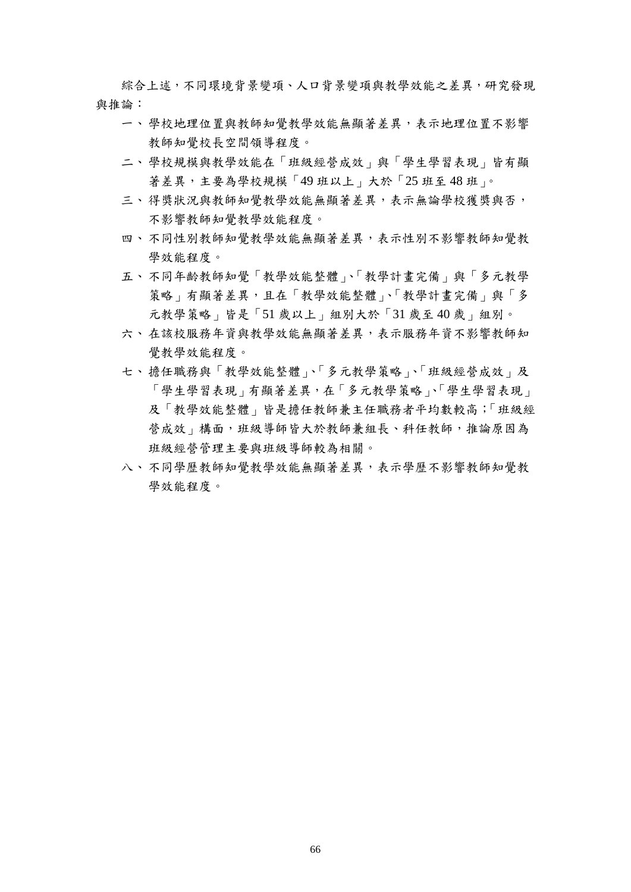綜合上述,不同環境背景變項、人口背景變項與教學效能之差異,研究發現 與推論:

- 一、學校地理位置與教師知覺教學效能無顯著差異,表示地理位置不影響 教師知覺校長空間領導程度。
- 二、學校規模與教學效能在「班級經營成效」與「學生學習表現」皆有顯 著差異,主要為學校規模「49班以上」大於「25班至48班」。
- 三、得獎狀況與教師知覺教學效能無顯著差異,表示無論學校獲獎與否, 不影響教師知覺教學效能程度。
- 四、不同性別教師知覺教學效能無顯著差異,表示性別不影響教師知覺教 學效能程度。
- 五、不同年齡教師知覺「教學效能整體」、「教學計畫完備」與「多元教學 策略」有顯著差異,且在「教學效能整體」、「教學計畫完備」與「多 元教學策略」皆是「51 歲以上」組別大於「31 歲至 40 歲」組別。
- 六、在該校服務年資與教學效能無顯著差異,表示服務年資不影響教師知 覺教學效能程度。
- 七、擔任職務與「教學效能整體」、「多元教學策略」、「班級經營成效」及 「學生學習表現」有顯著差異,在「多元教學策略」、「學生學習表現」 及「教學效能整體」皆是擔任教師兼主任職務者平均數較高;「班級經 營成效 | 構面, 班級導師皆大於教師兼組長、科任教師, 推論原因為 班級經營管理主要與班級導師較為相關。
- 八、不同學歷教師知覺教學效能無顯著差異,表示學歷不影響教師知覺教 學效能程度。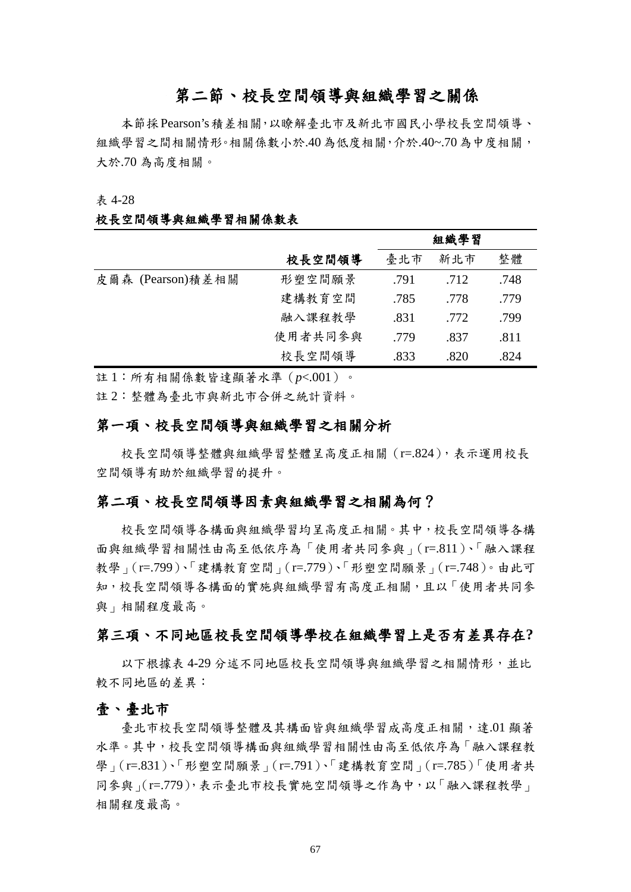# 第二節、校長空間領導與組織學習之關係

本節採Pearson's積差相關,以瞭解臺北市及新北市國民小學校長空間領導、 組織學習之間相關情形。相關係數小於.40為低度相關,介於.40~.70為中度相關, 大於.70 為高度相關。

#### 表 4-28

#### 校長空間領導與組織學習相關係數表

|                   |         | 組織學習 |      |      |  |
|-------------------|---------|------|------|------|--|
|                   | 校長空間領導  | 臺北市  | 整體   |      |  |
| 皮爾森 (Pearson)積差相關 | 形塑空間願景  | .791 | .712 | .748 |  |
|                   | 建構教育空間  | .785 | .778 | .779 |  |
|                   | 融入課程教學  | .831 | .772 | .799 |  |
|                   | 使用者共同参與 | .779 | .837 | .811 |  |
|                   | 校長空間領導  | .833 | .820 | .824 |  |

註 1:所有相關係數皆達顯著水準(*p*<.001)。

註 2:整體為臺北市與新北市合併之統計資料。

## 第一項、校長空間領導與組織學習之相關分析

校長空間領導整體與組織學習整體呈高度正相關 (r=.824), 表示運用校長 空間領導有助於組織學習的提升。

## 第二項、校長空間領導因素與組織學習之相關為何?

校長空間領導各構面與組織學習均呈高度正相關。其中,校長空間領導各構 面與組織學習相關性由高至低依序為「使用者共同參與」(r=.811)、「融入課程 教學」(r=.799)、「建構教育空間」(r=.779)、「形塑空間願景」(r=.748)。由此可 知,校長空間領導各構面的實施與組織學習有高度正相關,且以「使用者共同參 與」相關程度最高。

## 第三項、不同地區校長空間領導學校在組織學習上是否有差異存在**?**

以下根據表 4-29 分述不同地區校長空間領導與組織學習之相關情形,並比 較不同地區的差異:

#### 壹、臺北市

臺北市校長空間領導整體及其構面皆與組織學習成高度正相關,達.01 顯著 水準。其中,校長空間領導構面與組織學習相關性由高至低依序為「融入課程教 學」(r=.831)、「形塑空間願景」(r=.791)、「建構教育空間」(r=.785)「使用者共 同參與」(r=.779),表示臺北市校長實施空間領導之作為中,以「融入課程教學」 相關程度最高。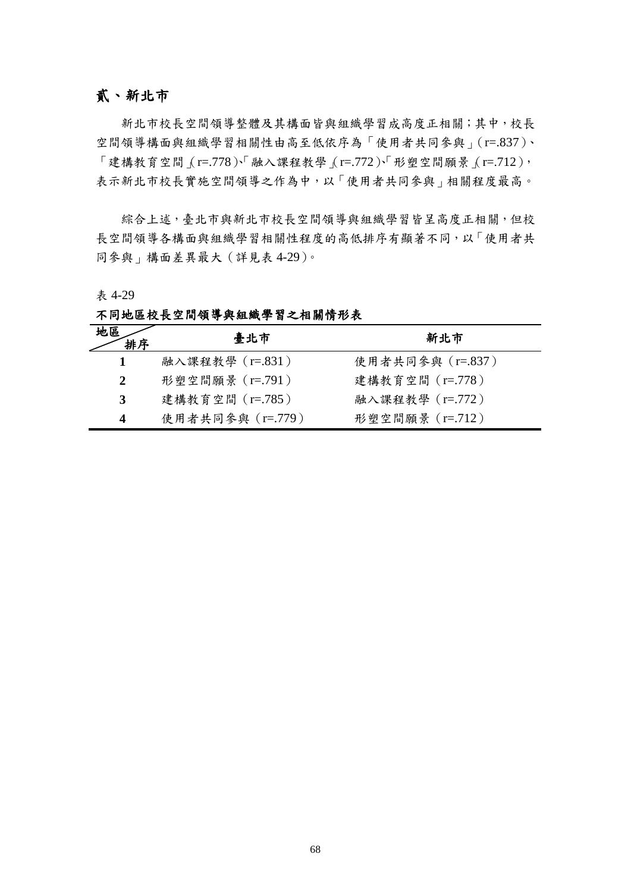## 貳、新北市

新北市校長空間領導整體及其構面皆與組織學習成高度正相關;其中,校長 空間領導構面與組織學習相關性由高至低依序為「使用者共同參與」(r=.837)、  $\lceil$ 建構教育空間 $\lceil$ (r=.778 $\rceil$ 、 融入課程教學 $\lceil$ (r=.772 $\rceil$ 、「形塑空間願景 $\lceil$ (r=.712 $\rceil$ , 表示新北市校長實施空間領導之作為中,以「使用者共同參與」相關程度最高。

綜合上述,臺北市與新北市校長空間領導與組織學習皆呈高度正相關,但校 長空間領導各構面與組織學習相關性程度的高低排序有顯著不同,以「使用者共 同參與」構面差異最大(詳見表 4-29)。

表 4-29

不同地區校長空間領導與組織學習之相關情形表

| 地區<br>排序     | 臺北市              | 新北市              |
|--------------|------------------|------------------|
|              | 融入課程教學 (r=.831)  | 使用者共同參與 (r=.837) |
| $\mathbf{2}$ | 形塑空間願景 (r=.791)  | 建構教育空間 (r=.778)  |
| 3            | 建構教育空間 (r=.785)  | 融入課程教學 (r=.772)  |
| 4            | 使用者共同參與 (r=.779) | 形塑空間願景 (r=.712)  |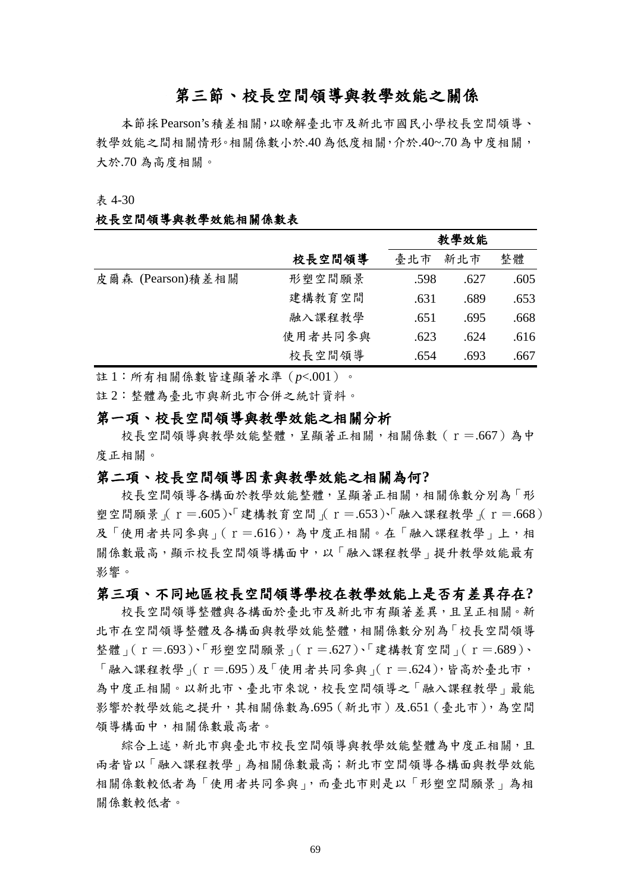# 第三節、校長空間領導與教學效能之關係

本節採Pearson's積差相關,以瞭解臺北市及新北市國民小學校長空間領導、 教學效能之間相關情形。相關係數小於.40為低度相關,介於.40~.70為中度相關, 大於.70 為高度相關。

#### 表 4-30

#### 校長空間領導與教學效能相關係數表

|                   |         | 教學效能 |      |      |  |
|-------------------|---------|------|------|------|--|
|                   | 校長空間領導  | 臺北市  | 新北市  | 整體   |  |
| 皮爾森 (Pearson)積差相關 | 形塑空間願景  | .598 | .627 | .605 |  |
|                   | 建構教育空間  | .631 | .689 | .653 |  |
|                   | 融入課程教學  | .651 | .695 | .668 |  |
|                   | 使用者共同参與 | .623 | .624 | .616 |  |
|                   | 校長空間領導  | .654 | .693 | .667 |  |

註 1:所有相關係數皆達顯著水準(*p*<.001)。

註 2:整體為臺北市與新北市合併之統計資料。

## 第一項、校長空間領導與教學效能之相關分析

校長空間領導與教學效能整體,呈顯著正相關,相關係數(r=.667)為中 度正相關。

## 第二項、校長空間領導因素與教學效能之相關為何**?**

校長空間領導各構面於教學效能整體,呈顯著正相關,相關係數分別為「形 塑空間願景 ( $r=.605$ )、「建構教育空間 ( $r=.653$ )、「融入課程教學 ( $r=.668$ ) 及「使用者共同參與」(r=.616),為中度正相關。在「融入課程教學」上,相 關係數最高,顯示校長空間領導構面中,以「融入課程教學」提升教學效能最有 影響。

#### 第三項、不同地區校長空間領導學校在教學效能上是否有差異存在**?**

校長空間領導整體與各構面於臺北市及新北市有顯著差異,且呈正相關。新 北市在空間領導整體及各構面與教學效能整體,相關係數分別為「校長空間領導 整體」(r=.693)、「形塑空間願景」(r=.627)、「建構教育空間」(r=.689)、  $\lceil$ 融入課程教學  $\lceil$  r = .695 $\rceil$ 及 $\lceil$ 使用者共同參與  $\lceil$  r = .624 $\rceil$ , 皆高於臺北市, 為中度正相關。以新北市、臺北市來說,校長空間領導之「融入課程教學」最能 影響於教學效能之提升,其相關係數為.695(新北市)及.651(臺北市),為空間 領導構面中,相關係數最高者。

綜合上述,新北市與臺北市校長空間領導與教學效能整體為中度正相關,且 兩者皆以「融入課程教學」為相關係數最高;新北市空間領導各構面與教學效能 相關係數較低者為「使用者共同參與」,而臺北市則是以「形塑空間願景」為相 關係數較低者。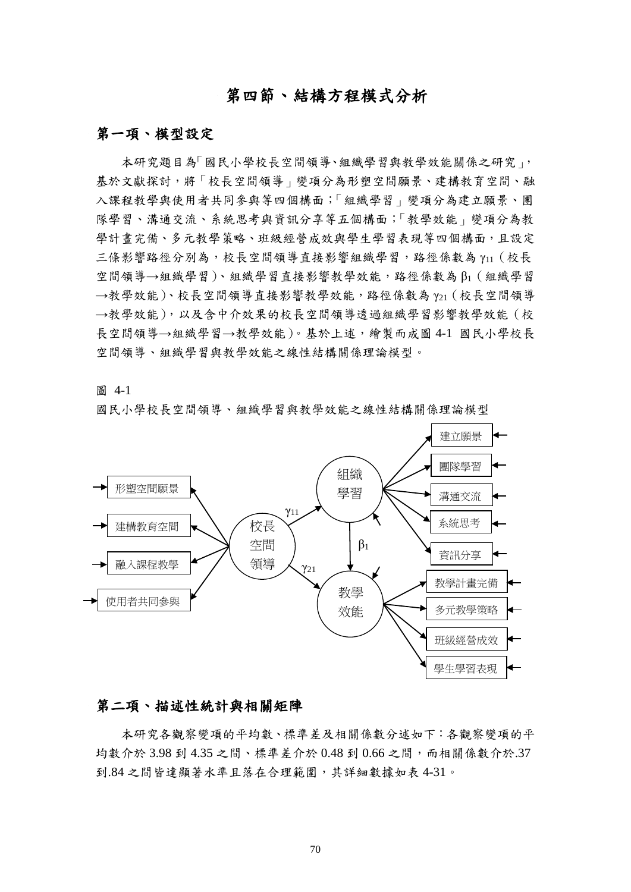# 第四節、結構方程模式分析

## 第一項、模型設定

本研究題目為「國民小學校長空間領導、組織學習與教學效能關係之研究」, 基於文獻探討,將「校長空間領導」變項分為形塑空間願景、建構教育空間、融 入課程教學與使用者共同參與等四個構面;「組織學習」變項分為建立願景、團 隊學習、溝通交流、系統思考與資訊分享等五個構面;「教學效能」變項分為教 學計書完備、多元教學策略、班級經營成效與學生學習表現等四個構面,且設定 三條影響路徑分別為,校長空間領導直接影響組織學習,路徑係數為 γ11 (校長 空間領導→組織學習)、組織學習直接影響教學效能,路徑係數為 β1 ( 組織學習 →教學效能)、校長空間領導直接影響教學效能,路徑係數為 Y21 (校長空間領導 →教學效能),以及含中介效果的校長空間領導透過組織學習影響教學效能(校 長空間領導→組織學習→教學效能)。基於上述,繪製而成圖 4-1 國民小學校長 空間領導、組織學習與教學效能之線性結構關係理論模型。

圖 4-1

國民小學校長空間領導、組織學習與教學效能之線性結構關係理論模型



#### 第二項、描述性統計與相關矩陣

本研究各觀察變項的平均數、標準差及相關係數分述如下:各觀察變項的平 均數介於 3.98 到 4.35 之間、標準差介於 0.48 到 0.66 之間,而相關係數介於.37 到.84 之間皆達顯著水準且落在合理範圍,其詳細數據如表 4-31。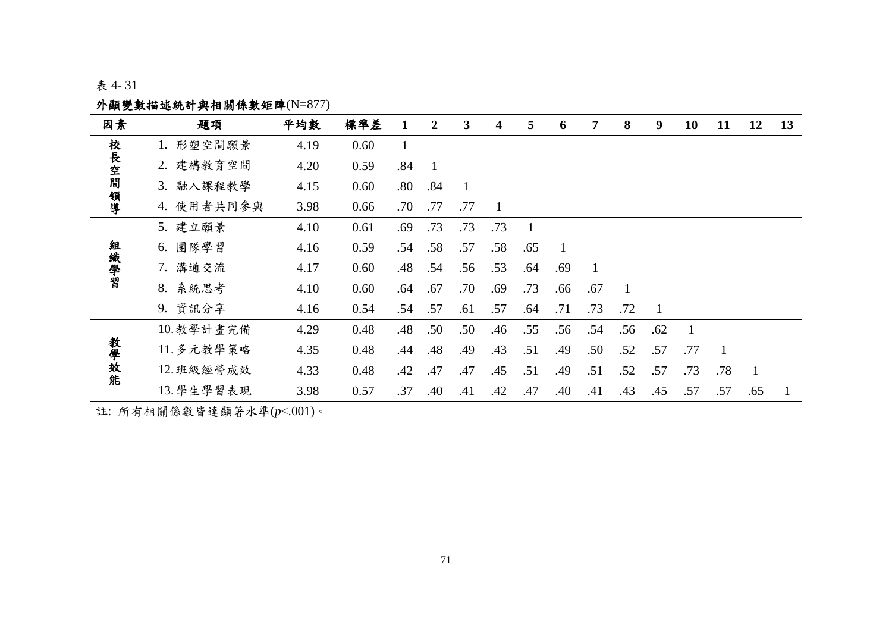# 表 4- 31

# 外顯變數描述統計與相關係數矩陣(N=877)

| 因素     | 題項         | 平均數  | 標準差  |     | $\overline{2}$ | 3   | 4   | 5              | 6   | 7   | 8            | 9   | 10  | 11  | 12           | 13 |
|--------|------------|------|------|-----|----------------|-----|-----|----------------|-----|-----|--------------|-----|-----|-----|--------------|----|
|        | 1. 形塑空間願景  | 4.19 | 0.60 |     |                |     |     |                |     |     |              |     |     |     |              |    |
|        | 2. 建構教育空間  | 4.20 | 0.59 | .84 | $\overline{1}$ |     |     |                |     |     |              |     |     |     |              |    |
| 校長空間領導 | 3. 融入課程教學  | 4.15 | 0.60 | .80 | .84            |     |     |                |     |     |              |     |     |     |              |    |
|        | 4. 使用者共同参與 | 3.98 | 0.66 | .70 | .77            | .77 | -1  |                |     |     |              |     |     |     |              |    |
|        | 5. 建立願景    | 4.10 | 0.61 | .69 | .73            | .73 | .73 | $\overline{1}$ |     |     |              |     |     |     |              |    |
|        | 團隊學習<br>6. | 4.16 | 0.59 | .54 | .58            | .57 | .58 | .65            |     |     |              |     |     |     |              |    |
| 組織學習   | 7. 溝通交流    | 4.17 | 0.60 | .48 | .54            | .56 | .53 | .64            | .69 |     |              |     |     |     |              |    |
|        | 8. 系統思考    | 4.10 | 0.60 | .64 | .67            | .70 | .69 | .73            | .66 | .67 | $\mathbf{1}$ |     |     |     |              |    |
|        | 9. 資訊分享    | 4.16 | 0.54 | .54 | .57            | .61 | .57 | .64            | .71 | .73 | .72          |     |     |     |              |    |
|        | 10. 教學計畫完備 | 4.29 | 0.48 | .48 | .50            | .50 | .46 | .55            | .56 | .54 | .56          | .62 |     |     |              |    |
| 教學效能   | 11. 多元教學策略 | 4.35 | 0.48 | .44 | .48            | .49 | .43 | .51            | .49 | .50 | .52          | .57 | .77 | 1   |              |    |
|        | 12. 班級經營成效 | 4.33 | 0.48 | .42 | .47            | .47 | .45 | .51            | .49 | .51 | .52          | .57 | .73 | .78 | $\mathbf{1}$ |    |
|        | 13. 學生學習表現 | 3.98 | 0.57 | .37 | .40            | .41 | .42 | .47            | .40 | .41 | .43          | .45 | .57 | .57 | .65          |    |

註: 所有相關係數皆達顯著水準(*p*<.001)。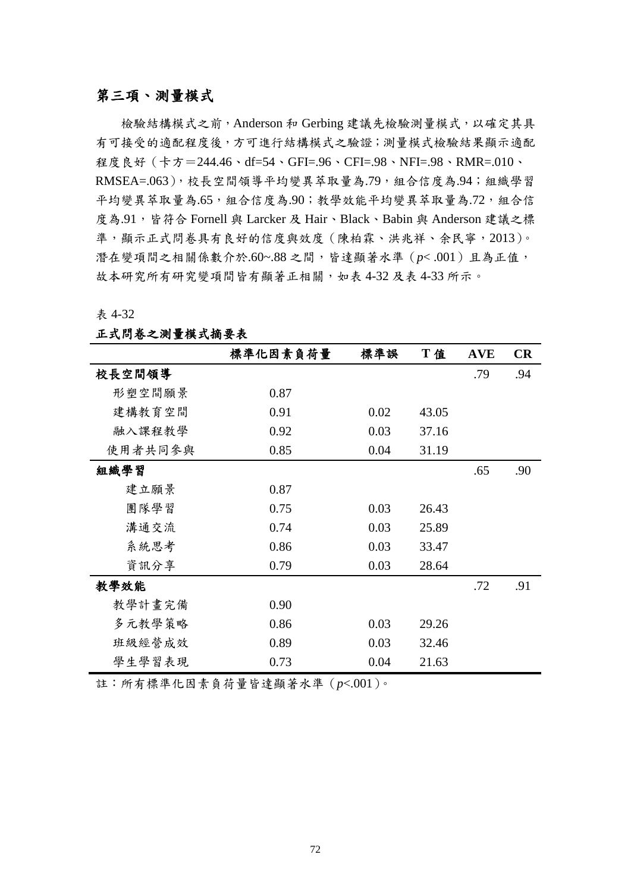## 第三項、測量模式

檢驗結構模式之前,Anderson 和 Gerbing 建議先檢驗測量模式,以確定其具 有可接受的適配程度後,方可進行結構模式之驗證;測量模式檢驗結果顯示適配 程度良好(卡方=244.46、df=54、GFI=.96、CFI=.98、NFI=.98、RMR=.010、 RMSEA=.063), 校長空間領導平均變異萃取量為.79, 組合信度為.94; 組織學習 平均變異萃取量為.65,組合信度為.90;教學效能平均變異萃取量為.72,組合信 度為.91,皆符合 Fornell 與 Larcker 及 Hair、Black、Babin 與 Anderson 建議之標 準,顯示正式問卷具有良好的信度與效度(陳柏霖、洪兆祥、余民寧,2013)。 潛在變項間之相關係數介於.60~.88 之間,皆達顯著水準(*p*< .001)且為正值, 故本研究所有研究變項間皆有顯著正相關,如表 4-32 及表 4-33 所示。

表 4-32

|         | 標準化因素負荷量 | 標準誤  | T值    | <b>AVE</b> | <b>CR</b> |
|---------|----------|------|-------|------------|-----------|
| 校長空間領導  |          |      |       | .79        | .94       |
| 形塑空間願景  | 0.87     |      |       |            |           |
| 建構教育空間  | 0.91     | 0.02 | 43.05 |            |           |
| 融入課程教學  | 0.92     | 0.03 | 37.16 |            |           |
| 使用者共同参與 | 0.85     | 0.04 | 31.19 |            |           |
| 組織學習    |          |      |       | .65        | .90       |
| 建立願景    | 0.87     |      |       |            |           |
| 團隊學習    | 0.75     | 0.03 | 26.43 |            |           |
| 溝通交流    | 0.74     | 0.03 | 25.89 |            |           |
| 系統思考    | 0.86     | 0.03 | 33.47 |            |           |
| 資訊分享    | 0.79     | 0.03 | 28.64 |            |           |
| 教學效能    |          |      |       | .72        | .91       |
| 教學計畫完備  | 0.90     |      |       |            |           |
| 多元教學策略  | 0.86     | 0.03 | 29.26 |            |           |
| 班級經營成效  | 0.89     | 0.03 | 32.46 |            |           |
| 學生學習表現  | 0.73     | 0.04 | 21.63 |            |           |

#### 正式問卷之測量模式摘要表

註:所有標準化因素負荷量皆達顯著水準(*p*<.001)。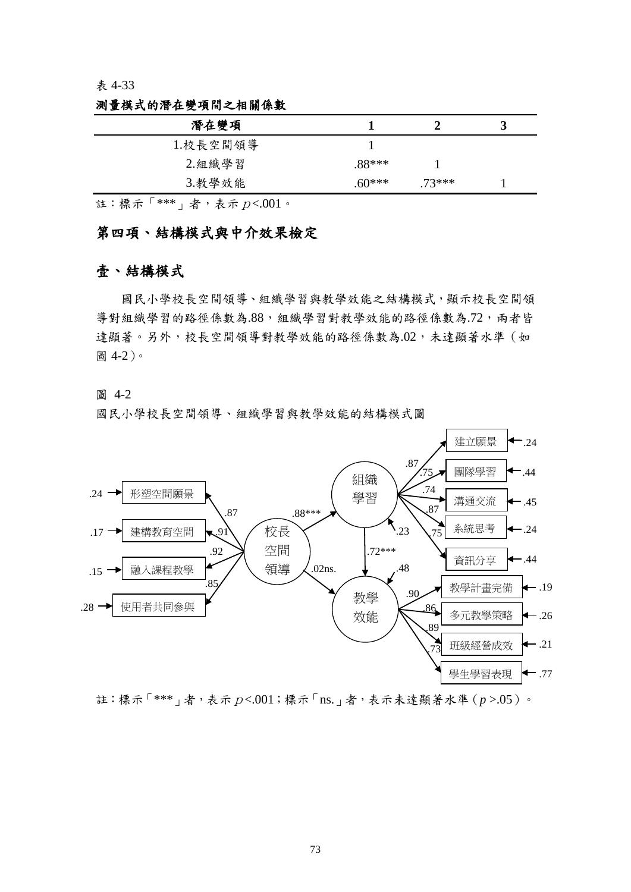#### 表 4-33

|         |         | 3 |  |
|---------|---------|---|--|
|         |         |   |  |
| .88***  |         |   |  |
| $60***$ | $73***$ |   |  |
|         |         |   |  |

測量模式的潛在變項間之相關係數

註:標示「 $***$ 」者,表示p<.001。

## 第四項、結構模式與中介效果檢定

## 壹、結構模式

國民小學校長空間領導、組織學習與教學效能之結構模式,顯示校長空間領 導對組織學習的路徑係數為.88,組織學習對教學效能的路徑係數為.72,兩者皆 達顯著。另外,校長空間領導對教學效能的路徑係數為.02,未達顯著水準(如 圖 4-2)。

圖 4-2

國民小學校長空間領導、組織學習與教學效能的結構模式圖



註:標示「\*\*\*」者,表示p<.001;標示「ns.」者,表示未達顯著水準(*p* >.05)。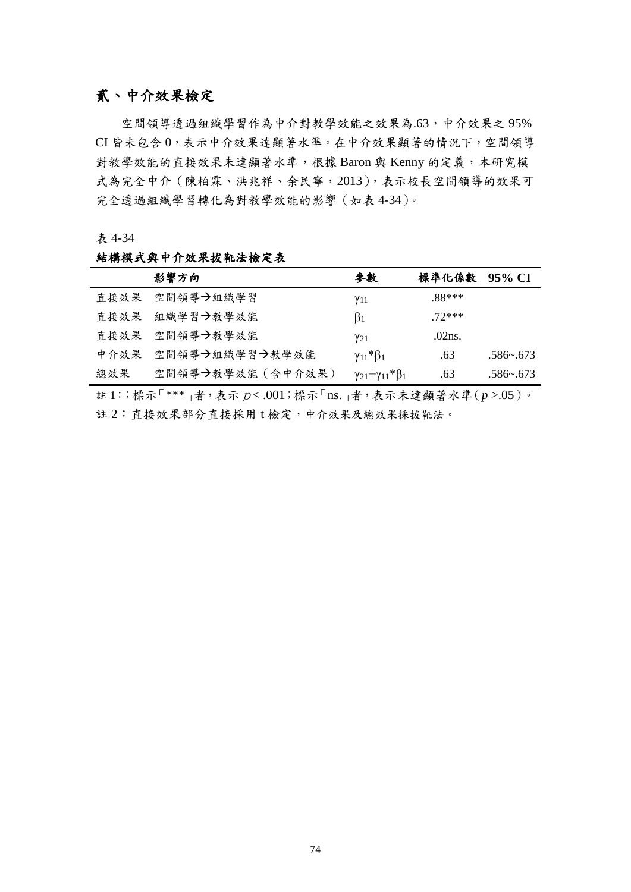# 貳、中介效果檢定

空間領導透過組織學習作為中介對教學效能之效果為.63,中介效果之 95% CI 皆未包含 0,表示中介效果達顯著水準。在中介效果顯著的情況下,空間領導 對教學效能的直接效果未達顯著水準,根據 Baron 與 Kenny 的定義,本研究模 式為完全中介(陳柏霖、洪兆祥、余民寧,2013),表示校長空間領導的效果可 完全透過組織學習轉化為對教學效能的影響(如表 4-34)。

表 4-34

#### 結構模式與中介效果拔靴法檢定表

|      | 影響方向             | 參數                                | 標準化係數    | 95% CI       |
|------|------------------|-----------------------------------|----------|--------------|
|      | 直接效果 空間領導→組織學習   | $\gamma_{11}$                     | $.88***$ |              |
| 直接效果 | 組織學習→教學效能        | $\beta_1$                         | $72***$  |              |
|      | 直接效果 空間領導→教學效能   | $\gamma_{21}$                     | .02ns.   |              |
| 中介效果 | 空間領導→組織學習→教學效能   | $\gamma_{11} * \beta_1$           | .63      | $.586 - 673$ |
| 總效果  | 空間領導→教學效能(含中介效果) | $\gamma_{21}+\gamma_{11}*\beta_1$ | .63      | $.586 - 673$ |

註 1::標示「\*\*\*」者,表示p< .001;標示「ns.」者,表示未達顯著水準(*p* >.05)。 註 2: 直接效果部分直接採用 t 檢定, 中介效果及總效果採拔靴法。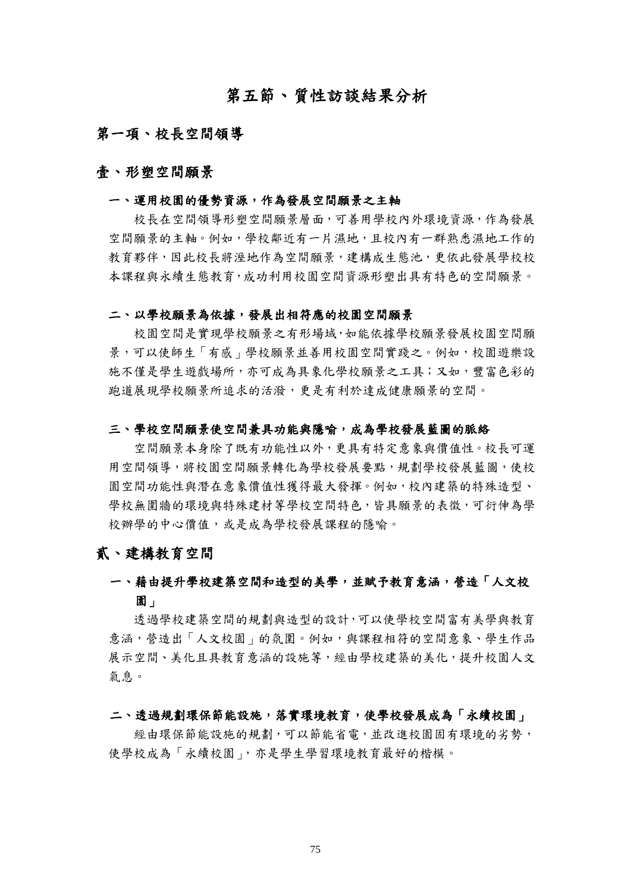# 第五節、質性訪談結果分析

## 第一項、校長空間領導

### 壹、形塑空間願景

#### 一、運用校園的優勢資源,作為發展空間願景之主軸

校長在空間領導形塑空間願景層面,可善用學校內外環境資源,作為發展 空間願景的主軸。例如,學校鄰近有一片濕地,且校內有一群熟悉濕地工作的 教育夥伴,因此校長將溼地作為空間願景,建構成生態池,更依此發展學校校 本課程與永續生態教育,成功利用校園空間資源形塑出具有特色的空間願景。

#### 二、以學校願景為依據,發展出相符應的校園空間願景

校園空間是實現學校願景之有形場域,如能依據學校願景發展校園空間願 景,可以使師生「有感」學校願景並善用校園空間實踐之。例如,校園遊樂設 施不僅是學生遊戲場所,亦可成為具象化學校願景之工具;又如,豐富色彩的 跑道展現學校願景所追求的活潑,更是有利於達成健康願景的空間。

#### 三、學校空間願景使空間兼具功能與隱喻,成為學校發展藍圖的脈絡

空間願景本身除了既有功能性以外,更具有特定意象與價值性。校長可運 用空間領導,將校園空間願景轉化為學校發展要點,規劃學校發展藍圖,使校 園空間功能性與潛在意象價值性獲得最大發揮。例如,校內建築的特殊造型、 學校無圍牆的環境與特殊建材等學校空間特色,皆具願景的表徵,可衍伸為學 校辦學的中心價值,或是成為學校發展課程的隱喻。

## 貳、建構教育空間

# 一、藉由提升學校建築空間和造型的美學,並賦予教育意涵,營造「人文校 園」

透過學校建築空間的規劃與造型的設計,可以使學校空間富有美學與教育 意涵,營造出「人文校園」的氛圍。例如,與課程相符的空間意象、學生作品 展示空間、美化且具教育意涵的設施等,經由學校建築的美化,提升校園人文 氣息。

#### 二、透過規劃環保節能設施,落實環境教育,使學校發展成為「永續校園」

經由環保節能設施的規劃,可以節能省電,並改進校園固有環境的劣勢, 使學校成為「永續校園」,亦是學生學習環境教育最好的楷模。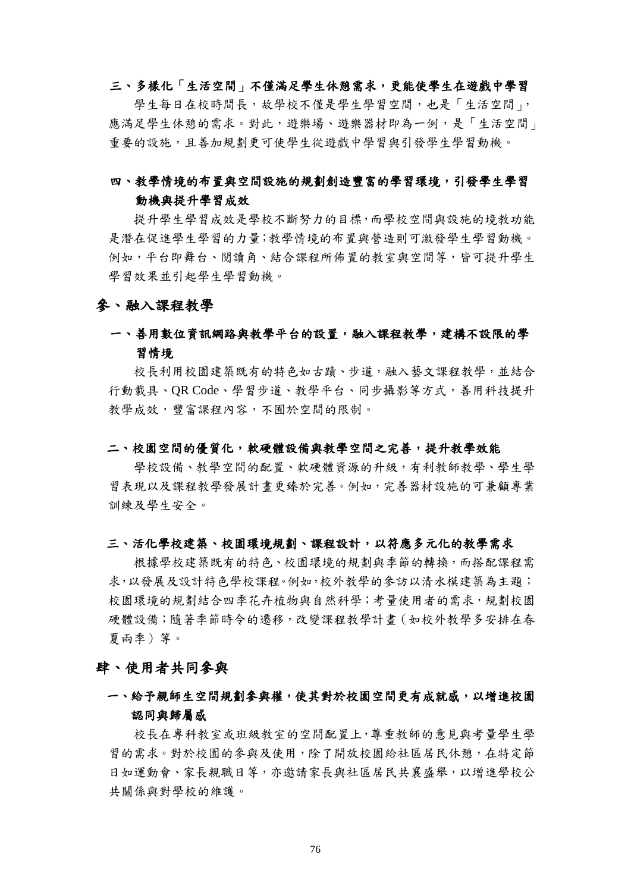## 三、多樣化「生活空間」不僅滿足學生休憩需求,更能使學生在遊戲中學習

學生每日在校時間長,故學校不僅是學生學習空間,也是「生活空間」, 應滿足學生休憩的需求。對此,遊樂場、遊樂器材即為一例,是「生活空間」 重要的設施,且善加規劃更可使學生從遊戲中學習與引發學生學習動機。

## 四、教學情境的布置與空間設施的規劃創造豐富的學習環境,引發學生學習 動機與提升學習成效

提升學生學習成效是學校不斷努力的目標,而學校空間與設施的境教功能 是潛在促進學生學習的力量;教學情境的布置與營造則可激發學生學習動機。 例如,平台即舞台、閱讀角、結合課程所佈置的教室與空間等,皆可提升學生 學習效果並引起學生學習動機。

#### 參、融入課程教學

## 一、善用數位資訊網路與教學平台的設置,融入課程教學,建構不設限的學 習情境

校長利用校園建築既有的特色如古蹟、步道,融入藝文課程教學,並結合 行動載具、QR Code、學習步道、教學平台、同步攝影等方式,善用科技提升 教學成效,豐富課程內容,不囿於空間的限制。

#### 二、校園空間的優質化,軟硬體設備與教學空間之完善,提升教學效能

學校設備、教學空間的配置、軟硬體資源的升級,有利教師教學、學生學 習表現以及課程教學發展計畫更臻於完善。例如,完善器材設施的可兼顧專業 訓練及學生安全。

#### 三、活化學校建築、校園環境規劃、課程設計,以符應多元化的教學需求

根據學校建築既有的特色、校園環境的規劃與季節的轉換,而搭配課程需 求,以發展及設計特色學校課程。例如,校外教學的參訪以清水模建築為主題; 校園環境的規劃結合四季花卉植物與自然科學;考量使用者的需求,規劃校園 硬體設備;隨著季節時令的遷移,改變課程教學計畫(如校外教學多安排在春 夏兩季)等。

## 肆、使用者共同參與

## 一、給予親師生空間規劃參與權,使其對於校園空間更有成就感,以增進校園 認同與歸屬感

校長在專科教室或班級教室的空間配置上,尊重教師的意見與考量學生學 習的需求。對於校園的參與及使用,除了開放校園給社區居民休憩,在特定節 日如運動會、家長親職日等,亦邀請家長與社區居民共襄盛舉,以增進學校公 共關係與對學校的維護。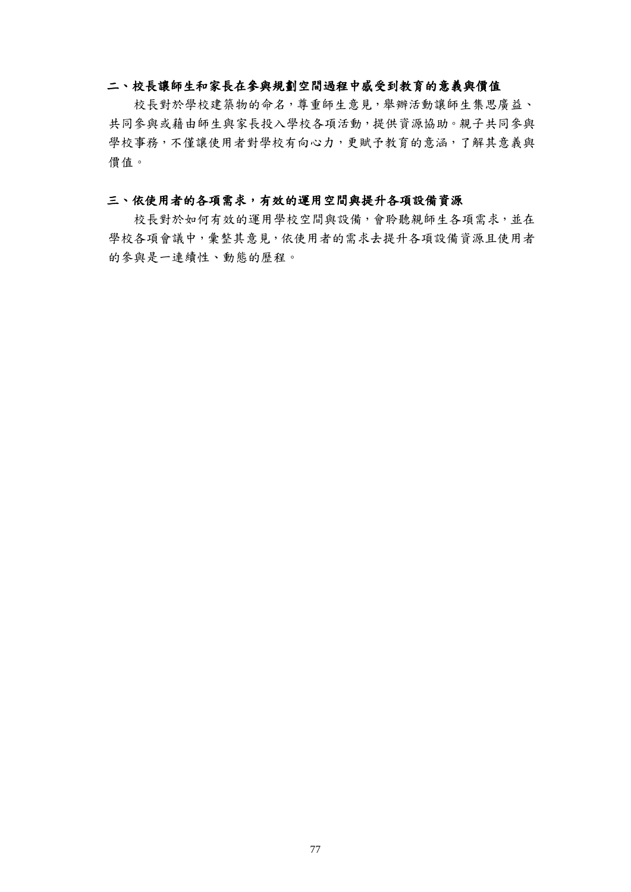#### 二、校長讓師生和家長在參與規劃空間過程中感受到教育的意義與價值

校長對於學校建築物的命名,尊重師生意見,舉辦活動讓師生集思廣益、 共同參與或藉由師生與家長投入學校各項活動,提供資源協助。親子共同參與 學校事務,不僅讓使用者對學校有向心力,更賦予教育的意涵,了解其意義與 價值。

#### 三、依使用者的各項需求,有效的運用空間與提升各項設備資源

校長對於如何有效的運用學校空間與設備,會聆聽親師生各項需求,並在 學校各項會議中,彙整其意見,依使用者的需求去提升各項設備資源且使用者 的參與是一連續性、動態的歷程。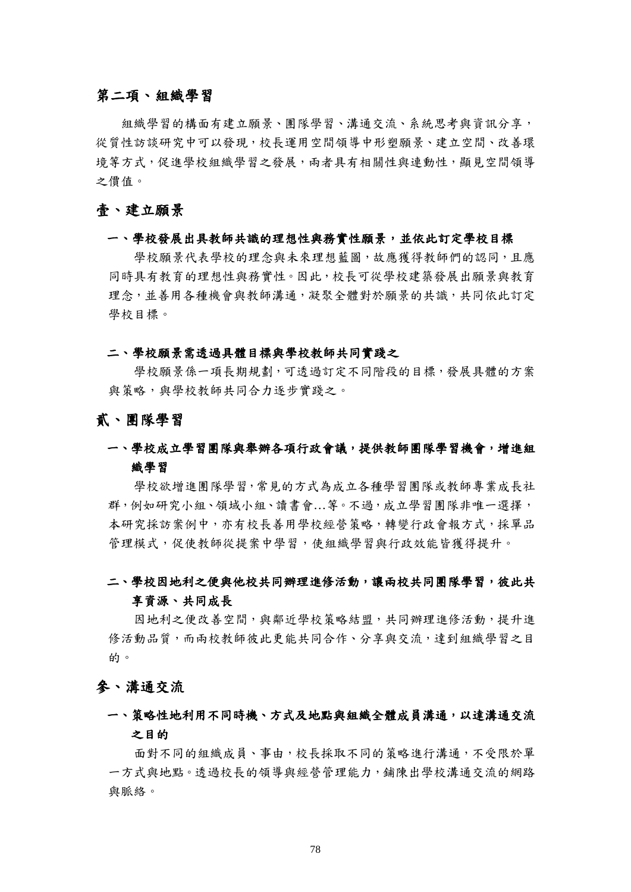## 第二項、組織學習

組織學習的構面有建立願景、團隊學習、溝通交流、系統思考與資訊分享, 從質性訪談研究中可以發現,校長運用空間領導中形塑願景、建立空間、改善環 境等方式,促進學校組織學習之發展,兩者具有相關性與連動性,顯見空間領導 之價值。

## 壹、建立願景

#### 一、學校發展出具教師共識的理想性與務實性願景,並依此訂定學校目標

學校願景代表學校的理念與未來理想藍圖,故應獲得教師們的認同,且應 同時具有教育的理想性與務實性。因此,校長可從學校建築發展出願景與教育 理念,並善用各種機會與教師溝通,凝聚全體對於願景的共識,共同依此訂定 學校目標。

#### 二、學校願景需透過具體目標與學校教師共同實踐之

學校願景係一項長期規劃,可透過訂定不同階段的目標,發展具體的方案 與策略,與學校教師共同合力逐步實踐之。

貳、團隊學習

## 一、學校成立學習團隊與舉辦各項行政會議,提供教師團隊學習機會,增進組 織學習

學校欲增進團隊學習,常見的方式為成立各種學習團隊或教師專業成長社 群,例如研究小組、領域小組、讀書會…等。不過,成立學習團隊非唯一選擇, 本研究採訪案例中,亦有校長善用學校經營策略,轉變行政會報方式,採單品 管理模式,促使教師從提案中學習,使組織學習與行政效能皆獲得提升。

## 二、學校因地利之便與他校共同辦理進修活動,讓兩校共同團隊學習,彼此共 享資源、共同成長

因地利之便改善空間,與鄰近學校策略結盟,共同辦理進修活動,提升進 修活動品質,而兩校教師彼此更能共同合作、分享與交流,達到組織學習之目 的。

#### 參、溝通交流

## 一、策略性地利用不同時機、方式及地點與組織全體成員溝通,以達溝通交流 之目的

面對不同的組織成員、事由,校長採取不同的策略進行溝通,不受限於單 一方式與地點。透過校長的領導與經營管理能力,鋪陳出學校溝通交流的網路 與脈絡。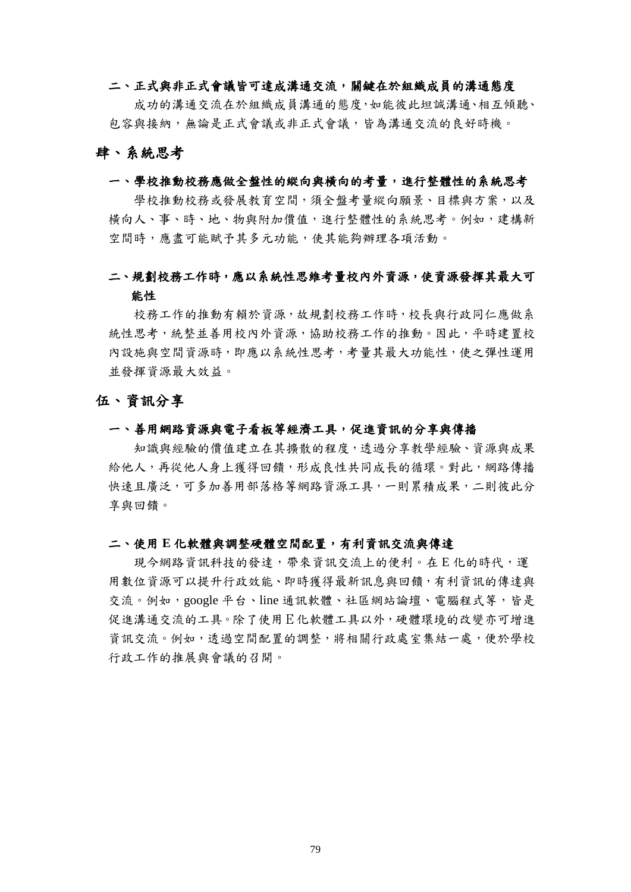#### 二、正式與非正式會議皆可達成溝通交流,關鍵在於組織成員的溝通態度

成功的溝通交流在於組織成員溝通的態度,如能彼此坦誠溝通、相互傾聽、 包容與接納,無論是正式會議或非正式會議,皆為溝通交流的良好時機。

#### 肆、系統思考

#### 一、學校推動校務應做全盤性的縱向與橫向的考量,進行整體性的系統思考

學校推動校務或發展教育空間,須全盤考量縱向願景、目標與方案,以及 橫向人、事、時、地、物與附加價值,進行整體性的系統思考。例如,建構新 空間時,應盡可能賦予其多元功能,使其能夠辦理各項活動。

## 二、規劃校務工作時,應以系統性思維考量校內外資源,使資源發揮其最大可 能性

校務工作的推動有賴於資源,故規劃校務工作時,校長與行政同仁應做系 統性思考,統整並善用校內外資源,協助校務工作的推動。因此,平時建置校 內設施與空間資源時,即應以系統性思考,考量其最大功能性,使之彈性運用 並發揮資源最大效益。

### 伍、資訊分享

#### 一、善用網路資源與電子看板等經濟工具,促進資訊的分享與傳播

知識與經驗的價值建立在其擴散的程度,透過分享教學經驗、資源與成果 給他人,再從他人身上獲得回饋,形成良性共同成長的循環。對此,網路傳播 快速且廣泛,可多加善用部落格等網路資源工具,一則累積成果,二則彼此分 享與回饋。

#### 二、使用 **E** 化軟體與調整硬體空間配置,有利資訊交流與傳達

現今網路資訊科技的發達,帶來資訊交流上的便利。在 E 化的時代,運 用數位資源可以提升行政效能、即時獲得最新訊息與回饋,有利資訊的傳達與 交流。例如,google 平台、line 通訊軟體、社區網站論壇、電腦程式等,皆是 促進溝通交流的工具。除了使用E化軟體工具以外,硬體環境的改變亦可增進 資訊交流。例如,透過空間配置的調整,將相關行政處室集結一處,便於學校 行政工作的推展與會議的召開。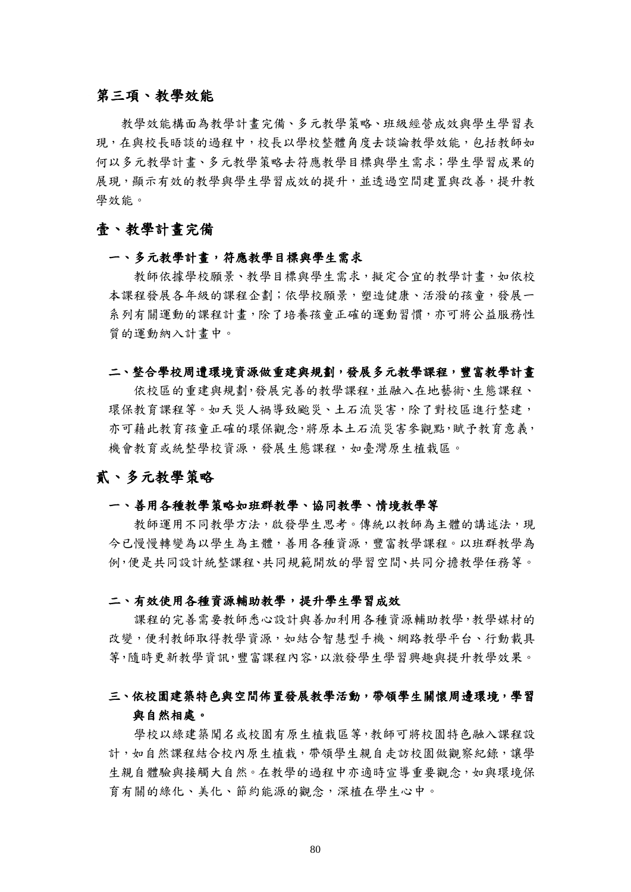## 第三項、教學效能

教學效能構面為教學計畫完備、多元教學策略、班級經營成效與學生學習表 現,在與校長晤談的過程中,校長以學校整體角度去談論教學效能,包括教師如 何以多元教學計畫、多元教學策略去符應教學目標與學生需求;學生學習成果的 展現,顯示有效的教學與學生學習成效的提升,並透過空間建置與改善,提升教 學效能。

## 壹、教學計畫完備

#### 一、多元教學計畫,符應教學目標與學生需求

教師依據學校願景、教學目標與學生需求,擬定合宜的教學計畫,如依校 本課程發展各年級的課程企劃;依學校願景,塑造健康、活潑的孩童,發展一 系列有關運動的課程計畫,除了培養孩童正確的運動習慣,亦可將公益服務性 質的運動納入計畫中。

#### 二、整合學校周遭環境資源做重建與規劃,發展多元教學課程,豐富教學計書

依校區的重建與規劃,發展完善的教學課程,並融入在地藝術、生態課程、 環保教育課程等。如天災人禍導致颱災、土石流災害,除了對校區進行整建, 亦可藉此教育孩童正確的環保觀念,將原本土石流災害參觀點,賦予教育意義, 機會教育或統整學校資源,發展生態課程,如臺灣原生植栽區。

## 貳、多元教學策略

#### 一、善用各種教學策略如班群教學、協同教學、情境教學等

教師運用不同教學方法,啟發學生思考。傳統以教師為主體的講述法,現 今已慢慢轉變為以學生為主體,善用各種資源,豐富教學課程。以班群教學為 例,便是共同設計統整課程、共同規範開放的學習空間、共同分擔教學任務等。

#### 二、有效使用各種資源輔助教學,提升學生學習成效

課程的完善需要教師悉心設計與善加利用各種資源輔助教學,教學媒材的 改變,便利教師取得教學資源,如結合智慧型手機、網路教學平台、行動載具 等,隨時更新教學資訊,豐富課程內容,以激發學生學習興趣與提升教學效果。

## 三、依校園建築特色與空間佈置發展教學活動,帶領學生關懷周邊環境,學習 與自然相處。

學校以綠建築聞名或校園有原生植栽區等,教師可將校園特色融入課程設 計,如自然課程結合校內原生植栽,帶領學生親自走訪校園做觀察紀錄,讓學 生親自體驗與接觸大自然。在教學的過程中亦適時宣導重要觀念,如與環境保 育有關的綠化、美化、節約能源的觀念,深植在學生心中。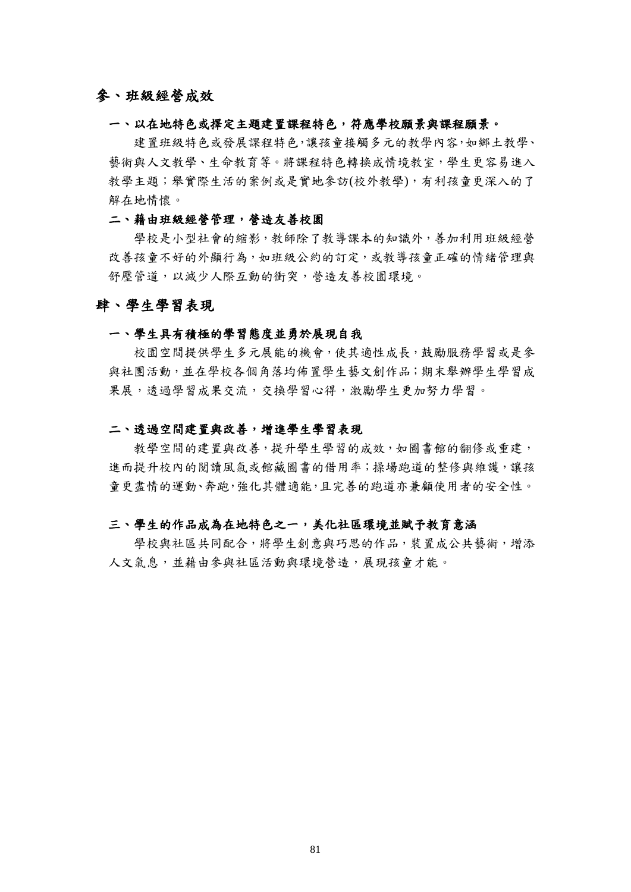## 參、班級經營成效

#### 一、以在地特色或擇定主題建置課程特色,符應學校願景與課程願景。

建置班級特色或發展課程特色,讓孩童接觸多元的教學內容,如鄉土教學、 藝術與人文教學、生命教育等。將課程特色轉換成情境教室,學生更容易進入 教學主題;舉實際生活的案例或是實地參訪(校外教學),有利孩童更深入的了 解在地情懷。

#### 二、藉由班級經營管理,營造友善校園

學校是小型社會的縮影,教師除了教導課本的知識外,善加利用班級經營 改善孩童不好的外顯行為,如班級公約的訂定,或教導孩童正確的情緒管理與 舒壓管道,以減少人際互動的衝突,營造友善校園環境。

### 肆、學生學習表現

#### 一、學生具有積極的學習態度並勇於展現自我

校園空間提供學生多元展能的機會,使其適性成長,鼓勵服務學習或是參 與社團活動,並在學校各個角落均佈置學生藝文創作品;期末舉辦學生學習成 果展,透過學習成果交流,交換學習心得,激勵學生更加努力學習。

#### 二、透過空間建置與改善,增進學生學習表現

教學空間的建置與改善,提升學生學習的成效,如圖書館的翻修或重建, 進而提升校內的閱讀風氣或館藏圖書的借用率;操場跑道的整修與維護,讓孩 童更盡情的運動、奔跑,強化其體適能,且完善的跑道亦兼顧使用者的安全性。

#### 三、學生的作品成為在地特色之一,美化社區環境並賦予教育意涵

學校與社區共同配合,將學生創意與巧思的作品,裝置成公共藝術,增添 人文氣息,並藉由參與社區活動與環境營造,展現孩童才能。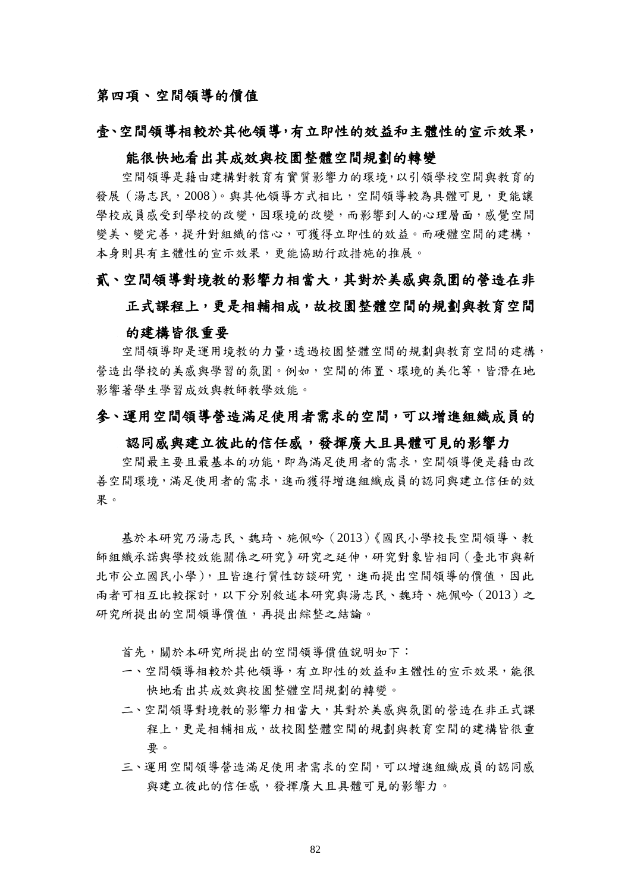## 第四項、空間領導的價值

#### 壹、空間領導相較於其他領導,有立即性的效益和主體性的宣示效果,

## 能很快地看出其成效與校園整體空間規劃的轉變

空間領導是藉由建構對教育有實質影響力的環境,以引領學校空間與教育的 發展(湯志民,2008)。與其他領導方式相比,空間領導較為具體可見,更能讓 學校成員感受到學校的改變,因環境的改變,而影響到人的心理層面,感覺空間 變美、變完善,提升對組織的信心,可獲得立即性的效益。而硬體空間的建構, 本身則具有主體性的宣示效果,更能協助行政措施的推展。

### 貳、空間領導對境教的影響力相當大,其對於美感與氛圍的營造在非

# 正式課程上,更是相輔相成,故校園整體空間的規劃與教育空間 的建構皆很重要

空間領導即是運用境教的力量,透過校園整體空間的規劃與教育空間的建構, 營造出學校的美感與學習的氛圍。例如,空間的佈置、環境的美化等,皆潛在地 影響著學生學習成效與教師教學效能。

## 參、運用空間領導營造滿足使用者需求的空間,可以增進組織成員的

#### 認同感與建立彼此的信任感,發揮廣大且具體可見的影響力

空間最主要且最基本的功能,即為滿足使用者的需求,空間領導便是藉由改 善空間環境,滿足使用者的需求,進而獲得增進組織成員的認同與建立信任的效 果。

基於本研究乃湯志民、魏琦、施佩吟(2013)《國民小學校長空間領導、教 師組織承諾與學校效能關係之研究》研究之延伸,研究對象皆相同(臺北市與新 北市公立國民小學),且皆進行質性訪談研究,進而提出空間領導的價值,因此 兩者可相互比較探討,以下分別敘述本研究與湯志民、魏琦、施佩吟(2013)之 研究所提出的空間領導價值,再提出綜整之結論。

首先,關於本研究所提出的空間領導價值說明如下:

- 一、空間領導相較於其他領導,有立即性的效益和主體性的宣示效果,能很 快地看出其成效與校園整體空間規劃的轉變。
- 二、空間領導對境教的影響力相當大,其對於美感與氛圍的營造在非正式課 程上,更是相輔相成,故校園整體空間的規劃與教育空間的建構皆很重 要。
- 三、運用空間領導營造滿足使用者需求的空間,可以增進組織成員的認同感 與建立彼此的信任感,發揮廣大且具體可見的影響力。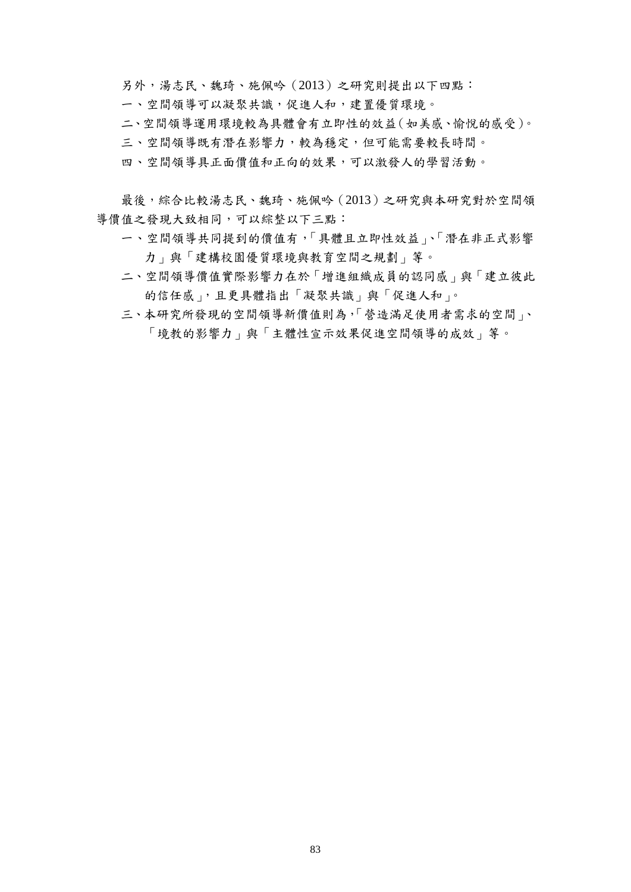另外,湯志民、魏琦、施佩吟(2013)之研究則提出以下四點:

- 一、空間領導可以凝聚共識,促進人和,建置優質環境。
- 二、空間領導運用環境較為具體會有立即性的效益(如美感、愉悅的感受)。
- 三、空間領導既有潛在影響力,較為穩定,但可能需要較長時間。
- 四、空間領導具正面價值和正向的效果,可以激發人的學習活動。

最後,綜合比較湯志民、魏琦、施佩吟(2013)之研究與本研究對於空間領 導價值之發現大致相同,可以綜整以下三點:

- 一、空間領導共同提到的價值有,「具體且立即性效益」、「潛在非正式影響 力」與「建構校園優質環境與教育空間之規劃」等。
- 二、空間領導價值實際影響力在於「增進組織成員的認同感」與「建立彼此 的信任感」,且更具體指出「凝聚共識」與「促進人和」。
- 三、本研究所發現的空間領導新價值則為,「營造滿足使用者需求的空間」、 「境教的影響力」與「主體性宣示效果促進空間領導的成效」等。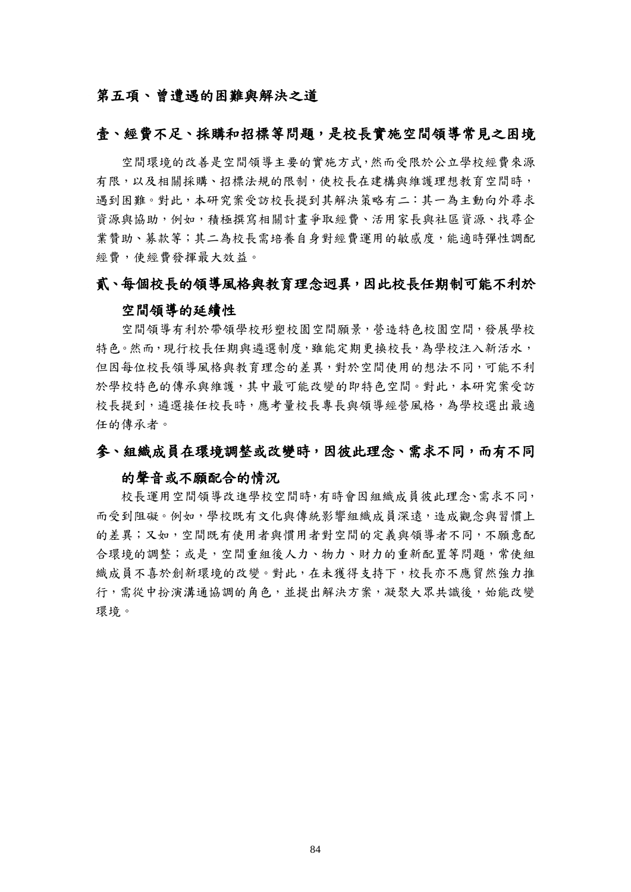## 第五項、曾遭遇的困難與解決之道

## 壹、經費不足、採購和招標等問題,是校長實施空間領導常見之困境

空間環境的改善是空間領導主要的實施方式,然而受限於公立學校經費來源 有限,以及相關採購、招標法規的限制,使校長在建構與維護理想教育空間時, 遇到困難。對此,本研究案受訪校長提到其解決策略有二:其一為主動向外尋求 資源與協助,例如,積極撰寫相關計畫爭取經費、活用家長與社區資源、找尋企 業贊助、募款等;其二為校長需培養自身對經費運用的敏感度,能適時彈性調配 經費,使經費發揮最大效益。

### 貳、每個校長的領導風格與教育理念迥異,因此校長任期制可能不利於

#### 空間領導的延續性

空間領導有利於帶領學校形塑校園空間願景,營造特色校園空間,發展學校 特色。然而,現行校長任期與遴選制度,雖能定期更換校長,為學校注入新活水, 但因每位校長領導風格與教育理念的差異,對於空間使用的想法不同,可能不利 於學校特色的傳承與維護,其中最可能改變的即特色空間。對此,本研究案受訪 校長提到,遴選接任校長時,應考量校長專長與領導經營風格,為學校選出最適 任的傳承者。

## 參、組織成員在環境調整或改變時,因彼此理念、需求不同,而有不同

#### 的聲音或不願配合的情況

校長運用空間領導改進學校空間時,有時會因組織成員彼此理念、需求不同, 而受到阻礙。例如,學校既有文化與傳統影響組織成員深遠,造成觀念與習慣上 的差異;又如,空間既有使用者與慣用者對空間的定義與領導者不同,不願意配 合環境的調整;或是,空間重組後人力、物力、財力的重新配置等問題,常使組 織成員不喜於創新環境的改變。對此,在未獲得支持下,校長亦不應貿然強力推 行,需從中扮演溝通協調的角色,並提出解決方案,凝聚大眾共識後,始能改變 環境。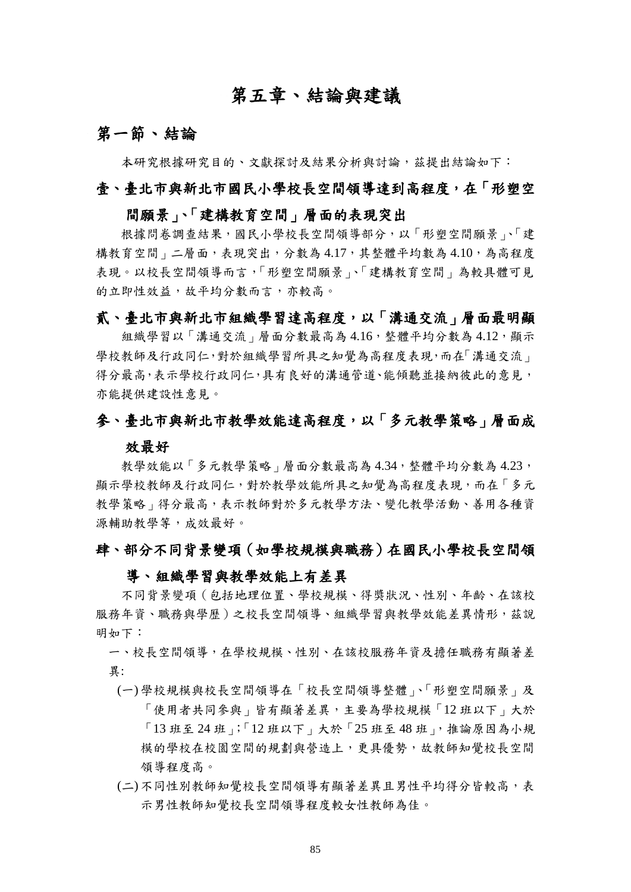# 第五章、結論與建議

## 第一節、結論

本研究根據研究目的、文獻探討及結果分析與討論,茲提出結論如下:

## 壹、臺北市與新北市國民小學校長空間領導達到高程度,在「形塑空

## 間願景」、「建構教育空間」層面的表現突出

根據問卷調查結果,國民小學校長空間領導部分,以「形塑空間願景」、「建 構教育空間」二層面,表現突出,分數為 4.17,其整體平均數為 4.10,為高程度 表現。以校長空間領導而言,「形塑空間願景」、「建構教育空間」為較具體可見 的立即性效益,故平均分數而言,亦較高。

## 貳、臺北市與新北市組織學習達高程度,以「溝通交流」層面最明顯

組織學習以「溝通交流」層面分數最高為 4.16,整體平均分數為 4.12,顯示 學校教師及行政同仁,對於組織學習所具之知覺為高程度表現,而在「溝通交流」 得分最高,表示學校行政同仁,具有良好的溝通管道、能傾聽並接納彼此的意見, 亦能提供建設性意見。

### 參、臺北市與新北市教學效能達高程度,以「多元教學策略」層面成

#### 效最好

教學效能以「多元教學策略」層面分數最高為 4.34,整體平均分數為 4.23, 顯示學校教師及行政同仁,對於教學效能所具之知覺為高程度表現,而在「多元 教學策略 | 得分最高,表示教師對於多元教學方法、變化教學活動、善用各種資 源輔助教學等,成效最好。

## 肆、部分不同背景變項(如學校規模與職務)在國民小學校長空間領

### 導、組織學習與教學效能上有差異

不同背景變項(包括地理位置、學校規模、得獎狀況、性別、年齡、在該校 服務年資、職務與學層)之校長空間領導、組織學習與教學效能差異情形,茲說 明如下:

一、校長空間領導,在學校規模、性別、在該校服務年資及擔任職務有顯著差 異:

- (一) 學校規模與校長空間領導在「校長空間領導整體」、「形塑空間願景」及 「使用者共同參與」皆有顯著差異,主要為學校規模「12 班以下」大於 「13 班至 24 班」;「12 班以下」大於「25 班至 48 班」,推論原因為小規 模的學校在校園空間的規劃與營造上,更具優勢,故教師知覺校長空間 領導程度高。
- (二) 不同性別教師知覺校長空間領導有顯著差異且男性平均得分皆較高,表 示男性教師知覺校長空間領導程度較女性教師為佳。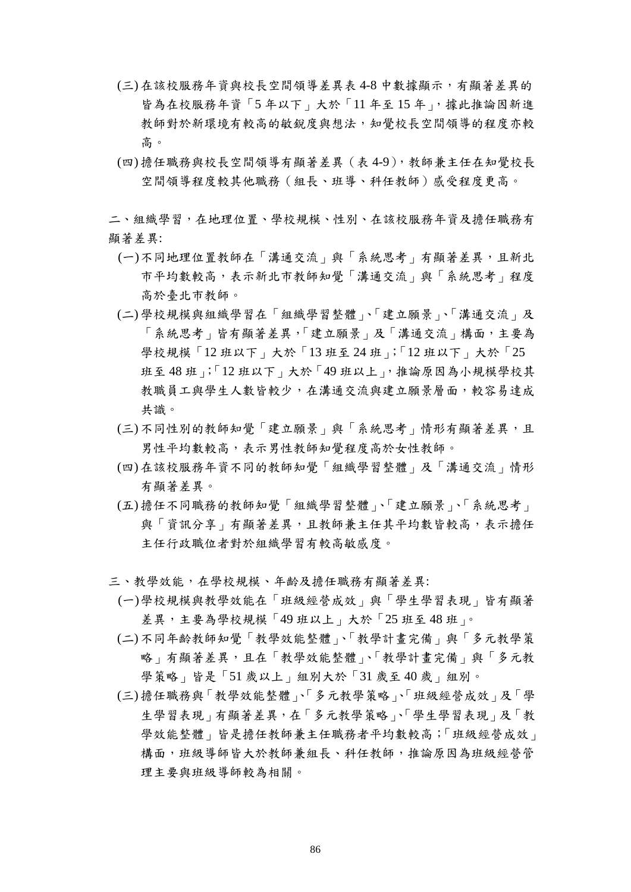- (三) 在該校服務年資與校長空間領導差異表 4-8 中數據顯示,有顯著差異的 皆為在校服務年資「5年以下」大於「11年至15年」,據此推論因新進 教師對於新環境有較高的敏銳度與想法,知覺校長空間領導的程度亦較 高。
- (四) 擔任職務與校長空間領導有顯著差異(表 4-9),教師兼主任在知覺校長 空間領導程度較其他職務(組長、班導、科任教師)感受程度更高。

二、組織學習,在地理位置、學校規模、性別、在該校服務年資及擔任職務有 顯著差異:

- (一)不同地理位置教師在「溝通交流」與「系統思考」有顯著差異,且新北 市平均數較高,表示新北市教師知覺「溝通交流」與「系統思考」程度 高於臺北市教師。
- (二) 學校規模與組織學習在「組織學習整體」、「建立願景」、「溝通交流」及 「系統思考」皆有顯著差異,「建立願景」及「溝通交流」構面,主要為 學校規模「12班以下」大於「13班至 24班」;「12班以下」大於「25 班至 48 班」;「12 班以下」大於「49 班以上」,推論原因為小規模學校其 教職員工與學生人數皆較少,在溝通交流與建立願景層面,較容易達成 共識。
- (三) 不同性別的教師知覺「建立願景」與「系統思考」情形有顯著差異,且 男性平均數較高,表示男性教師知覺程度高於女性教師。
- (四) 在該校服務年資不同的教師知覺「組織學習整體」及「溝通交流」情形 有顯著差異。
- (五) 擔任不同職務的教師知覺「組織學習整體」、「建立願景」、「系統思考」 與「資訊分享」有顯著差異,且教師兼主任其平均數皆較高,表示擔任 主任行政職位者對於組織學習有較高敏感度。
- 三、教學效能,在學校規模、年齡及擔任職務有顯著差異:
	- (一)學校規模與教學效能在「班級經營成效」與「學生學習表現」皆有顯著 差異,主要為學校規模「49班以上」大於「25班至48班」。
	- (二) 不同年齡教師知覺「教學效能整體」、「教學計畫完備」與「多元教學策 略 | 有顯著差異,且在「教學效能整體」、「教學計畫完備 | 與「多元教 學策略」皆是「51 歲以上」組別大於「31 歲至40 歲」組別。
	- (三) 擔任職務與「教學效能整體」、「多元教學策略」、「班級經營成效」及「學 生學習表現」有顯著差異,在「多元教學策略」、「學生學習表現」及「教 學效能整體」皆是擔任教師兼主任職務者平均數較高;「班級經營成效」 構面,班級導師皆大於教師兼組長、科任教師,推論原因為班級經營管 理主要與班級導師較為相關。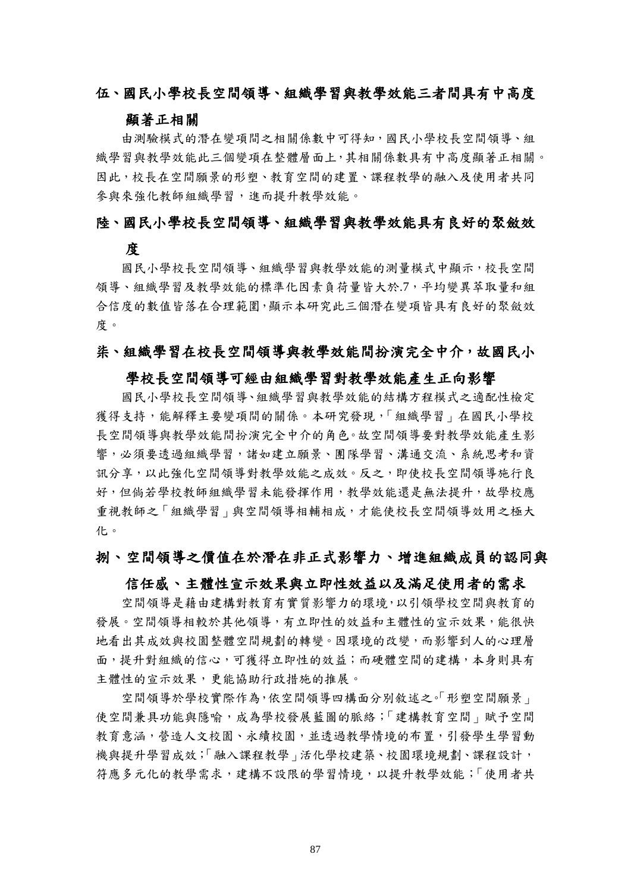## 伍、國民小學校長空間領導、組織學習與教學效能三者間具有中高度

### 顯著正相關

由測驗模式的潛在變項間之相關係數中可得知,國民小學校長空間領導、組 織學習與教學效能此三個變項在整體層面上,其相關係數具有中高度顯著正相關。 因此,校長在空間願景的形塑、教育空間的建置、課程教學的融入及使用者共同 參與來強化教師組織學習,進而提升教學效能。

### 陸、國民小學校長空間領導、組織學習與教學效能具有良好的聚斂效

## 度

國民小學校長空間領導、組織學習與教學效能的測量模式中顯示,校長空間 領導、組織學習及教學效能的標準化因素負荷量皆大於.7,平均變異萃取量和組 合信度的數值皆落在合理範圍,顯示本研究此三個潛在變項皆具有良好的聚斂效 度。

#### 柒、組織學習在校長空間領導與教學效能間扮演完全中介,故國民小

#### 學校長空間領導可經由組織學習對教學效能產生正向影響

國民小學校長空間領導、組織學習與教學效能的結構方程模式之適配性檢定 獲得支持,能解釋主要變項間的關係。本研究發現,「組織學習」在國民小學校 長空間領導與教學效能間扮演完全中介的角色。故空間領導要對教學效能產生影 響,必須要透過組織學習,諸如建立願景、團隊學習、溝通交流、系統思考和資 訊分享,以此強化空間領導對教學效能之成效。反之,即使校長空間領導施行良 好,但倘若學校教師組織學習未能發揮作用,教學效能還是無法提升,故學校應 重視教師之「組織學習」與空間領導相輔相成,才能使校長空間領導效用之極大 化。

#### 捌、空間領導之價值在於潛在非正式影響力、增進組織成員的認同與

#### 信任感、主體性宣示效果與立即性效益以及滿足使用者的需求

空間領導是藉由建構對教育有實質影響力的環境,以引領學校空間與教育的 發展。空間領導相較於其他領導,有立即性的效益和主體性的宣示效果,能很快 地看出其成效與校園整體空間規劃的轉變。因環境的改變,而影響到人的心理層 面,提升對組織的信心,可獲得立即性的效益;而硬體空間的建構,本身則具有 主體性的宣示效果,更能協助行政措施的推展。

空間領導於學校實際作為,依空間領導四構面分別敘述之。「形塑空間願景」 使空間兼具功能與隱喻,成為學校發展藍圖的脈絡;「建構教育空間」賦予空間 教育意涵,營造人文校園、永續校園,並透過教學情境的布置,引發學生學習動 機與提升學習成效;「融入課程教學」活化學校建築、校園環境規劃、課程設計, 符應多元化的教學需求,建構不設限的學習情境,以提升教學效能;「使用者共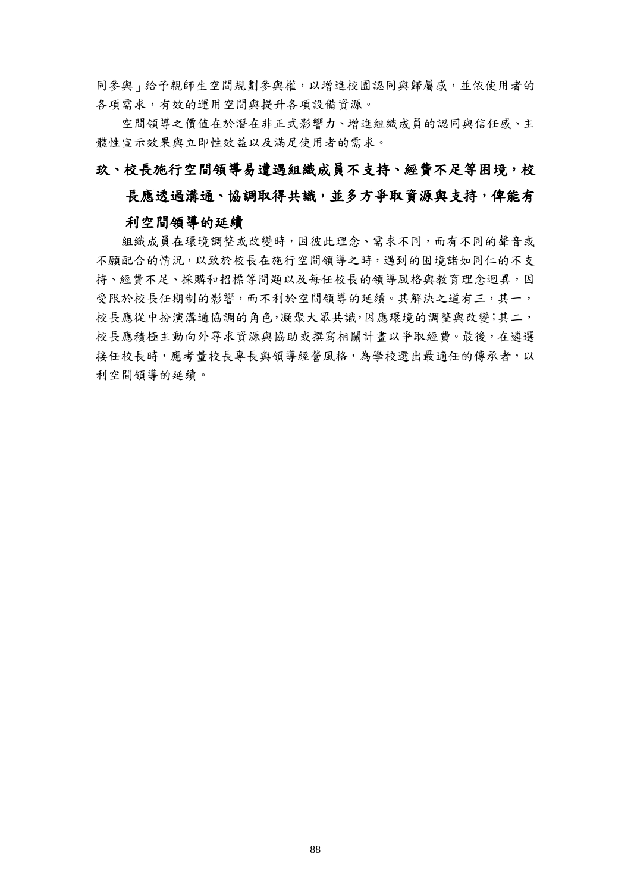同參與 商合利師生空間規劃參與權,以增進校園認同與歸屬感,並依使用者的 各項需求,有效的運用空間與提升各項設備資源。

空間領導之價值在於潛在非正式影響力、增進組織成員的認同與信任感、主 體性宣示效果與立即性效益以及滿足使用者的需求。

## 玖、校長施行空間領導易遭遇組織成員不支持、經費不足等困境,校

## 長應透過溝通、協調取得共識,並多方爭取資源與支持,俾能有

#### 利空間領導的延續

組織成員在環境調整或改變時,因彼此理念、需求不同,而有不同的聲音或 不願配合的情況,以致於校長在施行空間領導之時,遇到的困境諸如同仁的不支 持、經費不足、採購和招標等問題以及每任校長的領導風格與教育理念迥異,因 受限於校長任期制的影響,而不利於空間領導的延續。其解決之道有三,其一, 校長應從中扮演溝通協調的角色,凝聚大眾共識,因應環境的調整與改變;其二, 校長應積極主動向外尋求資源與協助或撰寫相關計畫以爭取經費。最後,在遴選 接任校長時,應考量校長專長與領導經營風格,為學校選出最適任的傳承者,以 利空間領導的延續。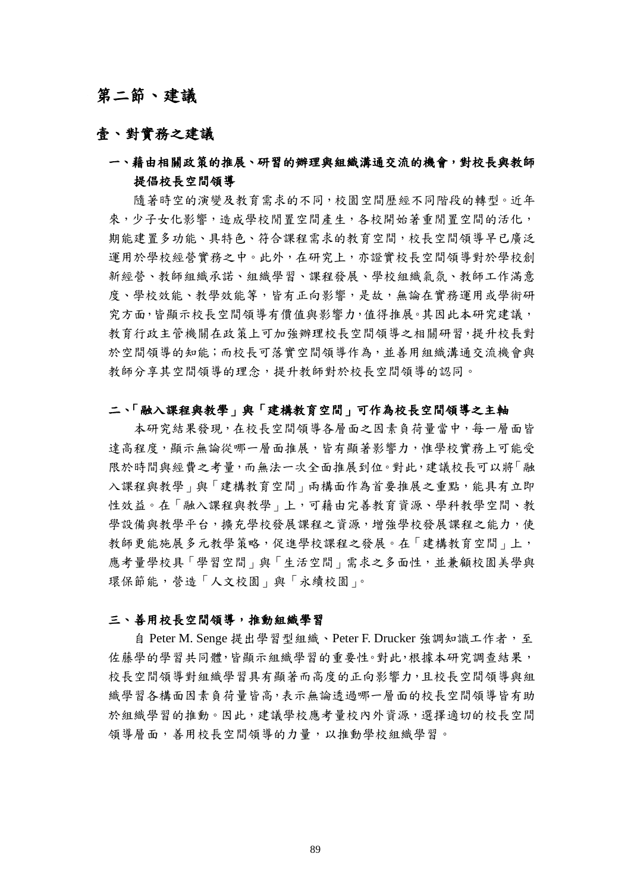# 第二節、建議

## 壹、對實務之建議

## 一、藉由相關政策的推展、研習的辦理與組織溝通交流的機會,對校長與教師 提倡校長空間領導

隨著時空的演變及教育需求的不同,校園空間歷經不同階段的轉型。近年 來,少子女化影響,造成學校閒置空間產生,各校開始著重閒置空間的活化, 期能建置多功能、具特色、符合課程需求的教育空間,校長空間領導早已廣泛 運用於學校經營實務之中。此外,在研究上,亦證實校長空間領導對於學校創 新經營、教師組織承諾、組織學習、課程發展、學校組織氣氛、教師工作滿意 度、學校效能、教學效能等,皆有正向影響,是故,無論在實務運用或學術研 究方面,皆顯示校長空間領導有價值與影響力,值得推展。其因此本研究建議, 教育行政主管機關在政策上可加強辦理校長空間領導之相關研習,提升校長對 於空間領導的知能;而校長可落實空間領導作為,並善用組織溝通交流機會與 教師分享其空間領導的理念,提升教師對於校長空間領導的認同。

#### 二、「融入課程與教學」與「建構教育空間」可作為校長空間領導之主軸

本研究結果發現,在校長空間領導各層面之因素負荷量當中,每一層面皆 達高程度,顯示無論從哪一層面推展,皆有顯著影響力,惟學校實務上可能受 限於時間與經費之考量,而無法一次全面推展到位。對此,建議校長可以將「融 入課程與教學」與「建構教育空間」兩構面作為首要推展之重點,能具有立即 性效益。在「融入課程與教學」上,可藉由完善教育資源、學科教學空間、教 學設備與教學平台,擴充學校發展課程之資源,增強學校發展課程之能力,使 教師更能施展多元教學策略,促進學校課程之發展。在「建構教育空間」上, 應考量學校具「學習空間」與「生活空間」需求之多面性,並兼顧校園美學與 環保節能,營造「人文校園」與「永續校園」。

#### 三、善用校長空間領導,推動組織學習

自 Peter M. Senge 提出學習型組織、Peter F. Drucker 強調知識工作者,至 佐藤學的學習共同體,皆顯示組織學習的重要性。對此,根據本研究調查結果, 校長空間領導對組織學習具有顯著而高度的正向影響力,且校長空間領導與組 織學習各構面因素負荷量皆高,表示無論透過哪一層面的校長空間領導皆有助 於組織學習的推動。因此,建議學校應考量校內外資源,選擇適切的校長空間 領導層面,善用校長空間領導的力量,以推動學校組織學習。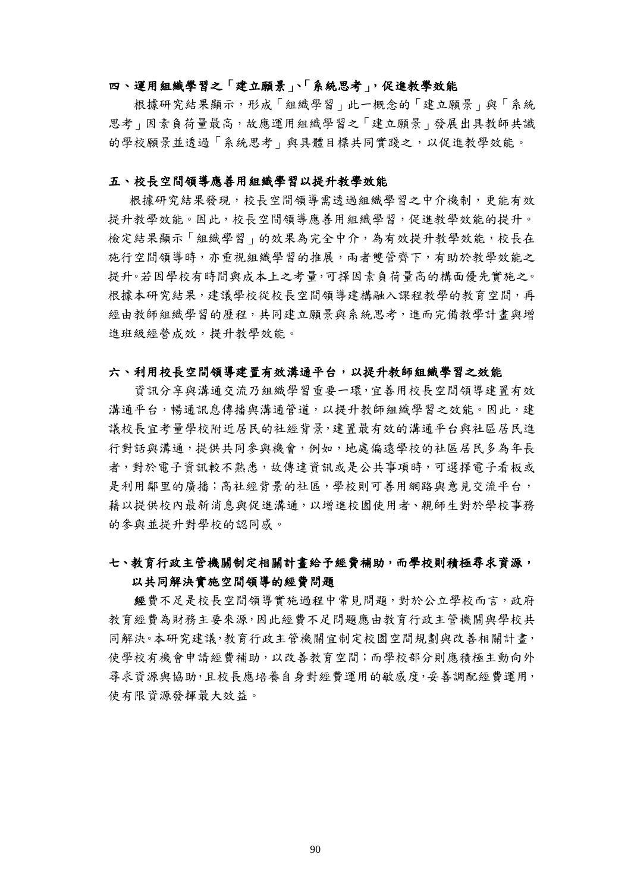#### 四、運用組織學習之「建立願景」、「系統思考」,促進教學效能

根據研究結果顯示,形成「組織學習」此一概念的「建立願景」與「系統 思考」因素負荷量最高,故應運用組織學習之「建立願景」發展出具教師共識 的學校願景並透過「系統思考」與具體目標共同實踐之,以促進教學效能。

#### 五、校長空間領導應善用組織學習以提升教學效能

根據研究結果發現,校長空間領導需透過組織學習之中介機制,更能有效 提升教學效能。因此,校長空間領導應善用組織學習,促進教學效能的提升。 檢定結果顯示「組織學習」的效果為完全中介,為有效提升教學效能,校長在 施行空間領導時,亦重視組織學習的推展,兩者雙管齊下,有助於教學效能之 提升。若因學校有時間與成本上之考量,可擇因素負荷量高的構面優先實施之。 根據本研究結果,建議學校從校長空間領導建構融入課程教學的教育空間,再 經由教師組織學習的歷程,共同建立願景與系統思考,進而完備教學計畫與增 進班級經營成效,提升教學效能。

#### 六、利用校長空間領導建置有效溝通平台,以提升教師組織學習之效能

資訊分享與溝通交流乃組織學習重要一環,宜善用校長空間領導建置有效 溝通平台,暢通訊息傳播與溝通管道,以提升教師組織學習之效能。因此,建 議校長宜考量學校附近居民的社經背景,建置最有效的溝通平台與社區居民進 行對話與溝通,提供共同參與機會,例如,地處偏遠學校的社區居民多為年長 者,對於電子資訊較不熟悉,故傳達資訊或是公共事項時,可選擇電子看板或 是利用鄰里的廣播;高社經背景的社區,學校則可善用網路與意見交流平台, 藉以提供校內最新消息與促進溝通,以增進校園使用者、親師生對於學校事務 的參與並提升對學校的認同感。

## 七、教育行政主管機關制定相關計畫給予經費補助,而學校則積極尋求資源, 以共同解決實施空間領導的經費問題

經費不足是校長空間領導實施過程中常見問題,對於公立學校而言,政府 教育經費為財務主要來源,因此經費不足問題應由教育行政主管機關與學校共 同解決。本研究建議,教育行政主管機關宜制定校園空間規劃與改善相關計畫, 使學校有機會申請經費補助,以改善教育空間;而學校部分則應積極主動向外 尋求資源與協助,且校長應培養自身對經費運用的敏感度,妥善調配經費運用, 使有限資源發揮最大效益。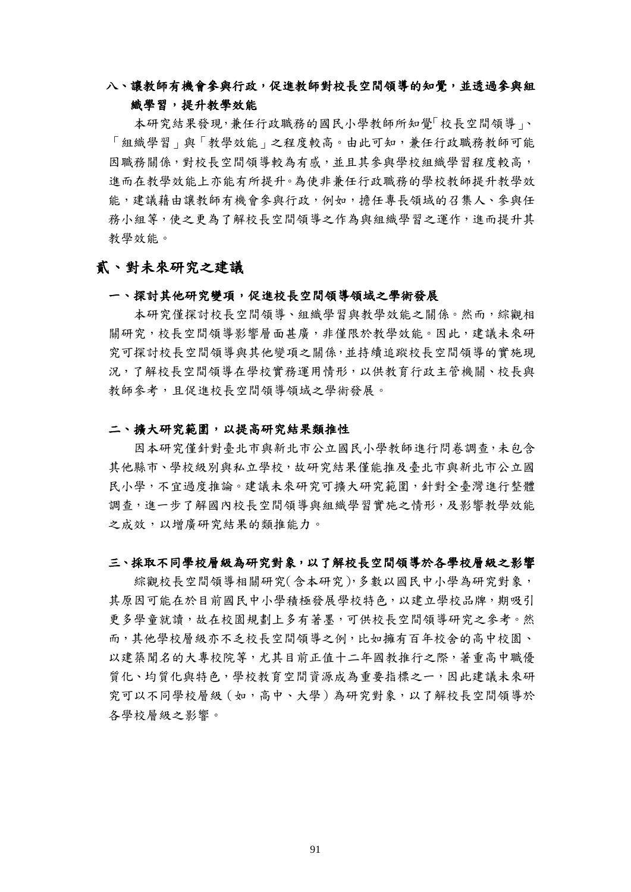## 八、讓教師有機會參與行政,促進教師對校長空間領導的知覺,並透過參與組 織學習,提升教學效能

本研究結果發現,兼任行政職務的國民小學教師所知覺「校長空間領導」、 「組織學習」與「教學效能」之程度較高。由此可知,兼任行政職務教師可能 因職務關係,對校長空間領導較為有感,並且其參與學校組織學習程度較高, 進而在教學效能上亦能有所提升。為使非兼任行政職務的學校教師提升教學效 能,建議藉由讓教師有機會參與行政,例如,擔任專長領域的召集人、參與任 務小組等,使之更為了解校長空間領導之作為與組織學習之運作,進而提升其 教學效能。

## 貳、對未來研究之建議

#### 一、探討其他研究變項,促進校長空間領導領域之學術發展

本研究僅探討校長空間領導、組織學習與教學效能之關係。然而,綜觀相 關研究,校長空間領導影響層面甚廣,非僅限於教學效能。因此,建議未來研 究可探討校長空間領導與其他變項之關係,並持續追蹤校長空間領導的實施現 況,了解校長空間領導在學校實務運用情形,以供教育行政主管機關、校長與 教師參考,且促進校長空間領導領域之學術發展。

#### 二、擴大研究範圍,以提高研究結果類推性

因本研究僅針對臺北市與新北市公立國民小學教師進行問卷調查,未包含 其他縣市、學校級別與私立學校,故研究結果僅能推及臺北市與新北市公立國 民小學,不宜過度推論。建議未來研究可擴大研究範圍,針對全臺灣進行整體 調查,進一步了解國內校長空間領導與組織學習實施之情形,及影響教學效能 之成效,以增廣研究結果的類推能力。

#### 三、採取不同學校層級為研究對象,以了解校長空間領導於各學校層級之影響

綜觀校長空間領導相關研究(含本研究),多數以國民中小學為研究對象, 其原因可能在於目前國民中小學積極發展學校特色,以建立學校品牌,期吸引 更多學童就讀,故在校園規劃上多有著墨,可供校長空間領導研究之參考。然 而,其他學校層級亦不乏校長空間領導之例,比如擁有百年校舍的高中校園、 以建築聞名的大專校院等,尤其目前正值十二年國教推行之際,著重高中職優 質化、均質化與特色,學校教育空間資源成為重要指標之一,因此建議未來研 究可以不同學校層級(如,高中、大學)為研究對象,以了解校長空間領導於 各學校層級之影響。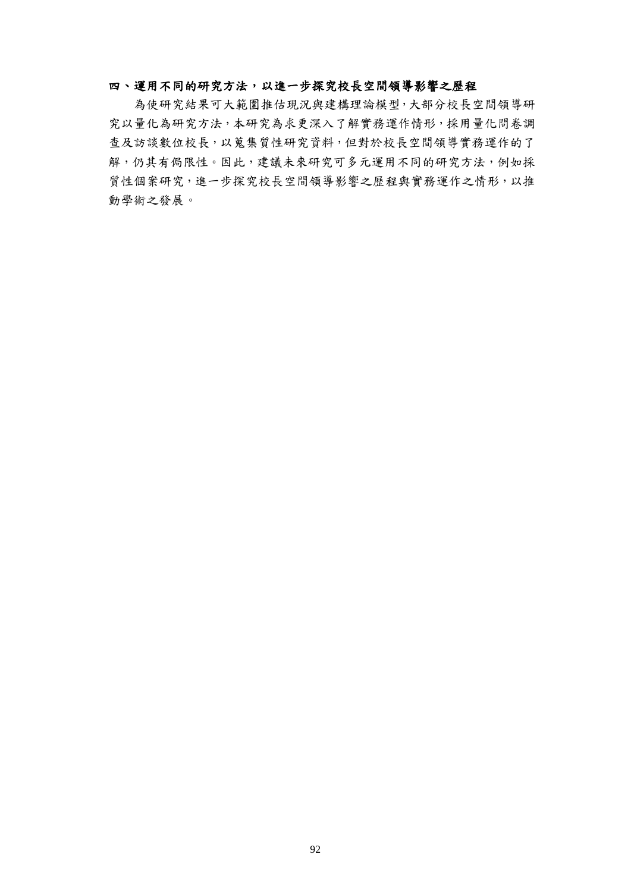### 四、運用不同的研究方法,以進一步探究校長空間領導影響之歷程

為使研究結果可大範圍推估現況與建構理論模型,大部分校長空間領導研 究以量化為研究方法,本研究為求更深入了解實務運作情形,採用量化問卷調 查及訪談數位校長,以蒐集質性研究資料,但對於校長空間領導實務運作的了 解,仍其有侷限性。因此,建議未來研究可多元運用不同的研究方法,例如採 質性個案研究,進一步探究校長空間領導影響之歷程與實務運作之情形,以推 動學術之發展。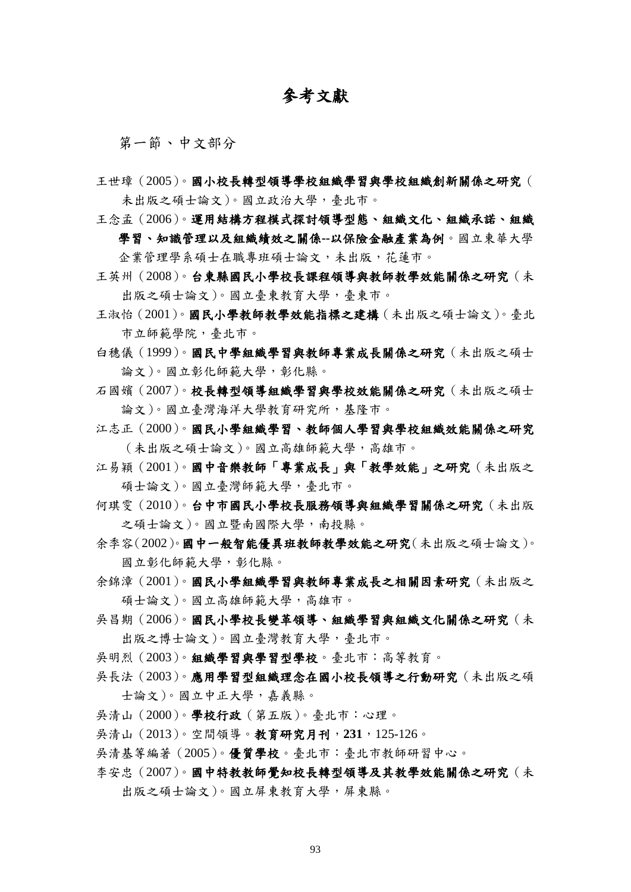# 參考文獻

第一節、中文部分

- 王世璋(2005)。國小校長轉型領導學校組織學習與學校組織創新關係之研究( 未出版之碩士論文)。國立政治大學,臺北市。
- 王念孟(2006)。運用結構方程模式探討領導型態、組織文化、組織承諾、組織 學習、知識管理以及組織績效之關係**--**以保險金融產業為例。國立東華大學 企業管理學系碩士在職專班碩士論文,未出版,花蓮市。
- 王英州(2008)。台東縣國民小學校長課程領導與教師教學效能關係之研究(未 出版之碩士論文)。國立臺東教育大學,臺東市。
- 王淑怡(2001)。國民小學教師教學效能指標之建構(未出版之碩士論文)。臺北 市立師範學院,臺北市。
- 白穗儀(1999)。國民中學組織學習與教師專業成長關係之研究(未出版之碩士 論文)。國立彰化師範大學,彰化縣。
- 石國嬪(2007)。校長轉型領導組織學習與學校效能關係之研究(未出版之碩士 論文)。國立臺灣海洋大學教育研究所,基隆市。
- 江志正(2000)。國民小學組織學習、教師個人學習與學校組織效能關係之研究 (未出版之碩士論文)。國立高雄師範大學,高雄市。
- 江易穎(2001)。國中音樂教師「專業成長」與「教學效能」之研究(未出版之 碩士論文)。國立臺灣師範大學,臺北市。
- 何琪雯(2010)。台中市國民小學校長服務領導與組織學習關係之研究(未出版 之碩士論文)。國立暨南國際大學,南投縣。
- 余季容(2002)。國中一般智能優異班教師教學效能之研究(未出版之碩士論文)。 國立彰化師範大學,彰化縣。
- 余錦漳(2001)。國民小學組織學習與教師專業成長之相關因素研究(未出版之 碩士論文)。國立高雄師範大學,高雄市。
- 吳昌期(2006)。國民小學校長變革領導、組織學習與組織文化關係之研究(未 出版之博士論文)。國立臺灣教育大學,臺北市。
- 吳明烈(2003)。組織學習與學習型學校。臺北市:高等教育。
- 吳長法(2003)。應用學習型組織理念在國小校長領導之行動研究(未出版之碩 士論文)。國立中正大學,嘉義縣。
- 吳清山(2000)。學校行政(第五版)。臺北市:心理。
- 吳清山(2013)。空間領導。教育研究月刊,**231**,125-126。
- 吳清基等編著(2005)。優質學校。臺北市:臺北市教師研習中心。
- 李安忠(2007)。國中特教教師覺知校長轉型領導及其教學效能關係之研究(未 出版之碩士論文)。國立屏東教育大學,屏東縣。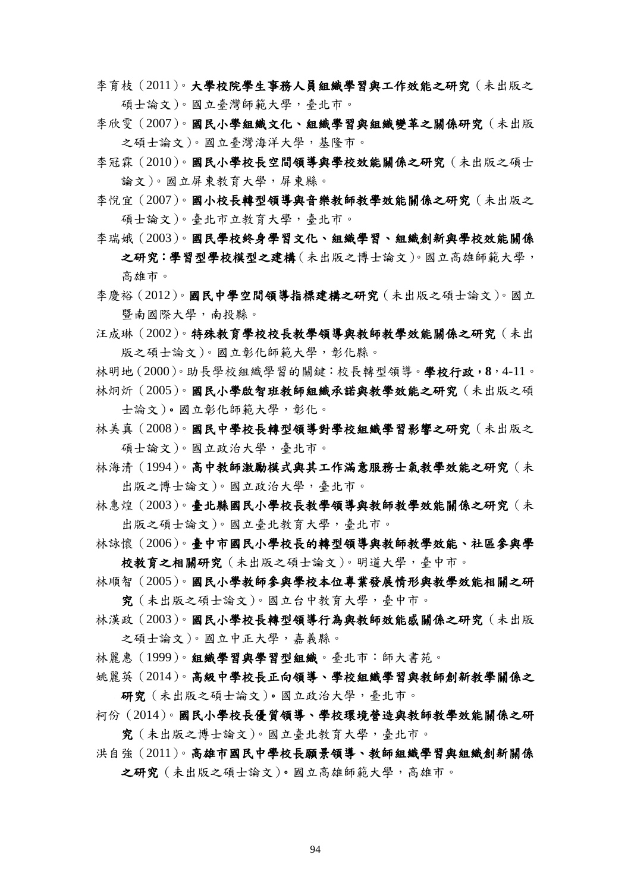- 李育枝(2011)。大學校院學生事務人員組織學習與工作效能之研究(未出版之 碩士論文)。國立臺灣師範大學,臺北市。
- 李欣雯(2007)。國民小學組織文化、組織學習與組織變革之關係研究(未出版 之碩士論文)。國立臺灣海洋大學,基隆市。
- 李冠霖(2010)。國民小學校長空間領導與學校效能關係之研究(未出版之碩士 論文)。國立屏東教育大學,屏東縣。
- 李悅宜(2007)。國小校長轉型領導與音樂教師教學效能關係之研究(未出版之 碩士論文)。臺北市立教育大學,臺北市。
- 李瑞娥(2003)。國民學校終身學習文化、組織學習、組織創新與學校效能關係 之研究:學習型學校模型之建構(未出版之博士論文)。國立高雄師範大學, 高雄市。
- 李慶裕(2012)。國民中學空間領導指標建構之研究(未出版之碩士論文)。國立 暨南國際大學,南投縣。
- 汪成琳(2002)。特殊教育學校校長教學領導與教師教學效能關係之研究(未出 版之碩士論文)。國立彰化師範大學,彰化縣。
- 林明地(2000)。助長學校組織學習的關鍵:校長轉型領導。學校行政,**8**,4-11。
- 林炯炘(2005)。國民小學啟智班教師組織承諾與教學效能之研究(未出版之碩 士論文)。國立彰化師範大學,彰化。
- 林美真(2008)。國民中學校長轉型領導對學校組織學習影響之研究(未出版之 碩士論文)。國立政治大學,臺北市。
- 林海清(1994)。高中教師激勵模式與其工作滿意服務士氣教學效能之研究(未 出版之博士論文)。國立政治大學,臺北市。
- 林惠煌(2003)。臺北縣國民小學校長教學領導與教師教學效能關係之研究(未 出版之碩士論文)。國立臺北教育大學,臺北市。
- 林詠懷(2006)。臺中市國民小學校長的轉型領導與教師教學效能、社區參與學 校教育之相關研究(未出版之碩士論文)。明道大學,臺中市。
- 林順智(2005)。國民小學教師參與學校本位專業發展情形與教學效能相關之研 究(未出版之碩士論文)。國立台中教育大學,臺中市。
- 林漢政(2003)。國民小學校長轉型領導行為與教師效能感關係之研究(未出版 之碩士論文)。國立中正大學,嘉義縣。
- 林麗惠(1999)。組織學習與學習型組織。臺北市:師大書苑。
- 姚麗英(2014)。高級中學校長正向領導、學校組織學習與教師創新教學關係之 研究(未出版之碩士論文)。國立政治大學,臺北市。
- 柯份(2014)。國民小學校長優質領導、學校環境營造與教師教學效能關係之研 究(未出版之博士論文)。國立臺北教育大學,臺北市。
- 洪自強(2011)。高雄市國民中學校長願景領導、教師組織學習與組織創新關係 之研究(未出版之碩士論文)。國立高雄師範大學,高雄市。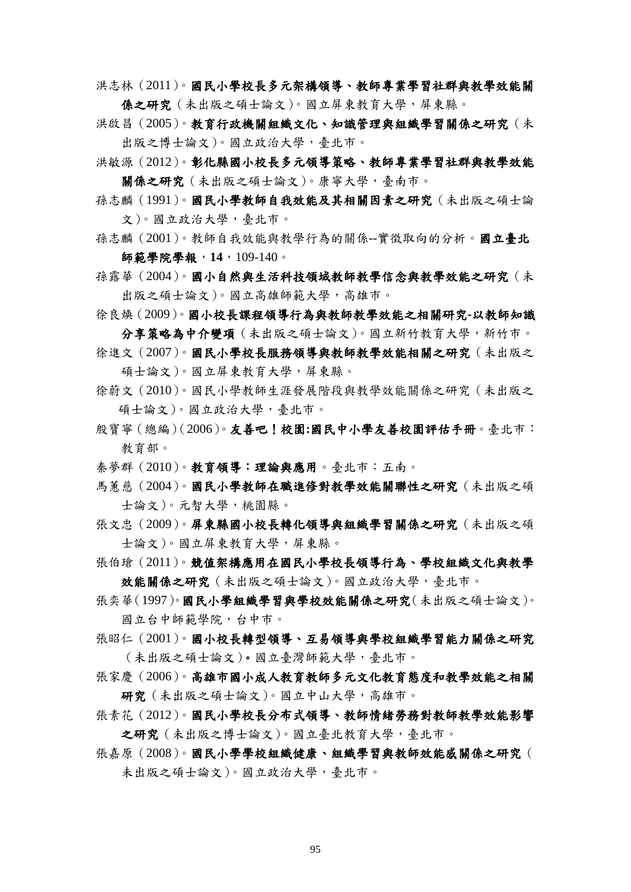洪志林(2011)。國民小學校長多元架構領導、教師專業學習社群與教學效能關 係之研究(未出版之碩士論文)。國立屏東教育大學,屏東縣。

- 洪啟昌(2005)。教育行政機關組織文化、知識管理與組織學習關係之研究(未 出版之博士論文)。國立政治大學,臺北市。
- 洪敏源(2012)。彰化縣國小校長多元領導策略、教師專業學習社群與教學效能 關係之研究(未出版之碩士論文)。康寧大學,臺南市。
- 孫志麟(1991)。國民小學教師自我效能及其相關因素之研究(未出版之碩士論 文)。國立政治大學,臺北市。
- 孫志麟(2001)。教師自我效能與教學行為的關係--實徵取向的分析。國立臺北 師範學院學報,**14**,109-140。
- 孫露華(2004)。國小自然與生活科技領域教師教學信念與教學效能之研究(未 出版之碩士論文)。國立高雄師範大學,高雄市。
- 徐良煥(2009)。國小校長課程領導行為與教師教學效能之相關研究**-**以教師知識 分享策略為中介變項(未出版之碩士論文)。國立新竹教育大學,新竹市。
- 徐進文(2007)。國民小學校長服務領導與教師教學效能相關之研究(未出版之 碩士論文)。國立屏東教育大學,屏東縣。
- 徐蔚文(2010)。國民小學教師生涯發展階段與教學效能關係之研究(未出版之 碩士論文)。國立政治大學,臺北市。
- 殷寶寧(總編)(2006)。友善吧!校園**:**國民中小學友善校園評估手冊。臺北市: 教育部。
- 秦夢群(2010)。教育領導:理論與應用。臺北市:五南。
- 馬蕙慈(2004)。國民小學教師在職進修對教學效能關聯性之研究(未出版之碩 士論文)。元智大學,桃園縣。
- 張文忠(2009)。屏東縣國小校長轉化領導與組織學習關係之研究(未出版之碩 士論文)。國立屏東教育大學,屏東縣。
- 張伯瑲(2011)。競值架構應用在國民小學校長領導行為、學校組織文化與教學 效能關係之研究(未出版之碩士論文)。國立政治大學,臺北市。
- 張奕華(1997)。國民小學組織學習與學校效能關係之研究(未出版之碩士論文)。 國立台中師範學院,台中市。
- 張昭仁(2001)。國小校長轉型領導、互易領導與學校組織學習能力關係之研究 (未出版之碩士論文)。國立臺灣師範大學,臺北市。
- 張家慶(2006)。高雄市國小成人教育教師多元文化教育態度和教學效能之相關 研究(未出版之碩士論文)。國立中山大學,高雄市。
- 張素花(2012)。國民小學校長分布式領導、教師情緒勞務對教師教學效能影響 之研究(未出版之博士論文)。國立臺北教育大學,臺北市。
- 張嘉原(2008)。國民小學學校組織健康、組織學習與教師效能感關係之研究( 未出版之碩士論文)。國立政治大學,臺北市。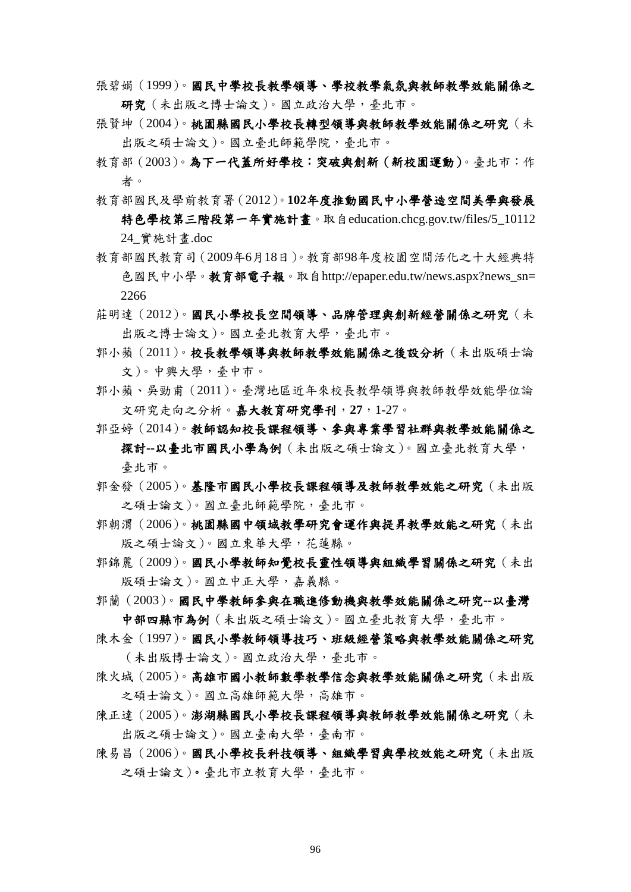- 張碧娟(1999)。國民中學校長教學領導、學校教學氣氛與教師教學效能關係之 研究(未出版之博士論文)。國立政治大學,臺北市。
- 張賢坤(2004)。桃園縣國民小學校長轉型領導與教師教學效能關係之研究(未 出版之碩士論文)。國立臺北師範學院,臺北市。
- 教育部(2003)。為下一代蓋所好學校:突破與創新(新校園運動)。臺北市:作 者。
- 教育部國民及學前教育署(2012)。**102**年度推動國民中小學營造空間美學與發展 特色學校第三階段第一年實施計書。取自education.chcg.gov.tw/files/5\_10112 24\_實施計畫.doc
- 教育部國民教育司(2009年6月18日)。教育部98年度校園空間活化之十大經典特 色國民中小學。教育部電子報。取自[http://epaper.edu.tw/news.aspx?news\\_sn=](http://epaper.edu.tw/news.aspx?news_sn=2266) [2266](http://epaper.edu.tw/news.aspx?news_sn=2266)
- 莊明達(2012)。國民小學校長空間領導、品牌管理與創新經營關係之研究(未 出版之博士論文)。國立臺北教育大學,臺北市。
- 郭小蘋(2011)。校長教學領導與教師教學效能關係之後設分析(未出版碩士論 文)。中興大學,臺中市。
- 郭小蘋、吳勁甫(2011)。臺灣地區近年來校長教學領導與教師教學效能學位論 文研究走向之分析。嘉大教育研究學刊,**27**,1-27。
- 郭亞婷(2014)。教師認知校長課程領導、參與專業學習社群與教學效能關係之 探討**--**以臺北市國民小學為例(未出版之碩士論文)。國立臺北教育大學, 臺北市。
- 郭金發(2005)。基隆市國民小學校長課程領導及教師教學效能之研究(未出版 之碩士論文)。國立臺北師範學院,臺北市。
- 郭朝渭(2006)。桃園縣國中領域教學研究會運作與提昇教學效能之研究(未出 版之碩士論文)。國立東華大學,花蓮縣。
- 郭錦麗(2009)。國民小學教師知覺校長靈性領導與組織學習關係之研究(未出 版碩士論文)。國立中正大學,嘉義縣。
- 郭蘭(2003)。國民中學教師參與在職進修動機與教學效能關係之研究**--**以臺灣 中部四縣市為例(未出版之碩士論文)。國立臺北教育大學,臺北市。
- 陳木金(1997)。國民小學教師領導技巧、班級經營策略與教學效能關係之研究 (未出版博士論文)。國立政治大學,臺北市。
- 陳火城(2005)。高雄市國小教師數學教學信念與教學效能關係之研究(未出版 之碩士論文)。國立高雄師範大學,高雄市。
- 陳正達(2005)。澎湖縣國民小學校長課程領導與教師教學效能關係之研究(未 出版之碩士論文)。國立臺南大學,臺南市。
- 陳易昌(2006)。國民小學校長科技領導、組織學習與學校效能之研究(未出版 之碩士論文)。臺北市立教育大學,臺北市。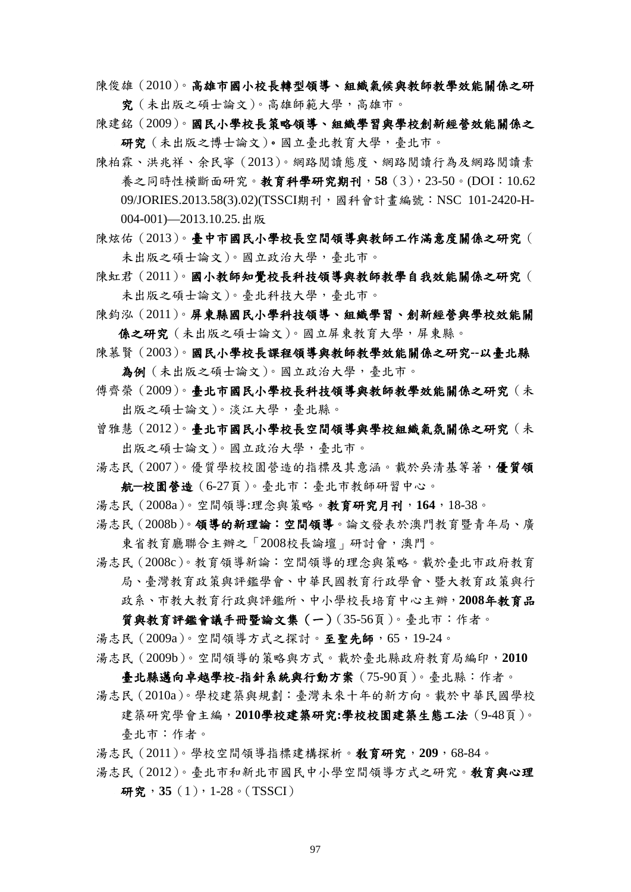陳俊雄(2010)。高雄市國小校長轉型領導、組織氣候與教師教學效能關係之研 究(未出版之碩士論文)。高雄師範大學,高雄市。

陳建銘(2009)。國民小學校長策略領導、組織學習與學校創新經營效能關係之 研究(未出版之博士論文)。國立臺北教育大學,臺北市。

- 陳柏霖、洪兆祥、余民寧(2013)。網路閱讀態度、網路閱讀行為及網路閱讀素 養之同時性橫斷面研究。教育科學研究期刊,**58**(3),23-50。(DOI:10.62 09/JORIES.2013.58(3).02)(TSSCI期刊,國科會計書編號: NSC 101-2420-H-004-001)—2013.10.25.出版
- 陳炫佑(2013)。臺中市國民小學校長空間領導與教師工作滿意度關係之研究( 未出版之碩士論文)。國立政治大學,臺北市。
- 陳虹君(2011)。國小教師知覺校長科技領導與教師教學自我效能關係之研究( 未出版之碩士論文)。臺北科技大學,臺北市。
- 陳鈞泓(2011)。屏東縣國民小學科技領導、組織學習、創新經營與學校效能關 係之研究(未出版之碩士論文)。國立屏東教育大學,屏東縣。
- 陳慕賢(2003)。國民小學校長課程領導與教師教學效能關係之研究**--**以臺北縣 為例(未出版之碩士論文)。國立政治大學,臺北市。
- 傳齊榮(2009)。臺北市國民小學校長科技領導與教師教學效能關係之研究(未 出版之碩士論文)。淡江大學,臺北縣。
- 曾雅慧(2012)。臺北市國民小學校長空間領導與學校組織氣氛關係之研究(未 出版之碩士論文)。國立政治大學,臺北市。
- 湯志民(2007)。優質學校校園營造的指標及其意涵。載於吳清基等著,優質領 航**─**校園營造(6-27頁)。臺北市:臺北市教師研習中心。
- 湯志民(2008a)。空間領導:理念與策略。教育研究月刊,**164**,18-38。
- 湯志民(2008b)。領導的新理論:空間領導。論文發表於澳門教育暨青年局、廣 東省教育廳聯合主辦之「2008校長論壇」研討會,澳門。
- 湯志民(2008c)。教育領導新論:空間領導的理念與策略。載於臺北市政府教育 局、臺灣教育政策與評鑑學會、中華民國教育行政學會、暨大教育政策與行 政系、市教大教育行政與評鑑所、中小學校長培育中心主辦,**2008**年教育品

質與教育評鑑會議手冊暨論文集(一)(35-56頁)。臺北市:作者。 湯志民(2009a)。空間領導方式之探討。至聖先師,65,19-24。 湯志民(2009b)。空間領導的策略與方式。載於臺北縣政府教育局編印,**2010**

臺北縣邁向卓越學校**-**指針系統與行動方案(75-90頁)。臺北縣:作者。 湯志民(2010a)。學校建築與規劃:臺灣未來十年的新方向。載於中華民國學校

建築研究學會主編,**2010**學校建築研究**:**學校校園建築生態工法(9-48頁)。 臺北市:作者。

湯志民(2011)。學校空間領導指標建構探析。敎育研究,**209**,68-84。

湯志民(2012)。臺北市和新北市國民中小學空間領導方式之研究。敎育與心理 研究, 35(1), 1-28。(TSSCI)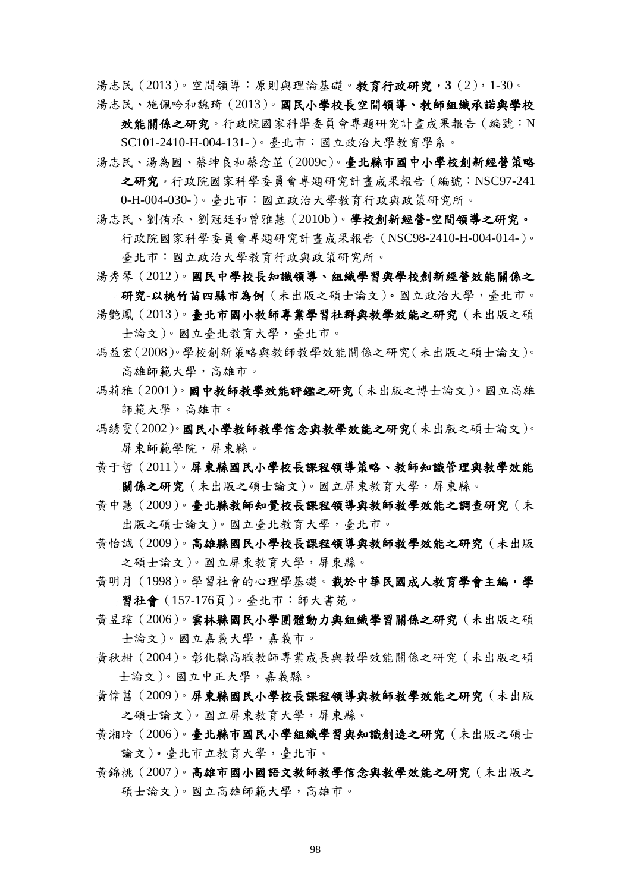湯志民(2013)。空間領導:原則與理論基礎。教育行政研究,**3**(2),1-30。

湯志民、施佩吟和魏琦(2013)。國民小學校長空間領導、教師組織承諾與學校

效能關係之研究。行政院國家科學委員會專題研究計畫成果報告(編號:N SC101-2410-H-004-131-)。臺北市:國立政治大學教育學系。

湯志民、湯為國、蔡坤良和蔡念芷(2009c)。臺北縣市國中小學校創新經營策略 之研究。行政院國家科學委員會專題研究計畫成果報告(編號:NSC97-241

0-H-004-030-)。臺北市:國立政治大學教育行政與政策研究所。

- 湯志民、劉侑承、劉冠廷和曾雅慧(2010b)。學校創新經營**-**空間領導之研究。 行政院國家科學委員會專題研究計畫成果報告(NSC98-2410-H-004-014-)。 臺北市:國立政治大學教育行政與政策研究所。
- 湯秀琴(2012)。國民中學校長知識領導、組織學習與學校創新經營效能關係之 研究**-**以桃竹苗四縣市為例(未出版之碩士論文)。國立政治大學,臺北市。

湯艷鳳(2013)。臺北市國小教師專業學習社群與教學效能之研究(未出版之碩 士論文)。國立臺北教育大學,臺北市。

- 馮益宏(2008)。學校創新策略與教師教學效能關係之研究(未出版之碩士論文)。 高雄師範大學,高雄市。
- 馮莉雅(2001)。國中教師教學效能評鑑之研究(未出版之博士論文)。國立高雄 師範大學,高雄市。
- 馮綉雯(2002)。國民小學教師教學信念與教學效能之研究(未出版之碩士論文)。 屏東師範學院,屏東縣。
- 黃于哲(2011)。屏東縣國民小學校長課程領導策略、教師知識管理與教學效能 關係之研究(未出版之碩士論文)。國立屏東教育大學,屏東縣。
- 黃中慧(2009)。臺北縣教師知覺校長課程領導與教師教學效能之調查研究(未 出版之碩士論文)。國立臺北教育大學,臺北市。
- 黃怡誠(2009)。高雄縣國民小學校長課程領導與教師教學效能之研究(未出版 之碩士論文)。國立屏東教育大學,屏東縣。
- 黃明月(1998)。學習社會的心理學基礎。載於中華民國成人教育學會主編,學 習社會(157-176頁)。臺北市:師大書苑。
- 黃昱瑋(2006[\)。雲林縣國民小學團體動力與組織學習關係之研究\(未出版之碩](http://ndltd.ncl.edu.tw/cgi-bin/gs32/gsweb.cgi?o=dnclcdr&s=id=%22094NCYU5576006%22.&searchmode=basic) [士論文\)。國立嘉義大學,嘉義市。](http://ndltd.ncl.edu.tw/cgi-bin/gs32/gsweb.cgi?o=dnclcdr&s=id=%22094NCYU5576006%22.&searchmode=basic)
- 黃秋柑(2004)。彰化縣高職教師專業成長與教學效能關係之研究(未出版之碩 士論文)。國立中正大學,嘉義縣。
- 黃偉菖(2009)。屏東縣國民小學校長課程領導與教師教學效能之研究(未出版 之碩士論文)。國立屏東教育大學,屏東縣。
- 黃湘玲(2006)。臺北縣市國民小學組織學習與知識創造之研究(未出版之碩士 論文)。臺北市立教育大學,臺北市。
- 黃錦桃(2007)。高雄市國小國語文教師教學信念與教學效能之研究(未出版之 碩士論文)。國立高雄師範大學,高雄市。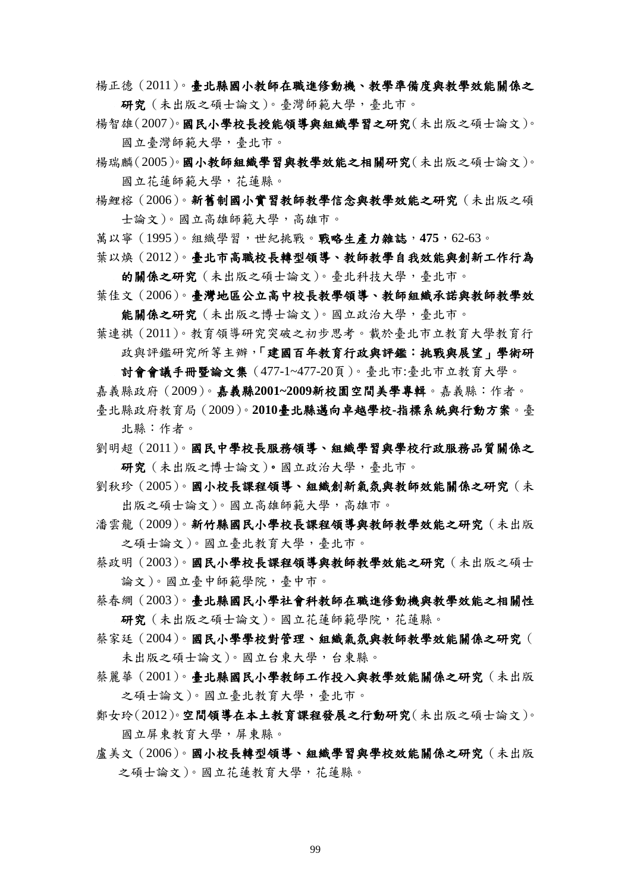- 楊正德(2011)。臺北縣國小教師在職進修動機、教學準備度與教學效能關係之 研究(未出版之碩士論文)。臺灣師範大學,臺北市。
- 楊智雄(2007)。國民小學校長授能領導與組織學習之研究(未出版之碩士論文)。 國立臺灣師範大學,臺北市。
- 楊瑞麟(2005)。國小教師組織學習與教學效能之相關研究(未出版之碩士論文)。 國立花蓮師範大學,花蓮縣。
- 楊鯉榕(2006)。新舊制國小實習教師教學信念與教學效能之研究(未出版之碩 士論文)。國立高雄師範大學,高雄市。
- 萬以寧(1995)。組織學習,世紀挑戰。戰略生產力雜誌,**475**,62-63。
- 葉以煥(2012)。臺北市高職校長轉型領導、教師教學自我效能與創新工作行為 的關係之研究(未出版之碩士論文)。臺北科技大學,臺北市。
- 葉佳文(2006)。臺灣地區公立高中校長教學領導、教師組織承諾與教師教學效 能關係之研究(未出版之博士論文)。國立政治大學,臺北市。
- 葉連祺(2011)。教育領導研究突破之初步思考。載於臺北市立教育大學教育行 政與評鑑研究所等主辦,「建國百年教育行政與評鑑:挑戰與展望」學術研

討會會議手冊暨論文集(477-1~477-20頁)。臺北市:臺北市立教育大學。 嘉義縣政府(2009)。嘉義縣**2001~2009**新校園空間美學專輯。嘉義縣:作者。

- 臺北縣政府教育局(2009)。**2010**臺北縣邁向卓越學校**-**指標系統與行動方案。臺 北縣:作者。
- 劉明超(2011)。國民中學校長服務領導、組織學習與學校行政服務品質關係之 研究(未出版之博士論文)。國立政治大學,臺北市。
- 劉秋珍(2005)。國小校長課程領導、組織創新氣氛與教師效能關係之研究(未 出版之碩士論文)。國立高雄師範大學,高雄市。
- 潘雲龍(2009)。新竹縣國民小學校長課程領導與教師教學效能之研究(未出版 之碩士論文)。國立臺北教育大學,臺北市。
- 蔡政明(2003)。國民小學校長課程領導與教師教學效能之研究(未出版之碩士 論文)。國立臺中師範學院,臺中市。
- 蔡春綢(2003)。臺北縣國民小學社會科教師在職進修動機與教學效能之相關性 研究(未出版之碩士論文)。國立花蓮師範學院,花蓮縣。
- 蔡家廷(2004)。國民小學學校對管理、組織氣氛與教師教學效能關係之研究( 未出版之碩士論文)。國立台東大學,台東縣。
- 蔡麗華(2001)。臺北縣國民小學教師工作投入與教學效能關係之研究(未出版 之碩士論文)。國立臺北教育大學,臺北市。
- 鄭女玲(2012)。空間領導在本土教育課程發展之行動研究(未出版之碩士論文)。 國立屏東教育大學,屏東縣。
- 盧美文(2006)。國小校長轉型領導、組織學習與學校效能關係之研究(未出版 之碩士論文)。國立花蓮教育大學,花蓮縣。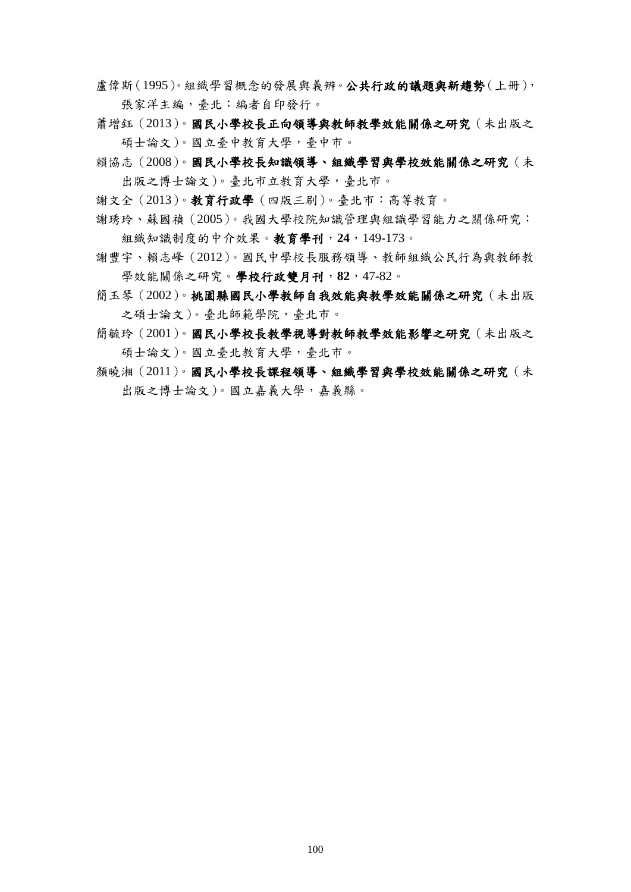- 盧偉斯(1995)。組織學習概念的發展與義辨。公共行政的議題與新趨勢(上冊), 張家洋主編,臺北:編者自印發行。
- 蕭增鈺(2013)。國民小學校長正向領導與教師教學效能關係之研究(未出版之 碩士論文)。國立臺中教育大學,臺中市。
- 賴協志(2008)。國民小學校長知識領導、組織學習與學校效能關係之研究(未 出版之博士論文)。臺北市立教育大學,臺北市。
- 謝文全(2013)。教育行政學(四版三刷)。臺北市:高等教育。
- 謝琇玲、蘇國禎(2005)。我國大學校院知識管理與組識學習能力之關係研究: 組織知識制度的中介效果。教育學刊,**24**,149-173。
- 謝豐宇、賴志峰(2012)。國民中學校長服務領導、教師組織公民行為與教師教 學效能關係之研究。學校行政雙月刊,**82**,47-82。
- 簡玉琴(2002)。桃園縣國民小學教師自我效能與教學效能關係之研究(未出版 之碩士論文)。臺北師範學院,臺北市。
- 簡毓玲(2001)。國民小學校長教學視導對教師教學效能影響之研究(未出版之 碩士論文)。國立臺北教育大學,臺北市。
- 顔曉湘(2011)。國民小學校長課程領導、組織學習與學校效能關係之研究(未 出版之博士論文)。國立嘉義大學,嘉義縣。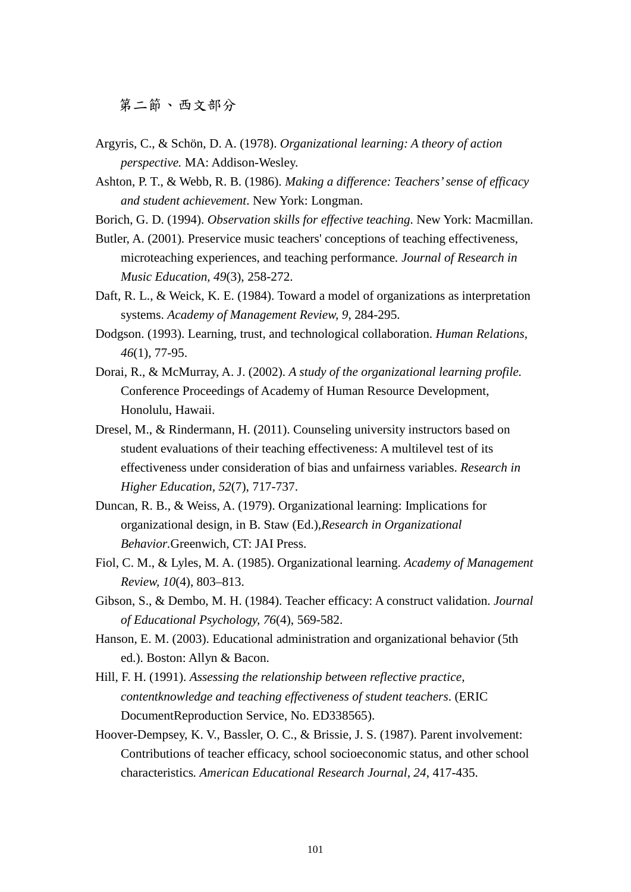第二節、西文部分

- Argyris, C., & Schön, D. A. (1978). *Organizational learning: A theory of action perspective.* MA: Addison-Wesley.
- Ashton, P. T., & Webb, R. B. (1986). *Making a difference: Teachers' sense of efficacy and student achievement*. New York: Longman.
- Borich, G. D. (1994). *Observation skills for effective teaching*. New York: Macmillan.
- Butler, A. (2001)*.* [Preservice music teachers' conceptions of teaching effectiveness,](http://web.ebscohost.com.ezproxy2.lib.nccu.edu.tw/ehost/viewarticle?data=dGJyMPPp44rp2%2fdV0%2bnjisfk5Ie46bNIsaa3SLKk63nn5KyP5%2bLxh%2by2r0qtqK9HsKavSp6uuE22sLFInrfLPvLo34bx1%2bGM5%2bXsgeKzq0m2r7NJr6iuULac6nns3bt97Jziervl5Iuk6t9%2fu7fMPt%2fku02urbVJs6uxUaTc7Yrr1%2fJV5OvqhPLb9owA&hid=105)  [microteaching experiences, and teaching performance](http://web.ebscohost.com.ezproxy2.lib.nccu.edu.tw/ehost/viewarticle?data=dGJyMPPp44rp2%2fdV0%2bnjisfk5Ie46bNIsaa3SLKk63nn5KyP5%2bLxh%2by2r0qtqK9HsKavSp6uuE22sLFInrfLPvLo34bx1%2bGM5%2bXsgeKzq0m2r7NJr6iuULac6nns3bt97Jziervl5Iuk6t9%2fu7fMPt%2fku02urbVJs6uxUaTc7Yrr1%2fJV5OvqhPLb9owA&hid=105)*. Journal of Research in Music Education, 49*(3), 258-272.
- Daft, R. L., & Weick, K. E. (1984). Toward a model of organizations as interpretation systems. *Academy of Management Review, 9*, 284-295.
- Dodgson. (1993). Learning, trust, and technological collaboration. *Human Relations, 46*(1), 77-95.
- Dorai, R., & McMurray, A. J. (2002). *A study of the organizational learning profile.*  Conference Proceedings of Academy of Human Resource Development, Honolulu, Hawaii.
- Dresel, M., & Rindermann, H. (2011). Counseling university instructors based on student evaluations of their teaching effectiveness: A multilevel test of its effectiveness under consideration of bias and unfairness variables. *Research in Higher Education, 52*(7), 717-737.
- Duncan, R. B., & Weiss, A. (1979). Organizational learning: Implications for organizational design, in B. Staw (Ed.),*Research in Organizational Behavior.*Greenwich, CT: JAI Press.
- Fiol, C. M., & Lyles, M. A. (1985). Organizational learning. *Academy of Management Review, 10*(4), 803–813.
- Gibson, S., & Dembo, M. H. (1984). Teacher efficacy: A construct validation. *Journal of Educational Psychology, 76*(4), 569-582.
- Hanson, E. M. (2003). Educational administration and organizational behavior (5th ed.). Boston: Allyn & Bacon.
- Hill, F. H. (1991). *Assessing the relationship between reflective practice, contentknowledge and teaching effectiveness of student teachers*. (ERIC DocumentReproduction Service, No. ED338565).
- Hoover-Dempsey, K. V., Bassler, O. C., & Brissie, J. S. (1987). Parent involvement: Contributions of teacher efficacy, school socioeconomic status, and other school characteristics*. American Educational Research Journal, 24*, 417-435.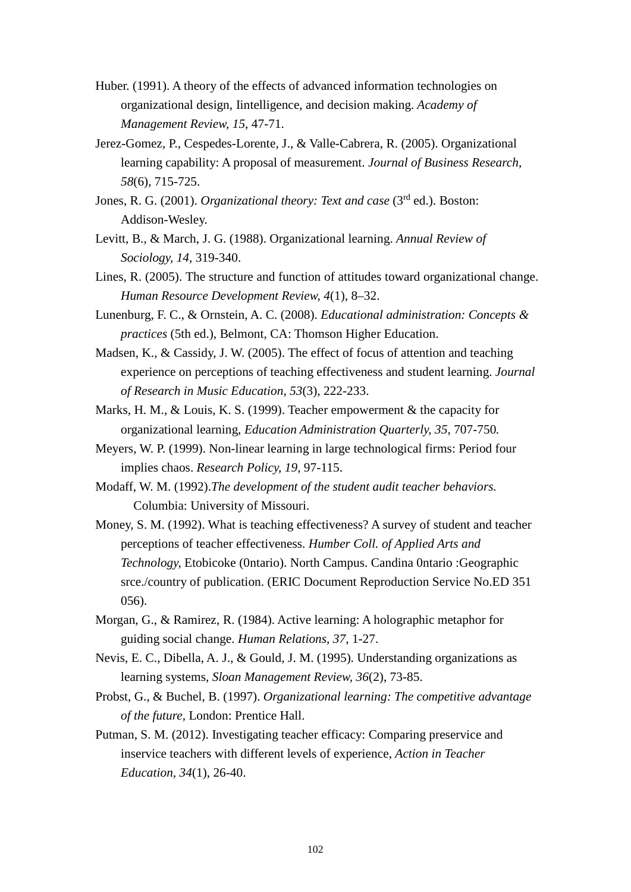- Huber. (1991). A theory of the effects of advanced information technologies on organizational design, Iintelligence, and decision making. *Academy of Management Review, 15*, 47-71.
- Jerez-Gomez, P., Cespedes-Lorente, J., & Valle-Cabrera, R. (2005). Organizational learning capability: A proposal of measurement. *Journal of Business Research, 58*(6), 715-725.
- Jones, R. G. (2001). *Organizational theory: Text and case* (3rd ed.). Boston: Addison-Wesley.
- Levitt, B., & March, J. G. (1988). Organizational learning. *Annual Review of Sociology, 14*, 319-340.
- Lines, R. (2005). The structure and function of attitudes toward organizational change. *Human Resource Development Review, 4*(1), 8–32.
- Lunenburg, F. C., & Ornstein, A. C. (2008). *Educational administration: Concepts & practices* (5th ed.), Belmont, CA: Thomson Higher Education.
- Madsen, K., & Cassidy, J. W. (2005). [The effect of focus of attention and teaching](http://web.ebscohost.com.ezproxy2.lib.nccu.edu.tw/ehost/viewarticle?data=dGJyMPPp44rp2%2fdV0%2bnjisfk5Ie46bNIsaa3SLKk63nn5KyP5%2bLxh%2by2r0qtqK9HsKavSp6uuE22sLFInrfLPvLo34bx1%2bGM5%2bXsgeKzq0m2r7NJr6iuULac6nns3bt97Jziervl5Iuk6t9%2fu7fMPt%2fku02urbZLsKyvSqTc7Yrr1%2fJV5OvqhPLb9owA&hid=105)  [experience on perceptions of teaching effectiveness and student learning.](http://web.ebscohost.com.ezproxy2.lib.nccu.edu.tw/ehost/viewarticle?data=dGJyMPPp44rp2%2fdV0%2bnjisfk5Ie46bNIsaa3SLKk63nn5KyP5%2bLxh%2by2r0qtqK9HsKavSp6uuE22sLFInrfLPvLo34bx1%2bGM5%2bXsgeKzq0m2r7NJr6iuULac6nns3bt97Jziervl5Iuk6t9%2fu7fMPt%2fku02urbZLsKyvSqTc7Yrr1%2fJV5OvqhPLb9owA&hid=105) *Journal of Research in Music Education, 53*(3), 222-233.
- Marks, H. M., & Louis, K. S. (1999). Teacher empowerment & the capacity for organizational learning, *Education Administration Quarterly, 35*, 707-750*.*
- Meyers, W. P. (1999). Non-linear learning in large technological firms: Period four implies chaos. *Research Policy, 19*, 97-115.
- Modaff, W. M. (1992).*The development of the student audit teacher behaviors.*  Columbia: University of Missouri.
- Money, S. M. (1992). What is teaching effectiveness? A survey of student and teacher perceptions of teacher effectiveness. *Humber Coll. of Applied Arts and Technology,* Etobicoke (0ntario). North Campus. Candina 0ntario :Geographic srce./country of publication. (ERIC Document Reproduction Service No.ED 351 056).
- Morgan, G., & Ramirez, R. (1984). Active learning: A holographic metaphor for guiding social change. *Human Relations, 37*, 1-27.
- Nevis, E. C., Dibella, A. J., & Gould, J. M. (1995). Understanding organizations as learning systems, *Sloan Management Review, 36*(2), 73-85.
- Probst, G., & Buchel, B. (1997). *Organizational learning: The competitive advantage of the future,* London: Prentice Hall.
- Putman, S. M. (2012). Investigating teacher efficacy: Comparing preservice and inservice teachers with different levels of experience, *Action in Teacher Education, 34*(1), 26-40.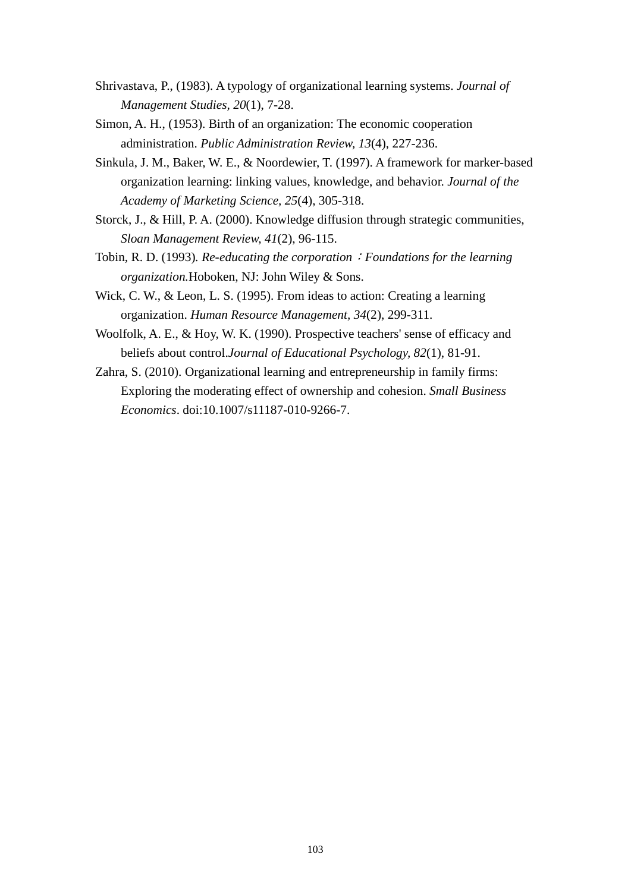- Shrivastava, P., (1983). A typology of organizational learning systems. *Journal of Management Studies, 20*(1), 7-28.
- Simon, A. H., (1953). Birth of an organization: The economic cooperation administration. *Public Administration Review, 13*(4), 227-236.
- Sinkula, J. M., Baker, W. E., & Noordewier, T. (1997). A framework for marker-based organization learning: linking values, knowledge, and behavior. *Journal of the Academy of Marketing Science, 25*(4), 305-318.
- Storck, J., & Hill, P. A. (2000). Knowledge diffusion through strategic communities, *Sloan Management Review, 41*(2), 96-115.
- Tobin, R. D. (1993)*. Re-educating the corporation*:*Foundations for the learning organization.*Hoboken, NJ: John Wiley & Sons.
- Wick, C. W., & Leon, L. S. (1995). From ideas to action: Creating a learning organization. *Human Resource Management, 34*(2), 299-311.
- Woolfolk, A. E., & Hoy, W. K. (1990). Prospective teachers' sense of efficacy and beliefs about control.*Journal of Educational Psychology, 82*(1), 81-91.
- Zahra, S. (2010). Organizational learning and entrepreneurship in family firms: Exploring the moderating effect of ownership and cohesion. *Small Business Economics*. doi:10.1007/s11187-010-9266-7.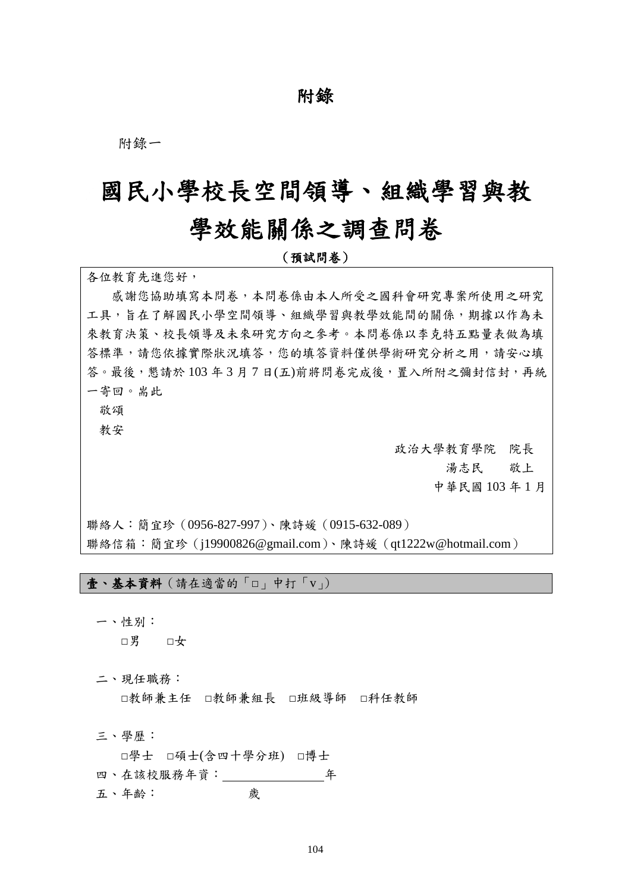## 附錄

附錄一

# 國民小學校長空間領導、組織學習與教

# 學效能關係之調查問卷

(預試問卷)

各位教育先進您好,

 感謝您協助填寫本問卷,本問卷係由本人所受之國科會研究專案所使用之研究 工具,旨在了解國民小學空間領導、組織學習與教學效能間的關係,期據以作為未 來教育決策、校長領導及未來研究方向之參考。本問卷係以李克特五點量表做為填 答標準,請您依據實際狀況填答,您的填答資料僅供學術研究分析之用,請安心填 答。最後,懇請於103年3月7日(五)前將問卷完成後,置入所附之彌封信封,再統 一寄回。耑此

敬頌

教安

政治大學教育學院 院長 湯志民 敬上 中華民國 103 年 1 月

聯絡人:簡宜珍(0956-827-997)、陳詩媛(0915-632-089) 聯絡信箱:簡宜珍(j19900826@gmail.com)、陳詩媛(qt1222w@hotmail.com)

壹、基本資料(請在適當的「□」中打「v」)

一、性別:

□男 □女

二、現任職務:

□教師兼主任 □教師兼組長 □班級導師 □科任教師

三、學歷:

 □學士 □碩士(含四十學分班) □博士 四、在該校服務年資: 年 五、年齡: 歲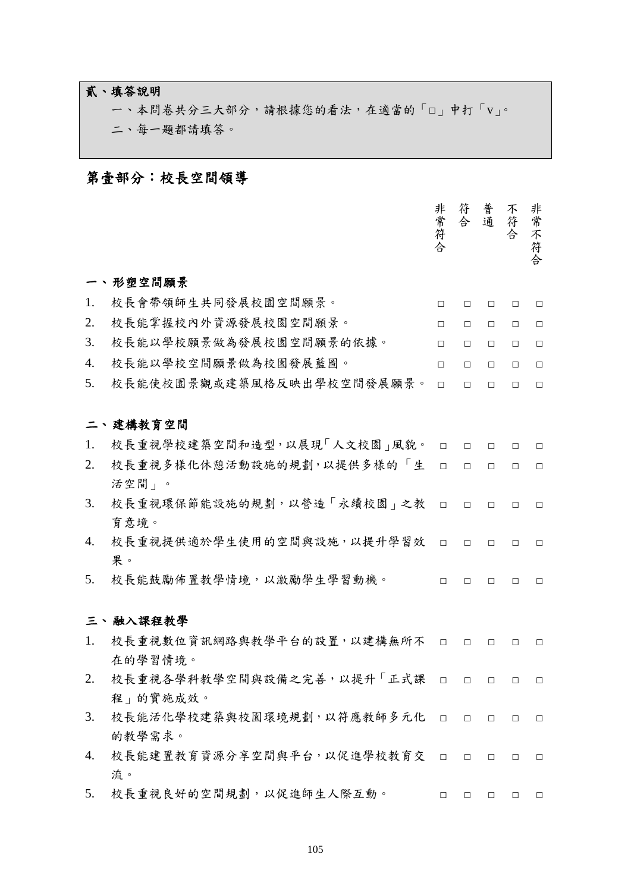## 貳、填答說明

一、本問卷共分三大部分,請根據您的看法,在適當的「□」中打「v」。 二、每一題都請填答。

## 第壹部分:校長空間領導

|    |                            | 非常符合   | 符合     | 普通     | 不符合    | 非常不符合  |
|----|----------------------------|--------|--------|--------|--------|--------|
|    | 一、形塑空間願景                   |        |        |        |        |        |
| 1. | 校長會帶領師生共同發展校園空間願景。         | $\Box$ | $\Box$ | $\Box$ | $\Box$ | $\Box$ |
| 2. | 校長能掌握校內外資源發展校園空間願景。        | $\Box$ | $\Box$ | $\Box$ | П      | $\Box$ |
| 3. | 校長能以學校願景做為發展校園空間願景的依據。     | $\Box$ | $\Box$ | $\Box$ | $\Box$ | $\Box$ |
| 4. | 校長能以學校空間願景做為校園發展藍圖。        | $\Box$ | $\Box$ | $\Box$ | $\Box$ | $\Box$ |
| 5. | 校長能使校園景觀或建築風格反映出學校空間發展願景。  | $\Box$ | $\Box$ | $\Box$ | $\Box$ | $\Box$ |
|    |                            |        |        |        |        |        |
|    | 二、建構教育空間                   |        |        |        |        |        |
| 1. | 校長重視學校建築空間和造型,以展現「人文校園」風貌。 | $\Box$ | $\Box$ | $\Box$ | $\Box$ | $\Box$ |
| 2. | 校長重視多樣化休憩活動設施的規劃,以提供多樣的「生  | $\Box$ | $\Box$ | $\Box$ | П      | $\Box$ |
|    | 活空間」。                      |        |        |        |        |        |
| 3. | 校長重視環保節能設施的規劃,以營造「永續校園」之教  | $\Box$ | $\Box$ | $\Box$ | $\Box$ | $\Box$ |
|    | 育意境。                       |        |        |        |        |        |
| 4. | 校長重視提供適於學生使用的空間與設施,以提升學習效  | $\Box$ | $\Box$ | $\Box$ | $\Box$ | $\Box$ |
|    | 果。                         |        |        |        |        |        |
| 5. | 校長能鼓勵佈置教學情境,以激勵學生學習動機。     | $\Box$ | $\Box$ | $\Box$ | $\Box$ | $\Box$ |
|    |                            |        |        |        |        |        |
|    | 三、融入課程教學                   |        |        |        |        |        |
| 1. | 校長重視數位資訊網路與教學平台的設置,以建構無所不  | $\Box$ | □      | $\Box$ | □      | $\Box$ |
|    | 在的學習情境。                    |        |        |        |        |        |
| 2. | 校長重視各學科教學空間與設備之完善,以提升「正式課  | $\Box$ | $\Box$ | $\Box$ | $\Box$ | $\Box$ |
|    | 程」的實施成效。                   |        |        |        |        |        |
| 3. | 校長能活化學校建築與校園環境規劃,以符應教師多元化  | $\Box$ | $\Box$ | $\Box$ | $\Box$ | $\Box$ |
|    | 的教學需求。                     |        |        |        |        |        |
| 4. | 校長能建置教育資源分享空間與平台,以促進學校教育交  | $\Box$ | $\Box$ | $\Box$ | $\Box$ | $\Box$ |
|    | 流。                         |        |        |        |        |        |
| 5. | 校長重視良好的空間規劃,以促進師生人際互動。     | $\Box$ | $\Box$ | $\Box$ | $\Box$ | $\Box$ |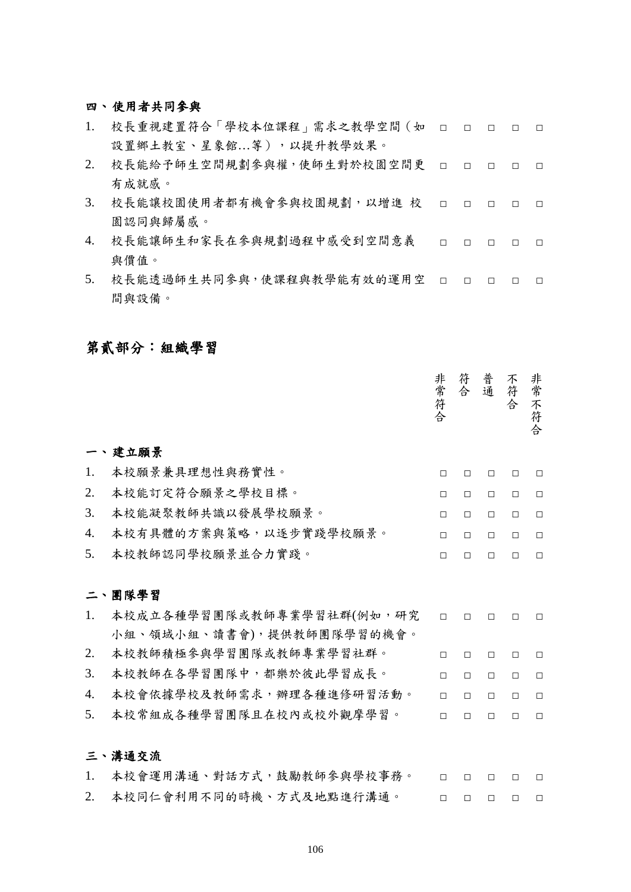#### 四、 使用者共同參與

- 1. 校長重視建置符合「學校本位課程」需求之教學空間(如 □ □ □ □ □ 設置鄉土教室、星象館…等), 以提升教學效果。
- 2. 校長能給予師生空間規劃參與權,使師生對於校園空間更 □ □ □ □ □ 有成就感。
- 3. 校長能讓校園使用者都有機會參與校園規劃,以增進 校 □ □ □ □ □ 園認同與歸屬感。
- 4. 校長能讓師生和家長在參與規劃過程中感受到空間意義 與價值。 □ □ □ □ □
- 5. 校長能透過師生共同參與,使課程與教學能有效的運用空 □ □ □ □ □ 間與設備。

### 第貳部分:組織學習

|                                                                            | 非常符合   | 符<br>合 | 普通     | 不符合    | 非常不符合  |
|----------------------------------------------------------------------------|--------|--------|--------|--------|--------|
| 建立願景                                                                       |        |        |        |        |        |
| 本校願景兼具理想性與務實性。<br>1.                                                       | П      | П      | П      | П      | П      |
| 本校能訂定符合願景之學校目標。<br>2.                                                      | $\Box$ | $\Box$ | $\Box$ | $\Box$ | $\Box$ |
| 本校能凝聚教師共識以發展學校願景。<br>3.                                                    | $\Box$ | $\Box$ | $\Box$ | $\Box$ | $\Box$ |
| 本校有具體的方案與策略,以逐步實踐學校願景。<br>4.                                               | П      | П      | $\Box$ | $\Box$ | $\Box$ |
| 本校教師認同學校願景並合力實踐。<br>5.                                                     | $\Box$ | $\Box$ | $\Box$ | $\Box$ | $\Box$ |
| 團隊學習<br>ニ、<br>本校成立各種學習團隊或教師專業學習社群(例如,研究<br>1.<br>小組、領域小組、讀書會),提供教師團隊學習的機會。 | $\Box$ | $\Box$ | П      | П      | П      |
| 本校教師積極參與學習團隊或教師專業學習社群。<br>2.                                               | $\Box$ | $\Box$ | $\Box$ | П      | $\Box$ |
| 3.<br>本校教師在各學習團隊中,都樂於彼此學習成長。                                               | П      | П      | П      | П      | П      |
| 本校會依據學校及教師需求,辦理各種進修研習活動。<br>$\overline{4}$ .                               | $\Box$ | $\Box$ | П      | $\Box$ | П      |
| 本校常組成各種學習團隊且在校內或校外觀摩學習。<br>5.                                              | П      | $\Box$ | $\Box$ | $\Box$ | $\Box$ |
| 溝通交流<br>三、<br>本校會運用溝通、對話方式,鼓勵教師參與學校事務。<br>1.                               | П      | □      | □      | □      | $\Box$ |

2. 本校同仁會利用不同的時機、方式及地點進行溝通。 □ □ □ □ □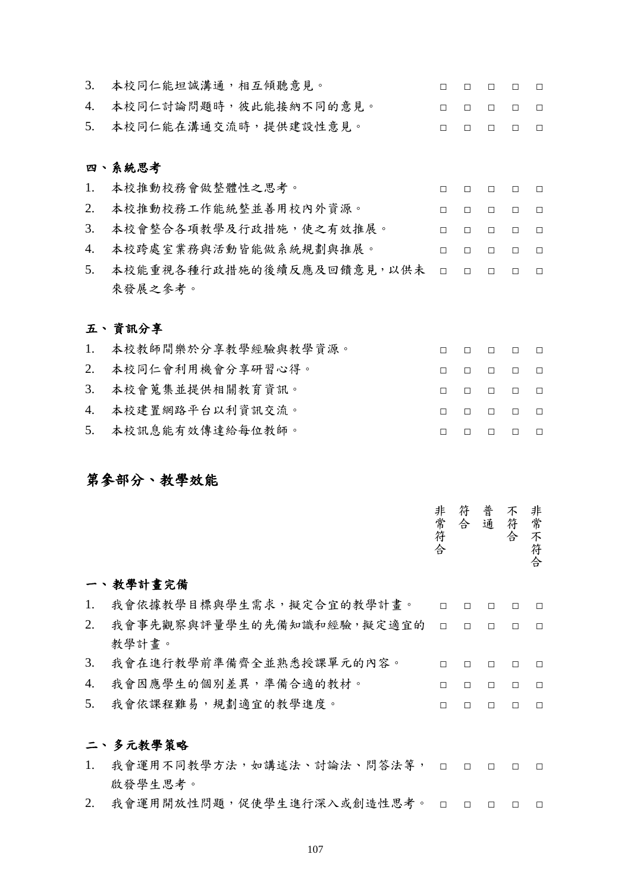| 3.               | 本校同仁能坦誠溝通,相互傾聽意見。      | H |   |   |   | П |
|------------------|------------------------|---|---|---|---|---|
| $\overline{4}$ . | 本校同仁討論問題時,彼此能接納不同的意見。  | П | п | П | П | П |
| 5.               | 本校同仁能在溝通交流時,提供建設性意見。   | П | п | п |   | П |
|                  |                        |   |   |   |   |   |
|                  | 四、系統思考                 |   |   |   |   |   |
| 1.               | 本校推動校務會做整體性之思考。        | П | п | П | П | П |
| 2.               | 本校推動校務工作能統整並善用校內外資源。   | П | П | П | п | Л |
| 3.               | 本校會整合各項教學及行政措施,使之有效推展。 | П | п | П | п | П |
| 4.               | 本校跨處室業務與活動皆能做系統規劃與推展。  | П | п | п | П | П |

5. 本校能重視各種行政措施的後續反應及回饋意見,以供未 □ □ □ □ □ 來發展之參考。

#### 五、 資訊分享

| 1. 本校教師間樂於分享教學經驗與教學資源。 |  |        | $\Box$ |  |
|------------------------|--|--------|--------|--|
| 2. 本校同仁會利用機會分享研習心得。    |  |        | $\Box$ |  |
| 3. 本校會蒐集並提供相關教育資訊。     |  | $\Box$ |        |  |
| 4. 本校建置網路平台以利資訊交流。     |  |        | $\Box$ |  |
| 5. 本校訊息能有效傳達給每位教師。     |  |        | $\Box$ |  |

### 第參部分、教學效能

|    | 教學計畫完備                    | 非常符合   | 符<br>合 | 普通     | 不<br>符<br>合 | 非常<br>不<br>符<br>合 |
|----|---------------------------|--------|--------|--------|-------------|-------------------|
| 1. | 我會依據教學目標與學生需求,擬定合宜的教學計畫。  | $\Box$ | П      | П      | $\Box$      | П                 |
| 2. | 我會事先觀察與評量學生的先備知識和經驗,擬定適宜的 | $\Box$ | $\Box$ | $\Box$ | $\Box$      | $\Box$            |
|    | 教學計書。                     |        |        |        |             |                   |
| 3. | 我會在進行教學前準備齊全並熟悉授課單元的內容。   | П      | П      | П      | $\Box$      | П                 |
| 4. | 我會因應學生的個別差異,準備合適的教材。      | П      | П      | П      | Л           | $\Box$            |
| 5. | 我會依課程難易,規劃適宜的教學進度。        | П      |        |        | П           | П                 |
|    |                           |        |        |        |             |                   |

### 二、 多元教學策略

- 1. 我會運用不同教學方法,如講述法、討論法、問答法等, □ □ □ □ □ 啟發學生思考。
- 2. 我會運用開放性問題,促使學生進行深入或創造性思考。 □ □ □ □ □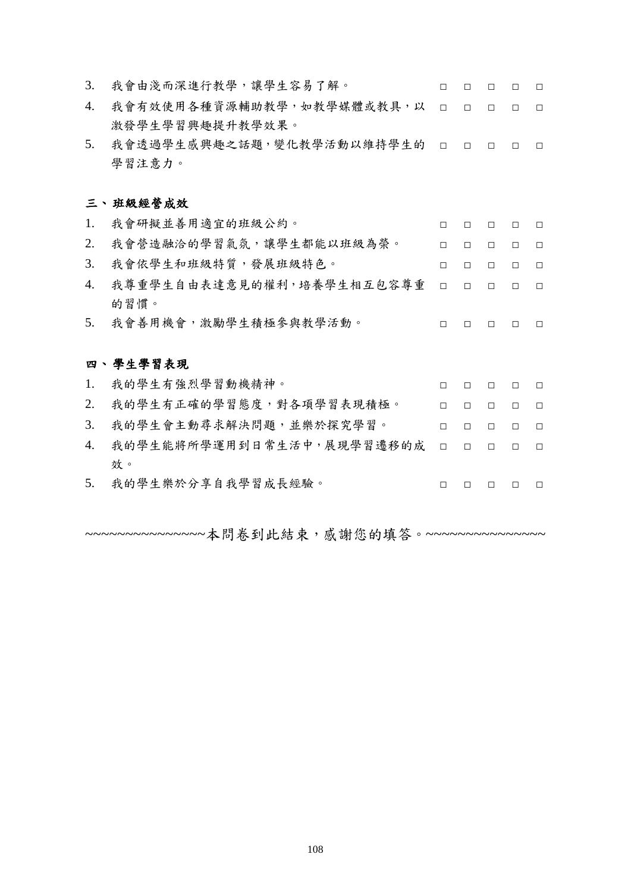| 3.               | 我會由淺而深進行教學,讓學生容易了解。       | $\Box$ | $\Box$ | $\Box$ | $\Box$ | $\Box$ |
|------------------|---------------------------|--------|--------|--------|--------|--------|
| $\overline{4}$ . | 我會有效使用各種資源輔助教學,如教學媒體或教具,以 | $\Box$ | $\Box$ | $\Box$ | $\Box$ | $\Box$ |
|                  | 激發學生學習興趣提升教學效果。           |        |        |        |        |        |
| 5.               | 我會透過學生感興趣之話題,變化教學活動以維持學生的 | $\Box$ | $\Box$ | $\Box$ | П      | $\Box$ |
|                  | 學習注意力。                    |        |        |        |        |        |
|                  |                           |        |        |        |        |        |
|                  | 三、班級經營成效                  |        |        |        |        |        |
| 1.               | 我會研擬並善用適宜的班級公約。           | □      | □      | □      | П      | $\Box$ |
| 2.               | 我會營造融洽的學習氣氛,讓學生都能以班級為榮。   | $\Box$ | $\Box$ | $\Box$ | П      | $\Box$ |
| 3.               | 我會依學生和班級特質,發展班級特色。        | $\Box$ | $\Box$ | $\Box$ | $\Box$ | $\Box$ |
| $\overline{4}$ . | 我尊重學生自由表達意見的權利,培養學生相互包容尊重 | $\Box$ | П      | П      | П      | П      |
|                  | 的習慣。                      |        |        |        |        |        |
| 5.               | 我會善用機會,激勵學生積極參與教學活動。      | $\Box$ | П      | П      | П      | П      |
|                  |                           |        |        |        |        |        |
|                  | 四、學生學習表現                  |        |        |        |        |        |
| 1.               | 我的學生有強烈學習動機精神。            | П      | П      | П      | П      | П      |
| 2.               | 我的學生有正確的學習態度,對各項學習表現積極。   | П      | П      | $\Box$ | П      | $\Box$ |
| 3.               | 我的學生會主動尋求解決問題,並樂於探究學習。    | П      | $\Box$ | $\Box$ | П      | $\Box$ |
| 4.               | 我的學生能將所學運用到日常生活中,展現學習遷移的成 | П      | $\Box$ | $\Box$ | $\Box$ | $\Box$ |
|                  | 效。                        |        |        |        |        |        |
| 5.               | 我的學生樂於分享自我學習成長經驗。         | $\Box$ | П      | П      | $\Box$ | $\Box$ |
|                  |                           |        |        |        |        |        |

~~~~~~~~~~~~~~~本問卷到此結束,感謝您的填答。~~~~~~~~~~~~~~~~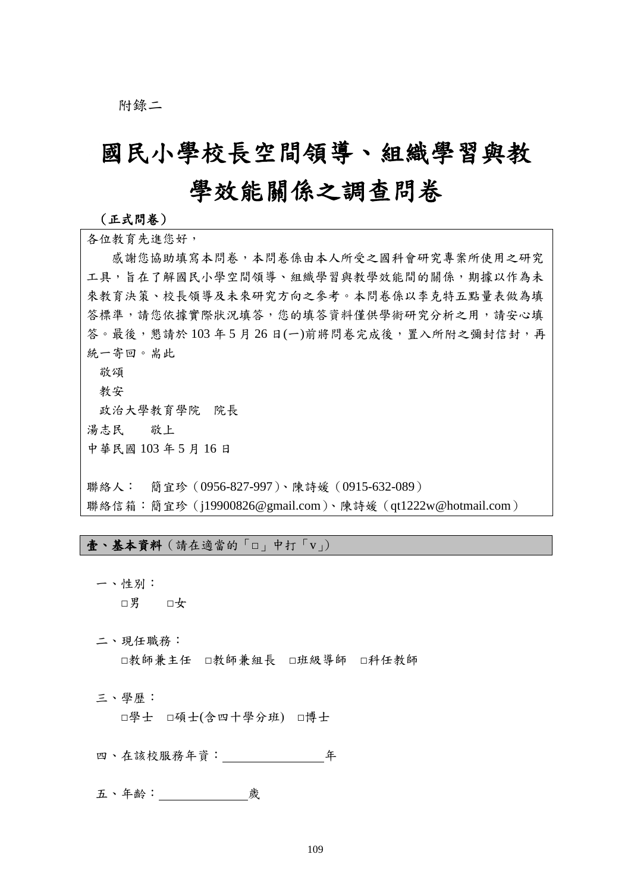附錄二

# 國民小學校長空間領導、組織學習與教 學效能關係之調查問卷

#### (正式問卷)

各位教育先進您好, 感謝您協助填寫本問卷,本問卷係由本人所受之國科會研究專案所使用之研究 工具,旨在了解國民小學空間領導、組織學習與教學效能間的關係,期據以作為未 來教育決策、校長領導及未來研究方向之參考。本問卷係以李克特五點量表做為填 答標準,請您依據實際狀況填答,您的填答資料僅供學術研究分析之用,請安心填 答。最後,懇請於 103年5月 26日(一)前將問卷完成後,置入所附之彌封信封,再 統一寄回。耑此 敬頌 教安 政治大學教育學院 院長 湯志民 敬上 中華民國 103 年 5 月 16 日 聯絡人: 簡宜珍(0956-827-997)、陳詩媛(0915-632-089)

聯絡信箱:簡宜珍(j19900826@gmail.com)、陳詩媛(qt1222w@hotmail.com)

壹、基本資料(請在適當的「□」中打「v」)

一、性別: □男 □女

二、現任職務:

□教師兼主任 □教師兼組長 □班級導師 □科任教師

三、學歷:

□學士 □碩士(含四十學分班) □博士

四、在該校服務年資: 年

五、年齡: 歲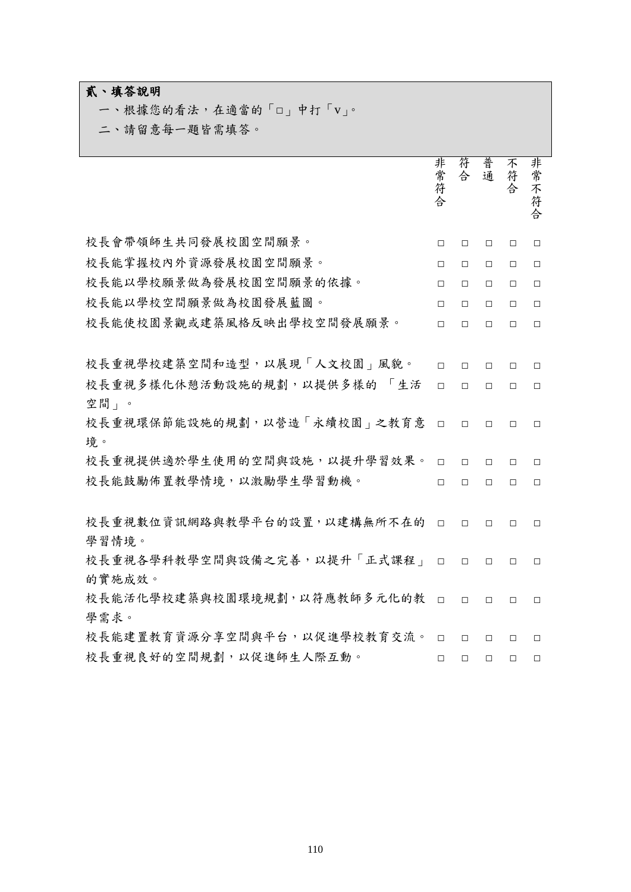## 貳、填答說明

一、根據您的看法,在適當的「□」中打「v」。

二、請留意每一題皆需填答。

|                                       | 非常符合   | 符<br>合 | 普<br>通 | 不<br>符<br>合 | 非常不符合  |
|---------------------------------------|--------|--------|--------|-------------|--------|
| 校長會帶領師生共同發展校園空間願景。                    | $\Box$ | $\Box$ | $\Box$ | $\Box$      | $\Box$ |
| 校長能掌握校內外資源發展校園空間願景。                   | $\Box$ | $\Box$ | $\Box$ | $\Box$      | $\Box$ |
| 校長能以學校願景做為發展校園空間願景的依據。                | $\Box$ | $\Box$ | $\Box$ | $\Box$      | $\Box$ |
| 校長能以學校空間願景做為校園發展藍圖。                   | $\Box$ | $\Box$ | $\Box$ | $\Box$      | $\Box$ |
| 校長能使校園景觀或建築風格反映出學校空間發展願景。             | $\Box$ | $\Box$ | $\Box$ | $\Box$      | $\Box$ |
|                                       |        |        |        |             |        |
| 校長重視學校建築空間和造型,以展現「人文校園」風貌。            | $\Box$ | $\Box$ | $\Box$ | П.          | $\Box$ |
| 校長重視多樣化休憩活動設施的規劃,以提供多樣的<br>「生活        | $\Box$ | $\Box$ | $\Box$ | $\Box$      | $\Box$ |
| 空間」。                                  |        |        |        |             |        |
| 校長重視環保節能設施的規劃,以營造「永續校園」之教育意           | $\Box$ | $\Box$ | $\Box$ | П           | $\Box$ |
| 境。                                    |        |        |        |             |        |
| 校長重視提供適於學生使用的空間與設施,以提升學習效果。           | $\Box$ | $\Box$ | $\Box$ | $\Box$      | $\Box$ |
| 校長能鼓勵佈置教學情境,以激勵學生學習動機。                | П      | $\Box$ | $\Box$ | $\Box$      | $\Box$ |
|                                       |        |        |        |             |        |
| 校長重視數位資訊網路與教學平台的設置,以建構無所不在的           | $\Box$ | $\Box$ | $\Box$ | $\Box$      | $\Box$ |
| 學習情境。                                 |        |        |        |             |        |
| 校長重視各學科教學空間與設備之完善,以提升「正式課程」           | $\Box$ | $\Box$ | $\Box$ | $\Box$      | $\Box$ |
| 的實施成效。<br>校長能活化學校建築與校園環境規劃,以符應教師多元化的教 | $\Box$ | $\Box$ |        |             |        |
| 學需求。                                  |        |        | П.     | $\Box$      | $\Box$ |
| 校長能建置教育資源分享空間與平台,以促進學校教育交流。           | $\Box$ | $\Box$ | $\Box$ | $\Box$      | $\Box$ |
| 校長重視良好的空間規劃,以促進師生人際互動。                | П      | $\Box$ | $\Box$ | П           | $\Box$ |
|                                       |        |        |        |             |        |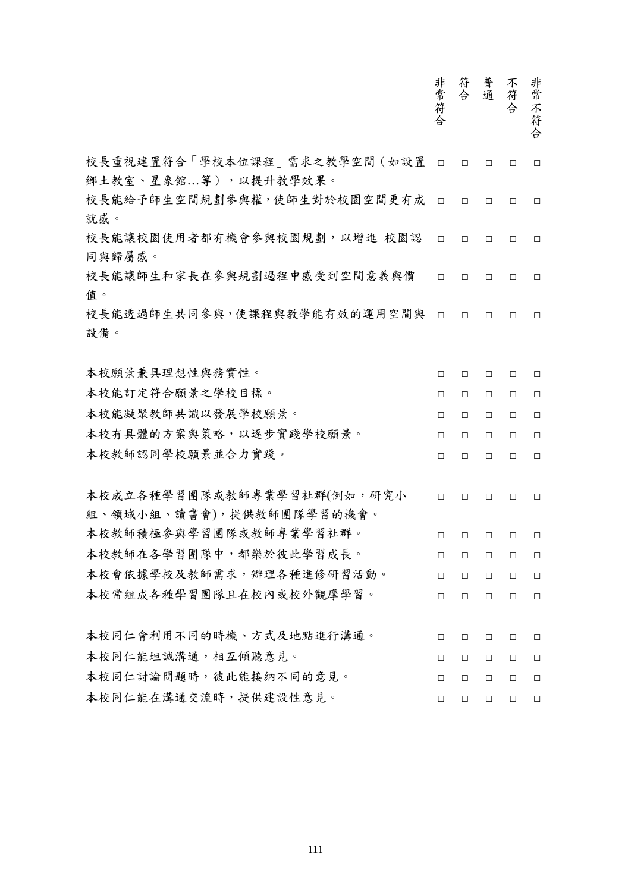|                                                        | 非常符合   | 符合     | 普通     | 不符<br>合 | 非常不符合  |
|--------------------------------------------------------|--------|--------|--------|---------|--------|
| 校長重視建置符合「學校本位課程」需求之教學空間(如設置<br>鄉土教室、星象館等),以提升教學效果。     | $\Box$ | $\Box$ | $\Box$ | $\Box$  | $\Box$ |
| 校長能給予師生空間規劃參與權,使師生對於校園空間更有成<br>就感。                     | $\Box$ | $\Box$ | $\Box$ | $\Box$  | $\Box$ |
| 校長能讓校園使用者都有機會參與校園規劃,以增進 校園認<br>同與歸屬感。                  | $\Box$ | $\Box$ | $\Box$ | $\Box$  | $\Box$ |
| 校長能讓師生和家長在參與規劃過程中感受到空間意義與價<br>值。                       | $\Box$ | $\Box$ | $\Box$ | $\Box$  | $\Box$ |
| 校長能透過師生共同參與,使課程與教學能有效的運用空間與<br>設備。                     | $\Box$ | $\Box$ | $\Box$ | $\Box$  | $\Box$ |
| 本校願景兼具理想性與務實性。                                         | □      | $\Box$ | □      | $\Box$  | $\Box$ |
| 本校能訂定符合願景之學校目標。                                        | $\Box$ | $\Box$ | $\Box$ | $\Box$  | $\Box$ |
| 本校能凝聚教師共識以發展學校願景。                                      | $\Box$ | $\Box$ | $\Box$ | $\Box$  | $\Box$ |
| 本校有具體的方案與策略,以逐步實踐學校願景。                                 | $\Box$ | $\Box$ | $\Box$ | $\Box$  | $\Box$ |
| 本校教師認同學校願景並合力實踐。                                       | $\Box$ | $\Box$ | $\Box$ | $\Box$  | $\Box$ |
| 本校成立各種學習團隊或教師專業學習社群(例如,研究小<br>組、領域小組、讀書會),提供教師團隊學習的機會。 | $\Box$ | $\Box$ | $\Box$ | $\Box$  | $\Box$ |
| 本校教師積極參與學習團隊或教師專業學習社群。                                 | □      | $\Box$ | $\Box$ | $\Box$  | $\Box$ |
| 本校教師在各學習團隊中,都樂於彼此學習成長。                                 | $\Box$ | $\Box$ | $\Box$ | $\Box$  | $\Box$ |
| 本校會依據學校及教師需求,辦理各種進修研習活動。                               | $\Box$ | $\Box$ | $\Box$ | $\Box$  | $\Box$ |
| 本校常組成各種學習團隊且在校內或校外觀摩學習。                                | $\Box$ | $\Box$ | $\Box$ | $\Box$  | $\Box$ |
| 本校同仁會利用不同的時機、方式及地點進行溝通。                                | $\Box$ | $\Box$ | $\Box$ | $\Box$  | $\Box$ |
| 本校同仁能坦誠溝通,相互傾聽意見。                                      | $\Box$ | $\Box$ | $\Box$ | $\Box$  | $\Box$ |
| 本校同仁討論問題時,彼此能接納不同的意見。                                  | $\Box$ | $\Box$ | $\Box$ | $\Box$  | $\Box$ |
| 本校同仁能在溝通交流時,提供建設性意見。                                   | $\Box$ | $\Box$ | $\Box$ | $\Box$  | $\Box$ |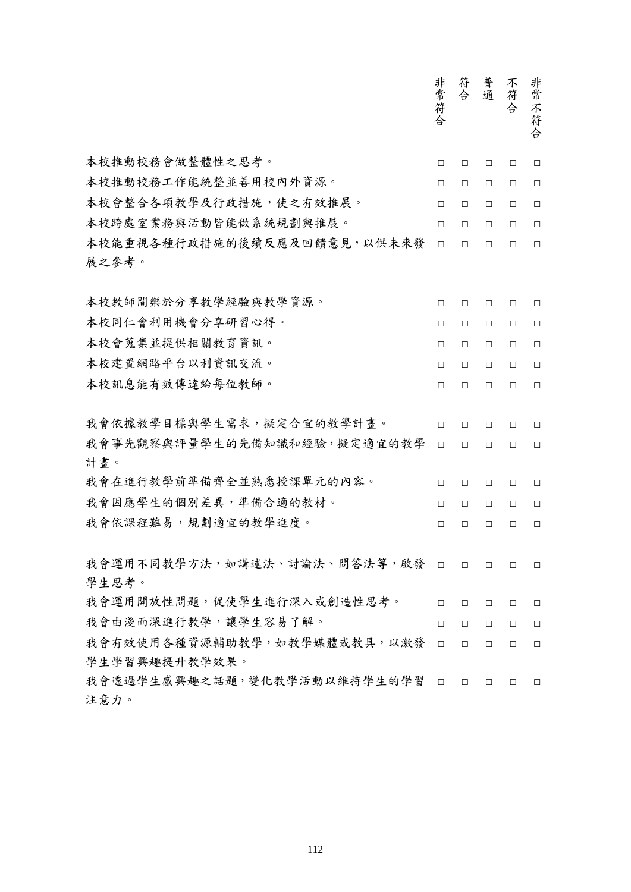|                                        | 非常符合   | 符合     | 普通     | 不符<br>合 | 非常不符合  |
|----------------------------------------|--------|--------|--------|---------|--------|
| 本校推動校務會做整體性之思考。                        | $\Box$ | $\Box$ | $\Box$ | $\Box$  | $\Box$ |
| 本校推動校務工作能統整並善用校內外資源。                   | $\Box$ | $\Box$ | $\Box$ | $\Box$  | $\Box$ |
| 本校會整合各項教學及行政措施,使之有效推展。                 | $\Box$ | $\Box$ | $\Box$ | $\Box$  | $\Box$ |
| 本校跨處室業務與活動皆能做系統規劃與推展。                  | $\Box$ | $\Box$ | $\Box$ | $\Box$  | $\Box$ |
| 本校能重視各種行政措施的後續反應及回饋意見,以供未來發            | $\Box$ | $\Box$ | $\Box$ | $\Box$  | $\Box$ |
| 展之參考。                                  |        |        |        |         |        |
| 本校教師間樂於分享教學經驗與教學資源。                    | $\Box$ | $\Box$ | $\Box$ | $\Box$  | □      |
| 本校同仁會利用機會分享研習心得。                       | $\Box$ | $\Box$ | $\Box$ | $\Box$  | $\Box$ |
| 本校會蒐集並提供相關教育資訊。                        | $\Box$ | $\Box$ | $\Box$ | $\Box$  | $\Box$ |
| 本校建置網路平台以利資訊交流。                        | $\Box$ | $\Box$ | $\Box$ | $\Box$  | $\Box$ |
| 本校訊息能有效傳達給每位教師。                        | $\Box$ | $\Box$ | $\Box$ | $\Box$  | $\Box$ |
|                                        |        |        |        |         |        |
| 我會依據教學目標與學生需求,擬定合宜的教學計畫。               | $\Box$ | $\Box$ | $\Box$ | $\Box$  | $\Box$ |
| 我會事先觀察與評量學生的先備知識和經驗,擬定適宜的教學            | $\Box$ | $\Box$ | $\Box$ | $\Box$  | $\Box$ |
| 計畫。                                    |        |        |        |         |        |
| 我會在進行教學前準備齊全並熟悉授課單元的內容。                | $\Box$ | $\Box$ | $\Box$ | $\Box$  | □      |
| 我會因應學生的個別差異,準備合適的教材。                   | $\Box$ | $\Box$ | $\Box$ | $\Box$  | $\Box$ |
| 我會依課程難易,規劃適宜的教學進度。                     | □      | $\Box$ | $\Box$ | $\Box$  | $\Box$ |
| 我會運用不同教學方法,如講述法、討論法、問答法等,啟發 口<br>學生思考。 |        | $\Box$ | $\Box$ | $\Box$  | $\Box$ |
| 我會運用開放性問題,促使學生進行深入或創造性思考。              | $\Box$ | $\Box$ | $\Box$ | $\Box$  | $\Box$ |
| 我會由淺而深進行教學,讓學生容易了解。                    | $\Box$ | $\Box$ | $\Box$ | $\Box$  | $\Box$ |
| 我會有效使用各種資源輔助教學,如教學媒體或教具,以激發            | $\Box$ | $\Box$ | $\Box$ | $\Box$  | $\Box$ |
| 學生學習興趣提升教學效果。                          |        |        |        |         |        |
| 我會透過學生感興趣之話題,變化教學活動以維持學生的學習            | $\Box$ | $\Box$ | $\Box$ | $\Box$  | $\Box$ |
| 注意力。                                   |        |        |        |         |        |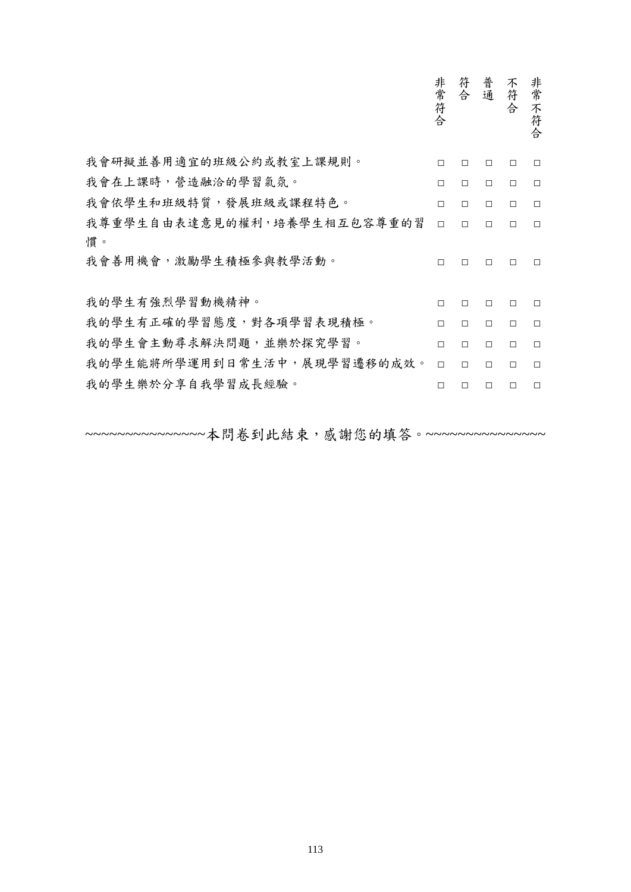|                             | 非常符合   | 符<br>合 | 普通     | 不符<br>合 | 非常不符<br>合 |
|-----------------------------|--------|--------|--------|---------|-----------|
| 我會研擬並善用適宜的班級公約或教室上課規則。      | $\Box$ | П      | П.     | П       | $\Box$    |
| 我會在上課時,營造融洽的學習氣氛。           | $\Box$ | $\Box$ | $\Box$ | $\Box$  | $\Box$    |
| 我會依學生和班級特質,發展班級或課程特色。       | $\Box$ | $\Box$ | $\Box$ | $\Box$  | $\Box$    |
| 我尊重學生自由表達意見的權利,培養學生相互包容尊重的習 | $\Box$ | $\Box$ | $\Box$ | $\Box$  | $\Box$    |
| 慣。<br>我會善用機會,激勵學生積極參與教學活動。  | $\Box$ | П      | $\Box$ | $\Box$  | П.        |
| 我的學生有強烈學習動機精神。              | $\Box$ | П      | $\Box$ | П       | П         |
| 我的學生有正確的學習態度,對各項學習表現積極。     | $\Box$ | $\Box$ | $\Box$ | $\Box$  | $\Box$    |
| 我的學生會主動尋求解決問題,並樂於探究學習。      | $\Box$ | $\Box$ | $\Box$ | $\Box$  | $\Box$    |
| 我的學生能將所學運用到日常生活中,展現學習遷移的成效。 | $\Box$ | $\Box$ | $\Box$ | $\Box$  | $\Box$    |
| 我的學生樂於分享自我學習成長經驗。           | $\Box$ | П      | П      | П       | П         |
|                             |        |        |        |         |           |

~~~~~~~~~~~~~~~本問卷到此結束,感謝您的填答。~~~~~~~~~~~~~~~~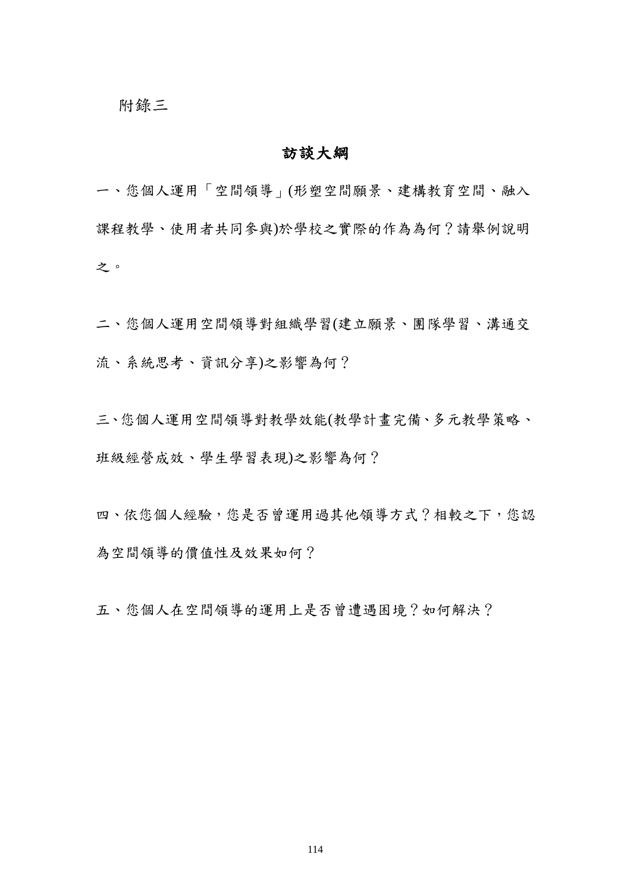#### 訪談大綱

一、您個人運用「空間領導」(形塑空間願景、建構教育空間、融入 課程教學、使用者共同參與)於學校之實際的作為為何?請舉例說明 之。

二、您個人運用空間領導對組織學習(建立願景、團隊學習、溝通交 流、系統思考、資訊分享)之影響為何?

三、您個人運用空間領導對教學效能(教學計畫完備、多元教學策略、 班級經營成效、學生學習表現)之影響為何?

四、依您個人經驗,您是否曾運用過其他領導方式?相較之下,您認 為空間領導的價值性及效果如何?

五、您個人在空間領導的運用上是否曾遭遇困境?如何解決?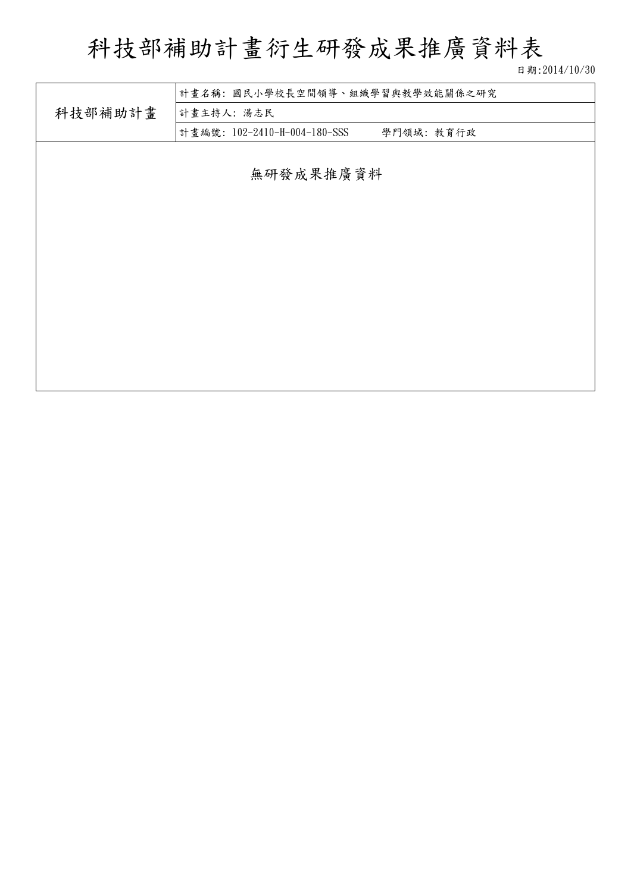# 科技部補助計畫衍生研發成果推廣資料表

日期:2014/10/30

| 計畫名稱:國民小學校長空間領導、組織學習與教學效能關係之研究<br>科技部補助計畫<br>計畫主持人:湯志民 |                                           |  |  |  |  |  |  |
|--------------------------------------------------------|-------------------------------------------|--|--|--|--|--|--|
|                                                        | 計畫編號: 102-2410-H-004-180-SSS<br>學門領域:教育行政 |  |  |  |  |  |  |
|                                                        | 無研發成果推廣資料                                 |  |  |  |  |  |  |
|                                                        |                                           |  |  |  |  |  |  |
|                                                        |                                           |  |  |  |  |  |  |
|                                                        |                                           |  |  |  |  |  |  |
|                                                        |                                           |  |  |  |  |  |  |
|                                                        |                                           |  |  |  |  |  |  |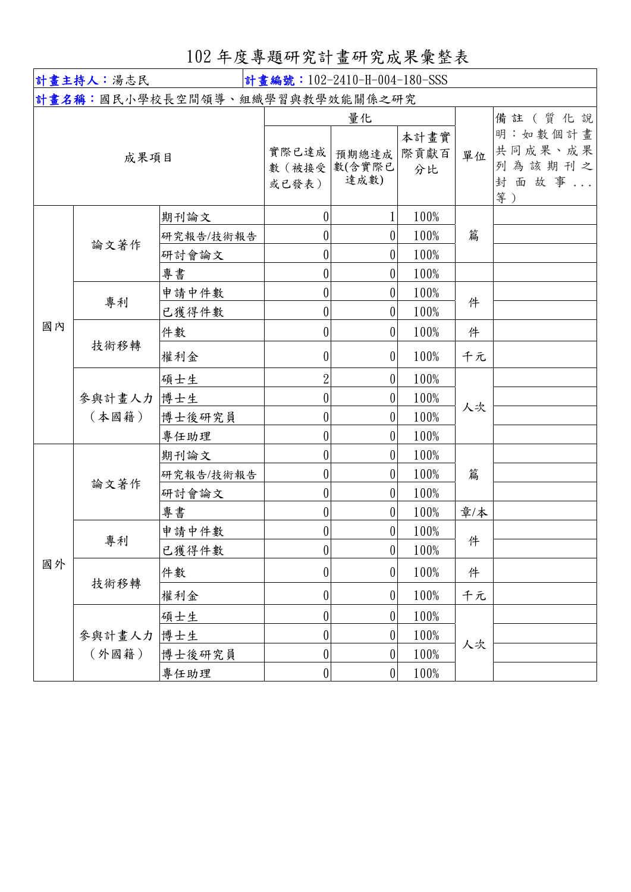102 年度專題研究計畫研究成果彙整表

| 計畫主持人:湯志民<br>計畫編號: 102-2410-H-004-180-SSS |        |                                       |                  |                  |              |     |                               |
|-------------------------------------------|--------|---------------------------------------|------------------|------------------|--------------|-----|-------------------------------|
|                                           |        | <b>計畫名稱:國民小學校長空間領導、組織學習與教學效能關係之研究</b> |                  |                  |              |     |                               |
| 成果項目                                      |        |                                       | 實際已達成            | 量化<br>預期總達成      | 本計畫實<br>際貢獻百 | 單位  | 備註 (質化說<br>明:如數個計畫<br>共同成果、成果 |
|                                           |        |                                       | 數(被接受<br>或已發表)   | 數(含實際已<br>達成數)   | 分比           |     | 列為該期刊之<br>封面故事<br>等)          |
|                                           |        | 期刊論文                                  | $\boldsymbol{0}$ |                  | 100%         |     |                               |
|                                           | 論文著作   | 研究報告/技術報告                             | $\boldsymbol{0}$ | 0                | 100%         | 篇   |                               |
|                                           |        | 研討會論文                                 | $\boldsymbol{0}$ | $\theta$         | 100%         |     |                               |
|                                           |        | 專書                                    | $\boldsymbol{0}$ | 0                | 100%         |     |                               |
|                                           | 專利     | 申請中件數                                 | $\boldsymbol{0}$ | 0                | 100%         | 件   |                               |
|                                           |        | 已獲得件數                                 | $\boldsymbol{0}$ | 0                | 100%         |     |                               |
| 國內                                        |        | 件數                                    | 0                | $\theta$         | 100%         | 件   |                               |
|                                           | 技術移轉   | 權利金                                   | $\theta$         | $\theta$         | 100%         | 千元  |                               |
|                                           |        | 碩士生                                   | $\overline{2}$   | $\theta$         | 100%         |     |                               |
|                                           | 參與計畫人力 | 博士生                                   | 0                | $\boldsymbol{0}$ | 100%         | 人次  |                               |
|                                           | (本國籍)  | 博士後研究員                                | $\boldsymbol{0}$ | 0                | 100%         |     |                               |
|                                           |        | 專任助理                                  | 0                | $\boldsymbol{0}$ | 100%         |     |                               |
|                                           |        | 期刊論文                                  | $\boldsymbol{0}$ | 0                | 100%         |     |                               |
|                                           | 論文著作   | 研究報告/技術報告                             | 0                | $\boldsymbol{0}$ | 100%         | 篇   |                               |
|                                           |        | 研討會論文                                 | $\boldsymbol{0}$ | $\theta$         | 100%         |     |                               |
|                                           |        | 專書                                    | $\boldsymbol{0}$ | $\boldsymbol{0}$ | 100%         | 章/本 |                               |
|                                           | 專利     | 申請中件數                                 | 0                | 0                | 100%         | 件   |                               |
|                                           |        | 已獲得件數                                 | 0                | $\boldsymbol{0}$ | 100%         |     |                               |
| 國外                                        | 技術移轉   | 件數                                    | 0                | $\theta$         | 100%         | 件   |                               |
|                                           |        | 權利金                                   | $\pmb{0}$        | $\pmb{0}$        | 100%         | 千元  |                               |
|                                           |        | 碩士生                                   | $\boldsymbol{0}$ | 0                | 100%         |     |                               |
|                                           | 參與計畫人力 | 博士生                                   | $\boldsymbol{0}$ | $\boldsymbol{0}$ | 100%         |     |                               |
|                                           | (外國籍)  | 博士後研究員                                | $\boldsymbol{0}$ | 0                | 100%         | 人次  |                               |
|                                           |        | 專任助理                                  | $\boldsymbol{0}$ | $\boldsymbol{0}$ | 100%         |     |                               |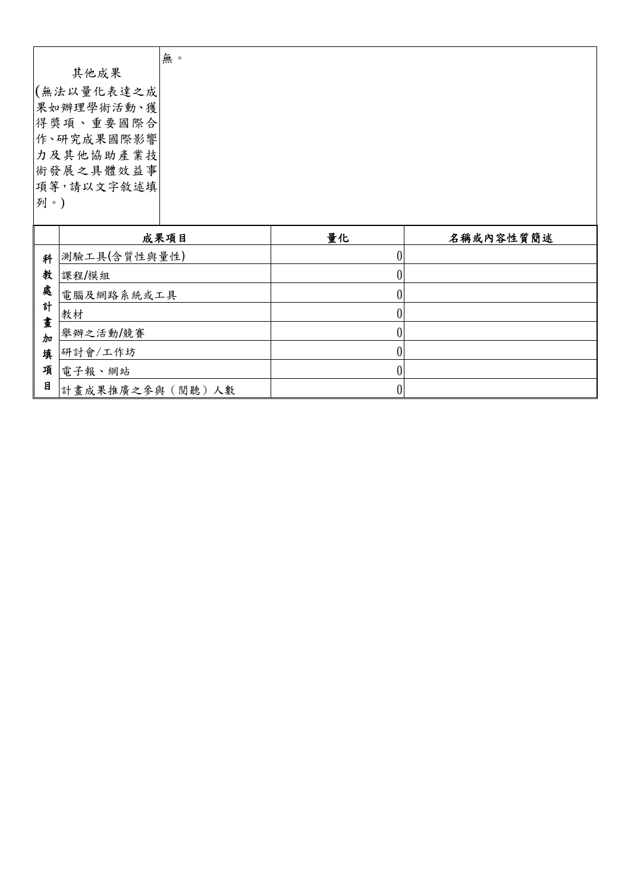|                    |                 | 無。   |                  |           |
|--------------------|-----------------|------|------------------|-----------|
| 其他成果               |                 |      |                  |           |
| (無法以量化表達之成         |                 |      |                  |           |
| 果如辦理學術活動、獲         |                 |      |                  |           |
| 得獎項、重要國際合          |                 |      |                  |           |
|                    | 作、研究成果國際影響      |      |                  |           |
|                    | 力及其他協助產業技       |      |                  |           |
| 術發展之具體效益事          |                 |      |                  |           |
|                    | 項等,請以文字敘述填      |      |                  |           |
| 列。)                |                 |      |                  |           |
|                    |                 |      |                  |           |
|                    |                 | 成果項目 | 量化               | 名稱或內容性質簡述 |
| 科                  | 測驗工具(含質性與量性)    |      | $\boldsymbol{0}$ |           |
| 教                  | 課程/模組           |      | $\boldsymbol{0}$ |           |
| 處                  | 電腦及網路系統或工具      |      | $\boldsymbol{0}$ |           |
| 計                  | 教材              |      | $\boldsymbol{0}$ |           |
| 畫<br>$\frac{1}{2}$ | 舉辦之活動/競賽        |      | $\boldsymbol{0}$ |           |
| 填                  | 研討會/工作坊         |      | $\boldsymbol{0}$ |           |
| 項                  | 電子報、網站          |      | $\boldsymbol{0}$ |           |
| 目                  | 計畫成果推廣之參與(閱聽)人數 |      | $\boldsymbol{0}$ |           |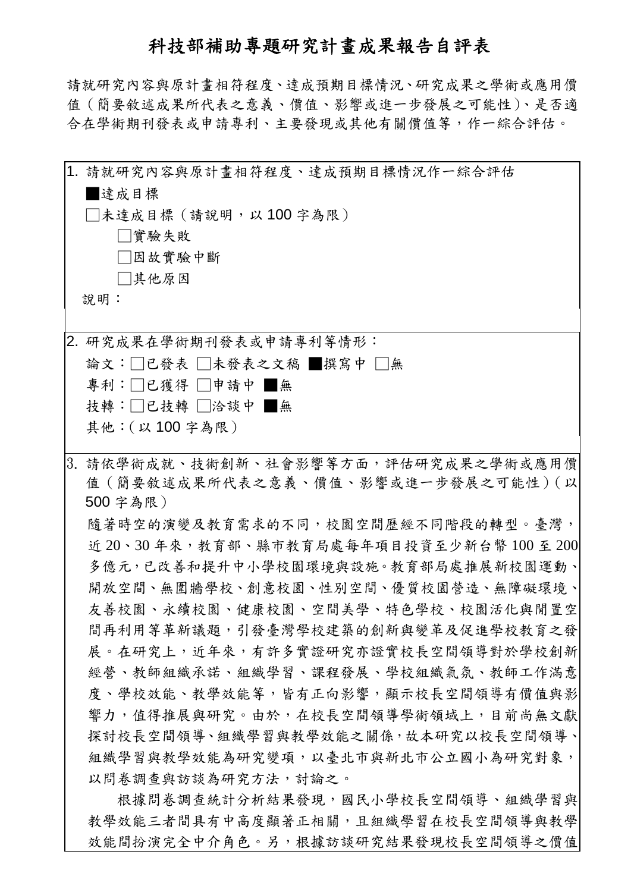## 科技部補助專題研究計畫成果報告自評表

請就研究內容與原計畫相符程度、達成預期目標情況、研究成果之學術或應用價 值(簡要敘述成果所代表之意義、價值、影響或進一步發展之可能性)、是否適 合在學術期刊發表或申請專利、主要發現或其他有關價值等,作一綜合評估。

|  | 1. 請就研究內容與原計書相符程度、達成預期目標情況作一綜合評估                                        |
|--|-------------------------------------------------------------------------|
|  | 達成目標                                                                    |
|  | □未達成目標 (請說明,以100字為限)                                                    |
|  | □實驗失敗                                                                   |
|  | □因故實驗中斷                                                                 |
|  | □其他原因                                                                   |
|  | 說明:                                                                     |
|  |                                                                         |
|  | 2. 研究成果在學術期刊發表或申請專利等情形:                                                 |
|  | 論文:□已發表 □未發表之文稿 ■撰寫中 □無                                                 |
|  | 專利:□已獲得 □申請中 ■無                                                         |
|  | 技轉:□已技轉 □洽談中 ■無                                                         |
|  | 其他: (以100字為限)                                                           |
|  |                                                                         |
|  | 3. 請依學術成就、技術創新、社會影響等方面,評估研究成果之學術或應用價                                    |
|  | 值(簡要敘述成果所代表之意義、價值、影響或進一步發展之可能性)(以<br>500 字為限)                           |
|  |                                                                         |
|  | 隨著時空的演變及教育需求的不同,校園空間歷經不同階段的轉型。臺灣,                                       |
|  | 近 20、30 年來,教育部、縣市教育局處每年項目投資至少新台幣 100 至 200                              |
|  | 多億元,已改善和提升中小學校園環境與設施。教育部局處推展新校園運動、                                      |
|  | 開放空間、無圍牆學校、創意校園、性別空間、優質校園營造、無障礙環境、                                      |
|  | 友善校園、永續校園、健康校園、空間美學、特色學校、校園活化與閒置空 <br>間再利用等革新議題,引發臺灣學校建築的創新與變革及促進學校教育之發 |
|  |                                                                         |
|  | 展。在研究上,近年來,有許多實證研究亦證實校長空間領導對於學校創新 <br>經營、教師組織承諾、組織學習、課程發展、學校組織氣氛、教師工作滿意 |
|  | 度、學校效能、教學效能等,皆有正向影響,顯示校長空間領導有價值與影                                       |
|  |                                                                         |
|  | 響力,值得推展與研究。由於,在校長空間領導學術領域上,目前尚無文獻                                       |
|  | 探討校長空間領導、組織學習與教學效能之關係,故本研究以校長空間領導、                                      |
|  | 組織學習與教學效能為研究變項,以臺北市與新北市公立國小為研究對象,                                       |
|  | 以問卷調查與訪談為研究方法,討論之。                                                      |
|  | 根據問卷調查統計分析結果發現,國民小學校長空間領導、組織學習與                                         |

教學效能三者間具有中高度顯著正相關,且組織學習在校長空間領導與教學 效能間扮演完全中介角色。另,根據訪談研究結果發現校長空間領導之價值